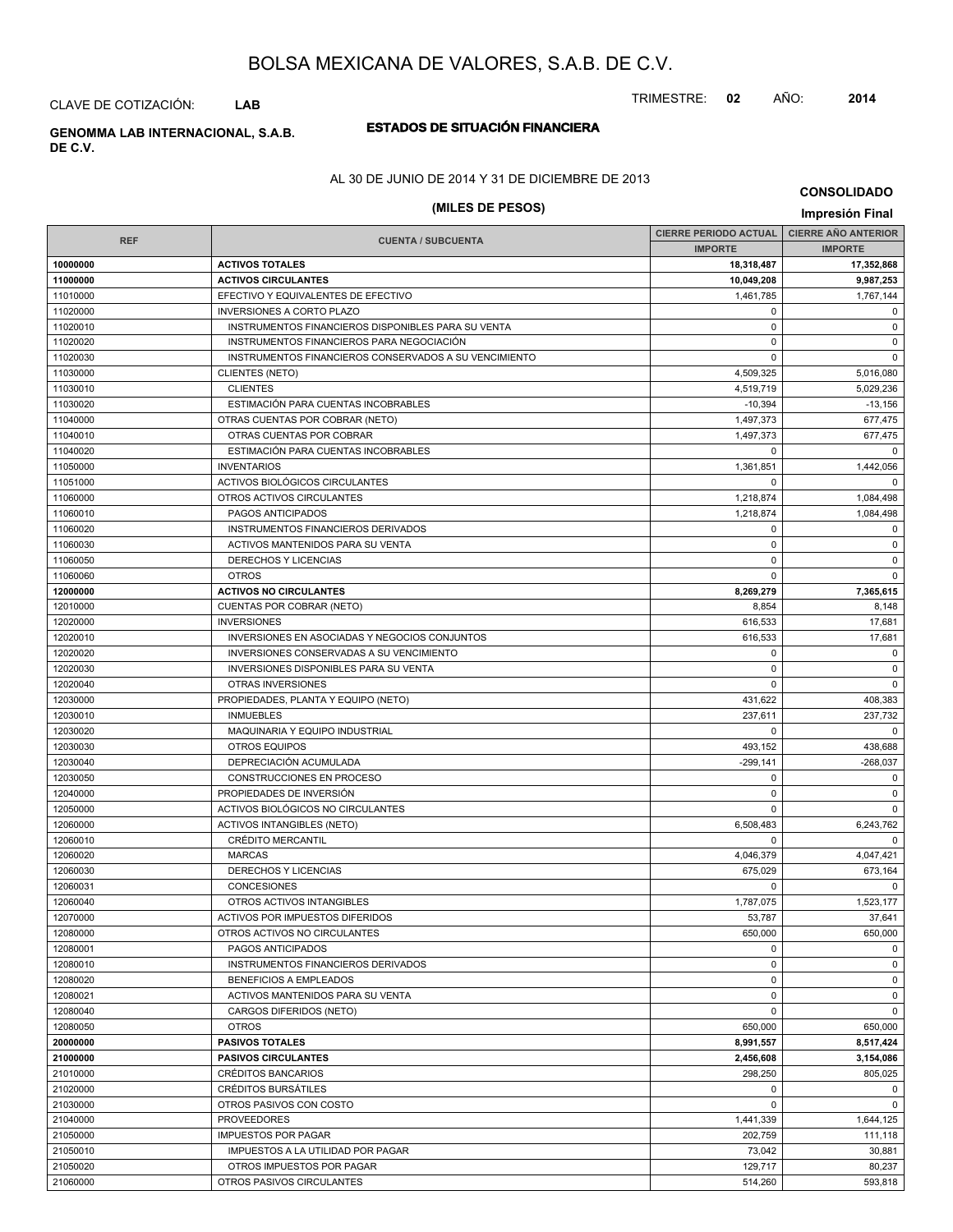TRIMESTRE: **02** AÑO: **2014**

CLAVE DE COTIZACIÓN: **LAB**

# **DE C.V.**

## **ESTADOS DE SITUACIÓN FINANCIERA GENOMMA LAB INTERNACIONAL, S.A.B.**

## AL 30 DE JUNIO DE 2014 Y 31 DE DICIEMBRE DE 2013

# **(MILES DE PESOS) Impresión Final**

**CONSOLIDADO**

|            | <b>CIERRE PERIODO ACTUAL</b>                          |                |                        |  | <b>CIERRE AÑO ANTERIOR</b> |
|------------|-------------------------------------------------------|----------------|------------------------|--|----------------------------|
| <b>REF</b> | <b>CUENTA / SUBCUENTA</b>                             | <b>IMPORTE</b> | <b>IMPORTE</b>         |  |                            |
| 10000000   | <b>ACTIVOS TOTALES</b>                                | 18,318,487     | 17,352,868             |  |                            |
| 11000000   | <b>ACTIVOS CIRCULANTES</b>                            | 10,049,208     | 9,987,253              |  |                            |
| 11010000   | EFECTIVO Y EQUIVALENTES DE EFECTIVO                   | 1,461,785      | 1,767,144              |  |                            |
| 11020000   | <b>INVERSIONES A CORTO PLAZO</b>                      | 0              | $\mathbf 0$            |  |                            |
| 11020010   | INSTRUMENTOS FINANCIEROS DISPONIBLES PARA SU VENTA    | $\mathbf 0$    | $\mathbf 0$            |  |                            |
| 11020020   | INSTRUMENTOS FINANCIEROS PARA NEGOCIACIÓN             | $\mathbf 0$    | $\mathsf 0$            |  |                            |
| 11020030   | INSTRUMENTOS FINANCIEROS CONSERVADOS A SU VENCIMIENTO | $\mathbf 0$    | $\mathbf 0$            |  |                            |
| 11030000   | CLIENTES (NETO)                                       | 4,509,325      | 5,016,080              |  |                            |
| 11030010   | <b>CLIENTES</b>                                       | 4,519,719      | 5,029,236              |  |                            |
| 11030020   | ESTIMACIÓN PARA CUENTAS INCOBRABLES                   | $-10,394$      | $-13,156$              |  |                            |
| 11040000   | OTRAS CUENTAS POR COBRAR (NETO)                       | 1,497,373      | 677,475                |  |                            |
| 11040010   | OTRAS CUENTAS POR COBRAR                              | 1.497.373      | 677,475                |  |                            |
| 11040020   | ESTIMACIÓN PARA CUENTAS INCOBRABLES                   | 0              | 0                      |  |                            |
| 11050000   | <b>INVENTARIOS</b>                                    | 1,361,851      | 1,442,056              |  |                            |
| 11051000   | ACTIVOS BIOLÓGICOS CIRCULANTES                        | $\Omega$       | $\mathbf 0$            |  |                            |
| 11060000   | OTROS ACTIVOS CIRCULANTES                             | 1,218,874      | 1,084,498              |  |                            |
| 11060010   | PAGOS ANTICIPADOS                                     | 1,218,874      | 1,084,498              |  |                            |
| 11060020   | INSTRUMENTOS FINANCIEROS DERIVADOS                    | $\mathbf 0$    | $\mathbf 0$            |  |                            |
| 11060030   | ACTIVOS MANTENIDOS PARA SU VENTA                      | $\mathbf 0$    | $\mathbf 0$            |  |                            |
| 11060050   | DERECHOS Y LICENCIAS                                  | 0              | $\mathbf 0$            |  |                            |
| 11060060   | <b>OTROS</b>                                          | $\mathbf 0$    | $\mathsf 0$            |  |                            |
| 12000000   | <b>ACTIVOS NO CIRCULANTES</b>                         | 8,269,279      | 7,365,615              |  |                            |
| 12010000   | CUENTAS POR COBRAR (NETO)                             | 8,854          | 8,148                  |  |                            |
| 12020000   | <b>INVERSIONES</b>                                    | 616,533        | 17,681                 |  |                            |
| 12020010   | INVERSIONES EN ASOCIADAS Y NEGOCIOS CONJUNTOS         | 616,533        | 17,681                 |  |                            |
| 12020020   | INVERSIONES CONSERVADAS A SU VENCIMIENTO              | 0              | $^{\circ}$             |  |                            |
| 12020030   | <b>INVERSIONES DISPONIBLES PARA SU VENTA</b>          | $\mathbf 0$    | $\mathsf 0$            |  |                            |
| 12020040   | OTRAS INVERSIONES                                     | $\mathbf 0$    | $\mathbf 0$            |  |                            |
| 12030000   |                                                       | 431,622        | 408,383                |  |                            |
|            | PROPIEDADES, PLANTA Y EQUIPO (NETO)                   | 237,611        |                        |  |                            |
| 12030010   | <b>INMUEBLES</b>                                      |                | 237,732<br>$\mathbf 0$ |  |                            |
| 12030020   | MAQUINARIA Y EQUIPO INDUSTRIAL                        | 0              |                        |  |                            |
| 12030030   | OTROS EQUIPOS                                         | 493,152        | 438,688                |  |                            |
| 12030040   | DEPRECIACIÓN ACUMULADA                                | $-299,141$     | $-268,037$             |  |                            |
| 12030050   | CONSTRUCCIONES EN PROCESO                             | 0              | 0                      |  |                            |
| 12040000   | PROPIEDADES DE INVERSIÓN                              | 0              | $\mathbf 0$            |  |                            |
| 12050000   | ACTIVOS BIOLÓGICOS NO CIRCULANTES                     | $\Omega$       | $\mathbf 0$            |  |                            |
| 12060000   | <b>ACTIVOS INTANGIBLES (NETO)</b>                     | 6,508,483      | 6,243,762              |  |                            |
| 12060010   | <b>CRÉDITO MERCANTIL</b>                              | 0              | $\mathbf 0$            |  |                            |
| 12060020   | <b>MARCAS</b>                                         | 4,046,379      | 4,047,421              |  |                            |
| 12060030   | DERECHOS Y LICENCIAS                                  | 675,029        | 673,164                |  |                            |
| 12060031   | <b>CONCESIONES</b>                                    | $\Omega$       | $\Omega$               |  |                            |
| 12060040   | OTROS ACTIVOS INTANGIBLES                             | 1,787,075      | 1,523,177              |  |                            |
| 12070000   | ACTIVOS POR IMPUESTOS DIFERIDOS                       | 53,787         | 37,641                 |  |                            |
| 12080000   | OTROS ACTIVOS NO CIRCULANTES                          | 650,000        | 650,000                |  |                            |
| 12080001   | PAGOS ANTICIPADOS                                     | $\mathbf 0$    | $\mathsf 0$            |  |                            |
| 12080010   | INSTRUMENTOS FINANCIEROS DERIVADOS                    | 0              | $\mathbf 0$            |  |                            |
| 12080020   | BENEFICIOS A EMPLEADOS                                | $\mathbf 0$    | $\mathbf 0$            |  |                            |
| 12080021   | ACTIVOS MANTENIDOS PARA SU VENTA                      | $\mathbf 0$    | $\mathsf 0$            |  |                            |
| 12080040   | CARGOS DIFERIDOS (NETO)                               | 0              | $\mathbf 0$            |  |                            |
| 12080050   | <b>OTROS</b>                                          | 650,000        | 650,000                |  |                            |
| 20000000   | <b>PASIVOS TOTALES</b>                                | 8.991.557      | 8,517,424              |  |                            |
| 21000000   | <b>PASIVOS CIRCULANTES</b>                            | 2,456,608      | 3,154,086              |  |                            |
| 21010000   | CRÉDITOS BANCARIOS                                    | 298,250        | 805,025                |  |                            |
| 21020000   | <b>CRÉDITOS BURSÁTILES</b>                            | $\mathbf 0$    | $\mathsf 0$            |  |                            |
| 21030000   | OTROS PASIVOS CON COSTO                               | $\mathbf 0$    | 0                      |  |                            |
| 21040000   | <b>PROVEEDORES</b>                                    | 1,441,339      | 1,644,125              |  |                            |
| 21050000   | <b>IMPUESTOS POR PAGAR</b>                            | 202,759        | 111,118                |  |                            |
| 21050010   | IMPUESTOS A LA UTILIDAD POR PAGAR                     | 73,042         | 30,881                 |  |                            |
| 21050020   | OTROS IMPUESTOS POR PAGAR                             | 129,717        | 80,237                 |  |                            |
| 21060000   | OTROS PASIVOS CIRCULANTES                             | 514,260        | 593,818                |  |                            |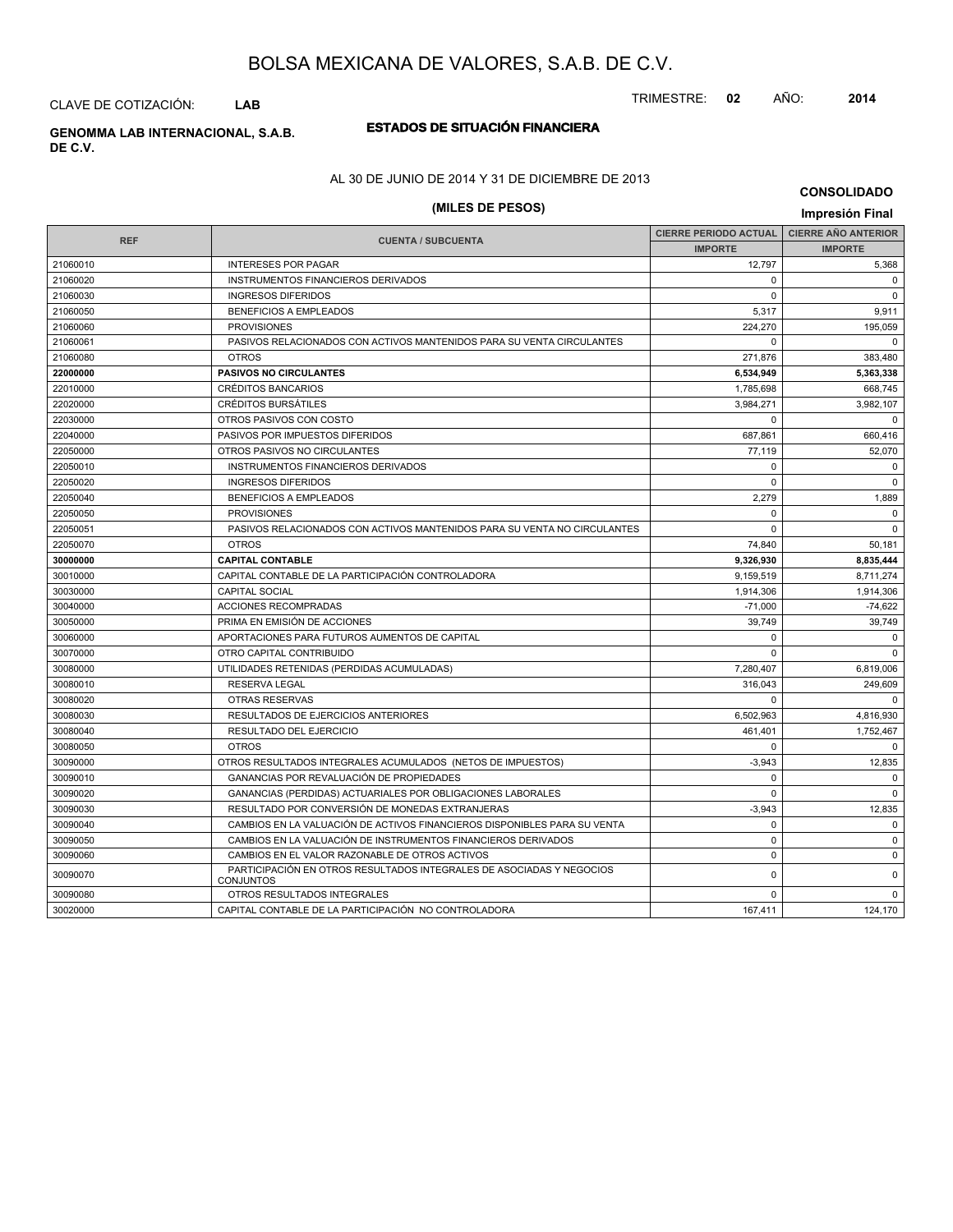CLAVE DE COTIZACIÓN: **LAB**

**DE C.V.**

# **ESTADOS DE SITUACIÓN FINANCIERA GENOMMA LAB INTERNACIONAL, S.A.B.**

AL 30 DE JUNIO DE 2014 Y 31 DE DICIEMBRE DE 2013

# **(MILES DE PESOS) Impresión Final**

**CONSOLIDADO**

|            |                                                                                          | <b>CIERRE PERIODO ACTUAL</b> | <b>CIERRE AÑO ANTERIOR</b> |
|------------|------------------------------------------------------------------------------------------|------------------------------|----------------------------|
| <b>REF</b> | <b>CUENTA / SUBCUENTA</b>                                                                | <b>IMPORTE</b>               | <b>IMPORTE</b>             |
| 21060010   | <b>INTERESES POR PAGAR</b>                                                               | 12,797                       | 5,368                      |
| 21060020   | INSTRUMENTOS FINANCIEROS DERIVADOS                                                       | $\Omega$                     | $\mathbf 0$                |
| 21060030   | <b>INGRESOS DIFERIDOS</b>                                                                | $\Omega$                     | $\overline{0}$             |
| 21060050   | <b>BENEFICIOS A EMPLEADOS</b>                                                            | 5,317                        | 9,911                      |
| 21060060   | <b>PROVISIONES</b>                                                                       | 224,270                      | 195,059                    |
| 21060061   | PASIVOS RELACIONADOS CON ACTIVOS MANTENIDOS PARA SU VENTA CIRCULANTES                    | $\Omega$                     | $\Omega$                   |
| 21060080   | <b>OTROS</b>                                                                             | 271,876                      | 383,480                    |
| 22000000   | <b>PASIVOS NO CIRCULANTES</b>                                                            | 6,534,949                    | 5,363,338                  |
| 22010000   | <b>CRÉDITOS BANCARIOS</b>                                                                | 1,785,698                    | 668,745                    |
| 22020000   | <b>CRÉDITOS BURSÁTILES</b>                                                               | 3,984,271                    | 3,982,107                  |
| 22030000   | OTROS PASIVOS CON COSTO                                                                  | $\Omega$                     | $\mathbf 0$                |
| 22040000   | PASIVOS POR IMPUESTOS DIFERIDOS                                                          | 687,861                      | 660,416                    |
| 22050000   | OTROS PASIVOS NO CIRCULANTES                                                             | 77.119                       | 52.070                     |
| 22050010   | INSTRUMENTOS FINANCIEROS DERIVADOS                                                       | $\Omega$                     | $\mathbf 0$                |
| 22050020   | <b>INGRESOS DIFERIDOS</b>                                                                | $\Omega$                     | $\mathbf 0$                |
| 22050040   | <b>BENEFICIOS A EMPLEADOS</b>                                                            | 2,279                        | 1,889                      |
| 22050050   | <b>PROVISIONES</b>                                                                       | $\Omega$                     | $\mathbf 0$                |
| 22050051   | PASIVOS RELACIONADOS CON ACTIVOS MANTENIDOS PARA SU VENTA NO CIRCULANTES                 | $\Omega$                     | $\mathbf 0$                |
| 22050070   | <b>OTROS</b>                                                                             | 74.840                       | 50,181                     |
| 30000000   | <b>CAPITAL CONTABLE</b>                                                                  | 9,326,930                    | 8,835,444                  |
| 30010000   | CAPITAL CONTABLE DE LA PARTICIPACIÓN CONTROLADORA                                        | 9,159,519                    | 8,711,274                  |
| 30030000   | <b>CAPITAL SOCIAL</b>                                                                    | 1,914,306                    | 1,914,306                  |
| 30040000   | <b>ACCIONES RECOMPRADAS</b>                                                              | $-71.000$                    | $-74,622$                  |
| 30050000   | PRIMA EN EMISIÓN DE ACCIONES                                                             | 39.749                       | 39,749                     |
| 30060000   | APORTACIONES PARA FUTUROS AUMENTOS DE CAPITAL                                            | $\Omega$                     | $\mathbf 0$                |
| 30070000   | OTRO CAPITAL CONTRIBUIDO                                                                 |                              | $\Omega$                   |
| 30080000   | UTILIDADES RETENIDAS (PERDIDAS ACUMULADAS)                                               | 7,280,407                    | 6,819,006                  |
| 30080010   | <b>RESERVA LEGAL</b>                                                                     | 316.043                      | 249,609                    |
| 30080020   | OTRAS RESERVAS                                                                           | $\Omega$                     | $\Omega$                   |
| 30080030   | RESULTADOS DE EJERCICIOS ANTERIORES                                                      | 6,502,963                    | 4,816,930                  |
| 30080040   | RESULTADO DEL EJERCICIO                                                                  | 461,401                      | 1,752,467                  |
| 30080050   | <b>OTROS</b>                                                                             | $\Omega$                     | 0                          |
| 30090000   | OTROS RESULTADOS INTEGRALES ACUMULADOS (NETOS DE IMPUESTOS)                              | $-3,943$                     | 12.835                     |
| 30090010   | GANANCIAS POR REVALUACIÓN DE PROPIEDADES                                                 | $\Omega$                     | $\mathbf 0$                |
| 30090020   | GANANCIAS (PERDIDAS) ACTUARIALES POR OBLIGACIONES LABORALES                              | $\Omega$                     | $\mathbf 0$                |
| 30090030   | RESULTADO POR CONVERSIÓN DE MONEDAS EXTRANJERAS                                          | $-3,943$                     | 12,835                     |
| 30090040   | CAMBIOS EN LA VALUACIÓN DE ACTIVOS FINANCIEROS DISPONIBLES PARA SU VENTA                 | $\mathbf 0$                  | $\mathbf 0$                |
| 30090050   | CAMBIOS EN LA VALUACIÓN DE INSTRUMENTOS FINANCIEROS DERIVADOS                            | $\Omega$                     | $\Omega$                   |
| 30090060   | CAMBIOS EN EL VALOR RAZONABLE DE OTROS ACTIVOS                                           | $\mathbf 0$                  | $\mathbf 0$                |
| 30090070   | PARTICIPACIÓN EN OTROS RESULTADOS INTEGRALES DE ASOCIADAS Y NEGOCIOS<br><b>CONJUNTOS</b> | $\mathbf 0$                  | $\mathbf 0$                |
| 30090080   | OTROS RESULTADOS INTEGRALES                                                              | 0                            | $\Omega$                   |
| 30020000   | CAPITAL CONTABLE DE LA PARTICIPACIÓN NO CONTROLADORA                                     | 167,411                      | 124,170                    |

## TRIMESTRE: **02** AÑO: **2014**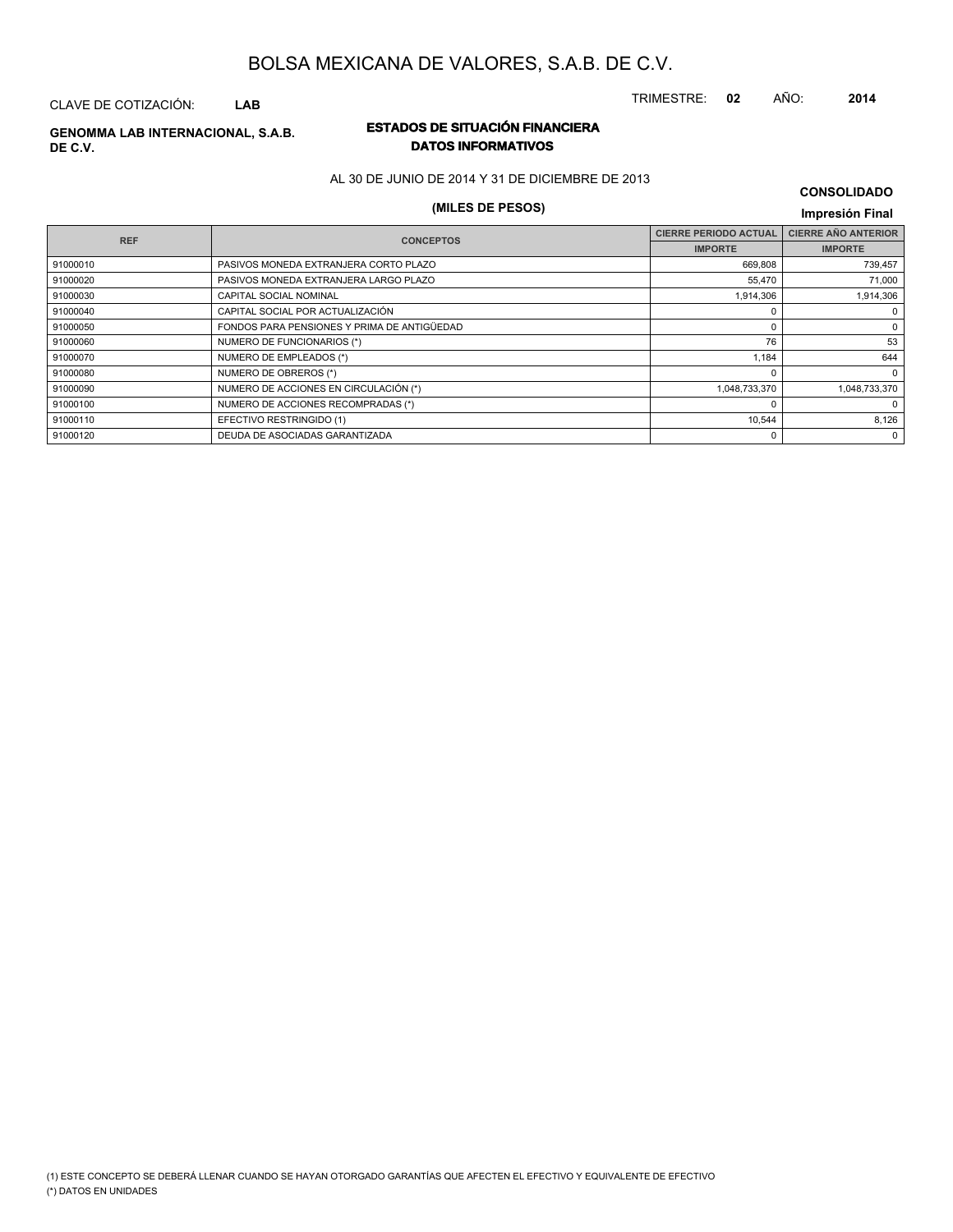CLAVE DE COTIZACIÓN: **LAB**

**REF**

# **DE C.V.**

## **ESTADOS DE SITUACIÓN FINANCIERA GENOMMA LAB INTERNACIONAL, S.A.B. DATOS INFORMATIVOS**

AL 30 DE JUNIO DE 2014 Y 31 DE DICIEMBRE DE 2013

# **(MILES DE PESOS) Impresión Final**

#### **IMPORTE CIERRE PERIODO ACTUAL IMPORTE CIERRE AÑO ANTERIOR CUENTA / SUBCUENTA CONCEPTOS** 91000010 PASIVOS MONEDA EXTRANJERA CORTO PLAZO 669,808 739,457 PHOOD BELLET PASIVOS MONEDA EXTRANJERA LARGO PLAZO AND THE SERVICE OF A SERVICE OF A SERVICE OF A SERVICE OF A SERVICE OF A SERVICE OF A SERVICE OF A SERVICE OF A SERVICE OF A SERVICE OF A SERVICE OF A SERVICE OF A SERVICE

| 91000030 | <b>CAPITAL SOCIAL NOMINAL</b>               | 1,914,306     | 1,914,306     |
|----------|---------------------------------------------|---------------|---------------|
| 91000040 | CAPITAL SOCIAL POR ACTUALIZACIÓN            |               |               |
| 91000050 | FONDOS PARA PENSIONES Y PRIMA DE ANTIGÜEDAD |               |               |
| 91000060 | NUMERO DE FUNCIONARIOS (*)                  | 76            | 53            |
| 91000070 | NUMERO DE EMPLEADOS (*)                     | 1.184         | 644           |
| 91000080 | NUMERO DE OBREROS (*)                       |               |               |
| 91000090 | NUMERO DE ACCIONES EN CIRCULACIÓN (*)       | 1,048,733,370 | 1.048.733.370 |
| 91000100 | NUMERO DE ACCIONES RECOMPRADAS (*)          |               |               |
| 91000110 | EFECTIVO RESTRINGIDO (1)                    | 10.544        | 8.126         |
| 91000120 | DEUDA DE ASOCIADAS GARANTIZADA              |               |               |
|          |                                             |               |               |

**CONSOLIDADO**

TRIMESTRE: **02** AÑO: **2014**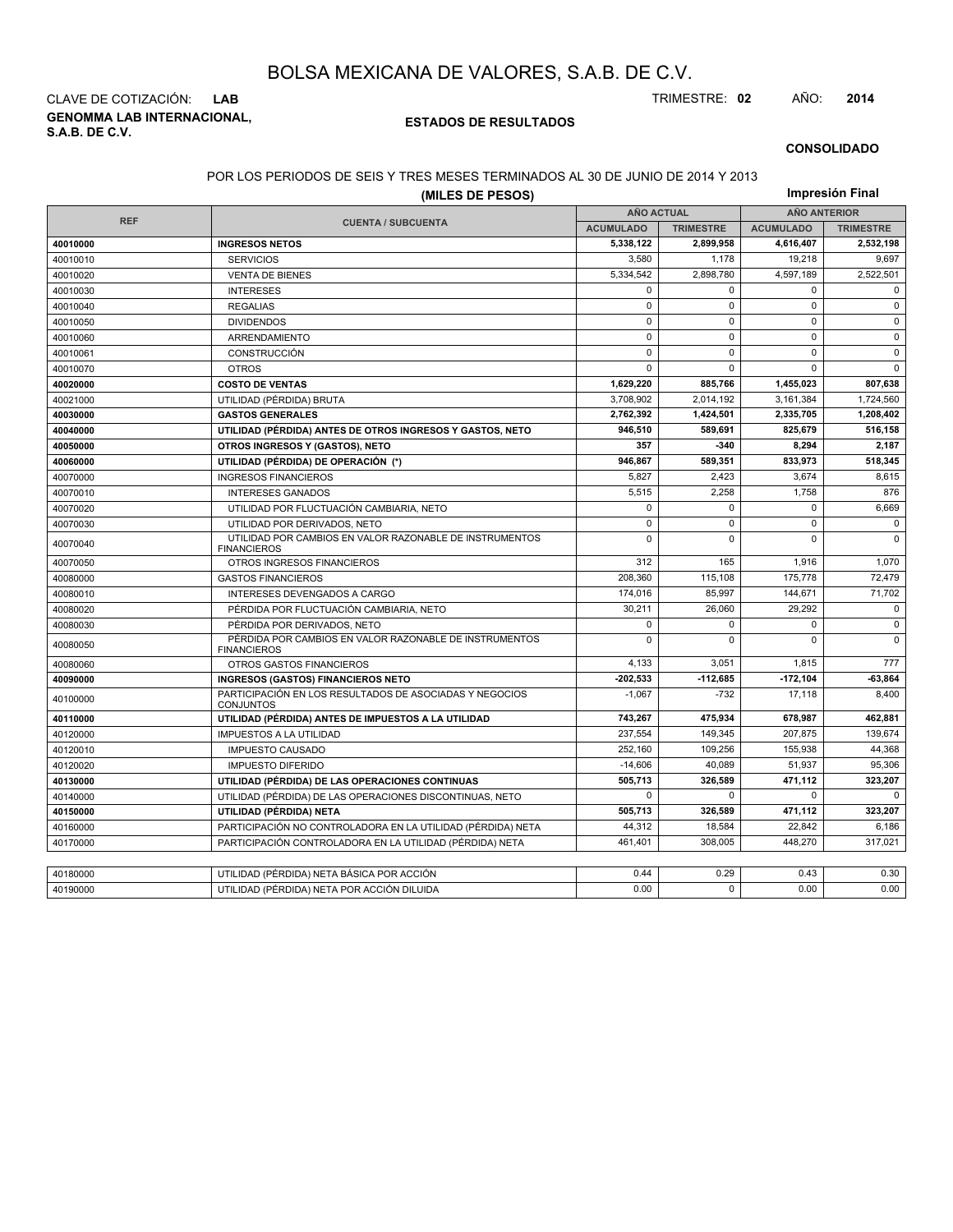**GENOMMA LAB INTERNACIONAL, S.A.B. DE C.V.** CLAVE DE COTIZACIÓN: **LAB** TRIMESTRE: **02** AÑO: **2014**

## **ESTADOS DE RESULTADOS**

#### **CONSOLIDADO**

#### POR LOS PERIODOS DE SEIS Y TRES MESES TERMINADOS AL 30 DE JUNIO DE 2014 Y 2013

|            | (MILES DE PESOS)                                                              |                   |                  |                     | Impresión Final  |
|------------|-------------------------------------------------------------------------------|-------------------|------------------|---------------------|------------------|
|            |                                                                               | <b>AÑO ACTUAL</b> |                  | <b>AÑO ANTERIOR</b> |                  |
| <b>REF</b> | <b>CUENTA / SUBCUENTA</b>                                                     | <b>ACUMULADO</b>  | <b>TRIMESTRE</b> | <b>ACUMULADO</b>    | <b>TRIMESTRE</b> |
| 40010000   | <b>INGRESOS NETOS</b>                                                         | 5,338,122         | 2,899,958        | 4,616,407           | 2,532,198        |
| 40010010   | <b>SERVICIOS</b>                                                              | 3.580             | 1,178            | 19,218              | 9,697            |
| 40010020   | <b>VENTA DE BIENES</b>                                                        | 5,334,542         | 2,898,780        | 4,597,189           | 2,522,501        |
| 40010030   | <b>INTERESES</b>                                                              | $\Omega$          | $\Omega$         | $\mathbf 0$         | $\mathbf 0$      |
| 40010040   | <b>REGALIAS</b>                                                               | $\pmb{0}$         | $\mathbf 0$      | $\mathbf 0$         | $\mathbf 0$      |
| 40010050   | <b>DIVIDENDOS</b>                                                             | $\mathbf 0$       | $\Omega$         | $\mathbf 0$         | $\mathbf 0$      |
| 40010060   | ARRENDAMIENTO                                                                 | 0                 | $\Omega$         | $\mathbf 0$         | $\mathbf 0$      |
| 40010061   | <b>CONSTRUCCIÓN</b>                                                           | $\Omega$          | $\Omega$         | $\Omega$            | $\mathbf 0$      |
| 40010070   | <b>OTROS</b>                                                                  | $\mathbf 0$       | $\Omega$         | $\mathbf 0$         | $\Omega$         |
| 40020000   | <b>COSTO DE VENTAS</b>                                                        | 1.629.220         | 885.766          | 1,455,023           | 807.638          |
| 40021000   | UTILIDAD (PÉRDIDA) BRUTA                                                      | 3,708,902         | 2,014,192        | 3,161,384           | 1,724,560        |
| 40030000   | <b>GASTOS GENERALES</b>                                                       | 2,762,392         | 1.424.501        | 2.335.705           | 1.208.402        |
| 40040000   | UTILIDAD (PÉRDIDA) ANTES DE OTROS INGRESOS Y GASTOS, NETO                     | 946,510           | 589,691          | 825,679             | 516,158          |
| 40050000   | OTROS INGRESOS Y (GASTOS), NETO                                               | 357               | $-340$           | 8,294               | 2,187            |
| 40060000   | UTILIDAD (PÉRDIDA) DE OPERACIÓN (*)                                           | 946,867           | 589,351          | 833,973             | 518,345          |
| 40070000   | <b>INGRESOS FINANCIEROS</b>                                                   | 5,827             | 2,423            | 3,674               | 8,615            |
| 40070010   | <b>INTERESES GANADOS</b>                                                      | 5.515             | 2.258            | 1,758               | 876              |
| 40070020   | UTILIDAD POR FLUCTUACIÓN CAMBIARIA, NETO                                      | 0                 | $\mathbf 0$      | 0                   | 6,669            |
| 40070030   | $\mathbf 0$<br>UTILIDAD POR DERIVADOS, NETO                                   |                   | $\mathbf 0$      | $\mathbf 0$         | $\mathbf 0$      |
| 40070040   | UTILIDAD POR CAMBIOS EN VALOR RAZONABLE DE INSTRUMENTOS<br><b>FINANCIEROS</b> | $\Omega$          | $\Omega$         | $\Omega$            | $\Omega$         |
| 40070050   | OTROS INGRESOS FINANCIEROS                                                    | 312               | 165              | 1.916               | 1.070            |
| 40080000   | <b>GASTOS FINANCIEROS</b>                                                     | 208,360           | 115,108          | 175,778             | 72,479           |
| 40080010   | INTERESES DEVENGADOS A CARGO                                                  | 174,016           | 85.997           | 144.671             | 71,702           |
| 40080020   | PÉRDIDA POR FLUCTUACIÓN CAMBIARIA, NETO                                       | 30,211            | 26,060           | 29,292              | $\mathbf 0$      |
| 40080030   | PÉRDIDA POR DERIVADOS, NETO                                                   | 0                 | $\mathbf 0$      | $\mathbf 0$         | $\mathbf 0$      |
| 40080050   | PÉRDIDA POR CAMBIOS EN VALOR RAZONABLE DE INSTRUMENTOS<br><b>FINANCIEROS</b>  | 0                 | $\Omega$         | $\mathbf 0$         | $\mathbf 0$      |
| 40080060   | OTROS GASTOS FINANCIEROS                                                      | 4,133             | 3,051            | 1,815               | 777              |
| 40090000   | <b>INGRESOS (GASTOS) FINANCIEROS NETO</b>                                     | $-202.533$        | $-112.685$       | $-172, 104$         | $-63.864$        |
| 40100000   | PARTICIPACIÓN EN LOS RESULTADOS DE ASOCIADAS Y NEGOCIOS<br><b>CONJUNTOS</b>   | $-1,067$          | $-732$           | 17,118              | 8,400            |
| 40110000   | UTILIDAD (PÉRDIDA) ANTES DE IMPUESTOS A LA UTILIDAD                           | 743,267           | 475,934          | 678,987             | 462,881          |
| 40120000   | <b>IMPUESTOS A LA UTILIDAD</b>                                                | 237,554           | 149.345          | 207,875             | 139,674          |
| 40120010   | <b>IMPUESTO CAUSADO</b>                                                       | 252,160           | 109,256          | 155,938             | 44,368           |
| 40120020   | <b>IMPUESTO DIFERIDO</b>                                                      | $-14,606$         | 40.089           | 51,937              | 95,306           |
| 40130000   | UTILIDAD (PÉRDIDA) DE LAS OPERACIONES CONTINUAS                               | 505,713           | 326,589          | 471,112             | 323,207          |
| 40140000   | UTILIDAD (PÉRDIDA) DE LAS OPERACIONES DISCONTINUAS, NETO                      | $\Omega$          | $\Omega$         | 0                   | $\Omega$         |
| 40150000   | UTILIDAD (PÉRDIDA) NETA                                                       | 505,713           | 326,589          | 471,112             | 323,207          |
| 40160000   | PARTICIPACIÓN NO CONTROLADORA EN LA UTILIDAD (PÉRDIDA) NETA                   | 44,312            | 18,584           | 22.842              | 6.186            |
| 40170000   | PARTICIPACIÓN CONTROLADORA EN LA UTILIDAD (PÉRDIDA) NETA                      | 461,401           | 308,005          | 448,270             | 317,021          |
|            |                                                                               |                   |                  |                     |                  |
| 40180000   | UTILIDAD (PÉRDIDA) NETA BÁSICA POR ACCIÓN                                     | 0.44              | 0.29             | 0.43                | 0.30             |
| 40190000   | UTILIDAD (PÉRDIDA) NETA POR ACCIÓN DILUIDA                                    | 0.00              | $\Omega$         | 0.00                | 0.00             |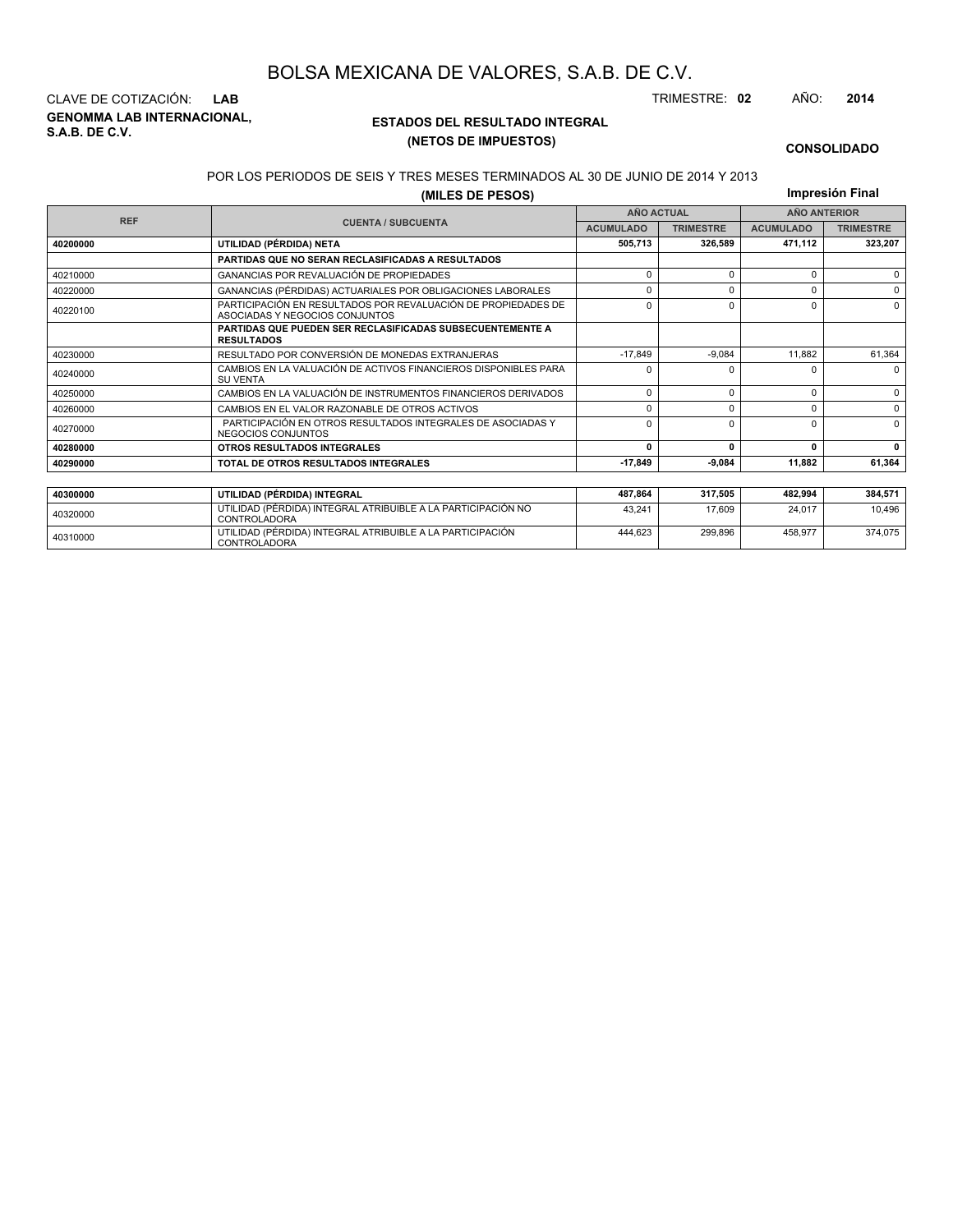**GENOMMA LAB INTERNACIONAL, S.A.B. DE C.V.** CLAVE DE COTIZACIÓN: **LAB** TRIMESTRE: **02** AÑO: **2014**

<sup>40310000</sup> UTILIDAD (PÉRDIDA) INTEGRAL ATRIBUIBLE A LA PARTICIPACIÓN CONTROLADORA

## **ESTADOS DEL RESULTADO INTEGRAL (NETOS DE IMPUESTOS)**

444,623 299,896 458,977 374,075

#### **CONSOLIDADO**

#### POR LOS PERIODOS DE SEIS Y TRES MESES TERMINADOS AL 30 DE JUNIO DE 2014 Y 2013

**(MILES DE PESOS)**

**Impresión Final**

|            | (MILES DE PESUS)                                                                                |                      |                   |                  | <b>1111101031011 1 11101</b> |
|------------|-------------------------------------------------------------------------------------------------|----------------------|-------------------|------------------|------------------------------|
| <b>REF</b> |                                                                                                 |                      | <b>AÑO ACTUAL</b> |                  | <b>AÑO ANTERIOR</b>          |
|            | <b>CUENTA / SUBCUENTA</b><br><b>ACUMULADO</b>                                                   |                      | <b>TRIMESTRE</b>  | <b>ACUMULADO</b> | <b>TRIMESTRE</b>             |
| 40200000   | UTILIDAD (PÉRDIDA) NETA                                                                         | 326.589              | 471,112           | 323,207          |                              |
|            | <b>PARTIDAS QUE NO SERAN RECLASIFICADAS A RESULTADOS</b>                                        |                      |                   |                  |                              |
| 40210000   | GANANCIAS POR REVALUACIÓN DE PROPIEDADES                                                        | 0                    | $\Omega$          | $\Omega$         | $\Omega$                     |
| 40220000   | GANANCIAS (PÉRDIDAS) ACTUARIALES POR OBLIGACIONES LABORALES                                     |                      | $\Omega$          | $\Omega$         | $\Omega$                     |
| 40220100   | PARTICIPACIÓN EN RESULTADOS POR REVALUACIÓN DE PROPIEDADES DE<br>ASOCIADAS Y NEGOCIOS CONJUNTOS | $\Omega$<br>$\Omega$ |                   |                  |                              |
|            | <b>PARTIDAS QUE PUEDEN SER RECLASIFICADAS SUBSECUENTEMENTE A</b><br><b>RESULTADOS</b>           |                      |                   |                  |                              |
| 40230000   | RESULTADO POR CONVERSIÓN DE MONEDAS EXTRANJERAS                                                 | $-17.849$            | $-9.084$          | 11,882           | 61,364                       |
| 40240000   | CAMBIOS EN LA VALUACIÓN DE ACTIVOS FINANCIEROS DISPONIBLES PARA<br><b>SU VENTA</b>              |                      | <sup>0</sup>      | <sup>0</sup>     | $\Omega$                     |
| 40250000   | CAMBIOS EN LA VALUACIÓN DE INSTRUMENTOS FINANCIEROS DERIVADOS                                   | $\Omega$             | 0                 | $\Omega$         | $\Omega$                     |
| 40260000   | CAMBIOS EN EL VALOR RAZONABLE DE OTROS ACTIVOS                                                  | 0                    | 0                 | $\Omega$         | $\Omega$                     |
| 40270000   | PARTICIPACIÓN EN OTROS RESULTADOS INTEGRALES DE ASOCIADAS Y<br>NEGOCIOS CONJUNTOS               | $\Omega$             | $\Omega$          | $\Omega$         | $\Omega$                     |
| 40280000   | <b>OTROS RESULTADOS INTEGRALES</b>                                                              | $\Omega$             | $\Omega$          | 0                | $\mathbf{0}$                 |
| 40290000   | TOTAL DE OTROS RESULTADOS INTEGRALES                                                            | $-17,849$            | $-9,084$          | 11.882           | 61,364                       |
|            |                                                                                                 |                      |                   |                  |                              |
| 40300000   | UTILIDAD (PÉRDIDA) INTEGRAL                                                                     | 487,864              | 317,505           | 482,994          | 384,571                      |
| 40320000   | UTILIDAD (PÉRDIDA) INTEGRAL ATRIBUIBLE A LA PARTICIPACIÓN NO<br><b>CONTROLADORA</b>             | 43.241               | 17.609            | 24,017           | 10,496                       |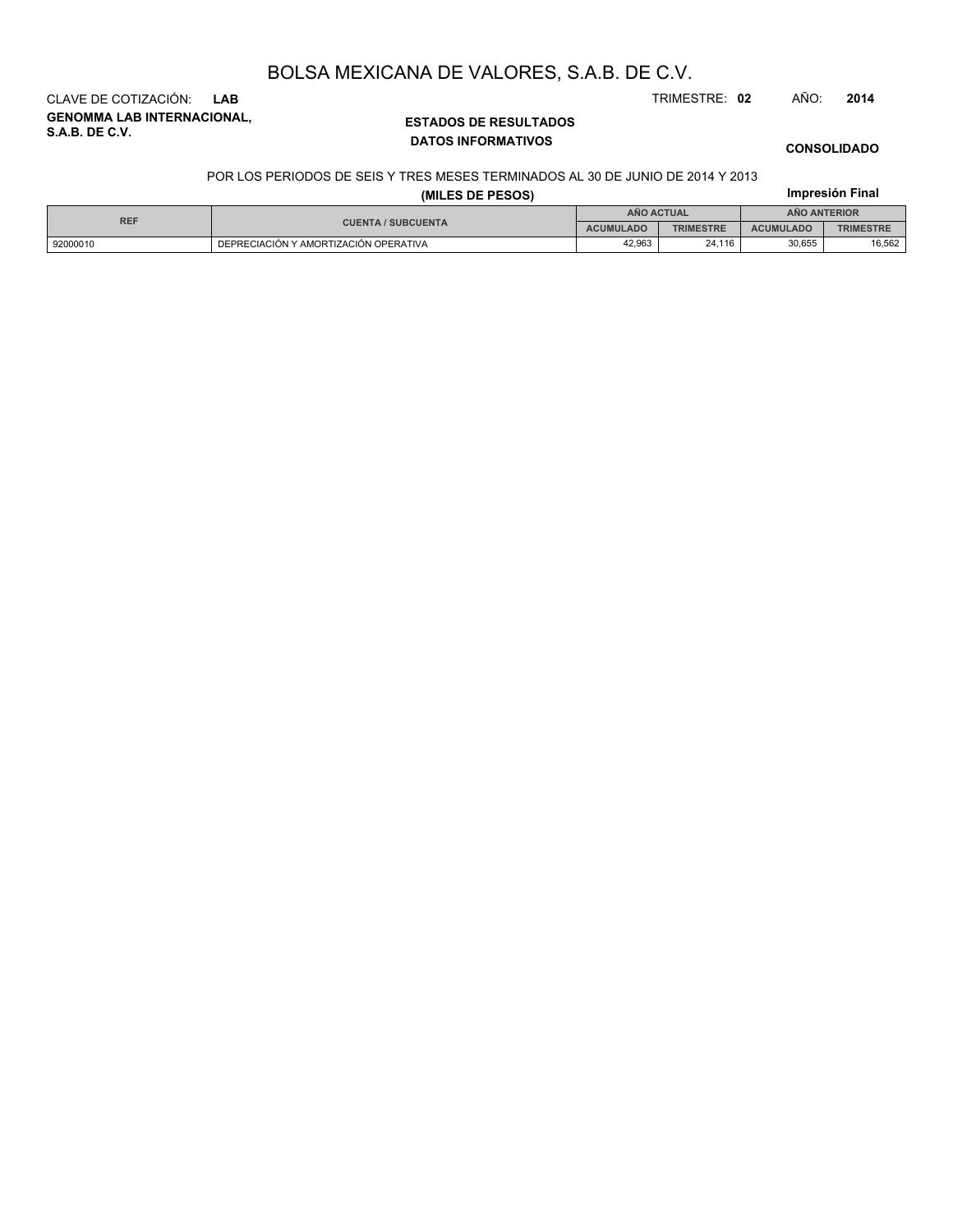**CONSOLIDADO**

**Impresión Final**

# CLAVE DE COTIZACIÓN: **LAB** TRIMESTRE: **02** AÑO: **2014**

**GENOMMA LAB INTERNACIONAL, S.A.B. DE C.V.**

## **ESTADOS DE RESULTADOS DATOS INFORMATIVOS**

## POR LOS PERIODOS DE SEIS Y TRES MESES TERMINADOS AL 30 DE JUNIO DE 2014 Y 2013

| (MILES DE PESOS) |
|------------------|
|------------------|

| <b>REF</b> |                                       | AÑO ACTUAL       |                  | <b>ANO ANTERIOR</b> |                  |
|------------|---------------------------------------|------------------|------------------|---------------------|------------------|
|            | <b>CUENTA / SUBCUENTA</b>             | <b>ACUMULADO</b> | <b>TRIMESTRE</b> | <b>ACUMULADO</b>    | <b>TRIMESTRE</b> |
| 92000010   | DEPRECIACIÓN Y AMORTIZACIÓN OPERATIVA | 42.963           | 24.116           | 30,655              | 16,562           |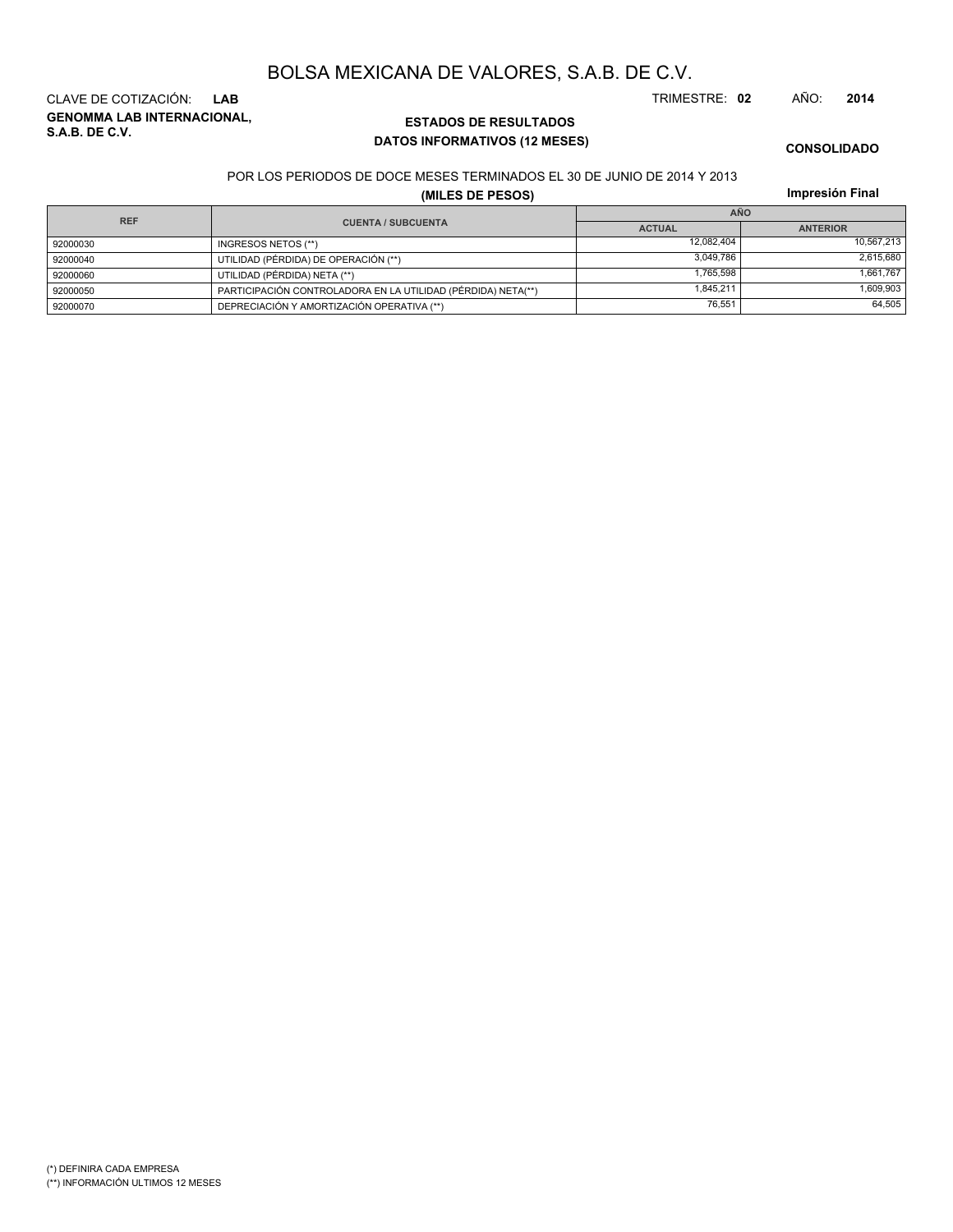**GENOMMA LAB INTERNACIONAL, S.A.B. DE C.V.** CLAVE DE COTIZACIÓN: **LAB** TRIMESTRE: **02** AÑO: **2014**

## **ESTADOS DE RESULTADOS DATOS INFORMATIVOS (12 MESES)**

**CONSOLIDADO**

### POR LOS PERIODOS DE DOCE MESES TERMINADOS EL 30 DE JUNIO DE 2014 Y 2013

**(MILES DE PESOS)**

**Impresión Final**

| <b>REF</b> |                                                              |               | AÑO             |
|------------|--------------------------------------------------------------|---------------|-----------------|
|            | <b>CUENTA / SUBCUENTA</b>                                    | <b>ACTUAL</b> | <b>ANTERIOR</b> |
| 92000030   | INGRESOS NETOS (**)                                          | 12.082.404    | 10.567.213      |
| 92000040   | UTILIDAD (PÉRDIDA) DE OPERACIÓN (**)                         | 3.049.786     | 2,615,680       |
| 92000060   | UTILIDAD (PÉRDIDA) NETA (**)                                 | 1.765.598     | 1,661,767       |
| 92000050   | PARTICIPACIÓN CONTROLADORA EN LA UTILIDAD (PÉRDIDA) NETA(**) | 1.845.211     | 1,609,903       |
| 92000070   | DEPRECIACIÓN Y AMORTIZACIÓN OPERATIVA (**)                   | 76.551        | 64,505          |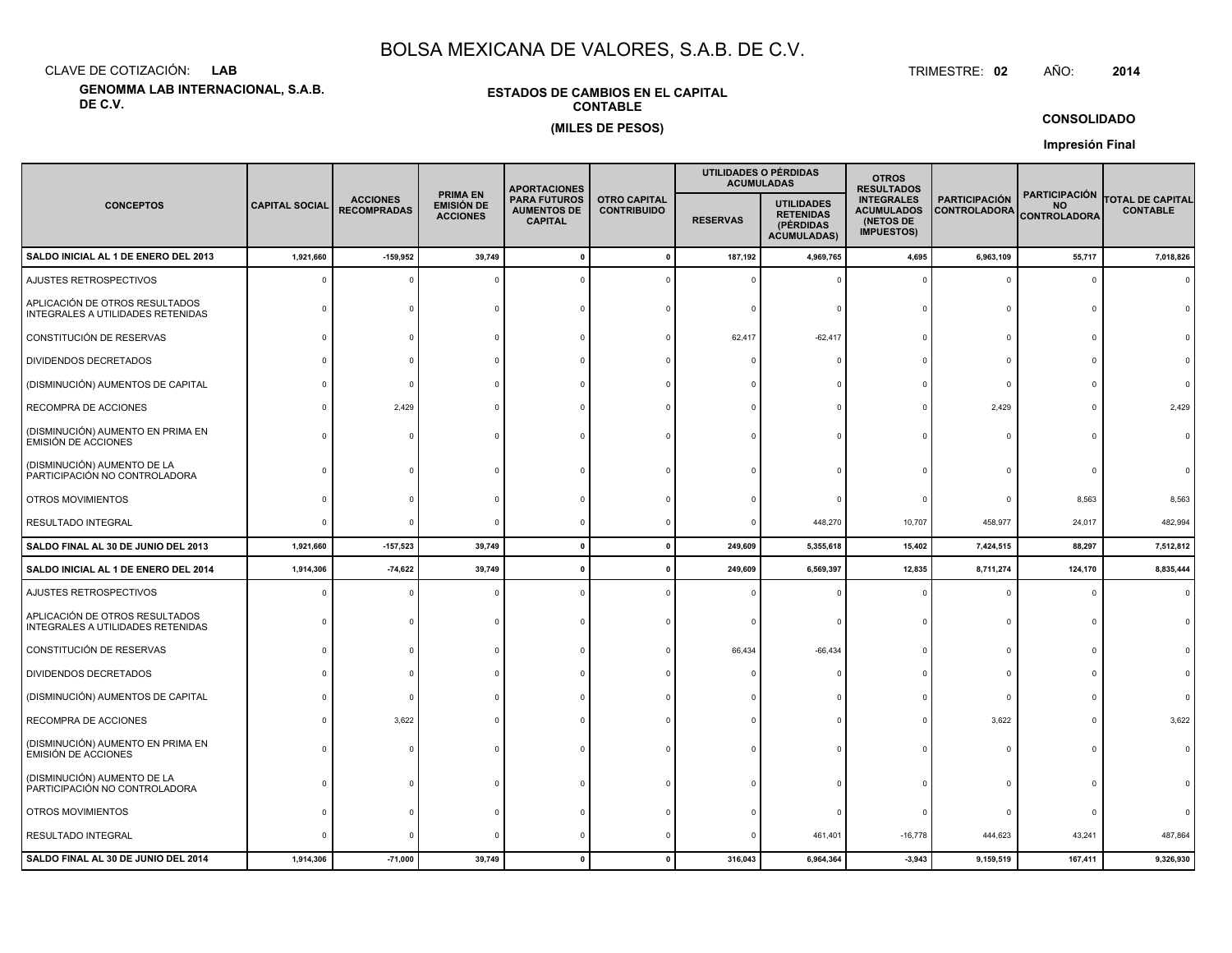CLAVE DE COTIZACIÓN:**LAB**

**GENOMMA LAB INTERNACIONAL, S.A.B. DE C.V.**

## **ESTADOS DE CAMBIOS EN EL CAPITALCONTABLE(MILES DE PESOS)**

 TRIMESTRE:TRIMESTRE: 02 AÑO: **<sup>2014</sup>**

**CONSOLIDADO**

**Impresión Final**

|                                                                     |                       |                                       |                                                         | <b>APORTACIONES</b>                                                                                      |  |                 | UTILIDADES O PÉRDIDAS<br><b>ACUMULADAS</b>                               | <b>OTROS</b><br><b>RESULTADOS</b>                                                                                       |            |                                                          |                                            |
|---------------------------------------------------------------------|-----------------------|---------------------------------------|---------------------------------------------------------|----------------------------------------------------------------------------------------------------------|--|-----------------|--------------------------------------------------------------------------|-------------------------------------------------------------------------------------------------------------------------|------------|----------------------------------------------------------|--------------------------------------------|
| <b>CONCEPTOS</b>                                                    | <b>CAPITAL SOCIAL</b> | <b>ACCIONES</b><br><b>RECOMPRADAS</b> | <b>PRIMA EN</b><br><b>EMISIÓN DE</b><br><b>ACCIONES</b> | <b>PARA FUTUROS</b><br><b>OTRO CAPITAL</b><br><b>AUMENTOS DE</b><br><b>CONTRIBUIDO</b><br><b>CAPITAL</b> |  | <b>RESERVAS</b> | <b>UTILIDADES</b><br><b>RETENIDAS</b><br>(PÉRDIDAS<br><b>ACUMULADAS)</b> | <b>INTEGRALES</b><br><b>PARTICIPACIÓN</b><br><b>ACUMULADOS</b><br><b>CONTROLADORA</b><br>(NETOS DE<br><b>IMPUESTOS)</b> |            | <b>PARTICIPACIÓN</b><br><b>NO</b><br><b>CONTROLADORA</b> | <b>TOTAL DE CAPITAL</b><br><b>CONTABLE</b> |
| SALDO INICIAL AL 1 DE ENERO DEL 2013                                | 1,921,660             | $-159,952$                            | 39,749                                                  | $\Omega$                                                                                                 |  | 187,192         | 4,969,765                                                                | 4,695                                                                                                                   | 6,963,109  | 55,717                                                   | 7,018,826                                  |
| AJUSTES RETROSPECTIVOS                                              | $\Omega$              |                                       |                                                         |                                                                                                          |  |                 |                                                                          |                                                                                                                         | $\Omega$   | $\Omega$                                                 | $\Omega$                                   |
| APLICACIÓN DE OTROS RESULTADOS<br>INTEGRALES A UTILIDADES RETENIDAS |                       |                                       |                                                         |                                                                                                          |  |                 |                                                                          |                                                                                                                         | C          | $\Omega$                                                 |                                            |
| CONSTITUCIÓN DE RESERVAS                                            |                       |                                       |                                                         |                                                                                                          |  | 62,417          | $-62,417$                                                                |                                                                                                                         | $\Omega$   | $\Omega$                                                 |                                            |
| DIVIDENDOS DECRETADOS                                               |                       |                                       |                                                         |                                                                                                          |  |                 |                                                                          |                                                                                                                         | $\Omega$   |                                                          |                                            |
| (DISMINUCIÓN) AUMENTOS DE CAPITAL                                   |                       |                                       |                                                         |                                                                                                          |  |                 |                                                                          |                                                                                                                         | $\Omega$   |                                                          |                                            |
| RECOMPRA DE ACCIONES                                                |                       | 2,429                                 |                                                         |                                                                                                          |  |                 |                                                                          |                                                                                                                         | 2,429      | $\Omega$                                                 | 2,429                                      |
| (DISMINUCIÓN) AUMENTO EN PRIMA EN<br><b>EMISIÓN DE ACCIONES</b>     |                       |                                       |                                                         |                                                                                                          |  |                 |                                                                          |                                                                                                                         | $\Omega$   | $\Omega$                                                 |                                            |
| (DISMINUCIÓN) AUMENTO DE LA<br>PARTICIPACIÓN NO CONTROLADORA        |                       |                                       |                                                         |                                                                                                          |  |                 |                                                                          |                                                                                                                         |            |                                                          |                                            |
| OTROS MOVIMIENTOS                                                   |                       |                                       |                                                         |                                                                                                          |  |                 |                                                                          |                                                                                                                         | $\Omega$   | 8,563                                                    | 8,563                                      |
| RESULTADO INTEGRAL                                                  | $\Omega$              |                                       |                                                         |                                                                                                          |  |                 | 448,270                                                                  | 10,707                                                                                                                  | 458,977    | 24,017                                                   | 482,994                                    |
| SALDO FINAL AL 30 DE JUNIO DEL 2013                                 | 1,921,660             | $-157,523$                            | 39,749                                                  | $\mathbf{0}$                                                                                             |  | 249,609         | 5,355,618                                                                | 15,402                                                                                                                  | 7,424,515  | 88,297                                                   | 7,512,812                                  |
| SALDO INICIAL AL 1 DE ENERO DEL 2014                                | 1,914,306             | $-74,622$                             | 39,749                                                  | 0                                                                                                        |  | 249,609         | 6,569,397                                                                | 12,835                                                                                                                  | 8,711,274  | 124,170                                                  | 8,835,444                                  |
| AJUSTES RETROSPECTIVOS                                              | $\Omega$              |                                       |                                                         |                                                                                                          |  |                 |                                                                          |                                                                                                                         | $\Omega$   | $\Omega$                                                 |                                            |
| APLICACIÓN DE OTROS RESULTADOS<br>INTEGRALES A UTILIDADES RETENIDAS |                       |                                       |                                                         |                                                                                                          |  |                 |                                                                          |                                                                                                                         | $\Omega$   | $\Omega$                                                 |                                            |
| CONSTITUCIÓN DE RESERVAS                                            |                       |                                       |                                                         |                                                                                                          |  | 66,434          | $-66,434$                                                                |                                                                                                                         | $\Omega$   | $\Omega$                                                 |                                            |
| DIVIDENDOS DECRETADOS                                               |                       |                                       |                                                         |                                                                                                          |  |                 |                                                                          |                                                                                                                         | $^{\circ}$ |                                                          |                                            |
| (DISMINUCIÓN) AUMENTOS DE CAPITAL                                   |                       |                                       |                                                         |                                                                                                          |  |                 |                                                                          |                                                                                                                         | $\Omega$   |                                                          |                                            |
| RECOMPRA DE ACCIONES                                                |                       | 3,622                                 |                                                         |                                                                                                          |  |                 |                                                                          |                                                                                                                         | 3,622      |                                                          | 3,622                                      |
| (DISMINUCIÓN) AUMENTO EN PRIMA EN<br><b>EMISIÓN DE ACCIONES</b>     |                       |                                       |                                                         |                                                                                                          |  |                 |                                                                          |                                                                                                                         |            | $\Omega$                                                 |                                            |
| (DISMINUCIÓN) AUMENTO DE LA<br>PARTICIPACIÓN NO CONTROLADORA        |                       |                                       |                                                         |                                                                                                          |  |                 |                                                                          |                                                                                                                         | $\Omega$   | $\Omega$                                                 |                                            |
| OTROS MOVIMIENTOS                                                   |                       |                                       |                                                         |                                                                                                          |  |                 |                                                                          |                                                                                                                         | $^{\circ}$ | $\Omega$                                                 |                                            |
| RESULTADO INTEGRAL                                                  |                       |                                       |                                                         |                                                                                                          |  |                 | 461,401                                                                  | $-16,778$                                                                                                               | 444,623    | 43,241                                                   | 487,864                                    |
| SALDO FINAL AL 30 DE JUNIO DEL 2014                                 | 1,914,306             | $-71,000$                             | 39,749                                                  | $\Omega$                                                                                                 |  | 316,043         | 6,964,364                                                                | $-3,943$                                                                                                                | 9,159,519  | 167,411                                                  | 9,326,930                                  |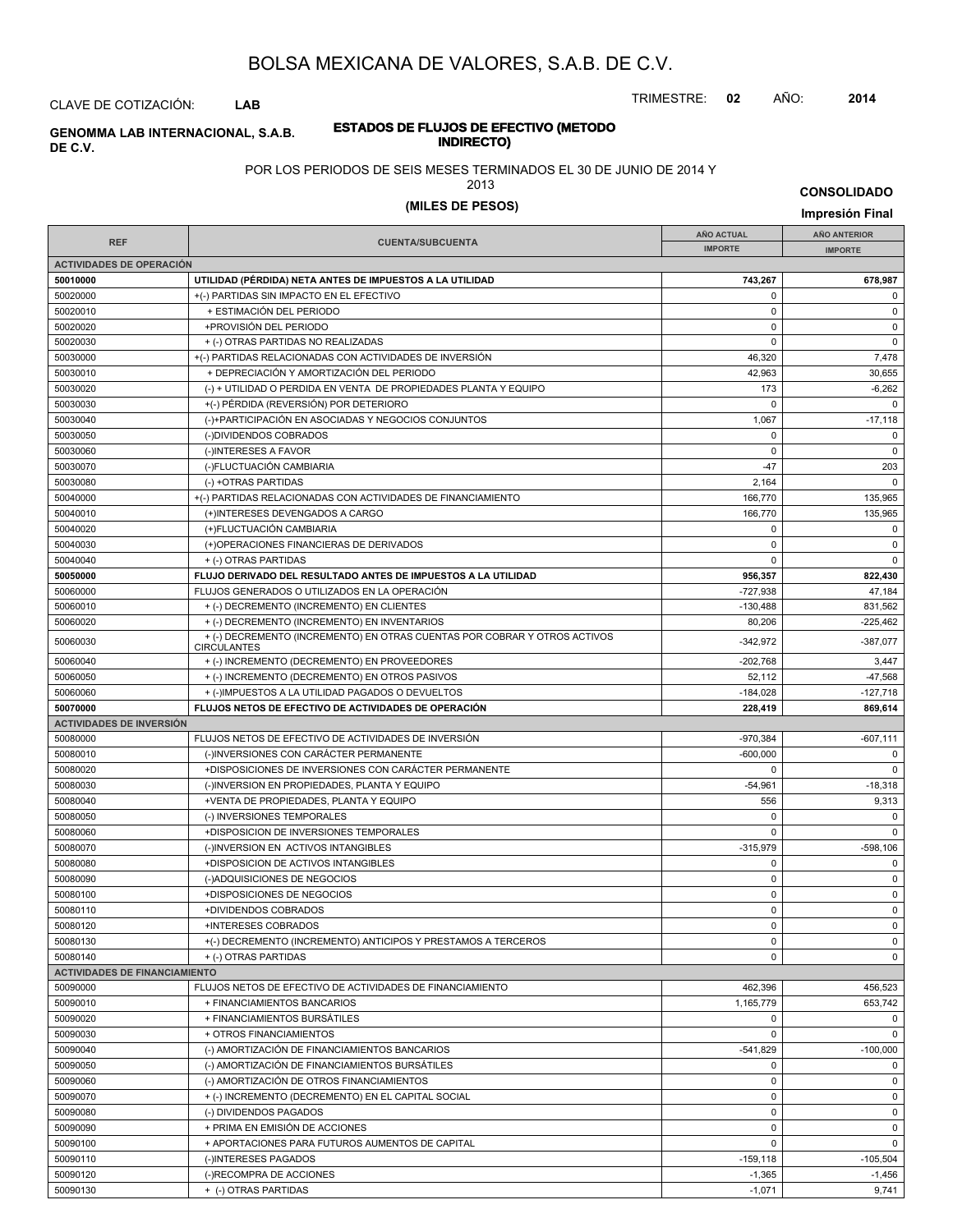TRIMESTRE: **02** AÑO: **2014**

## CLAVE DE COTIZACIÓN: **LAB**

## **ESTADOS DE FLUJOS DE EFECTIVO (METODO INDIRECTO) GENOMMA LAB INTERNACIONAL, S.A.B. DE C.V.**

## POR LOS PERIODOS DE SEIS MESES TERMINADOS EL 30 DE JUNIO DE 2014 Y

## 2013

# **(MILES DE PESOS) Impresión Final**

**CONSOLIDADO**

|                                      |                                                                                                 | <b>AÑO ACTUAL</b> | AÑO ANTERIOR   |
|--------------------------------------|-------------------------------------------------------------------------------------------------|-------------------|----------------|
| <b>REF</b>                           | <b>CUENTA/SUBCUENTA</b>                                                                         | <b>IMPORTE</b>    | <b>IMPORTE</b> |
| <b>ACTIVIDADES DE OPERACIÓN</b>      |                                                                                                 |                   |                |
| 50010000                             | UTILIDAD (PÉRDIDA) NETA ANTES DE IMPUESTOS A LA UTILIDAD                                        | 743,267           | 678,987        |
| 50020000                             | +(-) PARTIDAS SIN IMPACTO EN EL EFECTIVO                                                        | $\mathbf 0$       | 0              |
| 50020010                             | + ESTIMACIÓN DEL PERIODO                                                                        | $\mathbf 0$       | $\mathsf 0$    |
| 50020020                             | +PROVISIÓN DEL PERIODO                                                                          | $\mathbf 0$       | 0              |
| 50020030                             | + (-) OTRAS PARTIDAS NO REALIZADAS                                                              | $\mathbf 0$       | $\mathsf 0$    |
| 50030000                             | +(-) PARTIDAS RELACIONADAS CON ACTIVIDADES DE INVERSIÓN                                         | 46,320            | 7,478          |
| 50030010                             | + DEPRECIACIÓN Y AMORTIZACIÓN DEL PERIODO                                                       | 42,963            | 30,655         |
| 50030020                             | (-) + UTILIDAD O PERDIDA EN VENTA DE PROPIEDADES PLANTA Y EQUIPO                                | 173               | $-6,262$       |
| 50030030                             | +(-) PÉRDIDA (REVERSIÓN) POR DETERIORO                                                          | $\mathbf 0$       | $\mathbf 0$    |
| 50030040                             | (-)+PARTICIPACIÓN EN ASOCIADAS Y NEGOCIOS CONJUNTOS                                             | 1,067             | $-17,118$      |
| 50030050                             | (-)DIVIDENDOS COBRADOS                                                                          | $\mathbf 0$       | $\mathbf 0$    |
| 50030060                             | (-)INTERESES A FAVOR                                                                            | $\mathbf 0$       | $\mathsf 0$    |
| 50030070                             | (-)FLUCTUACIÓN CAMBIARIA                                                                        | $-47$             | 203            |
| 50030080                             | (-) +OTRAS PARTIDAS                                                                             | 2,164             | $\mathbf 0$    |
| 50040000                             | +(-) PARTIDAS RELACIONADAS CON ACTIVIDADES DE FINANCIAMIENTO                                    | 166,770           | 135,965        |
| 50040010                             | (+)INTERESES DEVENGADOS A CARGO                                                                 | 166,770           | 135,965        |
| 50040020                             | (+)FLUCTUACIÓN CAMBIARIA                                                                        | 0                 | 0              |
| 50040030                             | (+)OPERACIONES FINANCIERAS DE DERIVADOS                                                         | $\mathbf 0$       | $\mathsf 0$    |
| 50040040                             | + (-) OTRAS PARTIDAS                                                                            | $\mathbf 0$       | $\pmb{0}$      |
| 50050000                             | FLUJO DERIVADO DEL RESULTADO ANTES DE IMPUESTOS A LA UTILIDAD                                   | 956,357           | 822,430        |
| 50060000                             | FLUJOS GENERADOS O UTILIZADOS EN LA OPERACIÓN                                                   | $-727,938$        | 47,184         |
| 50060010                             | + (-) DECREMENTO (INCREMENTO) EN CLIENTES                                                       | $-130,488$        | 831,562        |
| 50060020                             | + (-) DECREMENTO (INCREMENTO) EN INVENTARIOS                                                    | 80,206            | $-225,462$     |
| 50060030                             | + (-) DECREMENTO (INCREMENTO) EN OTRAS CUENTAS POR COBRAR Y OTROS ACTIVOS<br><b>CIRCULANTES</b> | $-342,972$        | $-387,077$     |
| 50060040                             | + (-) INCREMENTO (DECREMENTO) EN PROVEEDORES                                                    | $-202,768$        | 3,447          |
| 50060050                             | + (-) INCREMENTO (DECREMENTO) EN OTROS PASIVOS                                                  | 52,112            | $-47,568$      |
| 50060060                             | + (-)IMPUESTOS A LA UTILIDAD PAGADOS O DEVUELTOS                                                | $-184,028$        | $-127,718$     |
| 50070000                             | FLUJOS NETOS DE EFECTIVO DE ACTIVIDADES DE OPERACIÓN                                            | 228,419           | 869,614        |
| <b>ACTIVIDADES DE INVERSIÓN</b>      |                                                                                                 |                   |                |
| 50080000                             | FLUJOS NETOS DE EFECTIVO DE ACTIVIDADES DE INVERSIÓN                                            | $-970,384$        | $-607,111$     |
| 50080010                             | (-)INVERSIONES CON CARÁCTER PERMANENTE                                                          | $-600,000$        | $\mathbf 0$    |
| 50080020                             | +DISPOSICIONES DE INVERSIONES CON CARÁCTER PERMANENTE                                           | 0                 | $\mathsf 0$    |
| 50080030                             | (-)INVERSION EN PROPIEDADES, PLANTA Y EQUIPO                                                    | $-54,961$         | $-18,318$      |
| 50080040                             | +VENTA DE PROPIEDADES, PLANTA Y EQUIPO                                                          | 556               | 9,313          |
| 50080050                             | (-) INVERSIONES TEMPORALES                                                                      | 0                 | 0              |
| 50080060                             | +DISPOSICION DE INVERSIONES TEMPORALES                                                          | $\mathbf 0$       | $\mathbf 0$    |
| 50080070                             | (-)INVERSION EN ACTIVOS INTANGIBLES                                                             | $-315,979$        | $-598,106$     |
| 50080080                             | +DISPOSICION DE ACTIVOS INTANGIBLES                                                             | $\pmb{0}$         | $\mathbf 0$    |
| 50080090                             | (-)ADQUISICIONES DE NEGOCIOS                                                                    | $\mathbf 0$       | 0              |
| 50080100                             | +DISPOSICIONES DE NEGOCIOS                                                                      | $\mathbf 0$       | $\pmb{0}$      |
| 50080110                             | +DIVIDENDOS COBRADOS                                                                            | $\mathbf 0$       | $\pmb{0}$      |
| 50080120                             | +INTERESES COBRADOS                                                                             | 0                 | $\mathbf 0$    |
| 50080130                             | +(-) DECREMENTO (INCREMENTO) ANTICIPOS Y PRESTAMOS A TERCEROS                                   | $\mathsf 0$       | $\mathbf 0$    |
| 50080140                             | + (-) OTRAS PARTIDAS                                                                            | $\mathbf 0$       | $\mathbf 0$    |
| <b>ACTIVIDADES DE FINANCIAMIENTO</b> |                                                                                                 |                   |                |
| 50090000                             | FLUJOS NETOS DE EFECTIVO DE ACTIVIDADES DE FINANCIAMIENTO                                       | 462,396           | 456,523        |
| 50090010                             | + FINANCIAMIENTOS BANCARIOS                                                                     | 1,165,779         | 653,742        |
| 50090020                             | + FINANCIAMIENTOS BURSÁTILES                                                                    | $\mathbf 0$       | $\mathbf 0$    |
| 50090030                             | + OTROS FINANCIAMIENTOS                                                                         | $\mathbf 0$       | $\mathbf 0$    |
| 50090040                             | (-) AMORTIZACIÓN DE FINANCIAMIENTOS BANCARIOS                                                   | $-541,829$        | $-100,000$     |
| 50090050                             | (-) AMORTIZACIÓN DE FINANCIAMIENTOS BURSÁTILES                                                  | $\mathbf 0$       | 0              |
| 50090060                             | (-) AMORTIZACIÓN DE OTROS FINANCIAMIENTOS                                                       | $\mathbf 0$       | $\mathbf 0$    |
| 50090070                             | + (-) INCREMENTO (DECREMENTO) EN EL CAPITAL SOCIAL                                              | $\mathbf 0$       | 0              |
| 50090080                             | (-) DIVIDENDOS PAGADOS                                                                          | $\mathbf 0$       | 0              |
| 50090090                             | + PRIMA EN EMISIÓN DE ACCIONES                                                                  | $\mathbf 0$       | $\mathbf 0$    |
| 50090100                             | + APORTACIONES PARA FUTUROS AUMENTOS DE CAPITAL                                                 | $\mathbf 0$       | $\mathbf 0$    |
| 50090110                             | (-)INTERESES PAGADOS                                                                            | $-159, 118$       | $-105,504$     |
| 50090120                             | (-)RECOMPRA DE ACCIONES                                                                         | $-1,365$          | $-1,456$       |
| 50090130                             | + (-) OTRAS PARTIDAS                                                                            | $-1,071$          | 9,741          |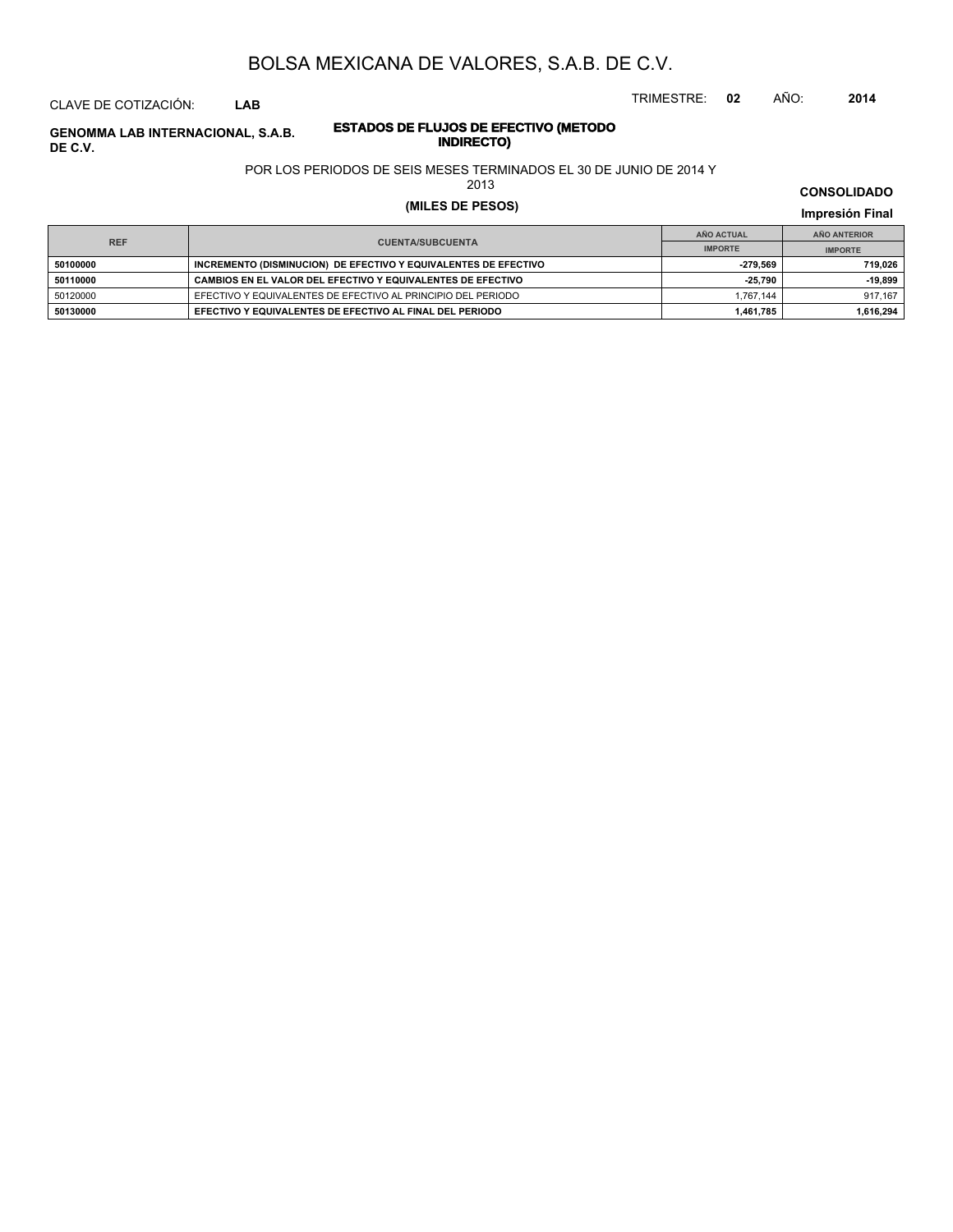TRIMESTRE: **02** AÑO: **2014**

## CLAVE DE COTIZACIÓN: **LAB**

## **ESTADOS DE FLUJOS DE EFECTIVO (METODO INDIRECTO) GENOMMA LAB INTERNACIONAL, S.A.B. DE C.V.**

## POR LOS PERIODOS DE SEIS MESES TERMINADOS EL 30 DE JUNIO DE 2014 Y

2013

# **(MILES DE PESOS) Impresión Final**

|            |                                                                 | AÑO ACTUAL     | AÑO ANTERIOR   |
|------------|-----------------------------------------------------------------|----------------|----------------|
| <b>REF</b> | <b>CUENTA/SUBCUENTA</b>                                         | <b>IMPORTE</b> | <b>IMPORTE</b> |
| 50100000   | INCREMENTO (DISMINUCION) DE EFECTIVO Y EQUIVALENTES DE EFECTIVO | -279.569       | 719.026        |
| 50110000   | CAMBIOS EN EL VALOR DEL EFECTIVO Y EQUIVALENTES DE EFECTIVO     | $-25.790$      | $-19.899$      |
| 50120000   | EFECTIVO Y EQUIVALENTES DE EFECTIVO AL PRINCIPIO DEL PERIODO    | 1.767.144      | 917.167        |
| 50130000   | EFECTIVO Y EQUIVALENTES DE EFECTIVO AL FINAL DEL PERIODO        | 1.461.785      | 1.616.294      |

## **CONSOLIDADO**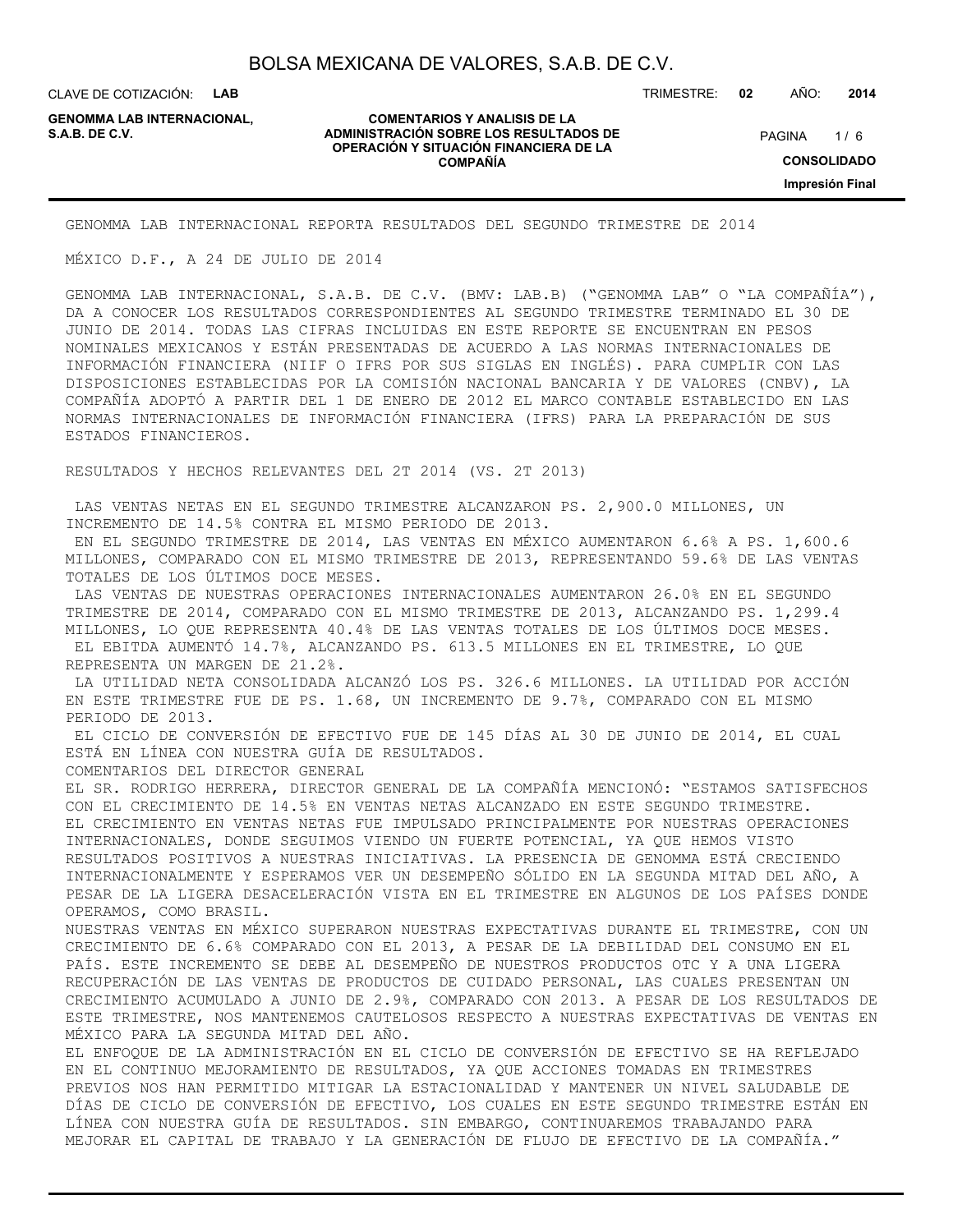CLAVE DE COTIZACIÓN: **LAB**

**GENOMMA LAB INTERNACIONAL,**

### **COMENTARIOS Y ANALISIS DE LA ADMINISTRACIÓN SOBRE LOS RESULTADOS DE S.A.B. DE C.V.** PAGINA / 6 **OPERACIÓN Y SITUACIÓN FINANCIERA DE LA COMPAÑÍA**

TRIMESTRE: **02** AÑO: **2014**

 $1/6$ **CONSOLIDADO Impresión Final**

GENOMMA LAB INTERNACIONAL REPORTA RESULTADOS DEL SEGUNDO TRIMESTRE DE 2014

MÉXICO D.F., A 24 DE JULIO DE 2014

GENOMMA LAB INTERNACIONAL, S.A.B. DE C.V. (BMV: LAB.B) ("GENOMMA LAB" O "LA COMPAÑÍA"), DA A CONOCER LOS RESULTADOS CORRESPONDIENTES AL SEGUNDO TRIMESTRE TERMINADO EL 30 DE JUNIO DE 2014. TODAS LAS CIFRAS INCLUIDAS EN ESTE REPORTE SE ENCUENTRAN EN PESOS NOMINALES MEXICANOS Y ESTÁN PRESENTADAS DE ACUERDO A LAS NORMAS INTERNACIONALES DE INFORMACIÓN FINANCIERA (NIIF O IFRS POR SUS SIGLAS EN INGLÉS). PARA CUMPLIR CON LAS DISPOSICIONES ESTABLECIDAS POR LA COMISIÓN NACIONAL BANCARIA Y DE VALORES (CNBV), LA COMPAÑÍA ADOPTÓ A PARTIR DEL 1 DE ENERO DE 2012 EL MARCO CONTABLE ESTABLECIDO EN LAS NORMAS INTERNACIONALES DE INFORMACIÓN FINANCIERA (IFRS) PARA LA PREPARACIÓN DE SUS ESTADOS FINANCIEROS.

RESULTADOS Y HECHOS RELEVANTES DEL 2T 2014 (VS. 2T 2013)

 LAS VENTAS NETAS EN EL SEGUNDO TRIMESTRE ALCANZARON PS. 2,900.0 MILLONES, UN INCREMENTO DE 14.5% CONTRA EL MISMO PERIODO DE 2013.

 EN EL SEGUNDO TRIMESTRE DE 2014, LAS VENTAS EN MÉXICO AUMENTARON 6.6% A PS. 1,600.6 MILLONES, COMPARADO CON EL MISMO TRIMESTRE DE 2013, REPRESENTANDO 59.6% DE LAS VENTAS TOTALES DE LOS ÚLTIMOS DOCE MESES.

 LAS VENTAS DE NUESTRAS OPERACIONES INTERNACIONALES AUMENTARON 26.0% EN EL SEGUNDO TRIMESTRE DE 2014, COMPARADO CON EL MISMO TRIMESTRE DE 2013, ALCANZANDO PS. 1,299.4 MILLONES, LO QUE REPRESENTA 40.4% DE LAS VENTAS TOTALES DE LOS ÚLTIMOS DOCE MESES. EL EBITDA AUMENTÓ 14.7%, ALCANZANDO PS. 613.5 MILLONES EN EL TRIMESTRE, LO QUE REPRESENTA UN MARGEN DE 21.2%.

 LA UTILIDAD NETA CONSOLIDADA ALCANZÓ LOS PS. 326.6 MILLONES. LA UTILIDAD POR ACCIÓN EN ESTE TRIMESTRE FUE DE PS. 1.68, UN INCREMENTO DE 9.7%, COMPARADO CON EL MISMO PERIODO DE 2013.

 EL CICLO DE CONVERSIÓN DE EFECTIVO FUE DE 145 DÍAS AL 30 DE JUNIO DE 2014, EL CUAL ESTÁ EN LÍNEA CON NUESTRA GUÍA DE RESULTADOS.

COMENTARIOS DEL DIRECTOR GENERAL

EL SR. RODRIGO HERRERA, DIRECTOR GENERAL DE LA COMPAÑÍA MENCIONÓ: "ESTAMOS SATISFECHOS CON EL CRECIMIENTO DE 14.5% EN VENTAS NETAS ALCANZADO EN ESTE SEGUNDO TRIMESTRE. EL CRECIMIENTO EN VENTAS NETAS FUE IMPULSADO PRINCIPALMENTE POR NUESTRAS OPERACIONES INTERNACIONALES, DONDE SEGUIMOS VIENDO UN FUERTE POTENCIAL, YA QUE HEMOS VISTO RESULTADOS POSITIVOS A NUESTRAS INICIATIVAS. LA PRESENCIA DE GENOMMA ESTÁ CRECIENDO INTERNACIONALMENTE Y ESPERAMOS VER UN DESEMPEÑO SÓLIDO EN LA SEGUNDA MITAD DEL AÑO, A PESAR DE LA LIGERA DESACELERACIÓN VISTA EN EL TRIMESTRE EN ALGUNOS DE LOS PAÍSES DONDE OPERAMOS, COMO BRASIL.

NUESTRAS VENTAS EN MÉXICO SUPERARON NUESTRAS EXPECTATIVAS DURANTE EL TRIMESTRE, CON UN CRECIMIENTO DE 6.6% COMPARADO CON EL 2013, A PESAR DE LA DEBILIDAD DEL CONSUMO EN EL PAÍS. ESTE INCREMENTO SE DEBE AL DESEMPEÑO DE NUESTROS PRODUCTOS OTC Y A UNA LIGERA RECUPERACIÓN DE LAS VENTAS DE PRODUCTOS DE CUIDADO PERSONAL, LAS CUALES PRESENTAN UN CRECIMIENTO ACUMULADO A JUNIO DE 2.9%, COMPARADO CON 2013. A PESAR DE LOS RESULTADOS DE ESTE TRIMESTRE, NOS MANTENEMOS CAUTELOSOS RESPECTO A NUESTRAS EXPECTATIVAS DE VENTAS EN MÉXICO PARA LA SEGUNDA MITAD DEL AÑO.

EL ENFOQUE DE LA ADMINISTRACIÓN EN EL CICLO DE CONVERSIÓN DE EFECTIVO SE HA REFLEJADO EN EL CONTINUO MEJORAMIENTO DE RESULTADOS, YA QUE ACCIONES TOMADAS EN TRIMESTRES PREVIOS NOS HAN PERMITIDO MITIGAR LA ESTACIONALIDAD Y MANTENER UN NIVEL SALUDABLE DE DÍAS DE CICLO DE CONVERSIÓN DE EFECTIVO, LOS CUALES EN ESTE SEGUNDO TRIMESTRE ESTÁN EN LÍNEA CON NUESTRA GUÍA DE RESULTADOS. SIN EMBARGO, CONTINUAREMOS TRABAJANDO PARA MEJORAR EL CAPITAL DE TRABAJO Y LA GENERACIÓN DE FLUJO DE EFECTIVO DE LA COMPAÑÍA."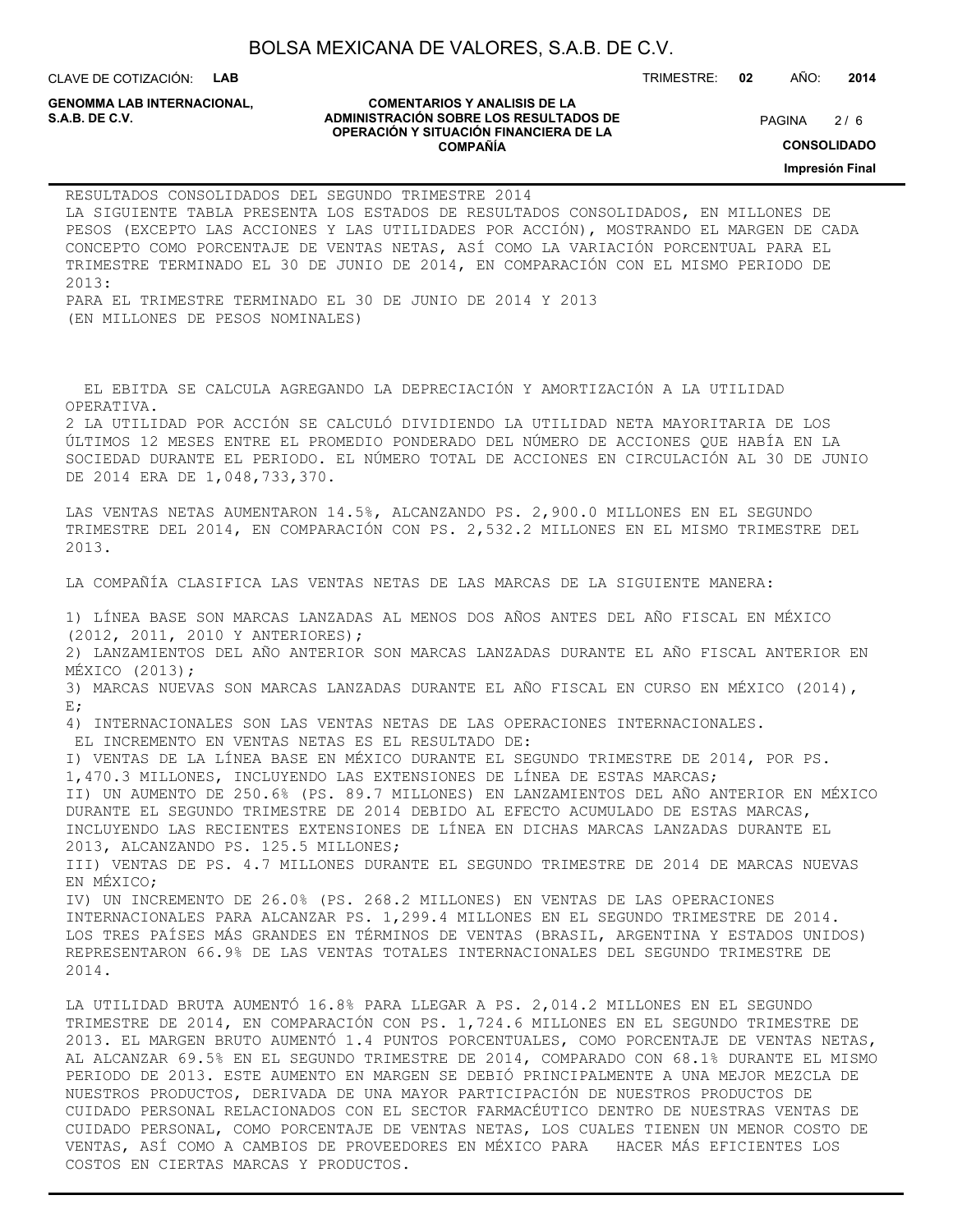CLAVE DE COTIZACIÓN: **LAB**

**GENOMMA LAB INTERNACIONAL,**

#### **COMENTARIOS Y ANALISIS DE LA ADMINISTRACIÓN SOBRE LOS RESULTADOS DE PAGINA 2/6** (PAGINA 2/6) **OPERACIÓN Y SITUACIÓN FINANCIERA DE LA COMPAÑÍA**

TRIMESTRE: **02** AÑO: **2014**

 $2/6$ 

**CONSOLIDADO**

**Impresión Final**

| RESULTADOS CONSOLIDADOS DEL SEGUNDO TRIMESTRE 2014<br>LA SIGUIENTE TABLA PRESENTA LOS ESTADOS DE RESULTADOS CONSOLIDADOS, EN MILLONES DE<br>PESOS (EXCEPTO LAS ACCIONES Y LAS UTILIDADES POR ACCIÓN), MOSTRANDO EL MARGEN DE CADA<br>CONCEPTO COMO PORCENTAJE DE VENTAS NETAS, ASÍ COMO LA VARIACIÓN PORCENTUAL PARA EL<br>TRIMESTRE TERMINADO EL 30 DE JUNIO DE 2014, EN COMPARACIÓN CON EL MISMO PERIODO DE<br>2013:<br>PARA EL TRIMESTRE TERMINADO EL 30 DE JUNIO DE 2014 Y 2013<br>(EN MILLONES DE PESOS NOMINALES)                                                                                                                                                                                                                                                                                                                                                                                                                                                                                                                                                                                                                                                                                                                                                                                                                                                                                                         |
|---------------------------------------------------------------------------------------------------------------------------------------------------------------------------------------------------------------------------------------------------------------------------------------------------------------------------------------------------------------------------------------------------------------------------------------------------------------------------------------------------------------------------------------------------------------------------------------------------------------------------------------------------------------------------------------------------------------------------------------------------------------------------------------------------------------------------------------------------------------------------------------------------------------------------------------------------------------------------------------------------------------------------------------------------------------------------------------------------------------------------------------------------------------------------------------------------------------------------------------------------------------------------------------------------------------------------------------------------------------------------------------------------------------------------------|
| EL EBITDA SE CALCULA AGREGANDO LA DEPRECIACIÓN Y AMORTIZACIÓN A LA UTILIDAD<br>OPERATIVA.<br>2 LA UTILIDAD POR ACCIÓN SE CALCULÓ DIVIDIENDO LA UTILIDAD NETA MAYORITARIA DE LOS<br>ÚLTIMOS 12 MESES ENTRE EL PROMEDIO PONDERADO DEL NÚMERO DE ACCIONES QUE HABÍA EN LA<br>SOCIEDAD DURANTE EL PERIODO. EL NÚMERO TOTAL DE ACCIONES EN CIRCULACIÓN AL 30 DE JUNIO<br>DE 2014 ERA DE 1,048,733,370.                                                                                                                                                                                                                                                                                                                                                                                                                                                                                                                                                                                                                                                                                                                                                                                                                                                                                                                                                                                                                               |
| LAS VENTAS NETAS AUMENTARON 14.5%, ALCANZANDO PS. 2,900.0 MILLONES EN EL SEGUNDO<br>TRIMESTRE DEL 2014, EN COMPARACIÓN CON PS. 2,532.2 MILLONES EN EL MISMO TRIMESTRE DEL<br>2013.                                                                                                                                                                                                                                                                                                                                                                                                                                                                                                                                                                                                                                                                                                                                                                                                                                                                                                                                                                                                                                                                                                                                                                                                                                              |
| LA COMPAÑÍA CLASIFICA LAS VENTAS NETAS DE LAS MARCAS DE LA SIGUIENTE MANERA:                                                                                                                                                                                                                                                                                                                                                                                                                                                                                                                                                                                                                                                                                                                                                                                                                                                                                                                                                                                                                                                                                                                                                                                                                                                                                                                                                    |
| 1) LÍNEA BASE SON MARCAS LANZADAS AL MENOS DOS AÑOS ANTES DEL AÑO FISCAL EN MÉXICO<br>(2012, 2011, 2010 Y ANTERIORES);<br>2) LANZAMIENTOS DEL AÑO ANTERIOR SON MARCAS LANZADAS DURANTE EL AÑO FISCAL ANTERIOR EN<br>MÉXICO $(2013)$ ;<br>3) MARCAS NUEVAS SON MARCAS LANZADAS DURANTE EL AÑO FISCAL EN CURSO EN MÉXICO (2014),<br>$E$ ;<br>4) INTERNACIONALES SON LAS VENTAS NETAS DE LAS OPERACIONES INTERNACIONALES.<br>EL INCREMENTO EN VENTAS NETAS ES EL RESULTADO DE:<br>I) VENTAS DE LA LÍNEA BASE EN MÉXICO DURANTE EL SEGUNDO TRIMESTRE DE 2014, POR PS.<br>1,470.3 MILLONES, INCLUYENDO LAS EXTENSIONES DE LÍNEA DE ESTAS MARCAS;<br>II) UN AUMENTO DE 250.6% (PS. 89.7 MILLONES) EN LANZAMIENTOS DEL AÑO ANTERIOR EN MÉXICO<br>DURANTE EL SEGUNDO TRIMESTRE DE 2014 DEBIDO AL EFECTO ACUMULADO DE ESTAS MARCAS,<br>INCLUYENDO LAS RECIENTES EXTENSIONES DE LÍNEA EN DICHAS MARCAS LANZADAS DURANTE EL<br>2013, ALCANZANDO PS. 125.5 MILLONES;<br>III) VENTAS DE PS. 4.7 MILLONES DURANTE EL SEGUNDO TRIMESTRE DE 2014 DE MARCAS NUEVAS<br>EN MÉXICO;<br>IV) UN INCREMENTO DE 26.0% (PS. 268.2 MILLONES) EN VENTAS DE LAS OPERACIONES<br>INTERNACIONALES PARA ALCANZAR PS. 1,299.4 MILLONES EN EL SEGUNDO TRIMESTRE DE 2014.<br>LOS TRES PAÍSES MÁS GRANDES EN TÉRMINOS DE VENTAS (BRASIL, ARGENTINA Y ESTADOS UNIDOS)<br>REPRESENTARON 66.9% DE LAS VENTAS TOTALES INTERNACIONALES DEL SEGUNDO TRIMESTRE DE<br>2014. |
| LA UTILIDAD BRUTA AUMENTÓ 16.8% PARA LLEGAR A PS. 2,014.2 MILLONES EN EL SEGUNDO<br>TRIMESTRE DE 2014, EN COMPARACIÓN CON PS. 1,724.6 MILLONES EN EL SEGUNDO TRIMESTRE DE<br>2013. EL MARGEN BRUTO AUMENTÓ 1.4 PUNTOS PORCENTUALES, COMO PORCENTAJE DE VENTAS NETAS,<br>AL ALCANZAR 69.5% EN EL SEGUNDO TRIMESTRE DE 2014, COMPARADO CON 68.1% DURANTE EL MISMO                                                                                                                                                                                                                                                                                                                                                                                                                                                                                                                                                                                                                                                                                                                                                                                                                                                                                                                                                                                                                                                                 |

PERIODO DE 2013. ESTE AUMENTO EN MARGEN SE DEBIÓ PRINCIPALMENTE A UNA MEJOR MEZCLA DE NUESTROS PRODUCTOS, DERIVADA DE UNA MAYOR PARTICIPACIÓN DE NUESTROS PRODUCTOS DE CUIDADO PERSONAL RELACIONADOS CON EL SECTOR FARMACÉUTICO DENTRO DE NUESTRAS VENTAS DE CUIDADO PERSONAL, COMO PORCENTAJE DE VENTAS NETAS, LOS CUALES TIENEN UN MENOR COSTO DE VENTAS, ASÍ COMO A CAMBIOS DE PROVEEDORES EN MÉXICO PARA HACER MÁS EFICIENTES LOS COSTOS EN CIERTAS MARCAS Y PRODUCTOS.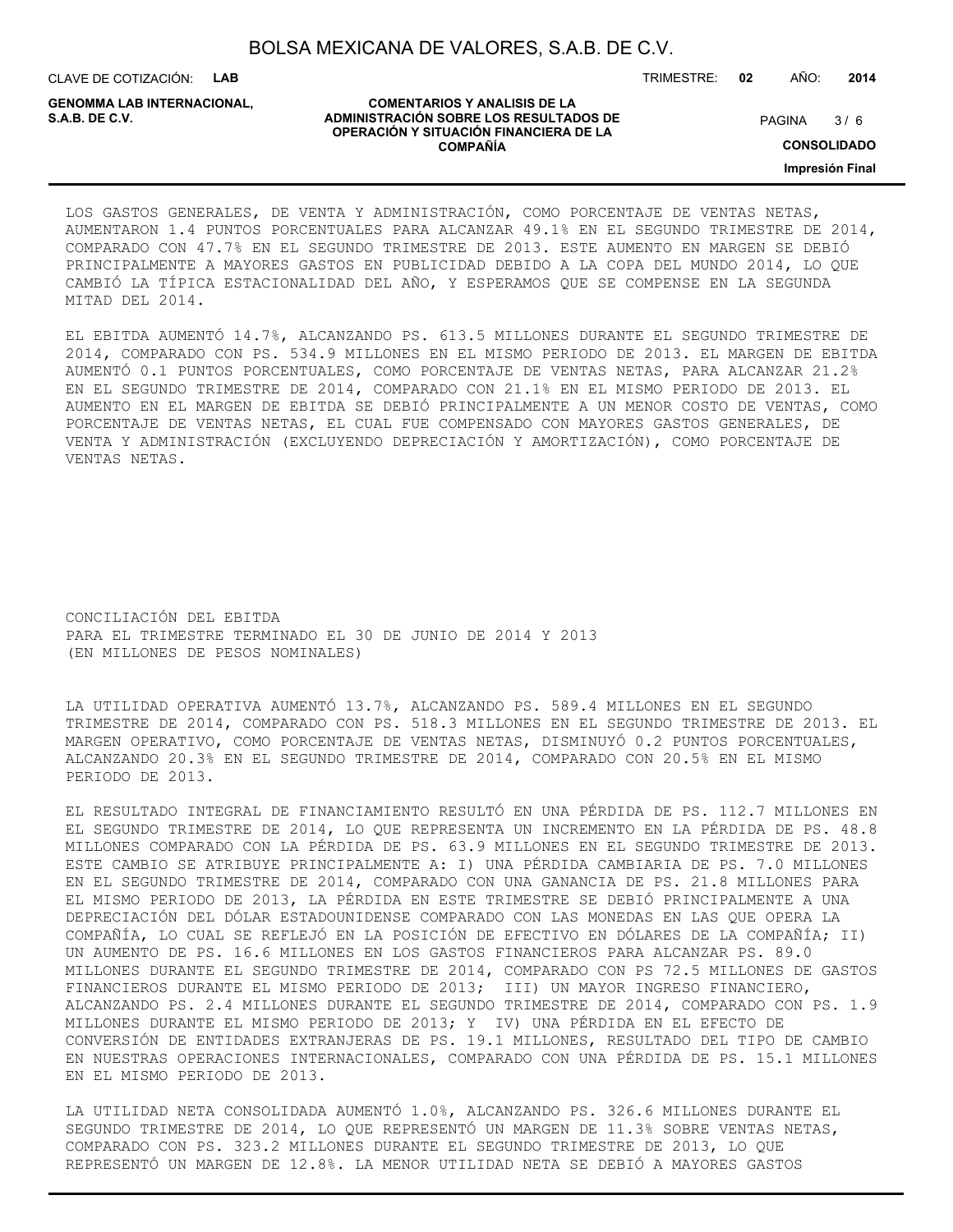CLAVE DE COTIZACIÓN: **LAB** TRIMESTRE: **02** AÑO: **2014**

**GENOMMA LAB INTERNACIONAL,**

#### **COMENTARIOS Y ANALISIS DE LA ADMINISTRACIÓN SOBRE LOS RESULTADOS DE S.A.B. DE C.V.** PAGINA / 6 **OPERACIÓN Y SITUACIÓN FINANCIERA DE LA COMPAÑÍA**

 $3/6$ 

**CONSOLIDADO**

**Impresión Final**

LOS GASTOS GENERALES, DE VENTA Y ADMINISTRACIÓN, COMO PORCENTAJE DE VENTAS NETAS, AUMENTARON 1.4 PUNTOS PORCENTUALES PARA ALCANZAR 49.1% EN EL SEGUNDO TRIMESTRE DE 2014, COMPARADO CON 47.7% EN EL SEGUNDO TRIMESTRE DE 2013. ESTE AUMENTO EN MARGEN SE DEBIÓ PRINCIPALMENTE A MAYORES GASTOS EN PUBLICIDAD DEBIDO A LA COPA DEL MUNDO 2014, LO QUE CAMBIÓ LA TÍPICA ESTACIONALIDAD DEL AÑO, Y ESPERAMOS QUE SE COMPENSE EN LA SEGUNDA MITAD DEL 2014.

EL EBITDA AUMENTÓ 14.7%, ALCANZANDO PS. 613.5 MILLONES DURANTE EL SEGUNDO TRIMESTRE DE 2014, COMPARADO CON PS. 534.9 MILLONES EN EL MISMO PERIODO DE 2013. EL MARGEN DE EBITDA AUMENTÓ 0.1 PUNTOS PORCENTUALES, COMO PORCENTAJE DE VENTAS NETAS, PARA ALCANZAR 21.2% EN EL SEGUNDO TRIMESTRE DE 2014, COMPARADO CON 21.1% EN EL MISMO PERIODO DE 2013. EL AUMENTO EN EL MARGEN DE EBITDA SE DEBIÓ PRINCIPALMENTE A UN MENOR COSTO DE VENTAS, COMO PORCENTAJE DE VENTAS NETAS, EL CUAL FUE COMPENSADO CON MAYORES GASTOS GENERALES, DE VENTA Y ADMINISTRACIÓN (EXCLUYENDO DEPRECIACIÓN Y AMORTIZACIÓN), COMO PORCENTAJE DE VENTAS NETAS.

CONCILIACIÓN DEL EBITDA PARA EL TRIMESTRE TERMINADO EL 30 DE JUNIO DE 2014 Y 2013 (EN MILLONES DE PESOS NOMINALES)

LA UTILIDAD OPERATIVA AUMENTÓ 13.7%, ALCANZANDO PS. 589.4 MILLONES EN EL SEGUNDO TRIMESTRE DE 2014, COMPARADO CON PS. 518.3 MILLONES EN EL SEGUNDO TRIMESTRE DE 2013. EL MARGEN OPERATIVO, COMO PORCENTAJE DE VENTAS NETAS, DISMINUYÓ 0.2 PUNTOS PORCENTUALES, ALCANZANDO 20.3% EN EL SEGUNDO TRIMESTRE DE 2014, COMPARADO CON 20.5% EN EL MISMO PERIODO DE 2013.

EL RESULTADO INTEGRAL DE FINANCIAMIENTO RESULTÓ EN UNA PÉRDIDA DE PS. 112.7 MILLONES EN EL SEGUNDO TRIMESTRE DE 2014, LO QUE REPRESENTA UN INCREMENTO EN LA PÉRDIDA DE PS. 48.8 MILLONES COMPARADO CON LA PÉRDIDA DE PS. 63.9 MILLONES EN EL SEGUNDO TRIMESTRE DE 2013. ESTE CAMBIO SE ATRIBUYE PRINCIPALMENTE A: I) UNA PÉRDIDA CAMBIARIA DE PS. 7.0 MILLONES EN EL SEGUNDO TRIMESTRE DE 2014, COMPARADO CON UNA GANANCIA DE PS. 21.8 MILLONES PARA EL MISMO PERIODO DE 2013, LA PÉRDIDA EN ESTE TRIMESTRE SE DEBIÓ PRINCIPALMENTE A UNA DEPRECIACIÓN DEL DÓLAR ESTADOUNIDENSE COMPARADO CON LAS MONEDAS EN LAS QUE OPERA LA COMPAÑÍA, LO CUAL SE REFLEJÓ EN LA POSICIÓN DE EFECTIVO EN DÓLARES DE LA COMPAÑÍA; II) UN AUMENTO DE PS. 16.6 MILLONES EN LOS GASTOS FINANCIEROS PARA ALCANZAR PS. 89.0 MILLONES DURANTE EL SEGUNDO TRIMESTRE DE 2014, COMPARADO CON PS 72.5 MILLONES DE GASTOS FINANCIEROS DURANTE EL MISMO PERIODO DE 2013; III) UN MAYOR INGRESO FINANCIERO, ALCANZANDO PS. 2.4 MILLONES DURANTE EL SEGUNDO TRIMESTRE DE 2014, COMPARADO CON PS. 1.9 MILLONES DURANTE EL MISMO PERIODO DE 2013; Y IV) UNA PÉRDIDA EN EL EFECTO DE CONVERSIÓN DE ENTIDADES EXTRANJERAS DE PS. 19.1 MILLONES, RESULTADO DEL TIPO DE CAMBIO EN NUESTRAS OPERACIONES INTERNACIONALES, COMPARADO CON UNA PÉRDIDA DE PS. 15.1 MILLONES EN EL MISMO PERIODO DE 2013.

LA UTILIDAD NETA CONSOLIDADA AUMENTÓ 1.0%, ALCANZANDO PS. 326.6 MILLONES DURANTE EL SEGUNDO TRIMESTRE DE 2014, LO QUE REPRESENTÓ UN MARGEN DE 11.3% SOBRE VENTAS NETAS, COMPARADO CON PS. 323.2 MILLONES DURANTE EL SEGUNDO TRIMESTRE DE 2013, LO QUE REPRESENTÓ UN MARGEN DE 12.8%. LA MENOR UTILIDAD NETA SE DEBIÓ A MAYORES GASTOS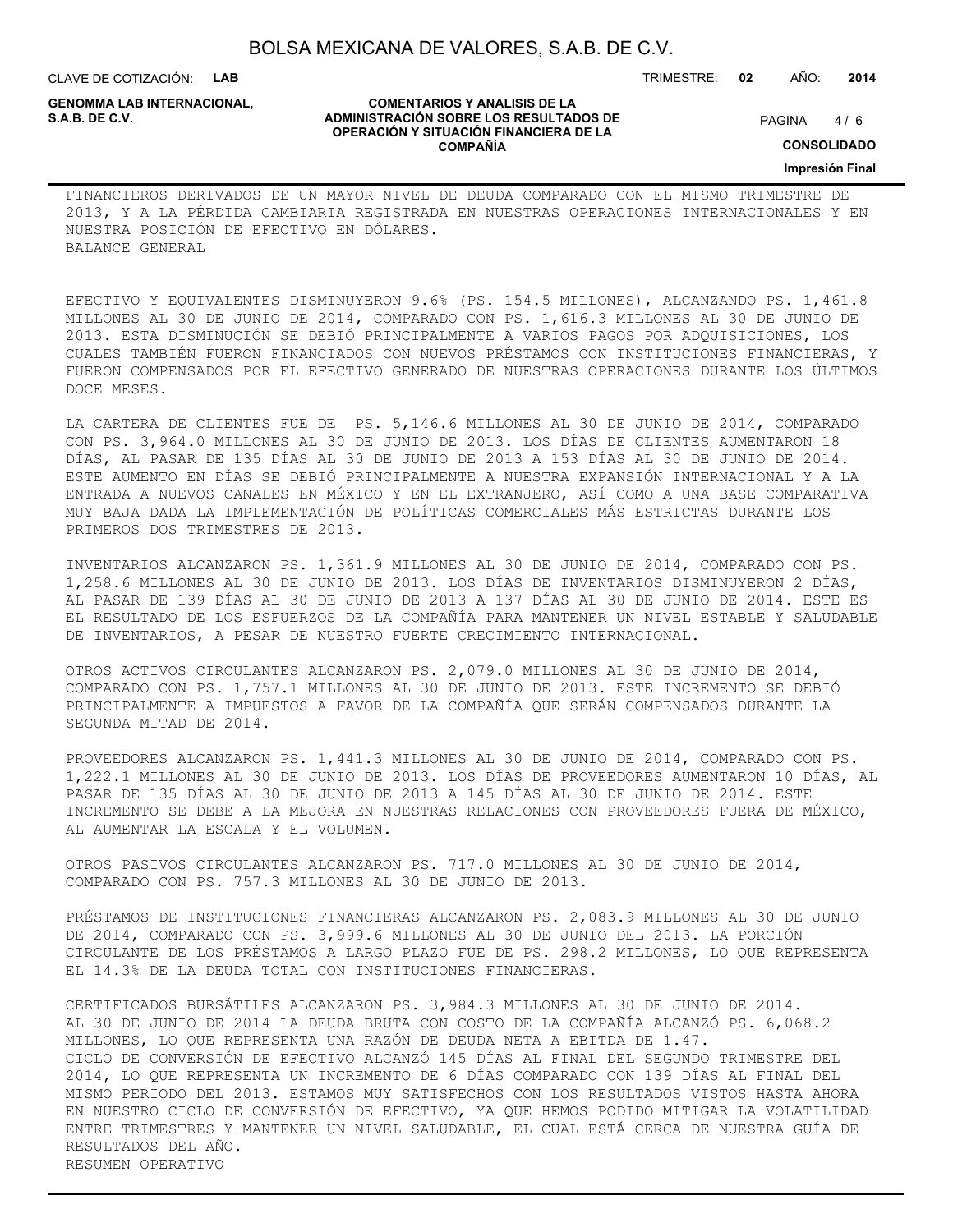CLAVE DE COTIZACIÓN: **LAB**

**GENOMMA LAB INTERNACIONAL,**

## **COMENTARIOS Y ANALISIS DE LA ADMINISTRACIÓN SOBRE LOS RESULTADOS DE S.A.B. DE C.V.** PAGINA / 6 **OPERACIÓN Y SITUACIÓN FINANCIERA DE LA COMPAÑÍA**

 $4/6$ 

TRIMESTRE: **02** AÑO: **2014**

**CONSOLIDADO**

**Impresión Final**

FINANCIEROS DERIVADOS DE UN MAYOR NIVEL DE DEUDA COMPARADO CON EL MISMO TRIMESTRE DE 2013, Y A LA PÉRDIDA CAMBIARIA REGISTRADA EN NUESTRAS OPERACIONES INTERNACIONALES Y EN NUESTRA POSICIÓN DE EFECTIVO EN DÓLARES. BALANCE GENERAL

EFECTIVO Y EQUIVALENTES DISMINUYERON 9.6% (PS. 154.5 MILLONES), ALCANZANDO PS. 1,461.8 MILLONES AL 30 DE JUNIO DE 2014, COMPARADO CON PS. 1,616.3 MILLONES AL 30 DE JUNIO DE 2013. ESTA DISMINUCIÓN SE DEBIÓ PRINCIPALMENTE A VARIOS PAGOS POR ADQUISICIONES, LOS CUALES TAMBIÉN FUERON FINANCIADOS CON NUEVOS PRÉSTAMOS CON INSTITUCIONES FINANCIERAS, Y FUERON COMPENSADOS POR EL EFECTIVO GENERADO DE NUESTRAS OPERACIONES DURANTE LOS ÚLTIMOS DOCE MESES.

LA CARTERA DE CLIENTES FUE DE PS. 5,146.6 MILLONES AL 30 DE JUNIO DE 2014, COMPARADO CON PS. 3,964.0 MILLONES AL 30 DE JUNIO DE 2013. LOS DÍAS DE CLIENTES AUMENTARON 18 DÍAS, AL PASAR DE 135 DÍAS AL 30 DE JUNIO DE 2013 A 153 DÍAS AL 30 DE JUNIO DE 2014. ESTE AUMENTO EN DÍAS SE DEBIÓ PRINCIPALMENTE A NUESTRA EXPANSIÓN INTERNACIONAL Y A LA ENTRADA A NUEVOS CANALES EN MÉXICO Y EN EL EXTRANJERO, ASÍ COMO A UNA BASE COMPARATIVA MUY BAJA DADA LA IMPLEMENTACIÓN DE POLÍTICAS COMERCIALES MÁS ESTRICTAS DURANTE LOS PRIMEROS DOS TRIMESTRES DE 2013.

INVENTARIOS ALCANZARON PS. 1,361.9 MILLONES AL 30 DE JUNIO DE 2014, COMPARADO CON PS. 1,258.6 MILLONES AL 30 DE JUNIO DE 2013. LOS DÍAS DE INVENTARIOS DISMINUYERON 2 DÍAS, AL PASAR DE 139 DÍAS AL 30 DE JUNIO DE 2013 A 137 DÍAS AL 30 DE JUNIO DE 2014. ESTE ES EL RESULTADO DE LOS ESFUERZOS DE LA COMPAÑÍA PARA MANTENER UN NIVEL ESTABLE Y SALUDABLE DE INVENTARIOS, A PESAR DE NUESTRO FUERTE CRECIMIENTO INTERNACIONAL.

OTROS ACTIVOS CIRCULANTES ALCANZARON PS. 2,079.0 MILLONES AL 30 DE JUNIO DE 2014, COMPARADO CON PS. 1,757.1 MILLONES AL 30 DE JUNIO DE 2013. ESTE INCREMENTO SE DEBIÓ PRINCIPALMENTE A IMPUESTOS A FAVOR DE LA COMPAÑÍA QUE SERÁN COMPENSADOS DURANTE LA SEGUNDA MITAD DE 2014.

PROVEEDORES ALCANZARON PS. 1,441.3 MILLONES AL 30 DE JUNIO DE 2014, COMPARADO CON PS. 1,222.1 MILLONES AL 30 DE JUNIO DE 2013. LOS DÍAS DE PROVEEDORES AUMENTARON 10 DÍAS, AL PASAR DE 135 DÍAS AL 30 DE JUNIO DE 2013 A 145 DÍAS AL 30 DE JUNIO DE 2014. ESTE INCREMENTO SE DEBE A LA MEJORA EN NUESTRAS RELACIONES CON PROVEEDORES FUERA DE MÉXICO, AL AUMENTAR LA ESCALA Y EL VOLUMEN.

OTROS PASIVOS CIRCULANTES ALCANZARON PS. 717.0 MILLONES AL 30 DE JUNIO DE 2014, COMPARADO CON PS. 757.3 MILLONES AL 30 DE JUNIO DE 2013.

PRÉSTAMOS DE INSTITUCIONES FINANCIERAS ALCANZARON PS. 2,083.9 MILLONES AL 30 DE JUNIO DE 2014, COMPARADO CON PS. 3,999.6 MILLONES AL 30 DE JUNIO DEL 2013. LA PORCIÓN CIRCULANTE DE LOS PRÉSTAMOS A LARGO PLAZO FUE DE PS. 298.2 MILLONES, LO QUE REPRESENTA EL 14.3% DE LA DEUDA TOTAL CON INSTITUCIONES FINANCIERAS.

CERTIFICADOS BURSÁTILES ALCANZARON PS. 3,984.3 MILLONES AL 30 DE JUNIO DE 2014. AL 30 DE JUNIO DE 2014 LA DEUDA BRUTA CON COSTO DE LA COMPAÑÍA ALCANZÓ PS. 6,068.2 MILLONES, LO QUE REPRESENTA UNA RAZÓN DE DEUDA NETA A EBITDA DE 1.47. CICLO DE CONVERSIÓN DE EFECTIVO ALCANZÓ 145 DÍAS AL FINAL DEL SEGUNDO TRIMESTRE DEL 2014, LO QUE REPRESENTA UN INCREMENTO DE 6 DÍAS COMPARADO CON 139 DÍAS AL FINAL DEL MISMO PERIODO DEL 2013. ESTAMOS MUY SATISFECHOS CON LOS RESULTADOS VISTOS HASTA AHORA EN NUESTRO CICLO DE CONVERSIÓN DE EFECTIVO, YA QUE HEMOS PODIDO MITIGAR LA VOLATILIDAD ENTRE TRIMESTRES Y MANTENER UN NIVEL SALUDABLE, EL CUAL ESTÁ CERCA DE NUESTRA GUÍA DE RESULTADOS DEL AÑO. RESUMEN OPERATIVO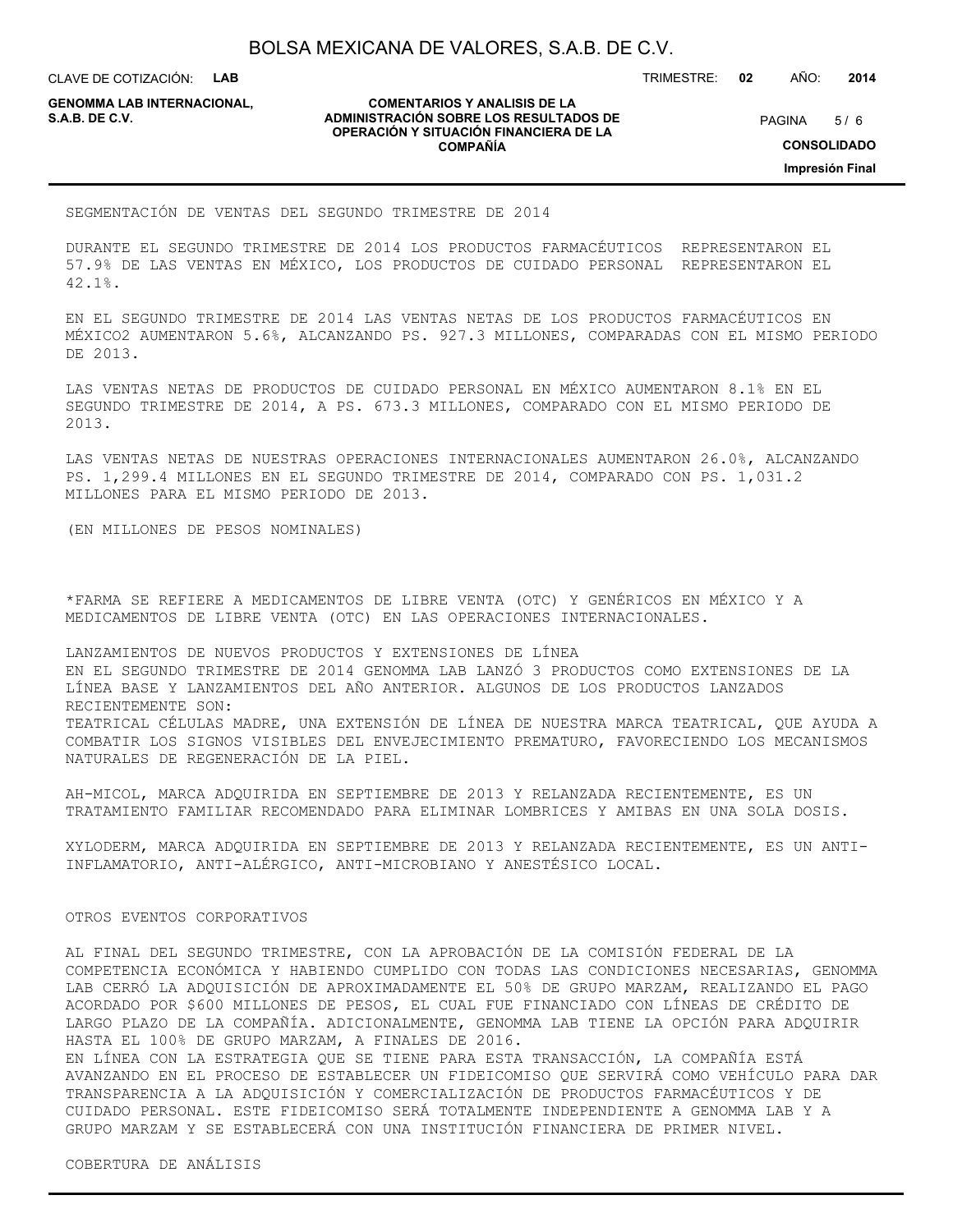CLAVE DE COTIZACIÓN: **LAB**

**GENOMMA LAB INTERNACIONAL,**

#### **COMENTARIOS Y ANALISIS DE LA ADMINISTRACIÓN SOBRE LOS RESULTADOS DE S.A.B. DE C.V.** PAGINA / 6 **OPERACIÓN Y SITUACIÓN FINANCIERA DE LA COMPAÑÍA**

 $5/6$ 

TRIMESTRE: **02** AÑO: **2014**

**CONSOLIDADO**

**Impresión Final**

SEGMENTACIÓN DE VENTAS DEL SEGUNDO TRIMESTRE DE 2014

DURANTE EL SEGUNDO TRIMESTRE DE 2014 LOS PRODUCTOS FARMACÉUTICOS REPRESENTARON EL 57.9% DE LAS VENTAS EN MÉXICO, LOS PRODUCTOS DE CUIDADO PERSONAL REPRESENTARON EL 42.1%.

EN EL SEGUNDO TRIMESTRE DE 2014 LAS VENTAS NETAS DE LOS PRODUCTOS FARMACÉUTICOS EN MÉXICO2 AUMENTARON 5.6%, ALCANZANDO PS. 927.3 MILLONES, COMPARADAS CON EL MISMO PERIODO DE 2013.

LAS VENTAS NETAS DE PRODUCTOS DE CUIDADO PERSONAL EN MÉXICO AUMENTARON 8.1% EN EL SEGUNDO TRIMESTRE DE 2014, A PS. 673.3 MILLONES, COMPARADO CON EL MISMO PERIODO DE 2013.

LAS VENTAS NETAS DE NUESTRAS OPERACIONES INTERNACIONALES AUMENTARON 26.0%, ALCANZANDO PS. 1,299.4 MILLONES EN EL SEGUNDO TRIMESTRE DE 2014, COMPARADO CON PS. 1,031.2 MILLONES PARA EL MISMO PERIODO DE 2013.

(EN MILLONES DE PESOS NOMINALES)

\*FARMA SE REFIERE A MEDICAMENTOS DE LIBRE VENTA (OTC) Y GENÉRICOS EN MÉXICO Y A MEDICAMENTOS DE LIBRE VENTA (OTC) EN LAS OPERACIONES INTERNACIONALES.

LANZAMIENTOS DE NUEVOS PRODUCTOS Y EXTENSIONES DE LÍNEA EN EL SEGUNDO TRIMESTRE DE 2014 GENOMMA LAB LANZÓ 3 PRODUCTOS COMO EXTENSIONES DE LA LÍNEA BASE Y LANZAMIENTOS DEL AÑO ANTERIOR. ALGUNOS DE LOS PRODUCTOS LANZADOS RECIENTEMENTE SON: TEATRICAL CÉLULAS MADRE, UNA EXTENSIÓN DE LÍNEA DE NUESTRA MARCA TEATRICAL, QUE AYUDA A COMBATIR LOS SIGNOS VISIBLES DEL ENVEJECIMIENTO PREMATURO, FAVORECIENDO LOS MECANISMOS NATURALES DE REGENERACIÓN DE LA PIEL.

AH-MICOL, MARCA ADQUIRIDA EN SEPTIEMBRE DE 2013 Y RELANZADA RECIENTEMENTE, ES UN TRATAMIENTO FAMILIAR RECOMENDADO PARA ELIMINAR LOMBRICES Y AMIBAS EN UNA SOLA DOSIS.

XYLODERM, MARCA ADQUIRIDA EN SEPTIEMBRE DE 2013 Y RELANZADA RECIENTEMENTE, ES UN ANTI-INFLAMATORIO, ANTI-ALÉRGICO, ANTI-MICROBIANO Y ANESTÉSICO LOCAL.

## OTROS EVENTOS CORPORATIVOS

AL FINAL DEL SEGUNDO TRIMESTRE, CON LA APROBACIÓN DE LA COMISIÓN FEDERAL DE LA COMPETENCIA ECONÓMICA Y HABIENDO CUMPLIDO CON TODAS LAS CONDICIONES NECESARIAS, GENOMMA LAB CERRÓ LA ADQUISICIÓN DE APROXIMADAMENTE EL 50% DE GRUPO MARZAM, REALIZANDO EL PAGO ACORDADO POR \$600 MILLONES DE PESOS, EL CUAL FUE FINANCIADO CON LÍNEAS DE CRÉDITO DE LARGO PLAZO DE LA COMPAÑÍA. ADICIONALMENTE, GENOMMA LAB TIENE LA OPCIÓN PARA ADQUIRIR HASTA EL 100% DE GRUPO MARZAM, A FINALES DE 2016.

EN LÍNEA CON LA ESTRATEGIA QUE SE TIENE PARA ESTA TRANSACCIÓN, LA COMPAÑÍA ESTÁ AVANZANDO EN EL PROCESO DE ESTABLECER UN FIDEICOMISO QUE SERVIRÁ COMO VEHÍCULO PARA DAR TRANSPARENCIA A LA ADQUISICIÓN Y COMERCIALIZACIÓN DE PRODUCTOS FARMACÉUTICOS Y DE CUIDADO PERSONAL. ESTE FIDEICOMISO SERÁ TOTALMENTE INDEPENDIENTE A GENOMMA LAB Y A GRUPO MARZAM Y SE ESTABLECERÁ CON UNA INSTITUCIÓN FINANCIERA DE PRIMER NIVEL.

COBERTURA DE ANÁLISIS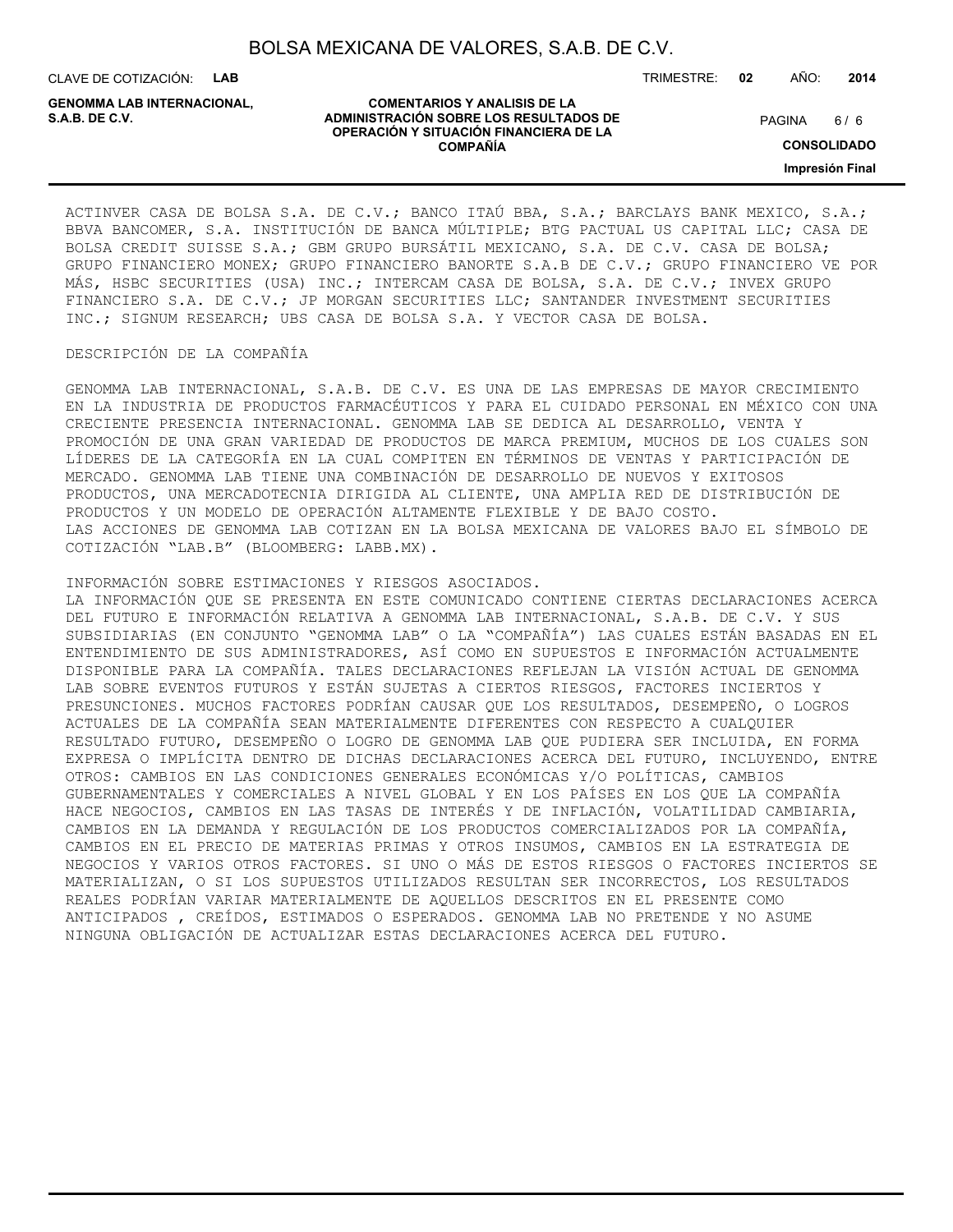CLAVE DE COTIZACIÓN: **LAB**

**GENOMMA LAB INTERNACIONAL,**

#### **COMENTARIOS Y ANALISIS DE LA ADMINISTRACIÓN SOBRE LOS RESULTADOS DE S.A.B. DE C.V.** PAGINA / 6 **OPERACIÓN Y SITUACIÓN FINANCIERA DE LA COMPAÑÍA**

TRIMESTRE: **02** AÑO: **2014**

 $6/6$ 

**CONSOLIDADO**

**Impresión Final**

ACTINVER CASA DE BOLSA S.A. DE C.V.; BANCO ITAÚ BBA, S.A.; BARCLAYS BANK MEXICO, S.A.; BBVA BANCOMER, S.A. INSTITUCIÓN DE BANCA MÚLTIPLE; BTG PACTUAL US CAPITAL LLC; CASA DE BOLSA CREDIT SUISSE S.A.; GBM GRUPO BURSÁTIL MEXICANO, S.A. DE C.V. CASA DE BOLSA; GRUPO FINANCIERO MONEX; GRUPO FINANCIERO BANORTE S.A.B DE C.V.; GRUPO FINANCIERO VE POR MÁS, HSBC SECURITIES (USA) INC.; INTERCAM CASA DE BOLSA, S.A. DE C.V.; INVEX GRUPO FINANCIERO S.A. DE C.V.; JP MORGAN SECURITIES LLC; SANTANDER INVESTMENT SECURITIES INC.; SIGNUM RESEARCH; UBS CASA DE BOLSA S.A. Y VECTOR CASA DE BOLSA.

## DESCRIPCIÓN DE LA COMPAÑÍA

GENOMMA LAB INTERNACIONAL, S.A.B. DE C.V. ES UNA DE LAS EMPRESAS DE MAYOR CRECIMIENTO EN LA INDUSTRIA DE PRODUCTOS FARMACÉUTICOS Y PARA EL CUIDADO PERSONAL EN MÉXICO CON UNA CRECIENTE PRESENCIA INTERNACIONAL. GENOMMA LAB SE DEDICA AL DESARROLLO, VENTA Y PROMOCIÓN DE UNA GRAN VARIEDAD DE PRODUCTOS DE MARCA PREMIUM, MUCHOS DE LOS CUALES SON LÍDERES DE LA CATEGORÍA EN LA CUAL COMPITEN EN TÉRMINOS DE VENTAS Y PARTICIPACIÓN DE MERCADO. GENOMMA LAB TIENE UNA COMBINACIÓN DE DESARROLLO DE NUEVOS Y EXITOSOS PRODUCTOS, UNA MERCADOTECNIA DIRIGIDA AL CLIENTE, UNA AMPLIA RED DE DISTRIBUCIÓN DE PRODUCTOS Y UN MODELO DE OPERACIÓN ALTAMENTE FLEXIBLE Y DE BAJO COSTO. LAS ACCIONES DE GENOMMA LAB COTIZAN EN LA BOLSA MEXICANA DE VALORES BAJO EL SÍMBOLO DE COTIZACIÓN "LAB.B" (BLOOMBERG: LABB.MX).

INFORMACIÓN SOBRE ESTIMACIONES Y RIESGOS ASOCIADOS.

LA INFORMACIÓN QUE SE PRESENTA EN ESTE COMUNICADO CONTIENE CIERTAS DECLARACIONES ACERCA DEL FUTURO E INFORMACIÓN RELATIVA A GENOMMA LAB INTERNACIONAL, S.A.B. DE C.V. Y SUS SUBSIDIARIAS (EN CONJUNTO "GENOMMA LAB" O LA "COMPAÑÍA") LAS CUALES ESTÁN BASADAS EN EL ENTENDIMIENTO DE SUS ADMINISTRADORES, ASÍ COMO EN SUPUESTOS E INFORMACIÓN ACTUALMENTE DISPONIBLE PARA LA COMPAÑÍA. TALES DECLARACIONES REFLEJAN LA VISIÓN ACTUAL DE GENOMMA LAB SOBRE EVENTOS FUTUROS Y ESTÁN SUJETAS A CIERTOS RIESGOS, FACTORES INCIERTOS Y PRESUNCIONES. MUCHOS FACTORES PODRÍAN CAUSAR QUE LOS RESULTADOS, DESEMPEÑO, O LOGROS ACTUALES DE LA COMPAÑÍA SEAN MATERIALMENTE DIFERENTES CON RESPECTO A CUALQUIER RESULTADO FUTURO, DESEMPEÑO O LOGRO DE GENOMMA LAB QUE PUDIERA SER INCLUIDA, EN FORMA EXPRESA O IMPLÍCITA DENTRO DE DICHAS DECLARACIONES ACERCA DEL FUTURO, INCLUYENDO, ENTRE OTROS: CAMBIOS EN LAS CONDICIONES GENERALES ECONÓMICAS Y/O POLÍTICAS, CAMBIOS GUBERNAMENTALES Y COMERCIALES A NIVEL GLOBAL Y EN LOS PAÍSES EN LOS QUE LA COMPAÑÍA HACE NEGOCIOS, CAMBIOS EN LAS TASAS DE INTERÉS Y DE INFLACIÓN, VOLATILIDAD CAMBIARIA, CAMBIOS EN LA DEMANDA Y REGULACIÓN DE LOS PRODUCTOS COMERCIALIZADOS POR LA COMPAÑÍA, CAMBIOS EN EL PRECIO DE MATERIAS PRIMAS Y OTROS INSUMOS, CAMBIOS EN LA ESTRATEGIA DE NEGOCIOS Y VARIOS OTROS FACTORES. SI UNO O MÁS DE ESTOS RIESGOS O FACTORES INCIERTOS SE MATERIALIZAN, O SI LOS SUPUESTOS UTILIZADOS RESULTAN SER INCORRECTOS, LOS RESULTADOS REALES PODRÍAN VARIAR MATERIALMENTE DE AQUELLOS DESCRITOS EN EL PRESENTE COMO ANTICIPADOS , CREÍDOS, ESTIMADOS O ESPERADOS. GENOMMA LAB NO PRETENDE Y NO ASUME NINGUNA OBLIGACIÓN DE ACTUALIZAR ESTAS DECLARACIONES ACERCA DEL FUTURO.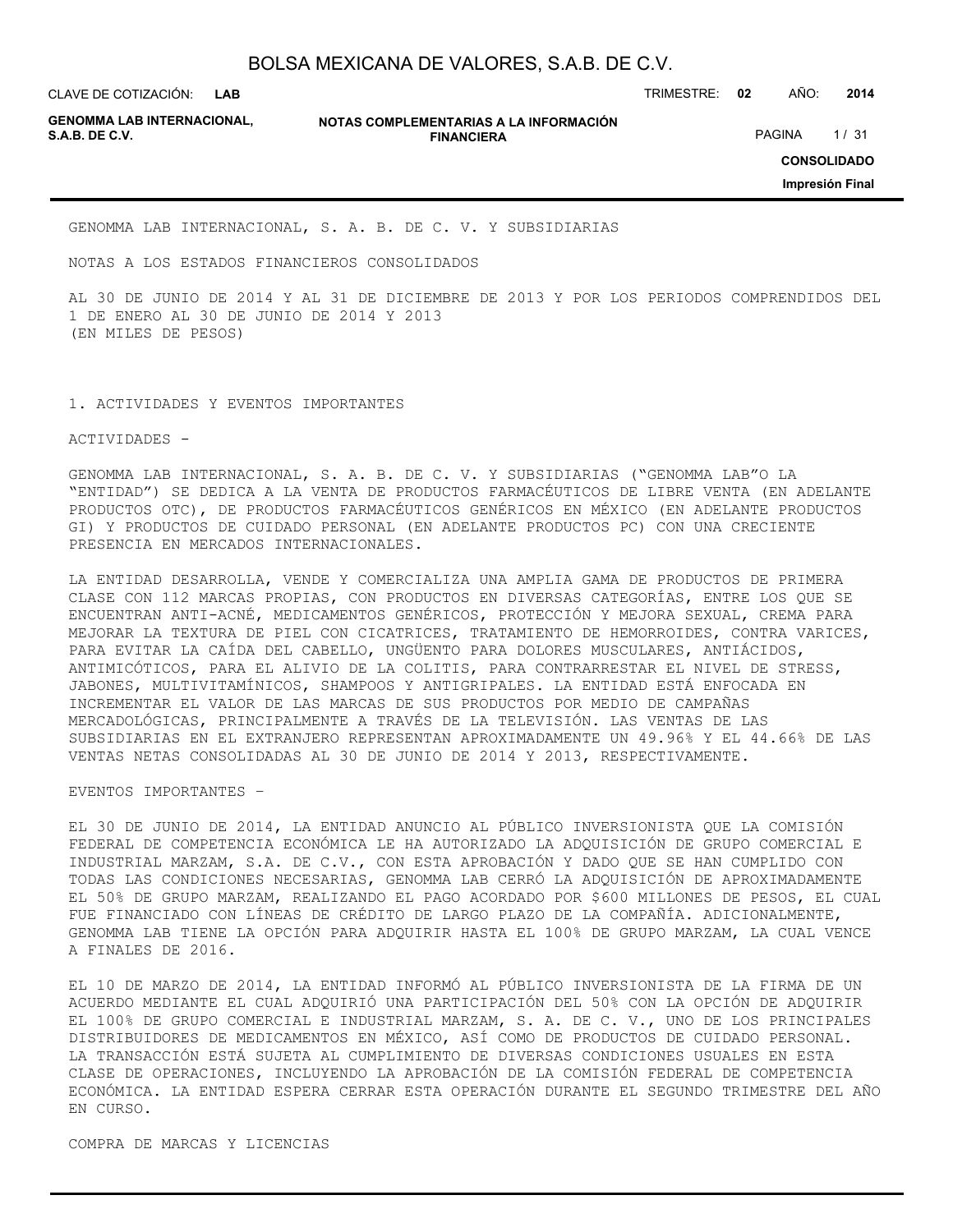CLAVE DE COTIZACIÓN: TRIMESTRE: **02** AÑO: **2014 LAB**

**GENOMMA LAB INTERNACIONAL,**

**NOTAS COMPLEMENTARIAS A LA INFORMACIÓN FINANCIERA S.A.B. DE C.V.** PAGINA 1/31

**CONSOLIDADO**

**Impresión Final**

GENOMMA LAB INTERNACIONAL, S. A. B. DE C. V. Y SUBSIDIARIAS

NOTAS A LOS ESTADOS FINANCIEROS CONSOLIDADOS

AL 30 DE JUNIO DE 2014 Y AL 31 DE DICIEMBRE DE 2013 Y POR LOS PERIODOS COMPRENDIDOS DEL 1 DE ENERO AL 30 DE JUNIO DE 2014 Y 2013 (EN MILES DE PESOS)

1. ACTIVIDADES Y EVENTOS IMPORTANTES

ACTIVIDADES -

GENOMMA LAB INTERNACIONAL, S. A. B. DE C. V. Y SUBSIDIARIAS ("GENOMMA LAB"O LA "ENTIDAD") SE DEDICA A LA VENTA DE PRODUCTOS FARMACÉUTICOS DE LIBRE VENTA (EN ADELANTE PRODUCTOS OTC), DE PRODUCTOS FARMACÉUTICOS GENÉRICOS EN MÉXICO (EN ADELANTE PRODUCTOS GI) Y PRODUCTOS DE CUIDADO PERSONAL (EN ADELANTE PRODUCTOS PC) CON UNA CRECIENTE PRESENCIA EN MERCADOS INTERNACIONALES.

LA ENTIDAD DESARROLLA, VENDE Y COMERCIALIZA UNA AMPLIA GAMA DE PRODUCTOS DE PRIMERA CLASE CON 112 MARCAS PROPIAS, CON PRODUCTOS EN DIVERSAS CATEGORÍAS, ENTRE LOS QUE SE ENCUENTRAN ANTI-ACNÉ, MEDICAMENTOS GENÉRICOS, PROTECCIÓN Y MEJORA SEXUAL, CREMA PARA MEJORAR LA TEXTURA DE PIEL CON CICATRICES, TRATAMIENTO DE HEMORROIDES, CONTRA VARICES, PARA EVITAR LA CAÍDA DEL CABELLO, UNGÜENTO PARA DOLORES MUSCULARES, ANTIÁCIDOS, ANTIMICÓTICOS, PARA EL ALIVIO DE LA COLITIS, PARA CONTRARRESTAR EL NIVEL DE STRESS, JABONES, MULTIVITAMÍNICOS, SHAMPOOS Y ANTIGRIPALES. LA ENTIDAD ESTÁ ENFOCADA EN INCREMENTAR EL VALOR DE LAS MARCAS DE SUS PRODUCTOS POR MEDIO DE CAMPAÑAS MERCADOLÓGICAS, PRINCIPALMENTE A TRAVÉS DE LA TELEVISIÓN. LAS VENTAS DE LAS SUBSIDIARIAS EN EL EXTRANJERO REPRESENTAN APROXIMADAMENTE UN 49.96% Y EL 44.66% DE LAS VENTAS NETAS CONSOLIDADAS AL 30 DE JUNIO DE 2014 Y 2013, RESPECTIVAMENTE.

EVENTOS IMPORTANTES –

EL 30 DE JUNIO DE 2014, LA ENTIDAD ANUNCIO AL PÚBLICO INVERSIONISTA QUE LA COMISIÓN FEDERAL DE COMPETENCIA ECONÓMICA LE HA AUTORIZADO LA ADQUISICIÓN DE GRUPO COMERCIAL E INDUSTRIAL MARZAM, S.A. DE C.V., CON ESTA APROBACIÓN Y DADO QUE SE HAN CUMPLIDO CON TODAS LAS CONDICIONES NECESARIAS, GENOMMA LAB CERRÓ LA ADQUISICIÓN DE APROXIMADAMENTE EL 50% DE GRUPO MARZAM, REALIZANDO EL PAGO ACORDADO POR \$600 MILLONES DE PESOS, EL CUAL FUE FINANCIADO CON LÍNEAS DE CRÉDITO DE LARGO PLAZO DE LA COMPAÑÍA. ADICIONALMENTE, GENOMMA LAB TIENE LA OPCIÓN PARA ADQUIRIR HASTA EL 100% DE GRUPO MARZAM, LA CUAL VENCE A FINALES DE 2016.

EL 10 DE MARZO DE 2014, LA ENTIDAD INFORMÓ AL PÚBLICO INVERSIONISTA DE LA FIRMA DE UN ACUERDO MEDIANTE EL CUAL ADQUIRIÓ UNA PARTICIPACIÓN DEL 50% CON LA OPCIÓN DE ADQUIRIR EL 100% DE GRUPO COMERCIAL E INDUSTRIAL MARZAM, S. A. DE C. V., UNO DE LOS PRINCIPALES DISTRIBUIDORES DE MEDICAMENTOS EN MÉXICO, ASÍ COMO DE PRODUCTOS DE CUIDADO PERSONAL. LA TRANSACCIÓN ESTÁ SUJETA AL CUMPLIMIENTO DE DIVERSAS CONDICIONES USUALES EN ESTA CLASE DE OPERACIONES, INCLUYENDO LA APROBACIÓN DE LA COMISIÓN FEDERAL DE COMPETENCIA ECONÓMICA. LA ENTIDAD ESPERA CERRAR ESTA OPERACIÓN DURANTE EL SEGUNDO TRIMESTRE DEL AÑO EN CURSO.

COMPRA DE MARCAS Y LICENCIAS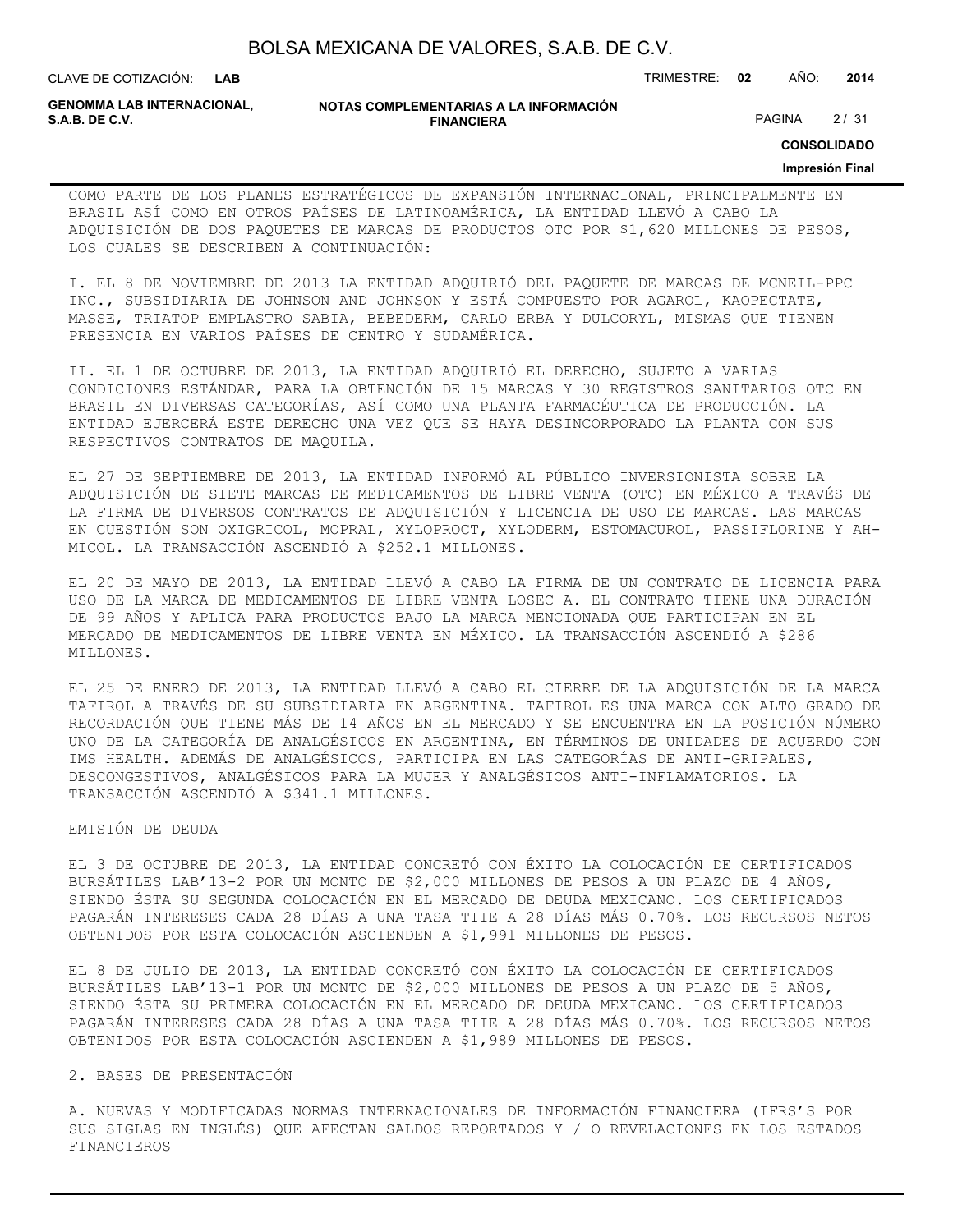| BOLSA MEXICANA DE VALORES, S.A.B. DE C.V. |  |  |
|-------------------------------------------|--|--|
|-------------------------------------------|--|--|

CLAVE DE COTIZACIÓN: TRIMESTRE: **02** AÑO: **2014 LAB**

**GENOMMA LAB INTERNACIONAL,**

#### **NOTAS COMPLEMENTARIAS A LA INFORMACIÓN FINANCIERA S.A.B. DE C.V.** PAGINA 2 / 31

**CONSOLIDADO**

#### **Impresión Final**

COMO PARTE DE LOS PLANES ESTRATÉGICOS DE EXPANSIÓN INTERNACIONAL, PRINCIPALMENTE EN BRASIL ASÍ COMO EN OTROS PAÍSES DE LATINOAMÉRICA, LA ENTIDAD LLEVÓ A CABO LA ADQUISICIÓN DE DOS PAQUETES DE MARCAS DE PRODUCTOS OTC POR \$1,620 MILLONES DE PESOS, LOS CUALES SE DESCRIBEN A CONTINUACIÓN:

I. EL 8 DE NOVIEMBRE DE 2013 LA ENTIDAD ADQUIRIÓ DEL PAQUETE DE MARCAS DE MCNEIL-PPC INC., SUBSIDIARIA DE JOHNSON AND JOHNSON Y ESTÁ COMPUESTO POR AGAROL, KAOPECTATE, MASSE, TRIATOP EMPLASTRO SABIA, BEBEDERM, CARLO ERBA Y DULCORYL, MISMAS QUE TIENEN PRESENCIA EN VARIOS PAÍSES DE CENTRO Y SUDAMÉRICA.

II. EL 1 DE OCTUBRE DE 2013, LA ENTIDAD ADQUIRIÓ EL DERECHO, SUJETO A VARIAS CONDICIONES ESTÁNDAR, PARA LA OBTENCIÓN DE 15 MARCAS Y 30 REGISTROS SANITARIOS OTC EN BRASIL EN DIVERSAS CATEGORÍAS, ASÍ COMO UNA PLANTA FARMACÉUTICA DE PRODUCCIÓN. LA ENTIDAD EJERCERÁ ESTE DERECHO UNA VEZ QUE SE HAYA DESINCORPORADO LA PLANTA CON SUS RESPECTIVOS CONTRATOS DE MAQUILA.

EL 27 DE SEPTIEMBRE DE 2013, LA ENTIDAD INFORMÓ AL PÚBLICO INVERSIONISTA SOBRE LA ADQUISICIÓN DE SIETE MARCAS DE MEDICAMENTOS DE LIBRE VENTA (OTC) EN MÉXICO A TRAVÉS DE LA FIRMA DE DIVERSOS CONTRATOS DE ADQUISICIÓN Y LICENCIA DE USO DE MARCAS. LAS MARCAS EN CUESTIÓN SON OXIGRICOL, MOPRAL, XYLOPROCT, XYLODERM, ESTOMACUROL, PASSIFLORINE Y AH-MICOL. LA TRANSACCIÓN ASCENDIÓ A \$252.1 MILLONES.

EL 20 DE MAYO DE 2013, LA ENTIDAD LLEVÓ A CABO LA FIRMA DE UN CONTRATO DE LICENCIA PARA USO DE LA MARCA DE MEDICAMENTOS DE LIBRE VENTA LOSEC A. EL CONTRATO TIENE UNA DURACIÓN DE 99 AÑOS Y APLICA PARA PRODUCTOS BAJO LA MARCA MENCIONADA QUE PARTICIPAN EN EL MERCADO DE MEDICAMENTOS DE LIBRE VENTA EN MÉXICO. LA TRANSACCIÓN ASCENDIÓ A \$286 MILLONES.

EL 25 DE ENERO DE 2013, LA ENTIDAD LLEVÓ A CABO EL CIERRE DE LA ADQUISICIÓN DE LA MARCA TAFIROL A TRAVÉS DE SU SUBSIDIARIA EN ARGENTINA. TAFIROL ES UNA MARCA CON ALTO GRADO DE RECORDACIÓN QUE TIENE MÁS DE 14 AÑOS EN EL MERCADO Y SE ENCUENTRA EN LA POSICIÓN NÚMERO UNO DE LA CATEGORÍA DE ANALGÉSICOS EN ARGENTINA, EN TÉRMINOS DE UNIDADES DE ACUERDO CON IMS HEALTH. ADEMÁS DE ANALGÉSICOS, PARTICIPA EN LAS CATEGORÍAS DE ANTI-GRIPALES, DESCONGESTIVOS, ANALGÉSICOS PARA LA MUJER Y ANALGÉSICOS ANTI-INFLAMATORIOS. LA TRANSACCIÓN ASCENDIÓ A \$341.1 MILLONES.

## EMISIÓN DE DEUDA

EL 3 DE OCTUBRE DE 2013, LA ENTIDAD CONCRETÓ CON ÉXITO LA COLOCACIÓN DE CERTIFICADOS BURSÁTILES LAB'13-2 POR UN MONTO DE \$2,000 MILLONES DE PESOS A UN PLAZO DE 4 AÑOS, SIENDO ÉSTA SU SEGUNDA COLOCACIÓN EN EL MERCADO DE DEUDA MEXICANO. LOS CERTIFICADOS PAGARÁN INTERESES CADA 28 DÍAS A UNA TASA TIIE A 28 DÍAS MÁS 0.70%. LOS RECURSOS NETOS OBTENIDOS POR ESTA COLOCACIÓN ASCIENDEN A \$1,991 MILLONES DE PESOS.

EL 8 DE JULIO DE 2013, LA ENTIDAD CONCRETÓ CON ÉXITO LA COLOCACIÓN DE CERTIFICADOS BURSÁTILES LAB'13-1 POR UN MONTO DE \$2,000 MILLONES DE PESOS A UN PLAZO DE 5 AÑOS, SIENDO ÉSTA SU PRIMERA COLOCACIÓN EN EL MERCADO DE DEUDA MEXICANO. LOS CERTIFICADOS PAGARÁN INTERESES CADA 28 DÍAS A UNA TASA TIIE A 28 DÍAS MÁS 0.70%. LOS RECURSOS NETOS OBTENIDOS POR ESTA COLOCACIÓN ASCIENDEN A \$1,989 MILLONES DE PESOS.

## 2. BASES DE PRESENTACIÓN

A. NUEVAS Y MODIFICADAS NORMAS INTERNACIONALES DE INFORMACIÓN FINANCIERA (IFRS'S POR SUS SIGLAS EN INGLÉS) QUE AFECTAN SALDOS REPORTADOS Y / O REVELACIONES EN LOS ESTADOS FINANCIEROS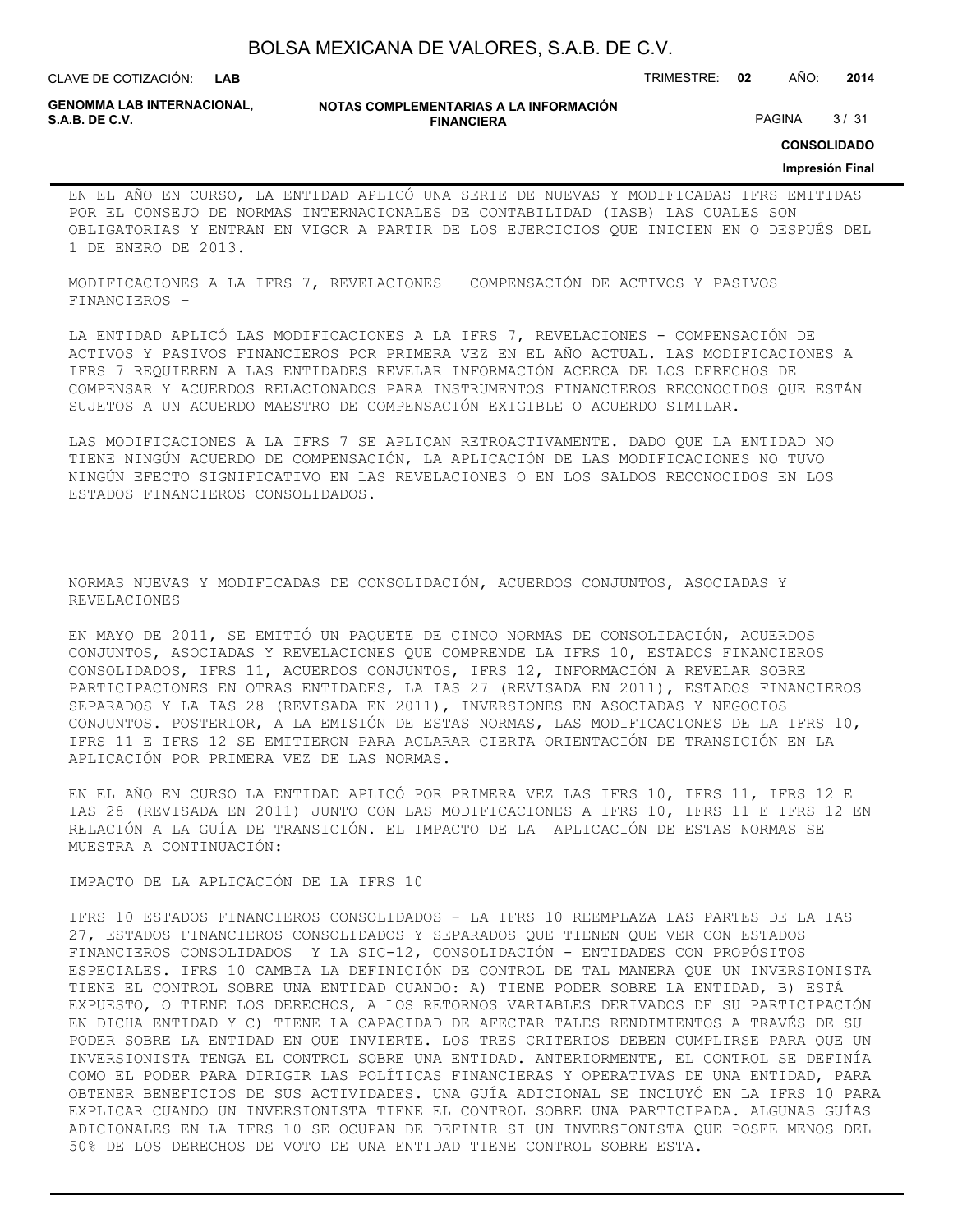**LAB**

CLAVE DE COTIZACIÓN: TRIMESTRE: **02** AÑO: **2014**

**GENOMMA LAB INTERNACIONAL,**

#### **NOTAS COMPLEMENTARIAS A LA INFORMACIÓN FINANCIERA S.A.B. DE C.V.** PAGINA 3 / 31

**CONSOLIDADO**

### **Impresión Final**

EN EL AÑO EN CURSO, LA ENTIDAD APLICÓ UNA SERIE DE NUEVAS Y MODIFICADAS IFRS EMITIDAS POR EL CONSEJO DE NORMAS INTERNACIONALES DE CONTABILIDAD (IASB) LAS CUALES SON OBLIGATORIAS Y ENTRAN EN VIGOR A PARTIR DE LOS EJERCICIOS QUE INICIEN EN O DESPUÉS DEL 1 DE ENERO DE 2013.

MODIFICACIONES A LA IFRS 7, REVELACIONES – COMPENSACIÓN DE ACTIVOS Y PASIVOS FINANCIEROS –

LA ENTIDAD APLICÓ LAS MODIFICACIONES A LA IFRS 7, REVELACIONES - COMPENSACIÓN DE ACTIVOS Y PASIVOS FINANCIEROS POR PRIMERA VEZ EN EL AÑO ACTUAL. LAS MODIFICACIONES A IFRS 7 REQUIEREN A LAS ENTIDADES REVELAR INFORMACIÓN ACERCA DE LOS DERECHOS DE COMPENSAR Y ACUERDOS RELACIONADOS PARA INSTRUMENTOS FINANCIEROS RECONOCIDOS QUE ESTÁN SUJETOS A UN ACUERDO MAESTRO DE COMPENSACIÓN EXIGIBLE O ACUERDO SIMILAR.

LAS MODIFICACIONES A LA IFRS 7 SE APLICAN RETROACTIVAMENTE. DADO QUE LA ENTIDAD NO TIENE NINGÚN ACUERDO DE COMPENSACIÓN, LA APLICACIÓN DE LAS MODIFICACIONES NO TUVO NINGÚN EFECTO SIGNIFICATIVO EN LAS REVELACIONES O EN LOS SALDOS RECONOCIDOS EN LOS ESTADOS FINANCIEROS CONSOLIDADOS.

NORMAS NUEVAS Y MODIFICADAS DE CONSOLIDACIÓN, ACUERDOS CONJUNTOS, ASOCIADAS Y REVELACIONES

EN MAYO DE 2011, SE EMITIÓ UN PAQUETE DE CINCO NORMAS DE CONSOLIDACIÓN, ACUERDOS CONJUNTOS, ASOCIADAS Y REVELACIONES QUE COMPRENDE LA IFRS 10, ESTADOS FINANCIEROS CONSOLIDADOS, IFRS 11, ACUERDOS CONJUNTOS, IFRS 12, INFORMACIÓN A REVELAR SOBRE PARTICIPACIONES EN OTRAS ENTIDADES, LA IAS 27 (REVISADA EN 2011), ESTADOS FINANCIEROS SEPARADOS Y LA IAS 28 (REVISADA EN 2011), INVERSIONES EN ASOCIADAS Y NEGOCIOS CONJUNTOS. POSTERIOR, A LA EMISIÓN DE ESTAS NORMAS, LAS MODIFICACIONES DE LA IFRS 10, IFRS 11 E IFRS 12 SE EMITIERON PARA ACLARAR CIERTA ORIENTACIÓN DE TRANSICIÓN EN LA APLICACIÓN POR PRIMERA VEZ DE LAS NORMAS.

EN EL AÑO EN CURSO LA ENTIDAD APLICÓ POR PRIMERA VEZ LAS IFRS 10, IFRS 11, IFRS 12 E IAS 28 (REVISADA EN 2011) JUNTO CON LAS MODIFICACIONES A IFRS 10, IFRS 11 E IFRS 12 EN RELACIÓN A LA GUÍA DE TRANSICIÓN. EL IMPACTO DE LA APLICACIÓN DE ESTAS NORMAS SE MUESTRA A CONTINUACIÓN:

IMPACTO DE LA APLICACIÓN DE LA IFRS 10

IFRS 10 ESTADOS FINANCIEROS CONSOLIDADOS - LA IFRS 10 REEMPLAZA LAS PARTES DE LA IAS 27, ESTADOS FINANCIEROS CONSOLIDADOS Y SEPARADOS QUE TIENEN QUE VER CON ESTADOS FINANCIEROS CONSOLIDADOS Y LA SIC-12, CONSOLIDACIÓN - ENTIDADES CON PROPÓSITOS ESPECIALES. IFRS 10 CAMBIA LA DEFINICIÓN DE CONTROL DE TAL MANERA QUE UN INVERSIONISTA TIENE EL CONTROL SOBRE UNA ENTIDAD CUANDO: A) TIENE PODER SOBRE LA ENTIDAD, B) ESTÁ EXPUESTO, O TIENE LOS DERECHOS, A LOS RETORNOS VARIABLES DERIVADOS DE SU PARTICIPACIÓN EN DICHA ENTIDAD Y C) TIENE LA CAPACIDAD DE AFECTAR TALES RENDIMIENTOS A TRAVÉS DE SU PODER SOBRE LA ENTIDAD EN QUE INVIERTE. LOS TRES CRITERIOS DEBEN CUMPLIRSE PARA QUE UN INVERSIONISTA TENGA EL CONTROL SOBRE UNA ENTIDAD. ANTERIORMENTE, EL CONTROL SE DEFINÍA COMO EL PODER PARA DIRIGIR LAS POLÍTICAS FINANCIERAS Y OPERATIVAS DE UNA ENTIDAD, PARA OBTENER BENEFICIOS DE SUS ACTIVIDADES. UNA GUÍA ADICIONAL SE INCLUYÓ EN LA IFRS 10 PARA EXPLICAR CUANDO UN INVERSIONISTA TIENE EL CONTROL SOBRE UNA PARTICIPADA. ALGUNAS GUÍAS ADICIONALES EN LA IFRS 10 SE OCUPAN DE DEFINIR SI UN INVERSIONISTA QUE POSEE MENOS DEL 50% DE LOS DERECHOS DE VOTO DE UNA ENTIDAD TIENE CONTROL SOBRE ESTA.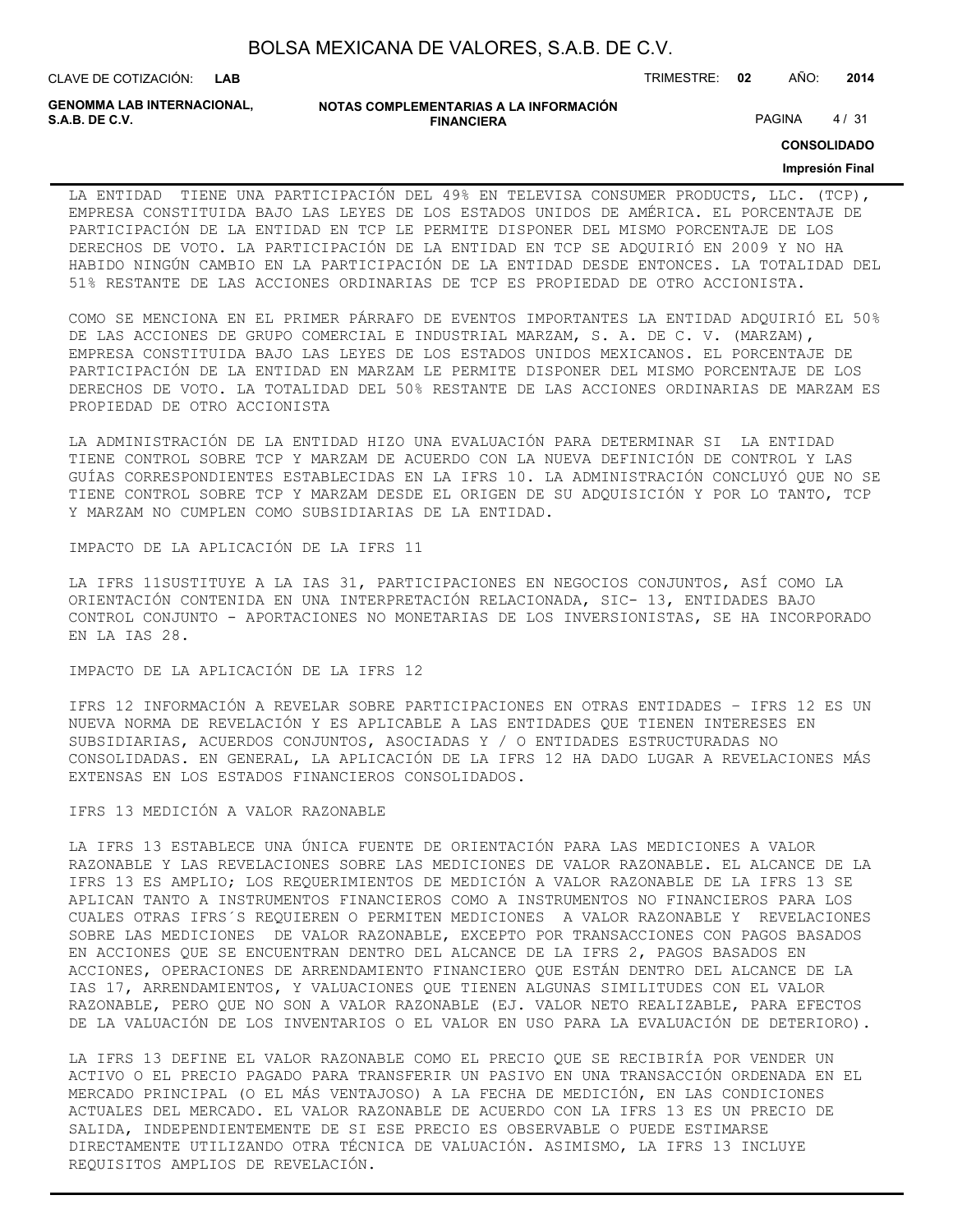| BOLSA MEXICANA DE VALORES, S.A.B. DE C.V. |  |  |
|-------------------------------------------|--|--|
|-------------------------------------------|--|--|

CLAVE DE COTIZACIÓN: TRIMESTRE: **02** AÑO: **2014**

**GENOMMA LAB INTERNACIONAL,**

#### **NOTAS COMPLEMENTARIAS A LA INFORMACIÓN FINANCIERA S.A.B. DE C.V.** PAGINA 4 / 31

**CONSOLIDADO**

## **Impresión Final**

LA ENTIDAD TIENE UNA PARTICIPACIÓN DEL 49% EN TELEVISA CONSUMER PRODUCTS, LLC. (TCP), EMPRESA CONSTITUIDA BAJO LAS LEYES DE LOS ESTADOS UNIDOS DE AMÉRICA. EL PORCENTAJE DE PARTICIPACIÓN DE LA ENTIDAD EN TCP LE PERMITE DISPONER DEL MISMO PORCENTAJE DE LOS DERECHOS DE VOTO. LA PARTICIPACIÓN DE LA ENTIDAD EN TCP SE ADQUIRIÓ EN 2009 Y NO HA HABIDO NINGÚN CAMBIO EN LA PARTICIPACIÓN DE LA ENTIDAD DESDE ENTONCES. LA TOTALIDAD DEL 51% RESTANTE DE LAS ACCIONES ORDINARIAS DE TCP ES PROPIEDAD DE OTRO ACCIONISTA.

COMO SE MENCIONA EN EL PRIMER PÁRRAFO DE EVENTOS IMPORTANTES LA ENTIDAD ADQUIRIÓ EL 50% DE LAS ACCIONES DE GRUPO COMERCIAL E INDUSTRIAL MARZAM, S. A. DE C. V. (MARZAM), EMPRESA CONSTITUIDA BAJO LAS LEYES DE LOS ESTADOS UNIDOS MEXICANOS. EL PORCENTAJE DE PARTICIPACIÓN DE LA ENTIDAD EN MARZAM LE PERMITE DISPONER DEL MISMO PORCENTAJE DE LOS DERECHOS DE VOTO. LA TOTALIDAD DEL 50% RESTANTE DE LAS ACCIONES ORDINARIAS DE MARZAM ES PROPIEDAD DE OTRO ACCIONISTA

LA ADMINISTRACIÓN DE LA ENTIDAD HIZO UNA EVALUACIÓN PARA DETERMINAR SI LA ENTIDAD TIENE CONTROL SOBRE TCP Y MARZAM DE ACUERDO CON LA NUEVA DEFINICIÓN DE CONTROL Y LAS GUÍAS CORRESPONDIENTES ESTABLECIDAS EN LA IFRS 10. LA ADMINISTRACIÓN CONCLUYÓ QUE NO SE TIENE CONTROL SOBRE TCP Y MARZAM DESDE EL ORIGEN DE SU ADQUISICIÓN Y POR LO TANTO, TCP Y MARZAM NO CUMPLEN COMO SUBSIDIARIAS DE LA ENTIDAD.

IMPACTO DE LA APLICACIÓN DE LA IFRS 11

LA IFRS 11SUSTITUYE A LA IAS 31, PARTICIPACIONES EN NEGOCIOS CONJUNTOS, ASÍ COMO LA ORIENTACIÓN CONTENIDA EN UNA INTERPRETACIÓN RELACIONADA, SIC- 13, ENTIDADES BAJO CONTROL CONJUNTO - APORTACIONES NO MONETARIAS DE LOS INVERSIONISTAS, SE HA INCORPORADO EN LA IAS 28.

IMPACTO DE LA APLICACIÓN DE LA IFRS 12

IFRS 12 INFORMACIÓN A REVELAR SOBRE PARTICIPACIONES EN OTRAS ENTIDADES – IFRS 12 ES UN NUEVA NORMA DE REVELACIÓN Y ES APLICABLE A LAS ENTIDADES QUE TIENEN INTERESES EN SUBSIDIARIAS, ACUERDOS CONJUNTOS, ASOCIADAS Y / O ENTIDADES ESTRUCTURADAS NO CONSOLIDADAS. EN GENERAL, LA APLICACIÓN DE LA IFRS 12 HA DADO LUGAR A REVELACIONES MÁS EXTENSAS EN LOS ESTADOS FINANCIEROS CONSOLIDADOS.

IFRS 13 MEDICIÓN A VALOR RAZONABLE

LA IFRS 13 ESTABLECE UNA ÚNICA FUENTE DE ORIENTACIÓN PARA LAS MEDICIONES A VALOR RAZONABLE Y LAS REVELACIONES SOBRE LAS MEDICIONES DE VALOR RAZONABLE. EL ALCANCE DE LA IFRS 13 ES AMPLIO; LOS REQUERIMIENTOS DE MEDICIÓN A VALOR RAZONABLE DE LA IFRS 13 SE APLICAN TANTO A INSTRUMENTOS FINANCIEROS COMO A INSTRUMENTOS NO FINANCIEROS PARA LOS CUALES OTRAS IFRS´S REQUIEREN O PERMITEN MEDICIONES A VALOR RAZONABLE Y REVELACIONES SOBRE LAS MEDICIONES DE VALOR RAZONABLE, EXCEPTO POR TRANSACCIONES CON PAGOS BASADOS EN ACCIONES QUE SE ENCUENTRAN DENTRO DEL ALCANCE DE LA IFRS 2, PAGOS BASADOS EN ACCIONES, OPERACIONES DE ARRENDAMIENTO FINANCIERO QUE ESTÁN DENTRO DEL ALCANCE DE LA IAS 17, ARRENDAMIENTOS, Y VALUACIONES QUE TIENEN ALGUNAS SIMILITUDES CON EL VALOR RAZONABLE, PERO QUE NO SON A VALOR RAZONABLE (EJ. VALOR NETO REALIZABLE, PARA EFECTOS DE LA VALUACIÓN DE LOS INVENTARIOS O EL VALOR EN USO PARA LA EVALUACIÓN DE DETERIORO).

LA IFRS 13 DEFINE EL VALOR RAZONABLE COMO EL PRECIO QUE SE RECIBIRÍA POR VENDER UN ACTIVO O EL PRECIO PAGADO PARA TRANSFERIR UN PASIVO EN UNA TRANSACCIÓN ORDENADA EN EL MERCADO PRINCIPAL (O EL MÁS VENTAJOSO) A LA FECHA DE MEDICIÓN, EN LAS CONDICIONES ACTUALES DEL MERCADO. EL VALOR RAZONABLE DE ACUERDO CON LA IFRS 13 ES UN PRECIO DE SALIDA, INDEPENDIENTEMENTE DE SI ESE PRECIO ES OBSERVABLE O PUEDE ESTIMARSE DIRECTAMENTE UTILIZANDO OTRA TÉCNICA DE VALUACIÓN. ASIMISMO, LA IFRS 13 INCLUYE REQUISITOS AMPLIOS DE REVELACIÓN.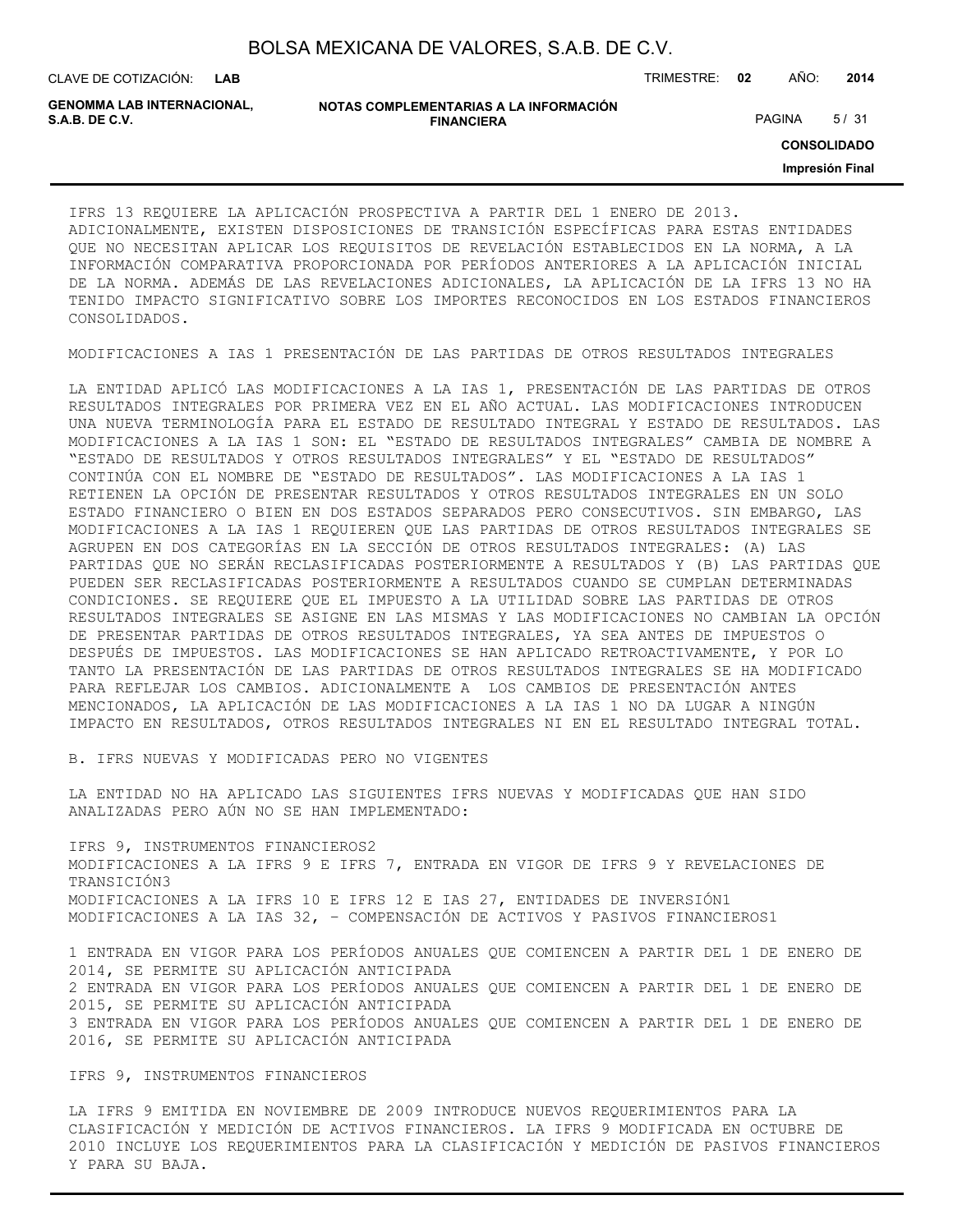CLAVE DE COTIZACIÓN: TRIMESTRE: **02** AÑO: **2014**

| <b>GENOMMA LAB INTERNACIONAL.</b> | NOTAS COMPLEMENTARIAS A LA INFORMACIÓN |               |      |
|-----------------------------------|----------------------------------------|---------------|------|
| S.A.B. DE C.V.                    | <b>FINANCIERA</b>                      | <b>PAGINA</b> | 5/31 |

**CONSOLIDADO**

**Impresión Final**

IFRS 13 REQUIERE LA APLICACIÓN PROSPECTIVA A PARTIR DEL 1 ENERO DE 2013. ADICIONALMENTE, EXISTEN DISPOSICIONES DE TRANSICIÓN ESPECÍFICAS PARA ESTAS ENTIDADES QUE NO NECESITAN APLICAR LOS REQUISITOS DE REVELACIÓN ESTABLECIDOS EN LA NORMA, A LA INFORMACIÓN COMPARATIVA PROPORCIONADA POR PERÍODOS ANTERIORES A LA APLICACIÓN INICIAL DE LA NORMA. ADEMÁS DE LAS REVELACIONES ADICIONALES, LA APLICACIÓN DE LA IFRS 13 NO HA TENIDO IMPACTO SIGNIFICATIVO SOBRE LOS IMPORTES RECONOCIDOS EN LOS ESTADOS FINANCIEROS CONSOLIDADOS.

MODIFICACIONES A IAS 1 PRESENTACIÓN DE LAS PARTIDAS DE OTROS RESULTADOS INTEGRALES

LA ENTIDAD APLICÓ LAS MODIFICACIONES A LA IAS 1, PRESENTACIÓN DE LAS PARTIDAS DE OTROS RESULTADOS INTEGRALES POR PRIMERA VEZ EN EL AÑO ACTUAL. LAS MODIFICACIONES INTRODUCEN UNA NUEVA TERMINOLOGÍA PARA EL ESTADO DE RESULTADO INTEGRAL Y ESTADO DE RESULTADOS. LAS MODIFICACIONES A LA IAS 1 SON: EL "ESTADO DE RESULTADOS INTEGRALES" CAMBIA DE NOMBRE A "ESTADO DE RESULTADOS Y OTROS RESULTADOS INTEGRALES" Y EL "ESTADO DE RESULTADOS" CONTINÚA CON EL NOMBRE DE "ESTADO DE RESULTADOS". LAS MODIFICACIONES A LA IAS 1 RETIENEN LA OPCIÓN DE PRESENTAR RESULTADOS Y OTROS RESULTADOS INTEGRALES EN UN SOLO ESTADO FINANCIERO O BIEN EN DOS ESTADOS SEPARADOS PERO CONSECUTIVOS. SIN EMBARGO, LAS MODIFICACIONES A LA IAS 1 REQUIEREN QUE LAS PARTIDAS DE OTROS RESULTADOS INTEGRALES SE AGRUPEN EN DOS CATEGORÍAS EN LA SECCIÓN DE OTROS RESULTADOS INTEGRALES: (A) LAS PARTIDAS QUE NO SERÁN RECLASIFICADAS POSTERIORMENTE A RESULTADOS Y (B) LAS PARTIDAS QUE PUEDEN SER RECLASIFICADAS POSTERIORMENTE A RESULTADOS CUANDO SE CUMPLAN DETERMINADAS CONDICIONES. SE REQUIERE QUE EL IMPUESTO A LA UTILIDAD SOBRE LAS PARTIDAS DE OTROS RESULTADOS INTEGRALES SE ASIGNE EN LAS MISMAS Y LAS MODIFICACIONES NO CAMBIAN LA OPCIÓN DE PRESENTAR PARTIDAS DE OTROS RESULTADOS INTEGRALES, YA SEA ANTES DE IMPUESTOS O DESPUÉS DE IMPUESTOS. LAS MODIFICACIONES SE HAN APLICADO RETROACTIVAMENTE, Y POR LO TANTO LA PRESENTACIÓN DE LAS PARTIDAS DE OTROS RESULTADOS INTEGRALES SE HA MODIFICADO PARA REFLEJAR LOS CAMBIOS. ADICIONALMENTE A LOS CAMBIOS DE PRESENTACIÓN ANTES MENCIONADOS, LA APLICACIÓN DE LAS MODIFICACIONES A LA IAS 1 NO DA LUGAR A NINGÚN IMPACTO EN RESULTADOS, OTROS RESULTADOS INTEGRALES NI EN EL RESULTADO INTEGRAL TOTAL.

B. IFRS NUEVAS Y MODIFICADAS PERO NO VIGENTES

LA ENTIDAD NO HA APLICADO LAS SIGUIENTES IFRS NUEVAS Y MODIFICADAS QUE HAN SIDO ANALIZADAS PERO AÚN NO SE HAN IMPLEMENTADO:

IFRS 9, INSTRUMENTOS FINANCIEROS2 MODIFICACIONES A LA IFRS 9 E IFRS 7, ENTRADA EN VIGOR DE IFRS 9 Y REVELACIONES DE TRANSICIÓN3 MODIFICACIONES A LA IFRS 10 E IFRS 12 E IAS 27, ENTIDADES DE INVERSIÓN1 MODIFICACIONES A LA IAS 32, – COMPENSACIÓN DE ACTIVOS Y PASIVOS FINANCIEROS1

1 ENTRADA EN VIGOR PARA LOS PERÍODOS ANUALES QUE COMIENCEN A PARTIR DEL 1 DE ENERO DE 2014, SE PERMITE SU APLICACIÓN ANTICIPADA 2 ENTRADA EN VIGOR PARA LOS PERÍODOS ANUALES QUE COMIENCEN A PARTIR DEL 1 DE ENERO DE 2015, SE PERMITE SU APLICACIÓN ANTICIPADA 3 ENTRADA EN VIGOR PARA LOS PERÍODOS ANUALES QUE COMIENCEN A PARTIR DEL 1 DE ENERO DE 2016, SE PERMITE SU APLICACIÓN ANTICIPADA

IFRS 9, INSTRUMENTOS FINANCIEROS

LA IFRS 9 EMITIDA EN NOVIEMBRE DE 2009 INTRODUCE NUEVOS REQUERIMIENTOS PARA LA CLASIFICACIÓN Y MEDICIÓN DE ACTIVOS FINANCIEROS. LA IFRS 9 MODIFICADA EN OCTUBRE DE 2010 INCLUYE LOS REQUERIMIENTOS PARA LA CLASIFICACIÓN Y MEDICIÓN DE PASIVOS FINANCIEROS Y PARA SU BAJA.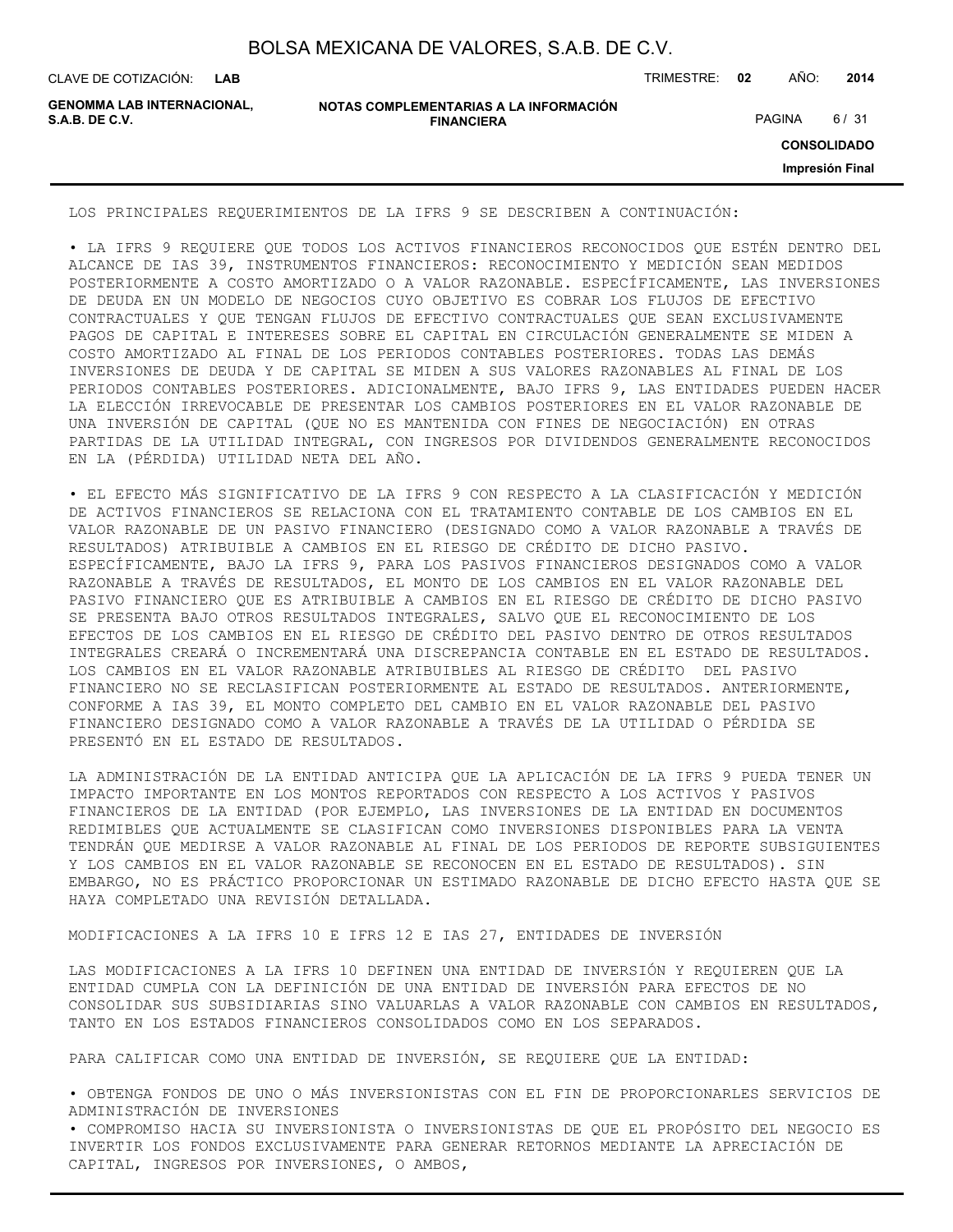| BOLSA MEXICANA DE VALORES, S.A.B. DE C.V. |  |  |  |
|-------------------------------------------|--|--|--|
|-------------------------------------------|--|--|--|

CLAVE DE COTIZACIÓN: TRIMESTRE: **02** AÑO: **2014**

**GENOMMA LAB INTERNACIONAL,**

```
NOTAS COMPLEMENTARIAS A LA INFORMACIÓN
                        FINANCIERA
S.A.B. DE C.V. PAGINA 6 / 31
```
**CONSOLIDADO**

**Impresión Final**

LOS PRINCIPALES REQUERIMIENTOS DE LA IFRS 9 SE DESCRIBEN A CONTINUACIÓN:

• LA IFRS 9 REQUIERE QUE TODOS LOS ACTIVOS FINANCIEROS RECONOCIDOS QUE ESTÉN DENTRO DEL ALCANCE DE IAS 39, INSTRUMENTOS FINANCIEROS: RECONOCIMIENTO Y MEDICIÓN SEAN MEDIDOS POSTERIORMENTE A COSTO AMORTIZADO O A VALOR RAZONABLE. ESPECÍFICAMENTE, LAS INVERSIONES DE DEUDA EN UN MODELO DE NEGOCIOS CUYO OBJETIVO ES COBRAR LOS FLUJOS DE EFECTIVO CONTRACTUALES Y QUE TENGAN FLUJOS DE EFECTIVO CONTRACTUALES QUE SEAN EXCLUSIVAMENTE PAGOS DE CAPITAL E INTERESES SOBRE EL CAPITAL EN CIRCULACIÓN GENERALMENTE SE MIDEN A COSTO AMORTIZADO AL FINAL DE LOS PERIODOS CONTABLES POSTERIORES. TODAS LAS DEMÁS INVERSIONES DE DEUDA Y DE CAPITAL SE MIDEN A SUS VALORES RAZONABLES AL FINAL DE LOS PERIODOS CONTABLES POSTERIORES. ADICIONALMENTE, BAJO IFRS 9, LAS ENTIDADES PUEDEN HACER LA ELECCIÓN IRREVOCABLE DE PRESENTAR LOS CAMBIOS POSTERIORES EN EL VALOR RAZONABLE DE UNA INVERSIÓN DE CAPITAL (QUE NO ES MANTENIDA CON FINES DE NEGOCIACIÓN) EN OTRAS PARTIDAS DE LA UTILIDAD INTEGRAL, CON INGRESOS POR DIVIDENDOS GENERALMENTE RECONOCIDOS EN LA (PÉRDIDA) UTILIDAD NETA DEL AÑO.

• EL EFECTO MÁS SIGNIFICATIVO DE LA IFRS 9 CON RESPECTO A LA CLASIFICACIÓN Y MEDICIÓN DE ACTIVOS FINANCIEROS SE RELACIONA CON EL TRATAMIENTO CONTABLE DE LOS CAMBIOS EN EL VALOR RAZONABLE DE UN PASIVO FINANCIERO (DESIGNADO COMO A VALOR RAZONABLE A TRAVÉS DE RESULTADOS) ATRIBUIBLE A CAMBIOS EN EL RIESGO DE CRÉDITO DE DICHO PASIVO. ESPECÍFICAMENTE, BAJO LA IFRS 9, PARA LOS PASIVOS FINANCIEROS DESIGNADOS COMO A VALOR RAZONABLE A TRAVÉS DE RESULTADOS, EL MONTO DE LOS CAMBIOS EN EL VALOR RAZONABLE DEL PASIVO FINANCIERO QUE ES ATRIBUIBLE A CAMBIOS EN EL RIESGO DE CRÉDITO DE DICHO PASIVO SE PRESENTA BAJO OTROS RESULTADOS INTEGRALES, SALVO QUE EL RECONOCIMIENTO DE LOS EFECTOS DE LOS CAMBIOS EN EL RIESGO DE CRÉDITO DEL PASIVO DENTRO DE OTROS RESULTADOS INTEGRALES CREARÁ O INCREMENTARÁ UNA DISCREPANCIA CONTABLE EN EL ESTADO DE RESULTADOS. LOS CAMBIOS EN EL VALOR RAZONABLE ATRIBUIBLES AL RIESGO DE CRÉDITO DEL PASIVO FINANCIERO NO SE RECLASIFICAN POSTERIORMENTE AL ESTADO DE RESULTADOS. ANTERIORMENTE, CONFORME A IAS 39, EL MONTO COMPLETO DEL CAMBIO EN EL VALOR RAZONABLE DEL PASIVO FINANCIERO DESIGNADO COMO A VALOR RAZONABLE A TRAVÉS DE LA UTILIDAD O PÉRDIDA SE PRESENTÓ EN EL ESTADO DE RESULTADOS.

LA ADMINISTRACIÓN DE LA ENTIDAD ANTICIPA QUE LA APLICACIÓN DE LA IFRS 9 PUEDA TENER UN IMPACTO IMPORTANTE EN LOS MONTOS REPORTADOS CON RESPECTO A LOS ACTIVOS Y PASIVOS FINANCIEROS DE LA ENTIDAD (POR EJEMPLO, LAS INVERSIONES DE LA ENTIDAD EN DOCUMENTOS REDIMIBLES QUE ACTUALMENTE SE CLASIFICAN COMO INVERSIONES DISPONIBLES PARA LA VENTA TENDRÁN QUE MEDIRSE A VALOR RAZONABLE AL FINAL DE LOS PERIODOS DE REPORTE SUBSIGUIENTES Y LOS CAMBIOS EN EL VALOR RAZONABLE SE RECONOCEN EN EL ESTADO DE RESULTADOS). SIN EMBARGO, NO ES PRÁCTICO PROPORCIONAR UN ESTIMADO RAZONABLE DE DICHO EFECTO HASTA QUE SE HAYA COMPLETADO UNA REVISIÓN DETALLADA.

MODIFICACIONES A LA IFRS 10 E IFRS 12 E IAS 27, ENTIDADES DE INVERSIÓN

LAS MODIFICACIONES A LA IFRS 10 DEFINEN UNA ENTIDAD DE INVERSIÓN Y REQUIEREN QUE LA ENTIDAD CUMPLA CON LA DEFINICIÓN DE UNA ENTIDAD DE INVERSIÓN PARA EFECTOS DE NO CONSOLIDAR SUS SUBSIDIARIAS SINO VALUARLAS A VALOR RAZONABLE CON CAMBIOS EN RESULTADOS, TANTO EN LOS ESTADOS FINANCIEROS CONSOLIDADOS COMO EN LOS SEPARADOS.

PARA CALIFICAR COMO UNA ENTIDAD DE INVERSIÓN, SE REQUIERE QUE LA ENTIDAD:

• OBTENGA FONDOS DE UNO O MÁS INVERSIONISTAS CON EL FIN DE PROPORCIONARLES SERVICIOS DE ADMINISTRACIÓN DE INVERSIONES

• COMPROMISO HACIA SU INVERSIONISTA O INVERSIONISTAS DE QUE EL PROPÓSITO DEL NEGOCIO ES INVERTIR LOS FONDOS EXCLUSIVAMENTE PARA GENERAR RETORNOS MEDIANTE LA APRECIACIÓN DE CAPITAL, INGRESOS POR INVERSIONES, O AMBOS,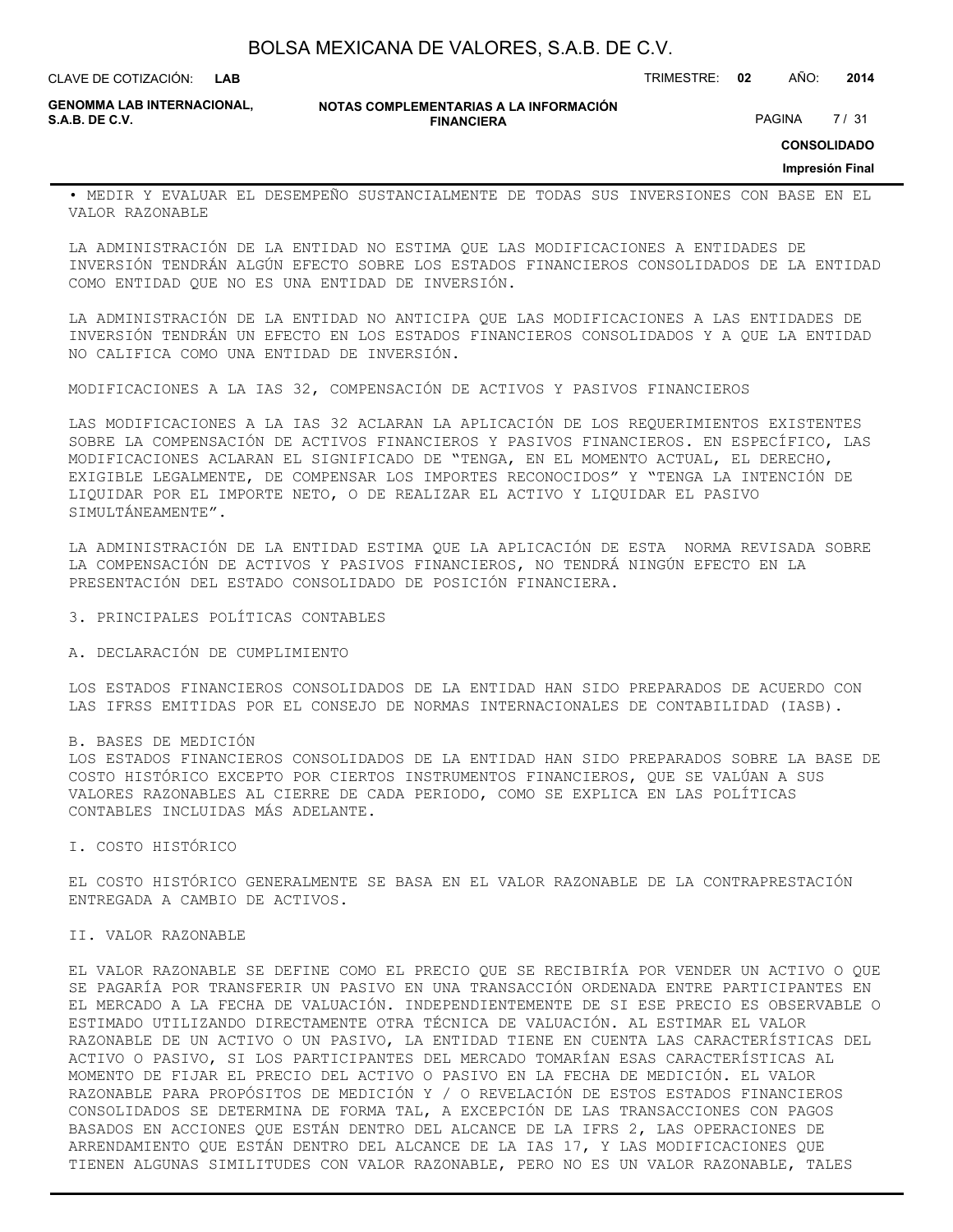**LAB**

CLAVE DE COTIZACIÓN: TRIMESTRE: **02** AÑO: **2014**

**GENOMMA LAB INTERNACIONAL,**

**NOTAS COMPLEMENTARIAS A LA INFORMACIÓN FINANCIERA**

PAGINA 7/31

**CONSOLIDADO**

**Impresión Final**

• MEDIR Y EVALUAR EL DESEMPEÑO SUSTANCIALMENTE DE TODAS SUS INVERSIONES CON BASE EN EL VALOR RAZONABLE

LA ADMINISTRACIÓN DE LA ENTIDAD NO ESTIMA QUE LAS MODIFICACIONES A ENTIDADES DE INVERSIÓN TENDRÁN ALGÚN EFECTO SOBRE LOS ESTADOS FINANCIEROS CONSOLIDADOS DE LA ENTIDAD COMO ENTIDAD QUE NO ES UNA ENTIDAD DE INVERSIÓN.

LA ADMINISTRACIÓN DE LA ENTIDAD NO ANTICIPA QUE LAS MODIFICACIONES A LAS ENTIDADES DE INVERSIÓN TENDRÁN UN EFECTO EN LOS ESTADOS FINANCIEROS CONSOLIDADOS Y A QUE LA ENTIDAD NO CALIFICA COMO UNA ENTIDAD DE INVERSIÓN.

MODIFICACIONES A LA IAS 32, COMPENSACIÓN DE ACTIVOS Y PASIVOS FINANCIEROS

LAS MODIFICACIONES A LA IAS 32 ACLARAN LA APLICACIÓN DE LOS REQUERIMIENTOS EXISTENTES SOBRE LA COMPENSACIÓN DE ACTIVOS FINANCIEROS Y PASIVOS FINANCIEROS. EN ESPECÍFICO, LAS MODIFICACIONES ACLARAN EL SIGNIFICADO DE "TENGA, EN EL MOMENTO ACTUAL, EL DERECHO, EXIGIBLE LEGALMENTE, DE COMPENSAR LOS IMPORTES RECONOCIDOS" Y "TENGA LA INTENCIÓN DE LIQUIDAR POR EL IMPORTE NETO, O DE REALIZAR EL ACTIVO Y LIQUIDAR EL PASIVO SIMULTÁNEAMENTE".

LA ADMINISTRACIÓN DE LA ENTIDAD ESTIMA QUE LA APLICACIÓN DE ESTA NORMA REVISADA SOBRE LA COMPENSACIÓN DE ACTIVOS Y PASIVOS FINANCIEROS, NO TENDRÁ NINGÚN EFECTO EN LA PRESENTACIÓN DEL ESTADO CONSOLIDADO DE POSICIÓN FINANCIERA.

3. PRINCIPALES POLÍTICAS CONTABLES

A. DECLARACIÓN DE CUMPLIMIENTO

LOS ESTADOS FINANCIEROS CONSOLIDADOS DE LA ENTIDAD HAN SIDO PREPARADOS DE ACUERDO CON LAS IFRSS EMITIDAS POR EL CONSEJO DE NORMAS INTERNACIONALES DE CONTABILIDAD (IASB).

B. BASES DE MEDICIÓN

LOS ESTADOS FINANCIEROS CONSOLIDADOS DE LA ENTIDAD HAN SIDO PREPARADOS SOBRE LA BASE DE COSTO HISTÓRICO EXCEPTO POR CIERTOS INSTRUMENTOS FINANCIEROS, QUE SE VALÚAN A SUS VALORES RAZONABLES AL CIERRE DE CADA PERIODO, COMO SE EXPLICA EN LAS POLÍTICAS CONTABLES INCLUIDAS MÁS ADELANTE.

I. COSTO HISTÓRICO

EL COSTO HISTÓRICO GENERALMENTE SE BASA EN EL VALOR RAZONABLE DE LA CONTRAPRESTACIÓN ENTREGADA A CAMBIO DE ACTIVOS.

II. VALOR RAZONABLE

EL VALOR RAZONABLE SE DEFINE COMO EL PRECIO QUE SE RECIBIRÍA POR VENDER UN ACTIVO O QUE SE PAGARÍA POR TRANSFERIR UN PASIVO EN UNA TRANSACCIÓN ORDENADA ENTRE PARTICIPANTES EN EL MERCADO A LA FECHA DE VALUACIÓN. INDEPENDIENTEMENTE DE SI ESE PRECIO ES OBSERVABLE O ESTIMADO UTILIZANDO DIRECTAMENTE OTRA TÉCNICA DE VALUACIÓN. AL ESTIMAR EL VALOR RAZONABLE DE UN ACTIVO O UN PASIVO, LA ENTIDAD TIENE EN CUENTA LAS CARACTERÍSTICAS DEL ACTIVO O PASIVO, SI LOS PARTICIPANTES DEL MERCADO TOMARÍAN ESAS CARACTERÍSTICAS AL MOMENTO DE FIJAR EL PRECIO DEL ACTIVO O PASIVO EN LA FECHA DE MEDICIÓN. EL VALOR RAZONABLE PARA PROPÓSITOS DE MEDICIÓN Y / O REVELACIÓN DE ESTOS ESTADOS FINANCIEROS CONSOLIDADOS SE DETERMINA DE FORMA TAL, A EXCEPCIÓN DE LAS TRANSACCIONES CON PAGOS BASADOS EN ACCIONES QUE ESTÁN DENTRO DEL ALCANCE DE LA IFRS 2, LAS OPERACIONES DE ARRENDAMIENTO QUE ESTÁN DENTRO DEL ALCANCE DE LA IAS 17, Y LAS MODIFICACIONES QUE TIENEN ALGUNAS SIMILITUDES CON VALOR RAZONABLE, PERO NO ES UN VALOR RAZONABLE, TALES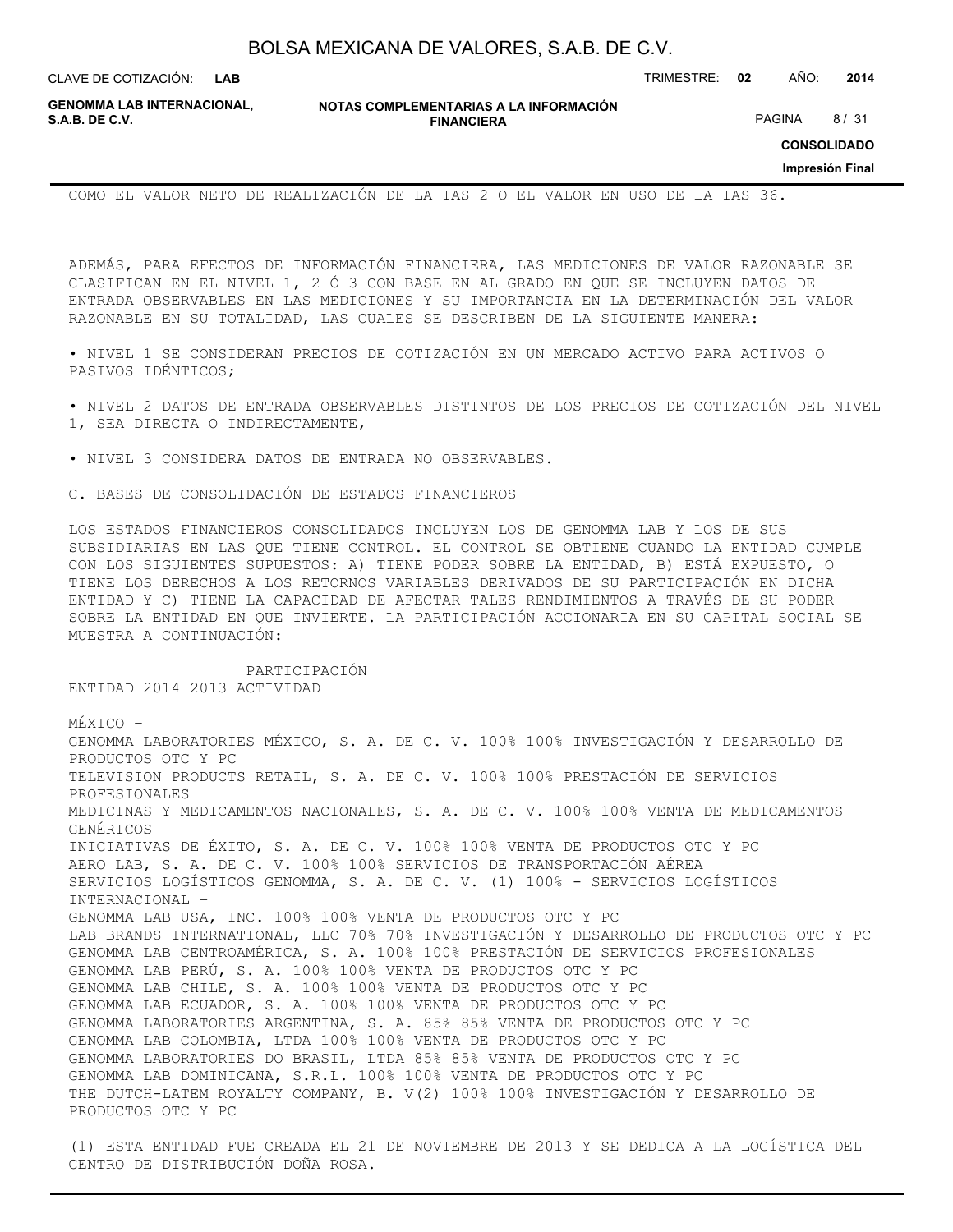| BOLSA MEXICANA DE VALORES, S.A.B. DE C.V. |  |  |
|-------------------------------------------|--|--|
|-------------------------------------------|--|--|

CLAVE DE COTIZACIÓN: TRIMESTRE: **02** AÑO: **2014**

**GENOMMA LAB INTERNACIONAL, S.A.B. DE C.V.** PAGINA 8 / 31

**NOTAS COMPLEMENTARIAS A LA INFORMACIÓN FINANCIERA**

**CONSOLIDADO**

**Impresión Final**

COMO EL VALOR NETO DE REALIZACIÓN DE LA IAS 2 O EL VALOR EN USO DE LA IAS 36.

ADEMÁS, PARA EFECTOS DE INFORMACIÓN FINANCIERA, LAS MEDICIONES DE VALOR RAZONABLE SE CLASIFICAN EN EL NIVEL 1, 2 Ó 3 CON BASE EN AL GRADO EN QUE SE INCLUYEN DATOS DE ENTRADA OBSERVABLES EN LAS MEDICIONES Y SU IMPORTANCIA EN LA DETERMINACIÓN DEL VALOR RAZONABLE EN SU TOTALIDAD, LAS CUALES SE DESCRIBEN DE LA SIGUIENTE MANERA:

• NIVEL 1 SE CONSIDERAN PRECIOS DE COTIZACIÓN EN UN MERCADO ACTIVO PARA ACTIVOS O PASIVOS IDÉNTICOS;

• NIVEL 2 DATOS DE ENTRADA OBSERVABLES DISTINTOS DE LOS PRECIOS DE COTIZACIÓN DEL NIVEL 1, SEA DIRECTA O INDIRECTAMENTE,

• NIVEL 3 CONSIDERA DATOS DE ENTRADA NO OBSERVABLES.

PARTICIPACIÓN

C. BASES DE CONSOLIDACIÓN DE ESTADOS FINANCIEROS

LOS ESTADOS FINANCIEROS CONSOLIDADOS INCLUYEN LOS DE GENOMMA LAB Y LOS DE SUS SUBSIDIARIAS EN LAS QUE TIENE CONTROL. EL CONTROL SE OBTIENE CUANDO LA ENTIDAD CUMPLE CON LOS SIGUIENTES SUPUESTOS: A) TIENE PODER SOBRE LA ENTIDAD, B) ESTÁ EXPUESTO, O TIENE LOS DERECHOS A LOS RETORNOS VARIABLES DERIVADOS DE SU PARTICIPACIÓN EN DICHA ENTIDAD Y C) TIENE LA CAPACIDAD DE AFECTAR TALES RENDIMIENTOS A TRAVÉS DE SU PODER SOBRE LA ENTIDAD EN QUE INVIERTE. LA PARTICIPACIÓN ACCIONARIA EN SU CAPITAL SOCIAL SE MUESTRA A CONTINUACIÓN:

ENTIDAD 2014 2013 ACTIVIDAD MÉXICO – GENOMMA LABORATORIES MÉXICO, S. A. DE C. V. 100% 100% INVESTIGACIÓN Y DESARROLLO DE PRODUCTOS OTC Y PC TELEVISION PRODUCTS RETAIL, S. A. DE C. V. 100% 100% PRESTACIÓN DE SERVICIOS PROFESIONALES MEDICINAS Y MEDICAMENTOS NACIONALES, S. A. DE C. V. 100% 100% VENTA DE MEDICAMENTOS GENÉRICOS INICIATIVAS DE ÉXITO, S. A. DE C. V. 100% 100% VENTA DE PRODUCTOS OTC Y PC AERO LAB, S. A. DE C. V. 100% 100% SERVICIOS DE TRANSPORTACIÓN AÉREA SERVICIOS LOGÍSTICOS GENOMMA, S. A. DE C. V. (1) 100% - SERVICIOS LOGÍSTICOS INTERNACIONAL – GENOMMA LAB USA, INC. 100% 100% VENTA DE PRODUCTOS OTC Y PC LAB BRANDS INTERNATIONAL, LLC 70% 70% INVESTIGACIÓN Y DESARROLLO DE PRODUCTOS OTC Y PC GENOMMA LAB CENTROAMÉRICA, S. A. 100% 100% PRESTACIÓN DE SERVICIOS PROFESIONALES GENOMMA LAB PERÚ, S. A. 100% 100% VENTA DE PRODUCTOS OTC Y PC GENOMMA LAB CHILE, S. A. 100% 100% VENTA DE PRODUCTOS OTC Y PC GENOMMA LAB ECUADOR, S. A. 100% 100% VENTA DE PRODUCTOS OTC Y PC GENOMMA LABORATORIES ARGENTINA, S. A. 85% 85% VENTA DE PRODUCTOS OTC Y PC GENOMMA LAB COLOMBIA, LTDA 100% 100% VENTA DE PRODUCTOS OTC Y PC GENOMMA LABORATORIES DO BRASIL, LTDA 85% 85% VENTA DE PRODUCTOS OTC Y PC GENOMMA LAB DOMINICANA, S.R.L. 100% 100% VENTA DE PRODUCTOS OTC Y PC THE DUTCH-LATEM ROYALTY COMPANY, B. V(2) 100% 100% INVESTIGACIÓN Y DESARROLLO DE PRODUCTOS OTC Y PC

(1) ESTA ENTIDAD FUE CREADA EL 21 DE NOVIEMBRE DE 2013 Y SE DEDICA A LA LOGÍSTICA DEL CENTRO DE DISTRIBUCIÓN DOÑA ROSA.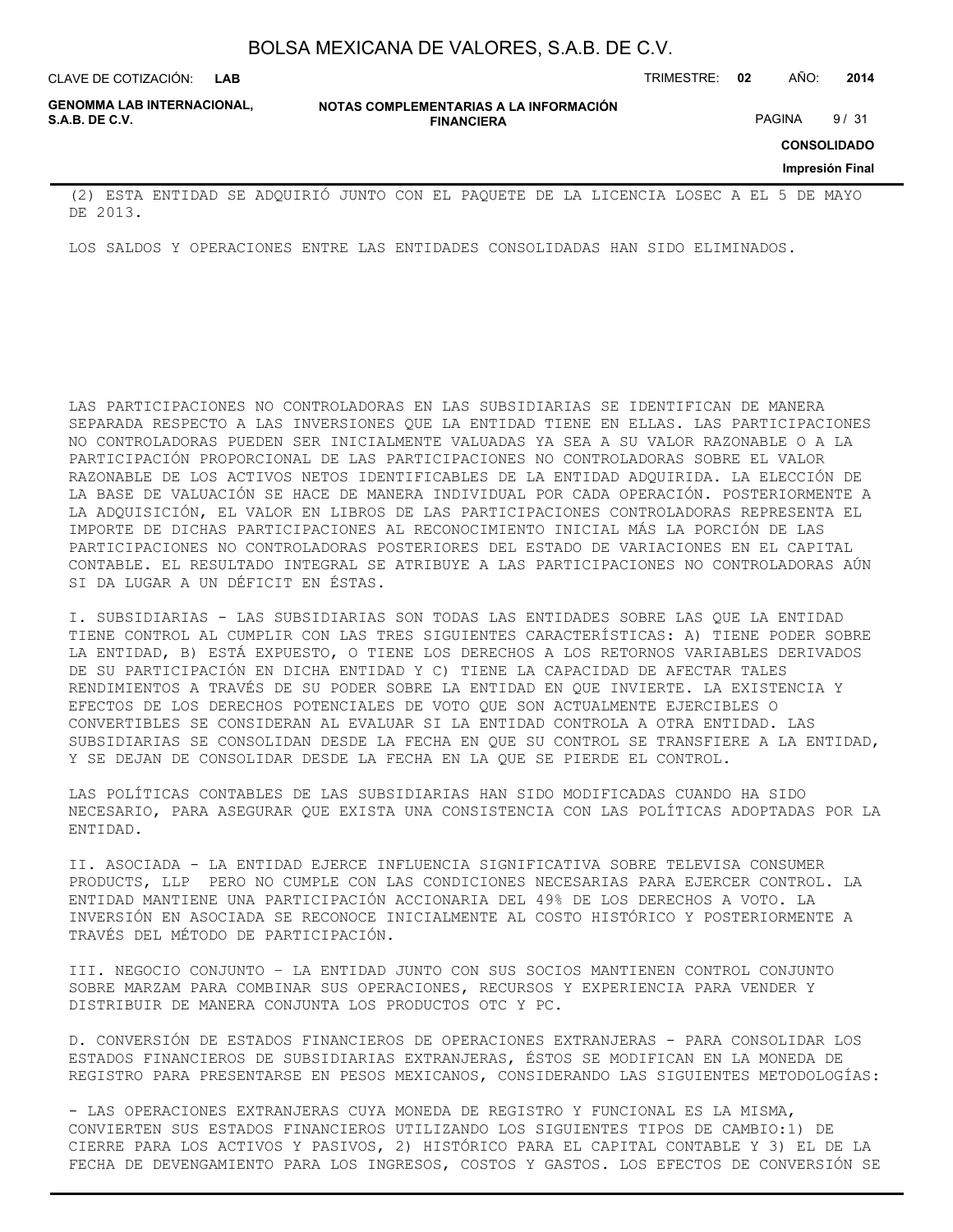**LAB**

CLAVE DE COTIZACIÓN: TRIMESTRE: **02** AÑO: **2014**

**GENOMMA LAB INTERNACIONAL,**

**NOTAS COMPLEMENTARIAS A LA INFORMACIÓN FINANCIERA S.A.B. DE C.V.** PAGINA 9 / 31

**CONSOLIDADO**

**Impresión Final**

(2) ESTA ENTIDAD SE ADQUIRIÓ JUNTO CON EL PAQUETE DE LA LICENCIA LOSEC A EL 5 DE MAYO DE 2013.

LOS SALDOS Y OPERACIONES ENTRE LAS ENTIDADES CONSOLIDADAS HAN SIDO ELIMINADOS.

LAS PARTICIPACIONES NO CONTROLADORAS EN LAS SUBSIDIARIAS SE IDENTIFICAN DE MANERA SEPARADA RESPECTO A LAS INVERSIONES QUE LA ENTIDAD TIENE EN ELLAS. LAS PARTICIPACIONES NO CONTROLADORAS PUEDEN SER INICIALMENTE VALUADAS YA SEA A SU VALOR RAZONABLE O A LA PARTICIPACIÓN PROPORCIONAL DE LAS PARTICIPACIONES NO CONTROLADORAS SOBRE EL VALOR RAZONABLE DE LOS ACTIVOS NETOS IDENTIFICABLES DE LA ENTIDAD ADQUIRIDA. LA ELECCIÓN DE LA BASE DE VALUACIÓN SE HACE DE MANERA INDIVIDUAL POR CADA OPERACIÓN. POSTERIORMENTE A LA ADQUISICIÓN, EL VALOR EN LIBROS DE LAS PARTICIPACIONES CONTROLADORAS REPRESENTA EL IMPORTE DE DICHAS PARTICIPACIONES AL RECONOCIMIENTO INICIAL MÁS LA PORCIÓN DE LAS PARTICIPACIONES NO CONTROLADORAS POSTERIORES DEL ESTADO DE VARIACIONES EN EL CAPITAL CONTABLE. EL RESULTADO INTEGRAL SE ATRIBUYE A LAS PARTICIPACIONES NO CONTROLADORAS AÚN SI DA LUGAR A UN DÉFICIT EN ÉSTAS.

I. SUBSIDIARIAS - LAS SUBSIDIARIAS SON TODAS LAS ENTIDADES SOBRE LAS QUE LA ENTIDAD TIENE CONTROL AL CUMPLIR CON LAS TRES SIGUIENTES CARACTERÍSTICAS: A) TIENE PODER SOBRE LA ENTIDAD, B) ESTÁ EXPUESTO, O TIENE LOS DERECHOS A LOS RETORNOS VARIABLES DERIVADOS DE SU PARTICIPACIÓN EN DICHA ENTIDAD Y C) TIENE LA CAPACIDAD DE AFECTAR TALES RENDIMIENTOS A TRAVÉS DE SU PODER SOBRE LA ENTIDAD EN QUE INVIERTE. LA EXISTENCIA Y EFECTOS DE LOS DERECHOS POTENCIALES DE VOTO QUE SON ACTUALMENTE EJERCIBLES O CONVERTIBLES SE CONSIDERAN AL EVALUAR SI LA ENTIDAD CONTROLA A OTRA ENTIDAD. LAS SUBSIDIARIAS SE CONSOLIDAN DESDE LA FECHA EN QUE SU CONTROL SE TRANSFIERE A LA ENTIDAD, Y SE DEJAN DE CONSOLIDAR DESDE LA FECHA EN LA QUE SE PIERDE EL CONTROL.

LAS POLÍTICAS CONTABLES DE LAS SUBSIDIARIAS HAN SIDO MODIFICADAS CUANDO HA SIDO NECESARIO, PARA ASEGURAR QUE EXISTA UNA CONSISTENCIA CON LAS POLÍTICAS ADOPTADAS POR LA ENTIDAD.

II. ASOCIADA - LA ENTIDAD EJERCE INFLUENCIA SIGNIFICATIVA SOBRE TELEVISA CONSUMER PRODUCTS, LLP PERO NO CUMPLE CON LAS CONDICIONES NECESARIAS PARA EJERCER CONTROL. LA ENTIDAD MANTIENE UNA PARTICIPACIÓN ACCIONARIA DEL 49% DE LOS DERECHOS A VOTO. LA INVERSIÓN EN ASOCIADA SE RECONOCE INICIALMENTE AL COSTO HISTÓRICO Y POSTERIORMENTE A TRAVÉS DEL MÉTODO DE PARTICIPACIÓN.

III. NEGOCIO CONJUNTO – LA ENTIDAD JUNTO CON SUS SOCIOS MANTIENEN CONTROL CONJUNTO SOBRE MARZAM PARA COMBINAR SUS OPERACIONES, RECURSOS Y EXPERIENCIA PARA VENDER Y DISTRIBUIR DE MANERA CONJUNTA LOS PRODUCTOS OTC Y PC.

D. CONVERSIÓN DE ESTADOS FINANCIEROS DE OPERACIONES EXTRANJERAS - PARA CONSOLIDAR LOS ESTADOS FINANCIEROS DE SUBSIDIARIAS EXTRANJERAS, ÉSTOS SE MODIFICAN EN LA MONEDA DE REGISTRO PARA PRESENTARSE EN PESOS MEXICANOS, CONSIDERANDO LAS SIGUIENTES METODOLOGÍAS:

- LAS OPERACIONES EXTRANJERAS CUYA MONEDA DE REGISTRO Y FUNCIONAL ES LA MISMA, CONVIERTEN SUS ESTADOS FINANCIEROS UTILIZANDO LOS SIGUIENTES TIPOS DE CAMBIO:1) DE CIERRE PARA LOS ACTIVOS Y PASIVOS, 2) HISTÓRICO PARA EL CAPITAL CONTABLE Y 3) EL DE LA FECHA DE DEVENGAMIENTO PARA LOS INGRESOS, COSTOS Y GASTOS. LOS EFECTOS DE CONVERSIÓN SE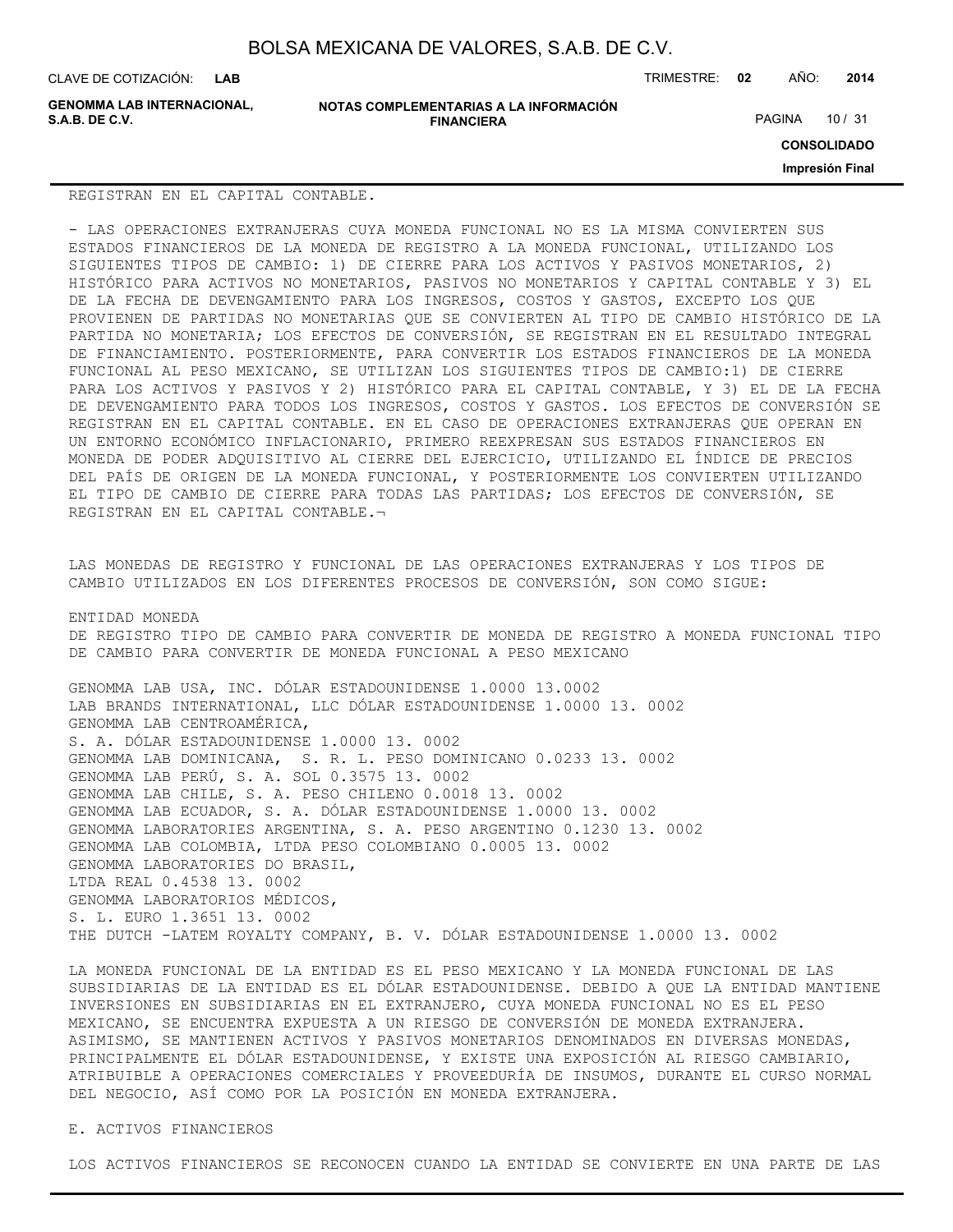CLAVE DE COTIZACIÓN: TRIMESTRE: **02** AÑO: **2014**

**GENOMMA LAB INTERNACIONAL,**

**NOTAS COMPLEMENTARIAS A LA INFORMACIÓN FINANCIERA**

PAGINA 10 / 31

**CONSOLIDADO**

**Impresión Final**

#### REGISTRAN EN EL CAPITAL CONTABLE.

- LAS OPERACIONES EXTRANJERAS CUYA MONEDA FUNCIONAL NO ES LA MISMA CONVIERTEN SUS ESTADOS FINANCIEROS DE LA MONEDA DE REGISTRO A LA MONEDA FUNCIONAL, UTILIZANDO LOS SIGUIENTES TIPOS DE CAMBIO: 1) DE CIERRE PARA LOS ACTIVOS Y PASIVOS MONETARIOS, 2) HISTÓRICO PARA ACTIVOS NO MONETARIOS, PASIVOS NO MONETARIOS Y CAPITAL CONTABLE Y 3) EL DE LA FECHA DE DEVENGAMIENTO PARA LOS INGRESOS, COSTOS Y GASTOS, EXCEPTO LOS QUE PROVIENEN DE PARTIDAS NO MONETARIAS QUE SE CONVIERTEN AL TIPO DE CAMBIO HISTÓRICO DE LA PARTIDA NO MONETARIA; LOS EFECTOS DE CONVERSIÓN, SE REGISTRAN EN EL RESULTADO INTEGRAL DE FINANCIAMIENTO. POSTERIORMENTE, PARA CONVERTIR LOS ESTADOS FINANCIEROS DE LA MONEDA FUNCIONAL AL PESO MEXICANO, SE UTILIZAN LOS SIGUIENTES TIPOS DE CAMBIO:1) DE CIERRE PARA LOS ACTIVOS Y PASIVOS Y 2) HISTÓRICO PARA EL CAPITAL CONTABLE, Y 3) EL DE LA FECHA DE DEVENGAMIENTO PARA TODOS LOS INGRESOS, COSTOS Y GASTOS. LOS EFECTOS DE CONVERSIÓN SE REGISTRAN EN EL CAPITAL CONTABLE. EN EL CASO DE OPERACIONES EXTRANJERAS QUE OPERAN EN UN ENTORNO ECONÓMICO INFLACIONARIO, PRIMERO REEXPRESAN SUS ESTADOS FINANCIEROS EN MONEDA DE PODER ADQUISITIVO AL CIERRE DEL EJERCICIO, UTILIZANDO EL ÍNDICE DE PRECIOS DEL PAÍS DE ORIGEN DE LA MONEDA FUNCIONAL, Y POSTERIORMENTE LOS CONVIERTEN UTILIZANDO EL TIPO DE CAMBIO DE CIERRE PARA TODAS LAS PARTIDAS; LOS EFECTOS DE CONVERSIÓN, SE REGISTRAN EN EL CAPITAL CONTABLE.¬

LAS MONEDAS DE REGISTRO Y FUNCIONAL DE LAS OPERACIONES EXTRANJERAS Y LOS TIPOS DE CAMBIO UTILIZADOS EN LOS DIFERENTES PROCESOS DE CONVERSIÓN, SON COMO SIGUE:

ENTIDAD MONEDA DE REGISTRO TIPO DE CAMBIO PARA CONVERTIR DE MONEDA DE REGISTRO A MONEDA FUNCIONAL TIPO DE CAMBIO PARA CONVERTIR DE MONEDA FUNCIONAL A PESO MEXICANO

GENOMMA LAB USA, INC. DÓLAR ESTADOUNIDENSE 1.0000 13.0002 LAB BRANDS INTERNATIONAL, LLC DÓLAR ESTADOUNIDENSE 1.0000 13. 0002 GENOMMA LAB CENTROAMÉRICA, S. A. DÓLAR ESTADOUNIDENSE 1.0000 13. 0002 GENOMMA LAB DOMINICANA, S. R. L. PESO DOMINICANO 0.0233 13. 0002 GENOMMA LAB PERÚ, S. A. SOL 0.3575 13. 0002 GENOMMA LAB CHILE, S. A. PESO CHILENO 0.0018 13. 0002 GENOMMA LAB ECUADOR, S. A. DÓLAR ESTADOUNIDENSE 1.0000 13. 0002 GENOMMA LABORATORIES ARGENTINA, S. A. PESO ARGENTINO 0.1230 13. 0002 GENOMMA LAB COLOMBIA, LTDA PESO COLOMBIANO 0.0005 13. 0002 GENOMMA LABORATORIES DO BRASIL, LTDA REAL 0.4538 13. 0002 GENOMMA LABORATORIOS MÉDICOS, S. L. EURO 1.3651 13. 0002 THE DUTCH -LATEM ROYALTY COMPANY, B. V. DÓLAR ESTADOUNIDENSE 1.0000 13. 0002

LA MONEDA FUNCIONAL DE LA ENTIDAD ES EL PESO MEXICANO Y LA MONEDA FUNCIONAL DE LAS SUBSIDIARIAS DE LA ENTIDAD ES EL DÓLAR ESTADOUNIDENSE. DEBIDO A QUE LA ENTIDAD MANTIENE INVERSIONES EN SUBSIDIARIAS EN EL EXTRANJERO, CUYA MONEDA FUNCIONAL NO ES EL PESO MEXICANO, SE ENCUENTRA EXPUESTA A UN RIESGO DE CONVERSIÓN DE MONEDA EXTRANJERA. ASIMISMO, SE MANTIENEN ACTIVOS Y PASIVOS MONETARIOS DENOMINADOS EN DIVERSAS MONEDAS, PRINCIPALMENTE EL DÓLAR ESTADOUNIDENSE, Y EXISTE UNA EXPOSICIÓN AL RIESGO CAMBIARIO, ATRIBUIBLE A OPERACIONES COMERCIALES Y PROVEEDURÍA DE INSUMOS, DURANTE EL CURSO NORMAL DEL NEGOCIO, ASÍ COMO POR LA POSICIÓN EN MONEDA EXTRANJERA.

## E. ACTIVOS FINANCIEROS

LOS ACTIVOS FINANCIEROS SE RECONOCEN CUANDO LA ENTIDAD SE CONVIERTE EN UNA PARTE DE LAS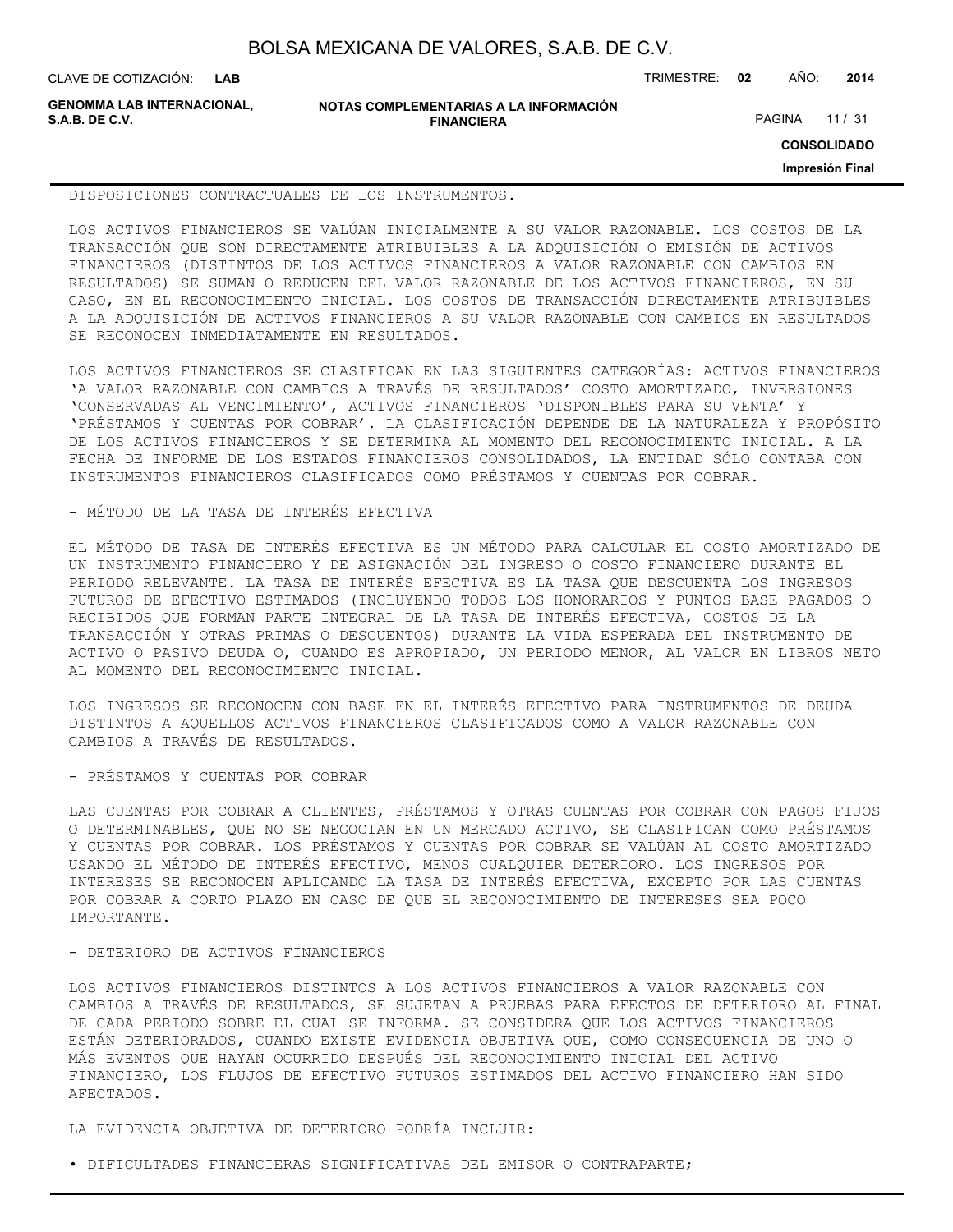CLAVE DE COTIZACIÓN: TRIMESTRE: **02** AÑO: **2014**

**GENOMMA LAB INTERNACIONAL,**

**NOTAS COMPLEMENTARIAS A LA INFORMACIÓN FINANCIERA**

PAGINA 11 / 31

**CONSOLIDADO**

**Impresión Final**

DISPOSICIONES CONTRACTUALES DE LOS INSTRUMENTOS.

LOS ACTIVOS FINANCIEROS SE VALÚAN INICIALMENTE A SU VALOR RAZONABLE. LOS COSTOS DE LA TRANSACCIÓN QUE SON DIRECTAMENTE ATRIBUIBLES A LA ADQUISICIÓN O EMISIÓN DE ACTIVOS FINANCIEROS (DISTINTOS DE LOS ACTIVOS FINANCIEROS A VALOR RAZONABLE CON CAMBIOS EN RESULTADOS) SE SUMAN O REDUCEN DEL VALOR RAZONABLE DE LOS ACTIVOS FINANCIEROS, EN SU CASO, EN EL RECONOCIMIENTO INICIAL. LOS COSTOS DE TRANSACCIÓN DIRECTAMENTE ATRIBUIBLES A LA ADQUISICIÓN DE ACTIVOS FINANCIEROS A SU VALOR RAZONABLE CON CAMBIOS EN RESULTADOS SE RECONOCEN INMEDIATAMENTE EN RESULTADOS.

LOS ACTIVOS FINANCIEROS SE CLASIFICAN EN LAS SIGUIENTES CATEGORÍAS: ACTIVOS FINANCIEROS 'A VALOR RAZONABLE CON CAMBIOS A TRAVÉS DE RESULTADOS' COSTO AMORTIZADO, INVERSIONES 'CONSERVADAS AL VENCIMIENTO', ACTIVOS FINANCIEROS 'DISPONIBLES PARA SU VENTA' Y 'PRÉSTAMOS Y CUENTAS POR COBRAR'. LA CLASIFICACIÓN DEPENDE DE LA NATURALEZA Y PROPÓSITO DE LOS ACTIVOS FINANCIEROS Y SE DETERMINA AL MOMENTO DEL RECONOCIMIENTO INICIAL. A LA FECHA DE INFORME DE LOS ESTADOS FINANCIEROS CONSOLIDADOS, LA ENTIDAD SÓLO CONTABA CON INSTRUMENTOS FINANCIEROS CLASIFICADOS COMO PRÉSTAMOS Y CUENTAS POR COBRAR.

- MÉTODO DE LA TASA DE INTERÉS EFECTIVA

EL MÉTODO DE TASA DE INTERÉS EFECTIVA ES UN MÉTODO PARA CALCULAR EL COSTO AMORTIZADO DE UN INSTRUMENTO FINANCIERO Y DE ASIGNACIÓN DEL INGRESO O COSTO FINANCIERO DURANTE EL PERIODO RELEVANTE. LA TASA DE INTERÉS EFECTIVA ES LA TASA QUE DESCUENTA LOS INGRESOS FUTUROS DE EFECTIVO ESTIMADOS (INCLUYENDO TODOS LOS HONORARIOS Y PUNTOS BASE PAGADOS O RECIBIDOS QUE FORMAN PARTE INTEGRAL DE LA TASA DE INTERÉS EFECTIVA, COSTOS DE LA TRANSACCIÓN Y OTRAS PRIMAS O DESCUENTOS) DURANTE LA VIDA ESPERADA DEL INSTRUMENTO DE ACTIVO O PASIVO DEUDA O, CUANDO ES APROPIADO, UN PERIODO MENOR, AL VALOR EN LIBROS NETO AL MOMENTO DEL RECONOCIMIENTO INICIAL.

LOS INGRESOS SE RECONOCEN CON BASE EN EL INTERÉS EFECTIVO PARA INSTRUMENTOS DE DEUDA DISTINTOS A AQUELLOS ACTIVOS FINANCIEROS CLASIFICADOS COMO A VALOR RAZONABLE CON CAMBIOS A TRAVÉS DE RESULTADOS.

- PRÉSTAMOS Y CUENTAS POR COBRAR

LAS CUENTAS POR COBRAR A CLIENTES, PRÉSTAMOS Y OTRAS CUENTAS POR COBRAR CON PAGOS FIJOS O DETERMINABLES, QUE NO SE NEGOCIAN EN UN MERCADO ACTIVO, SE CLASIFICAN COMO PRÉSTAMOS Y CUENTAS POR COBRAR. LOS PRÉSTAMOS Y CUENTAS POR COBRAR SE VALÚAN AL COSTO AMORTIZADO USANDO EL MÉTODO DE INTERÉS EFECTIVO, MENOS CUALQUIER DETERIORO. LOS INGRESOS POR INTERESES SE RECONOCEN APLICANDO LA TASA DE INTERÉS EFECTIVA, EXCEPTO POR LAS CUENTAS POR COBRAR A CORTO PLAZO EN CASO DE QUE EL RECONOCIMIENTO DE INTERESES SEA POCO IMPORTANTE.

- DETERIORO DE ACTIVOS FINANCIEROS

LOS ACTIVOS FINANCIEROS DISTINTOS A LOS ACTIVOS FINANCIEROS A VALOR RAZONABLE CON CAMBIOS A TRAVÉS DE RESULTADOS, SE SUJETAN A PRUEBAS PARA EFECTOS DE DETERIORO AL FINAL DE CADA PERIODO SOBRE EL CUAL SE INFORMA. SE CONSIDERA QUE LOS ACTIVOS FINANCIEROS ESTÁN DETERIORADOS, CUANDO EXISTE EVIDENCIA OBJETIVA QUE, COMO CONSECUENCIA DE UNO O MÁS EVENTOS QUE HAYAN OCURRIDO DESPUÉS DEL RECONOCIMIENTO INICIAL DEL ACTIVO FINANCIERO, LOS FLUJOS DE EFECTIVO FUTUROS ESTIMADOS DEL ACTIVO FINANCIERO HAN SIDO AFECTADOS.

LA EVIDENCIA OBJETIVA DE DETERIORO PODRÍA INCLUIR:

• DIFICULTADES FINANCIERAS SIGNIFICATIVAS DEL EMISOR O CONTRAPARTE;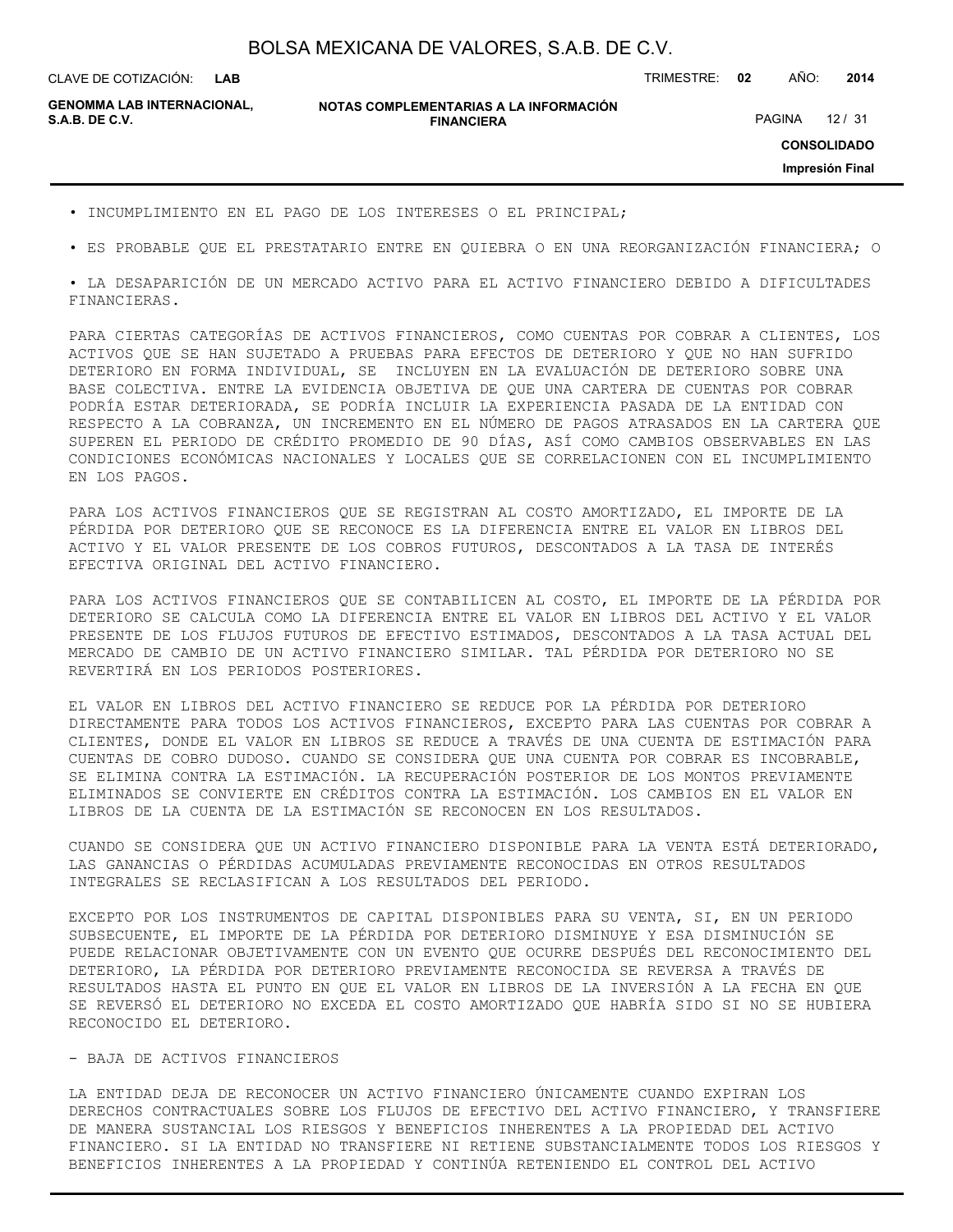**LAB**

CLAVE DE COTIZACIÓN: TRIMESTRE: **02** AÑO: **2014**

**GENOMMA LAB INTERNACIONAL,**

#### **NOTAS COMPLEMENTARIAS A LA INFORMACIÓN FINANCIERA**

PAGINA 12 / 31

**CONSOLIDADO**

**Impresión Final**

- INCUMPLIMIENTO EN EL PAGO DE LOS INTERESES O EL PRINCIPAL;
- ES PROBABLE QUE EL PRESTATARIO ENTRE EN QUIEBRA O EN UNA REORGANIZACIÓN FINANCIERA; O

• LA DESAPARICIÓN DE UN MERCADO ACTIVO PARA EL ACTIVO FINANCIERO DEBIDO A DIFICULTADES FINANCIERAS.

PARA CIERTAS CATEGORÍAS DE ACTIVOS FINANCIEROS, COMO CUENTAS POR COBRAR A CLIENTES, LOS ACTIVOS QUE SE HAN SUJETADO A PRUEBAS PARA EFECTOS DE DETERIORO Y QUE NO HAN SUFRIDO DETERIORO EN FORMA INDIVIDUAL, SE INCLUYEN EN LA EVALUACIÓN DE DETERIORO SOBRE UNA BASE COLECTIVA. ENTRE LA EVIDENCIA OBJETIVA DE QUE UNA CARTERA DE CUENTAS POR COBRAR PODRÍA ESTAR DETERIORADA, SE PODRÍA INCLUIR LA EXPERIENCIA PASADA DE LA ENTIDAD CON RESPECTO A LA COBRANZA, UN INCREMENTO EN EL NÚMERO DE PAGOS ATRASADOS EN LA CARTERA QUE SUPEREN EL PERIODO DE CRÉDITO PROMEDIO DE 90 DÍAS, ASÍ COMO CAMBIOS OBSERVABLES EN LAS CONDICIONES ECONÓMICAS NACIONALES Y LOCALES QUE SE CORRELACIONEN CON EL INCUMPLIMIENTO EN LOS PAGOS.

PARA LOS ACTIVOS FINANCIEROS QUE SE REGISTRAN AL COSTO AMORTIZADO, EL IMPORTE DE LA PÉRDIDA POR DETERIORO QUE SE RECONOCE ES LA DIFERENCIA ENTRE EL VALOR EN LIBROS DEL ACTIVO Y EL VALOR PRESENTE DE LOS COBROS FUTUROS, DESCONTADOS A LA TASA DE INTERÉS EFECTIVA ORIGINAL DEL ACTIVO FINANCIERO.

PARA LOS ACTIVOS FINANCIEROS QUE SE CONTABILICEN AL COSTO, EL IMPORTE DE LA PÉRDIDA POR DETERIORO SE CALCULA COMO LA DIFERENCIA ENTRE EL VALOR EN LIBROS DEL ACTIVO Y EL VALOR PRESENTE DE LOS FLUJOS FUTUROS DE EFECTIVO ESTIMADOS, DESCONTADOS A LA TASA ACTUAL DEL MERCADO DE CAMBIO DE UN ACTIVO FINANCIERO SIMILAR. TAL PÉRDIDA POR DETERIORO NO SE REVERTIRÁ EN LOS PERIODOS POSTERIORES.

EL VALOR EN LIBROS DEL ACTIVO FINANCIERO SE REDUCE POR LA PÉRDIDA POR DETERIORO DIRECTAMENTE PARA TODOS LOS ACTIVOS FINANCIEROS, EXCEPTO PARA LAS CUENTAS POR COBRAR A CLIENTES, DONDE EL VALOR EN LIBROS SE REDUCE A TRAVÉS DE UNA CUENTA DE ESTIMACIÓN PARA CUENTAS DE COBRO DUDOSO. CUANDO SE CONSIDERA QUE UNA CUENTA POR COBRAR ES INCOBRABLE, SE ELIMINA CONTRA LA ESTIMACIÓN. LA RECUPERACIÓN POSTERIOR DE LOS MONTOS PREVIAMENTE ELIMINADOS SE CONVIERTE EN CRÉDITOS CONTRA LA ESTIMACIÓN. LOS CAMBIOS EN EL VALOR EN LIBROS DE LA CUENTA DE LA ESTIMACIÓN SE RECONOCEN EN LOS RESULTADOS.

CUANDO SE CONSIDERA QUE UN ACTIVO FINANCIERO DISPONIBLE PARA LA VENTA ESTÁ DETERIORADO, LAS GANANCIAS O PÉRDIDAS ACUMULADAS PREVIAMENTE RECONOCIDAS EN OTROS RESULTADOS INTEGRALES SE RECLASIFICAN A LOS RESULTADOS DEL PERIODO.

EXCEPTO POR LOS INSTRUMENTOS DE CAPITAL DISPONIBLES PARA SU VENTA, SI, EN UN PERIODO SUBSECUENTE, EL IMPORTE DE LA PÉRDIDA POR DETERIORO DISMINUYE Y ESA DISMINUCIÓN SE PUEDE RELACIONAR OBJETIVAMENTE CON UN EVENTO QUE OCURRE DESPUÉS DEL RECONOCIMIENTO DEL DETERIORO, LA PÉRDIDA POR DETERIORO PREVIAMENTE RECONOCIDA SE REVERSA A TRAVÉS DE RESULTADOS HASTA EL PUNTO EN QUE EL VALOR EN LIBROS DE LA INVERSIÓN A LA FECHA EN QUE SE REVERSÓ EL DETERIORO NO EXCEDA EL COSTO AMORTIZADO QUE HABRÍA SIDO SI NO SE HUBIERA RECONOCIDO EL DETERIORO.

## - BAJA DE ACTIVOS FINANCIEROS

LA ENTIDAD DEJA DE RECONOCER UN ACTIVO FINANCIERO ÚNICAMENTE CUANDO EXPIRAN LOS DERECHOS CONTRACTUALES SOBRE LOS FLUJOS DE EFECTIVO DEL ACTIVO FINANCIERO, Y TRANSFIERE DE MANERA SUSTANCIAL LOS RIESGOS Y BENEFICIOS INHERENTES A LA PROPIEDAD DEL ACTIVO FINANCIERO. SI LA ENTIDAD NO TRANSFIERE NI RETIENE SUBSTANCIALMENTE TODOS LOS RIESGOS Y BENEFICIOS INHERENTES A LA PROPIEDAD Y CONTINÚA RETENIENDO EL CONTROL DEL ACTIVO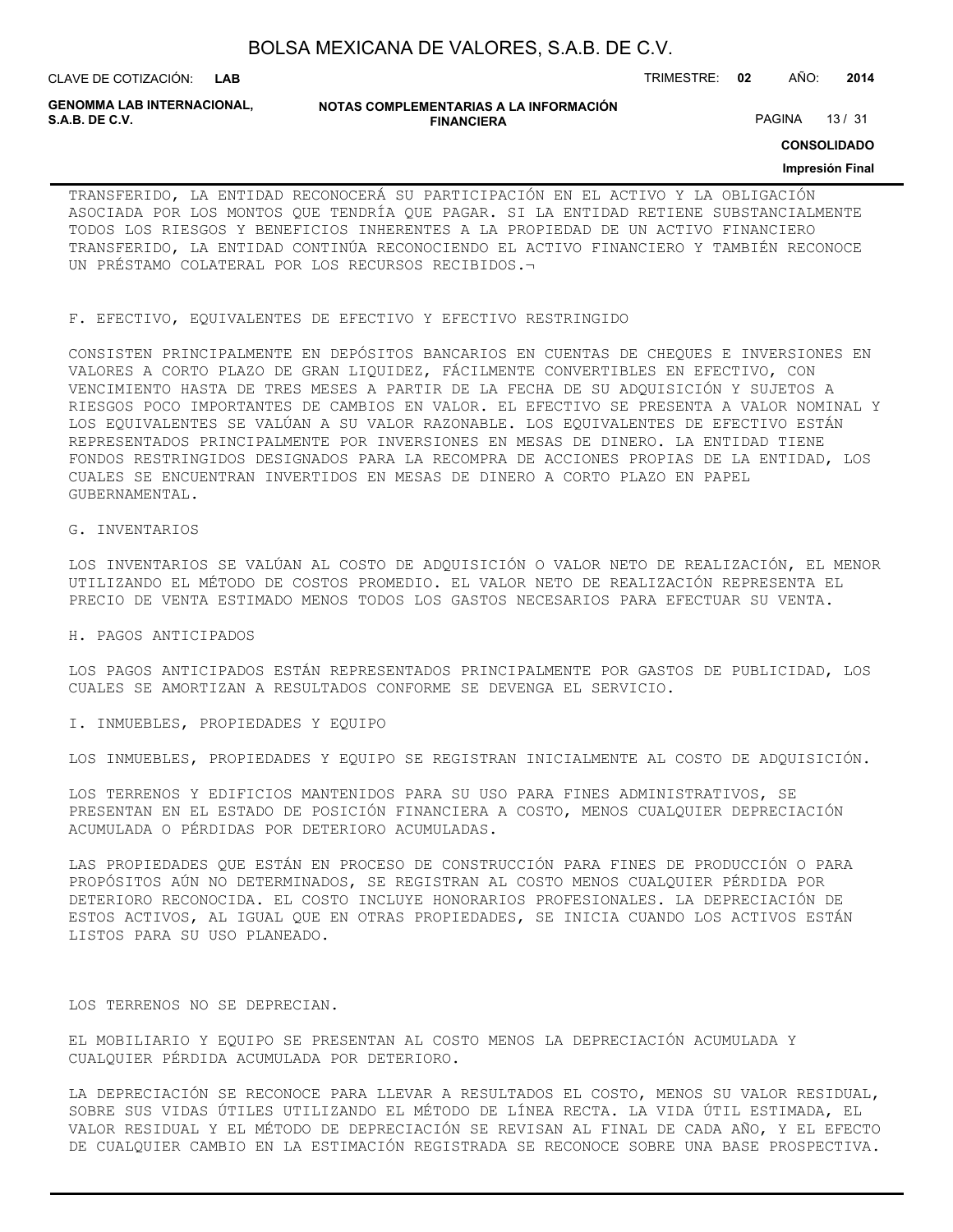| BOLSA MEXICANA DE VALORES, S.A.B. DE C.V. |
|-------------------------------------------|
|-------------------------------------------|

CLAVE DE COTIZACIÓN: TRIMESTRE: **02** AÑO: **2014 LAB**

**GENOMMA LAB INTERNACIONAL,**

**NOTAS COMPLEMENTARIAS A LA INFORMACIÓN FINANCIERA**

PAGINA 13 / 31

**CONSOLIDADO**

#### **Impresión Final**

TRANSFERIDO, LA ENTIDAD RECONOCERÁ SU PARTICIPACIÓN EN EL ACTIVO Y LA OBLIGACIÓN ASOCIADA POR LOS MONTOS QUE TENDRÍA QUE PAGAR. SI LA ENTIDAD RETIENE SUBSTANCIALMENTE TODOS LOS RIESGOS Y BENEFICIOS INHERENTES A LA PROPIEDAD DE UN ACTIVO FINANCIERO TRANSFERIDO, LA ENTIDAD CONTINÚA RECONOCIENDO EL ACTIVO FINANCIERO Y TAMBIÉN RECONOCE UN PRÉSTAMO COLATERAL POR LOS RECURSOS RECIBIDOS.¬

F. EFECTIVO, EQUIVALENTES DE EFECTIVO Y EFECTIVO RESTRINGIDO

CONSISTEN PRINCIPALMENTE EN DEPÓSITOS BANCARIOS EN CUENTAS DE CHEQUES E INVERSIONES EN VALORES A CORTO PLAZO DE GRAN LIQUIDEZ, FÁCILMENTE CONVERTIBLES EN EFECTIVO, CON VENCIMIENTO HASTA DE TRES MESES A PARTIR DE LA FECHA DE SU ADQUISICIÓN Y SUJETOS A RIESGOS POCO IMPORTANTES DE CAMBIOS EN VALOR. EL EFECTIVO SE PRESENTA A VALOR NOMINAL Y LOS EQUIVALENTES SE VALÚAN A SU VALOR RAZONABLE. LOS EQUIVALENTES DE EFECTIVO ESTÁN REPRESENTADOS PRINCIPALMENTE POR INVERSIONES EN MESAS DE DINERO. LA ENTIDAD TIENE FONDOS RESTRINGIDOS DESIGNADOS PARA LA RECOMPRA DE ACCIONES PROPIAS DE LA ENTIDAD, LOS CUALES SE ENCUENTRAN INVERTIDOS EN MESAS DE DINERO A CORTO PLAZO EN PAPEL GUBERNAMENTAL.

#### G. INVENTARIOS

LOS INVENTARIOS SE VALÚAN AL COSTO DE ADQUISICIÓN O VALOR NETO DE REALIZACIÓN, EL MENOR UTILIZANDO EL MÉTODO DE COSTOS PROMEDIO. EL VALOR NETO DE REALIZACIÓN REPRESENTA EL PRECIO DE VENTA ESTIMADO MENOS TODOS LOS GASTOS NECESARIOS PARA EFECTUAR SU VENTA.

#### H. PAGOS ANTICIPADOS

LOS PAGOS ANTICIPADOS ESTÁN REPRESENTADOS PRINCIPALMENTE POR GASTOS DE PUBLICIDAD, LOS CUALES SE AMORTIZAN A RESULTADOS CONFORME SE DEVENGA EL SERVICIO.

#### I. INMUEBLES, PROPIEDADES Y EQUIPO

LOS INMUEBLES, PROPIEDADES Y EQUIPO SE REGISTRAN INICIALMENTE AL COSTO DE ADQUISICIÓN.

LOS TERRENOS Y EDIFICIOS MANTENIDOS PARA SU USO PARA FINES ADMINISTRATIVOS, SE PRESENTAN EN EL ESTADO DE POSICIÓN FINANCIERA A COSTO, MENOS CUALQUIER DEPRECIACIÓN ACUMULADA O PÉRDIDAS POR DETERIORO ACUMULADAS.

LAS PROPIEDADES QUE ESTÁN EN PROCESO DE CONSTRUCCIÓN PARA FINES DE PRODUCCIÓN O PARA PROPÓSITOS AÚN NO DETERMINADOS, SE REGISTRAN AL COSTO MENOS CUALQUIER PÉRDIDA POR DETERIORO RECONOCIDA. EL COSTO INCLUYE HONORARIOS PROFESIONALES. LA DEPRECIACIÓN DE ESTOS ACTIVOS, AL IGUAL QUE EN OTRAS PROPIEDADES, SE INICIA CUANDO LOS ACTIVOS ESTÁN LISTOS PARA SU USO PLANEADO.

## LOS TERRENOS NO SE DEPRECIAN.

EL MOBILIARIO Y EQUIPO SE PRESENTAN AL COSTO MENOS LA DEPRECIACIÓN ACUMULADA Y CUALQUIER PÉRDIDA ACUMULADA POR DETERIORO.

LA DEPRECIACIÓN SE RECONOCE PARA LLEVAR A RESULTADOS EL COSTO, MENOS SU VALOR RESIDUAL, SOBRE SUS VIDAS ÚTILES UTILIZANDO EL MÉTODO DE LÍNEA RECTA. LA VIDA ÚTIL ESTIMADA, EL VALOR RESIDUAL Y EL MÉTODO DE DEPRECIACIÓN SE REVISAN AL FINAL DE CADA AÑO, Y EL EFECTO DE CUALQUIER CAMBIO EN LA ESTIMACIÓN REGISTRADA SE RECONOCE SOBRE UNA BASE PROSPECTIVA.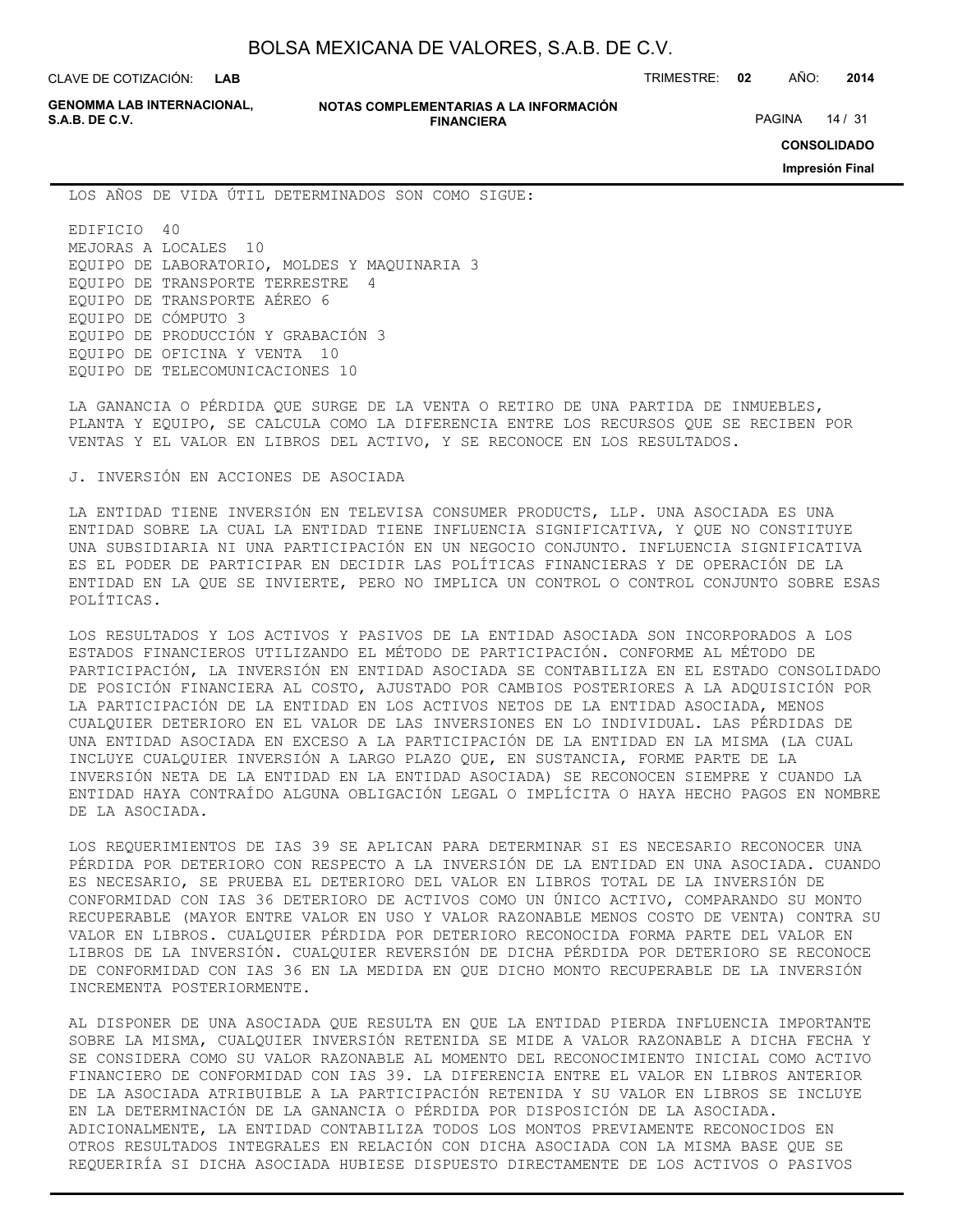**LAB**

CLAVE DE COTIZACIÓN: TRIMESTRE: **02** AÑO: **2014**

**GENOMMA LAB INTERNACIONAL,**

#### **NOTAS COMPLEMENTARIAS A LA INFORMACIÓN FINANCIERA S.A.B. DE C.V.** PAGINA 14 / 31

**CONSOLIDADO**

**Impresión Final**

LOS AÑOS DE VIDA ÚTIL DETERMINADOS SON COMO SIGUE:

EDIFICIO 40 MEJORAS A LOCALES 10 EQUIPO DE LABORATORIO, MOLDES Y MAQUINARIA 3 EQUIPO DE TRANSPORTE TERRESTRE 4 EQUIPO DE TRANSPORTE AÉREO 6 EQUIPO DE CÓMPUTO 3 EQUIPO DE PRODUCCIÓN Y GRABACIÓN 3 EQUIPO DE OFICINA Y VENTA 10 EQUIPO DE TELECOMUNICACIONES 10

LA GANANCIA O PÉRDIDA QUE SURGE DE LA VENTA O RETIRO DE UNA PARTIDA DE INMUEBLES, PLANTA Y EQUIPO, SE CALCULA COMO LA DIFERENCIA ENTRE LOS RECURSOS QUE SE RECIBEN POR VENTAS Y EL VALOR EN LIBROS DEL ACTIVO, Y SE RECONOCE EN LOS RESULTADOS.

## J. INVERSIÓN EN ACCIONES DE ASOCIADA

LA ENTIDAD TIENE INVERSIÓN EN TELEVISA CONSUMER PRODUCTS, LLP. UNA ASOCIADA ES UNA ENTIDAD SOBRE LA CUAL LA ENTIDAD TIENE INFLUENCIA SIGNIFICATIVA, Y QUE NO CONSTITUYE UNA SUBSIDIARIA NI UNA PARTICIPACIÓN EN UN NEGOCIO CONJUNTO. INFLUENCIA SIGNIFICATIVA ES EL PODER DE PARTICIPAR EN DECIDIR LAS POLÍTICAS FINANCIERAS Y DE OPERACIÓN DE LA ENTIDAD EN LA QUE SE INVIERTE, PERO NO IMPLICA UN CONTROL O CONTROL CONJUNTO SOBRE ESAS POLÍTICAS.

LOS RESULTADOS Y LOS ACTIVOS Y PASIVOS DE LA ENTIDAD ASOCIADA SON INCORPORADOS A LOS ESTADOS FINANCIEROS UTILIZANDO EL MÉTODO DE PARTICIPACIÓN. CONFORME AL MÉTODO DE PARTICIPACIÓN, LA INVERSIÓN EN ENTIDAD ASOCIADA SE CONTABILIZA EN EL ESTADO CONSOLIDADO DE POSICIÓN FINANCIERA AL COSTO, AJUSTADO POR CAMBIOS POSTERIORES A LA ADQUISICIÓN POR LA PARTICIPACIÓN DE LA ENTIDAD EN LOS ACTIVOS NETOS DE LA ENTIDAD ASOCIADA, MENOS CUALQUIER DETERIORO EN EL VALOR DE LAS INVERSIONES EN LO INDIVIDUAL. LAS PÉRDIDAS DE UNA ENTIDAD ASOCIADA EN EXCESO A LA PARTICIPACIÓN DE LA ENTIDAD EN LA MISMA (LA CUAL INCLUYE CUALQUIER INVERSIÓN A LARGO PLAZO QUE, EN SUSTANCIA, FORME PARTE DE LA INVERSIÓN NETA DE LA ENTIDAD EN LA ENTIDAD ASOCIADA) SE RECONOCEN SIEMPRE Y CUANDO LA ENTIDAD HAYA CONTRAÍDO ALGUNA OBLIGACIÓN LEGAL O IMPLÍCITA O HAYA HECHO PAGOS EN NOMBRE DE LA ASOCIADA.

LOS REQUERIMIENTOS DE IAS 39 SE APLICAN PARA DETERMINAR SI ES NECESARIO RECONOCER UNA PÉRDIDA POR DETERIORO CON RESPECTO A LA INVERSIÓN DE LA ENTIDAD EN UNA ASOCIADA. CUANDO ES NECESARIO, SE PRUEBA EL DETERIORO DEL VALOR EN LIBROS TOTAL DE LA INVERSIÓN DE CONFORMIDAD CON IAS 36 DETERIORO DE ACTIVOS COMO UN ÚNICO ACTIVO, COMPARANDO SU MONTO RECUPERABLE (MAYOR ENTRE VALOR EN USO Y VALOR RAZONABLE MENOS COSTO DE VENTA) CONTRA SU VALOR EN LIBROS. CUALQUIER PÉRDIDA POR DETERIORO RECONOCIDA FORMA PARTE DEL VALOR EN LIBROS DE LA INVERSIÓN. CUALQUIER REVERSIÓN DE DICHA PÉRDIDA POR DETERIORO SE RECONOCE DE CONFORMIDAD CON IAS 36 EN LA MEDIDA EN QUE DICHO MONTO RECUPERABLE DE LA INVERSIÓN INCREMENTA POSTERIORMENTE.

AL DISPONER DE UNA ASOCIADA QUE RESULTA EN QUE LA ENTIDAD PIERDA INFLUENCIA IMPORTANTE SOBRE LA MISMA, CUALQUIER INVERSIÓN RETENIDA SE MIDE A VALOR RAZONABLE A DICHA FECHA Y SE CONSIDERA COMO SU VALOR RAZONABLE AL MOMENTO DEL RECONOCIMIENTO INICIAL COMO ACTIVO FINANCIERO DE CONFORMIDAD CON IAS 39. LA DIFERENCIA ENTRE EL VALOR EN LIBROS ANTERIOR DE LA ASOCIADA ATRIBUIBLE A LA PARTICIPACIÓN RETENIDA Y SU VALOR EN LIBROS SE INCLUYE EN LA DETERMINACIÓN DE LA GANANCIA O PÉRDIDA POR DISPOSICIÓN DE LA ASOCIADA. ADICIONALMENTE, LA ENTIDAD CONTABILIZA TODOS LOS MONTOS PREVIAMENTE RECONOCIDOS EN OTROS RESULTADOS INTEGRALES EN RELACIÓN CON DICHA ASOCIADA CON LA MISMA BASE QUE SE REQUERIRÍA SI DICHA ASOCIADA HUBIESE DISPUESTO DIRECTAMENTE DE LOS ACTIVOS O PASIVOS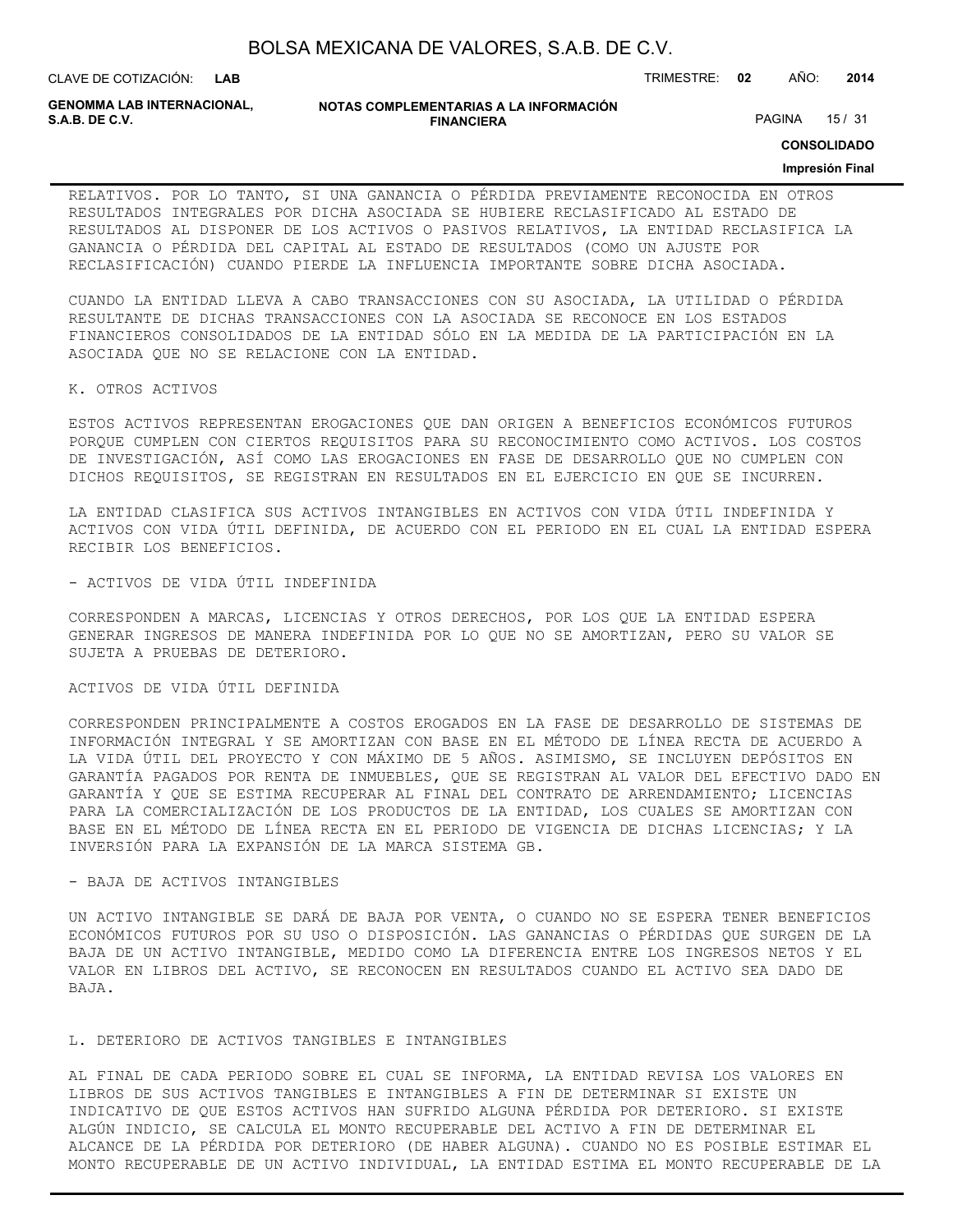CLAVE DE COTIZACIÓN: TRIMESTRE: **02** AÑO: **2014**

**GENOMMA LAB INTERNACIONAL,**

```
NOTAS COMPLEMENTARIAS A LA INFORMACIÓN
               FINANCIERA
```
PAGINA 15 / 31

**CONSOLIDADO**

## **Impresión Final**

RELATIVOS. POR LO TANTO, SI UNA GANANCIA O PÉRDIDA PREVIAMENTE RECONOCIDA EN OTROS RESULTADOS INTEGRALES POR DICHA ASOCIADA SE HUBIERE RECLASIFICADO AL ESTADO DE RESULTADOS AL DISPONER DE LOS ACTIVOS O PASIVOS RELATIVOS, LA ENTIDAD RECLASIFICA LA GANANCIA O PÉRDIDA DEL CAPITAL AL ESTADO DE RESULTADOS (COMO UN AJUSTE POR RECLASIFICACIÓN) CUANDO PIERDE LA INFLUENCIA IMPORTANTE SOBRE DICHA ASOCIADA.

CUANDO LA ENTIDAD LLEVA A CABO TRANSACCIONES CON SU ASOCIADA, LA UTILIDAD O PÉRDIDA RESULTANTE DE DICHAS TRANSACCIONES CON LA ASOCIADA SE RECONOCE EN LOS ESTADOS FINANCIEROS CONSOLIDADOS DE LA ENTIDAD SÓLO EN LA MEDIDA DE LA PARTICIPACIÓN EN LA ASOCIADA QUE NO SE RELACIONE CON LA ENTIDAD.

#### K. OTROS ACTIVOS

ESTOS ACTIVOS REPRESENTAN EROGACIONES QUE DAN ORIGEN A BENEFICIOS ECONÓMICOS FUTUROS PORQUE CUMPLEN CON CIERTOS REQUISITOS PARA SU RECONOCIMIENTO COMO ACTIVOS. LOS COSTOS DE INVESTIGACIÓN, ASÍ COMO LAS EROGACIONES EN FASE DE DESARROLLO QUE NO CUMPLEN CON DICHOS REQUISITOS, SE REGISTRAN EN RESULTADOS EN EL EJERCICIO EN QUE SE INCURREN.

LA ENTIDAD CLASIFICA SUS ACTIVOS INTANGIBLES EN ACTIVOS CON VIDA ÚTIL INDEFINIDA Y ACTIVOS CON VIDA ÚTIL DEFINIDA, DE ACUERDO CON EL PERIODO EN EL CUAL LA ENTIDAD ESPERA RECIBIR LOS BENEFICIOS.

#### - ACTIVOS DE VIDA ÚTIL INDEFINIDA

CORRESPONDEN A MARCAS, LICENCIAS Y OTROS DERECHOS, POR LOS QUE LA ENTIDAD ESPERA GENERAR INGRESOS DE MANERA INDEFINIDA POR LO QUE NO SE AMORTIZAN, PERO SU VALOR SE SUJETA A PRUEBAS DE DETERIORO.

#### ACTIVOS DE VIDA ÚTIL DEFINIDA

CORRESPONDEN PRINCIPALMENTE A COSTOS EROGADOS EN LA FASE DE DESARROLLO DE SISTEMAS DE INFORMACIÓN INTEGRAL Y SE AMORTIZAN CON BASE EN EL MÉTODO DE LÍNEA RECTA DE ACUERDO A LA VIDA ÚTIL DEL PROYECTO Y CON MÁXIMO DE 5 AÑOS. ASIMISMO, SE INCLUYEN DEPÓSITOS EN GARANTÍA PAGADOS POR RENTA DE INMUEBLES, QUE SE REGISTRAN AL VALOR DEL EFECTIVO DADO EN GARANTÍA Y QUE SE ESTIMA RECUPERAR AL FINAL DEL CONTRATO DE ARRENDAMIENTO; LICENCIAS PARA LA COMERCIALIZACIÓN DE LOS PRODUCTOS DE LA ENTIDAD, LOS CUALES SE AMORTIZAN CON BASE EN EL MÉTODO DE LÍNEA RECTA EN EL PERIODO DE VIGENCIA DE DICHAS LICENCIAS; Y LA INVERSIÓN PARA LA EXPANSIÓN DE LA MARCA SISTEMA GB.

## - BAJA DE ACTIVOS INTANGIBLES

UN ACTIVO INTANGIBLE SE DARÁ DE BAJA POR VENTA, O CUANDO NO SE ESPERA TENER BENEFICIOS ECONÓMICOS FUTUROS POR SU USO O DISPOSICIÓN. LAS GANANCIAS O PÉRDIDAS QUE SURGEN DE LA BAJA DE UN ACTIVO INTANGIBLE, MEDIDO COMO LA DIFERENCIA ENTRE LOS INGRESOS NETOS Y EL VALOR EN LIBROS DEL ACTIVO, SE RECONOCEN EN RESULTADOS CUANDO EL ACTIVO SEA DADO DE BAJA.

## L. DETERIORO DE ACTIVOS TANGIBLES E INTANGIBLES

AL FINAL DE CADA PERIODO SOBRE EL CUAL SE INFORMA, LA ENTIDAD REVISA LOS VALORES EN LIBROS DE SUS ACTIVOS TANGIBLES E INTANGIBLES A FIN DE DETERMINAR SI EXISTE UN INDICATIVO DE QUE ESTOS ACTIVOS HAN SUFRIDO ALGUNA PÉRDIDA POR DETERIORO. SI EXISTE ALGÚN INDICIO, SE CALCULA EL MONTO RECUPERABLE DEL ACTIVO A FIN DE DETERMINAR EL ALCANCE DE LA PÉRDIDA POR DETERIORO (DE HABER ALGUNA). CUANDO NO ES POSIBLE ESTIMAR EL MONTO RECUPERABLE DE UN ACTIVO INDIVIDUAL, LA ENTIDAD ESTIMA EL MONTO RECUPERABLE DE LA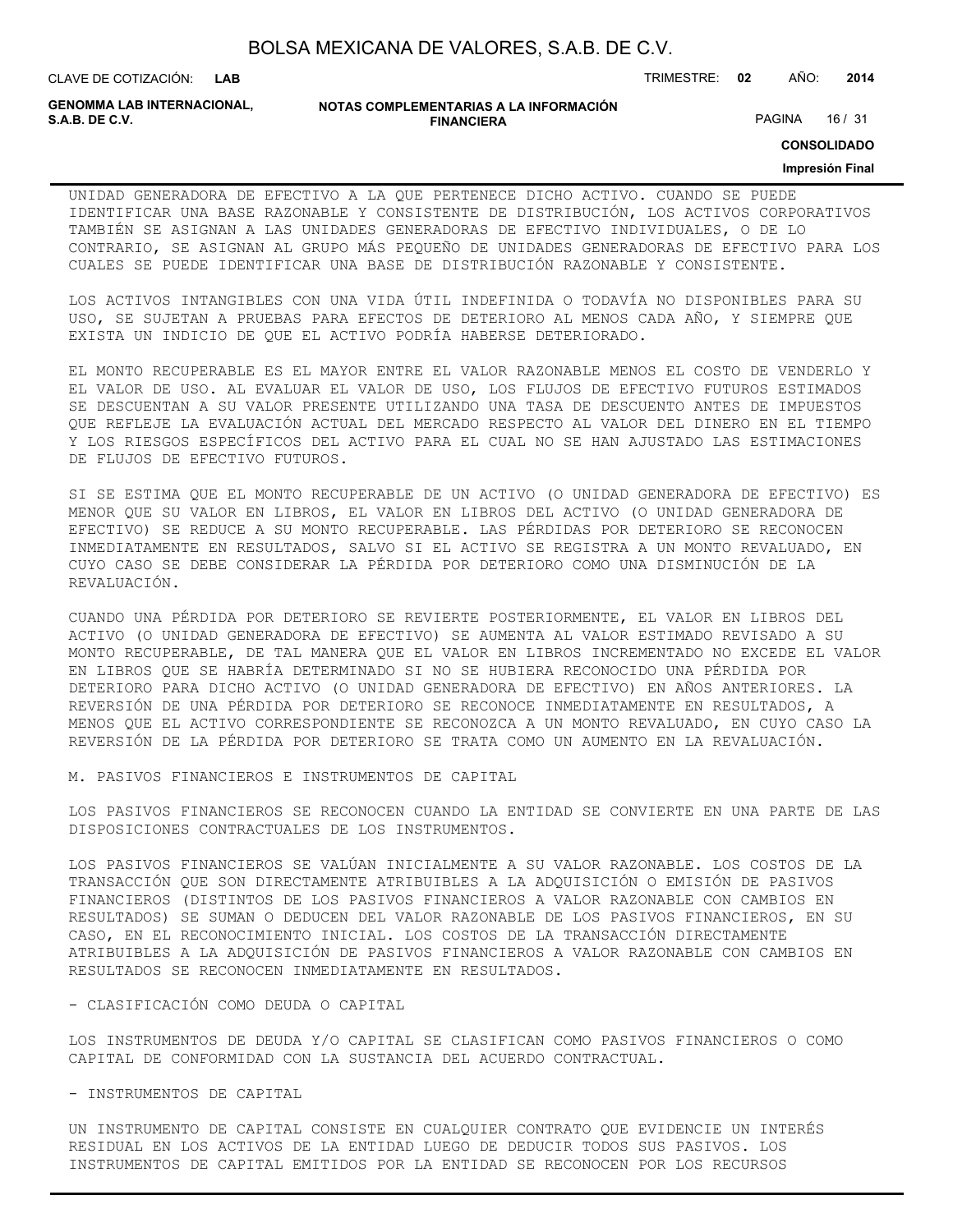CLAVE DE COTIZACIÓN: TRIMESTRE: **02** AÑO: **2014**

**GENOMMA LAB INTERNACIONAL,**

```
NOTAS COMPLEMENTARIAS A LA INFORMACIÓN
               FINANCIERA
```
PAGINA 16 / 31

**CONSOLIDADO**

#### **Impresión Final**

UNIDAD GENERADORA DE EFECTIVO A LA QUE PERTENECE DICHO ACTIVO. CUANDO SE PUEDE IDENTIFICAR UNA BASE RAZONABLE Y CONSISTENTE DE DISTRIBUCIÓN, LOS ACTIVOS CORPORATIVOS TAMBIÉN SE ASIGNAN A LAS UNIDADES GENERADORAS DE EFECTIVO INDIVIDUALES, O DE LO CONTRARIO, SE ASIGNAN AL GRUPO MÁS PEQUEÑO DE UNIDADES GENERADORAS DE EFECTIVO PARA LOS CUALES SE PUEDE IDENTIFICAR UNA BASE DE DISTRIBUCIÓN RAZONABLE Y CONSISTENTE.

LOS ACTIVOS INTANGIBLES CON UNA VIDA ÚTIL INDEFINIDA O TODAVÍA NO DISPONIBLES PARA SU USO, SE SUJETAN A PRUEBAS PARA EFECTOS DE DETERIORO AL MENOS CADA AÑO, Y SIEMPRE QUE EXISTA UN INDICIO DE QUE EL ACTIVO PODRÍA HABERSE DETERIORADO.

EL MONTO RECUPERABLE ES EL MAYOR ENTRE EL VALOR RAZONABLE MENOS EL COSTO DE VENDERLO Y EL VALOR DE USO. AL EVALUAR EL VALOR DE USO, LOS FLUJOS DE EFECTIVO FUTUROS ESTIMADOS SE DESCUENTAN A SU VALOR PRESENTE UTILIZANDO UNA TASA DE DESCUENTO ANTES DE IMPUESTOS QUE REFLEJE LA EVALUACIÓN ACTUAL DEL MERCADO RESPECTO AL VALOR DEL DINERO EN EL TIEMPO Y LOS RIESGOS ESPECÍFICOS DEL ACTIVO PARA EL CUAL NO SE HAN AJUSTADO LAS ESTIMACIONES DE FLUJOS DE EFECTIVO FUTUROS.

SI SE ESTIMA QUE EL MONTO RECUPERABLE DE UN ACTIVO (O UNIDAD GENERADORA DE EFECTIVO) ES MENOR QUE SU VALOR EN LIBROS, EL VALOR EN LIBROS DEL ACTIVO (O UNIDAD GENERADORA DE EFECTIVO) SE REDUCE A SU MONTO RECUPERABLE. LAS PÉRDIDAS POR DETERIORO SE RECONOCEN INMEDIATAMENTE EN RESULTADOS, SALVO SI EL ACTIVO SE REGISTRA A UN MONTO REVALUADO, EN CUYO CASO SE DEBE CONSIDERAR LA PÉRDIDA POR DETERIORO COMO UNA DISMINUCIÓN DE LA REVALUACIÓN.

CUANDO UNA PÉRDIDA POR DETERIORO SE REVIERTE POSTERIORMENTE, EL VALOR EN LIBROS DEL ACTIVO (O UNIDAD GENERADORA DE EFECTIVO) SE AUMENTA AL VALOR ESTIMADO REVISADO A SU MONTO RECUPERABLE, DE TAL MANERA QUE EL VALOR EN LIBROS INCREMENTADO NO EXCEDE EL VALOR EN LIBROS QUE SE HABRÍA DETERMINADO SI NO SE HUBIERA RECONOCIDO UNA PÉRDIDA POR DETERIORO PARA DICHO ACTIVO (O UNIDAD GENERADORA DE EFECTIVO) EN AÑOS ANTERIORES. LA REVERSIÓN DE UNA PÉRDIDA POR DETERIORO SE RECONOCE INMEDIATAMENTE EN RESULTADOS, A MENOS QUE EL ACTIVO CORRESPONDIENTE SE RECONOZCA A UN MONTO REVALUADO, EN CUYO CASO LA REVERSIÓN DE LA PÉRDIDA POR DETERIORO SE TRATA COMO UN AUMENTO EN LA REVALUACIÓN.

M. PASIVOS FINANCIEROS E INSTRUMENTOS DE CAPITAL

LOS PASIVOS FINANCIEROS SE RECONOCEN CUANDO LA ENTIDAD SE CONVIERTE EN UNA PARTE DE LAS DISPOSICIONES CONTRACTUALES DE LOS INSTRUMENTOS.

LOS PASIVOS FINANCIEROS SE VALÚAN INICIALMENTE A SU VALOR RAZONABLE. LOS COSTOS DE LA TRANSACCIÓN QUE SON DIRECTAMENTE ATRIBUIBLES A LA ADQUISICIÓN O EMISIÓN DE PASIVOS FINANCIEROS (DISTINTOS DE LOS PASIVOS FINANCIEROS A VALOR RAZONABLE CON CAMBIOS EN RESULTADOS) SE SUMAN O DEDUCEN DEL VALOR RAZONABLE DE LOS PASIVOS FINANCIEROS, EN SU CASO, EN EL RECONOCIMIENTO INICIAL. LOS COSTOS DE LA TRANSACCIÓN DIRECTAMENTE ATRIBUIBLES A LA ADQUISICIÓN DE PASIVOS FINANCIEROS A VALOR RAZONABLE CON CAMBIOS EN RESULTADOS SE RECONOCEN INMEDIATAMENTE EN RESULTADOS.

- CLASIFICACIÓN COMO DEUDA O CAPITAL

LOS INSTRUMENTOS DE DEUDA Y/O CAPITAL SE CLASIFICAN COMO PASIVOS FINANCIEROS O COMO CAPITAL DE CONFORMIDAD CON LA SUSTANCIA DEL ACUERDO CONTRACTUAL.

- INSTRUMENTOS DE CAPITAL

UN INSTRUMENTO DE CAPITAL CONSISTE EN CUALQUIER CONTRATO QUE EVIDENCIE UN INTERÉS RESIDUAL EN LOS ACTIVOS DE LA ENTIDAD LUEGO DE DEDUCIR TODOS SUS PASIVOS. LOS INSTRUMENTOS DE CAPITAL EMITIDOS POR LA ENTIDAD SE RECONOCEN POR LOS RECURSOS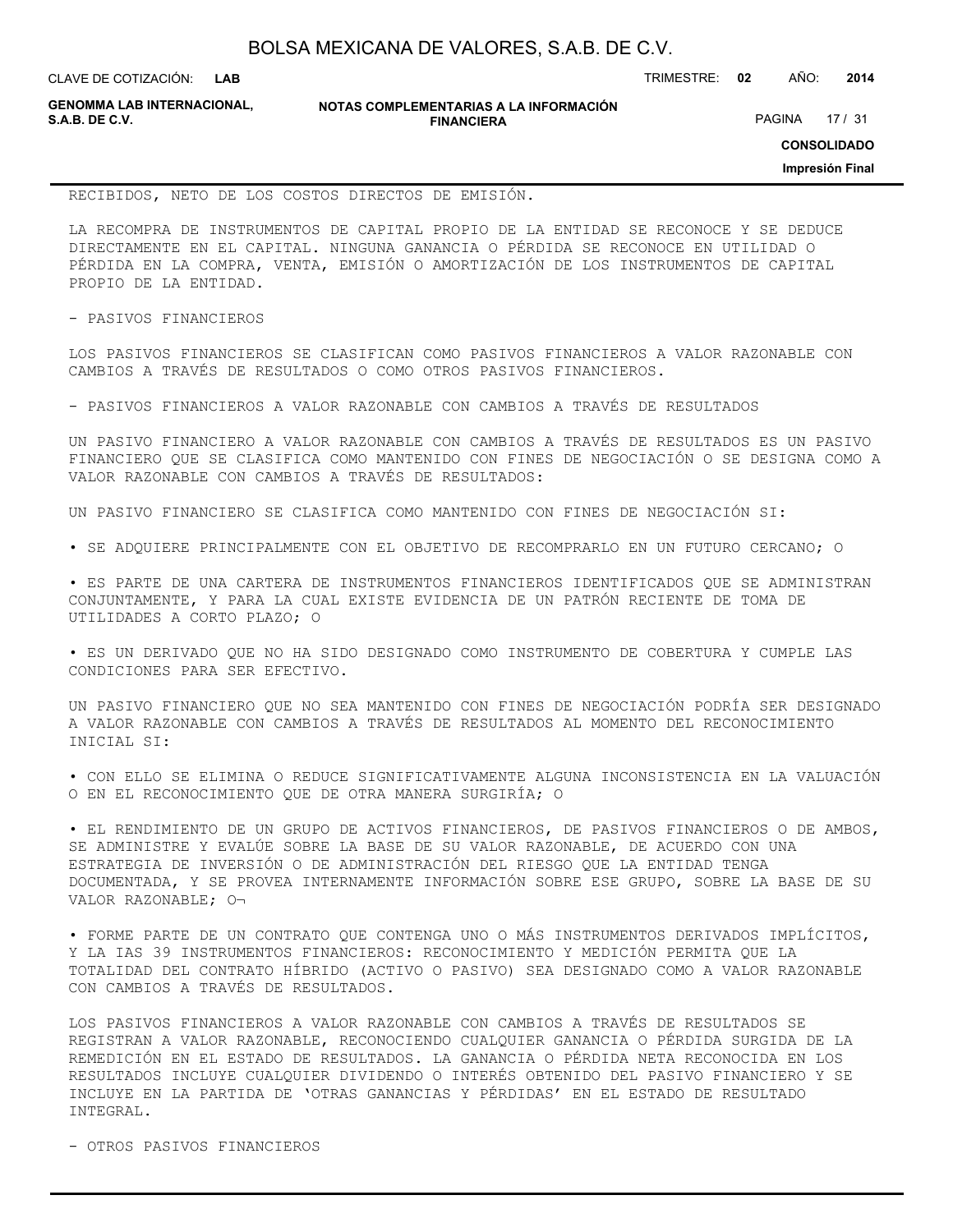| BOLSA MEXICANA DE VALORES, S.A.B. DE C.V. |  |  |
|-------------------------------------------|--|--|
|-------------------------------------------|--|--|

CLAVE DE COTIZACIÓN: TRIMESTRE: **02** AÑO: **2014**

**GENOMMA LAB INTERNACIONAL,**

**NOTAS COMPLEMENTARIAS A LA INFORMACIÓN FINANCIERA**

PAGINA 17 / 31

**CONSOLIDADO**

**Impresión Final**

#### RECIBIDOS, NETO DE LOS COSTOS DIRECTOS DE EMISIÓN.

LA RECOMPRA DE INSTRUMENTOS DE CAPITAL PROPIO DE LA ENTIDAD SE RECONOCE Y SE DEDUCE DIRECTAMENTE EN EL CAPITAL. NINGUNA GANANCIA O PÉRDIDA SE RECONOCE EN UTILIDAD O PÉRDIDA EN LA COMPRA, VENTA, EMISIÓN O AMORTIZACIÓN DE LOS INSTRUMENTOS DE CAPITAL PROPIO DE LA ENTIDAD.

- PASIVOS FINANCIEROS

LOS PASIVOS FINANCIEROS SE CLASIFICAN COMO PASIVOS FINANCIEROS A VALOR RAZONABLE CON CAMBIOS A TRAVÉS DE RESULTADOS O COMO OTROS PASIVOS FINANCIEROS.

- PASIVOS FINANCIEROS A VALOR RAZONABLE CON CAMBIOS A TRAVÉS DE RESULTADOS

UN PASIVO FINANCIERO A VALOR RAZONABLE CON CAMBIOS A TRAVÉS DE RESULTADOS ES UN PASIVO FINANCIERO QUE SE CLASIFICA COMO MANTENIDO CON FINES DE NEGOCIACIÓN O SE DESIGNA COMO A VALOR RAZONABLE CON CAMBIOS A TRAVÉS DE RESULTADOS:

UN PASIVO FINANCIERO SE CLASIFICA COMO MANTENIDO CON FINES DE NEGOCIACIÓN SI:

• SE ADQUIERE PRINCIPALMENTE CON EL OBJETIVO DE RECOMPRARLO EN UN FUTURO CERCANO; O

• ES PARTE DE UNA CARTERA DE INSTRUMENTOS FINANCIEROS IDENTIFICADOS QUE SE ADMINISTRAN CONJUNTAMENTE, Y PARA LA CUAL EXISTE EVIDENCIA DE UN PATRÓN RECIENTE DE TOMA DE UTILIDADES A CORTO PLAZO; O

• ES UN DERIVADO QUE NO HA SIDO DESIGNADO COMO INSTRUMENTO DE COBERTURA Y CUMPLE LAS CONDICIONES PARA SER EFECTIVO.

UN PASIVO FINANCIERO QUE NO SEA MANTENIDO CON FINES DE NEGOCIACIÓN PODRÍA SER DESIGNADO A VALOR RAZONABLE CON CAMBIOS A TRAVÉS DE RESULTADOS AL MOMENTO DEL RECONOCIMIENTO INICIAL SI:

• CON ELLO SE ELIMINA O REDUCE SIGNIFICATIVAMENTE ALGUNA INCONSISTENCIA EN LA VALUACIÓN O EN EL RECONOCIMIENTO QUE DE OTRA MANERA SURGIRÍA; O

• EL RENDIMIENTO DE UN GRUPO DE ACTIVOS FINANCIEROS, DE PASIVOS FINANCIEROS O DE AMBOS, SE ADMINISTRE Y EVALÚE SOBRE LA BASE DE SU VALOR RAZONABLE, DE ACUERDO CON UNA ESTRATEGIA DE INVERSIÓN O DE ADMINISTRACIÓN DEL RIESGO QUE LA ENTIDAD TENGA DOCUMENTADA, Y SE PROVEA INTERNAMENTE INFORMACIÓN SOBRE ESE GRUPO, SOBRE LA BASE DE SU VALOR RAZONABLE; O¬

• FORME PARTE DE UN CONTRATO QUE CONTENGA UNO O MÁS INSTRUMENTOS DERIVADOS IMPLÍCITOS, Y LA IAS 39 INSTRUMENTOS FINANCIEROS: RECONOCIMIENTO Y MEDICIÓN PERMITA QUE LA TOTALIDAD DEL CONTRATO HÍBRIDO (ACTIVO O PASIVO) SEA DESIGNADO COMO A VALOR RAZONABLE CON CAMBIOS A TRAVÉS DE RESULTADOS.

LOS PASIVOS FINANCIEROS A VALOR RAZONABLE CON CAMBIOS A TRAVÉS DE RESULTADOS SE REGISTRAN A VALOR RAZONABLE, RECONOCIENDO CUALQUIER GANANCIA O PÉRDIDA SURGIDA DE LA REMEDICIÓN EN EL ESTADO DE RESULTADOS. LA GANANCIA O PÉRDIDA NETA RECONOCIDA EN LOS RESULTADOS INCLUYE CUALQUIER DIVIDENDO O INTERÉS OBTENIDO DEL PASIVO FINANCIERO Y SE INCLUYE EN LA PARTIDA DE 'OTRAS GANANCIAS Y PÉRDIDAS' EN EL ESTADO DE RESULTADO INTEGRAL.

- OTROS PASIVOS FINANCIEROS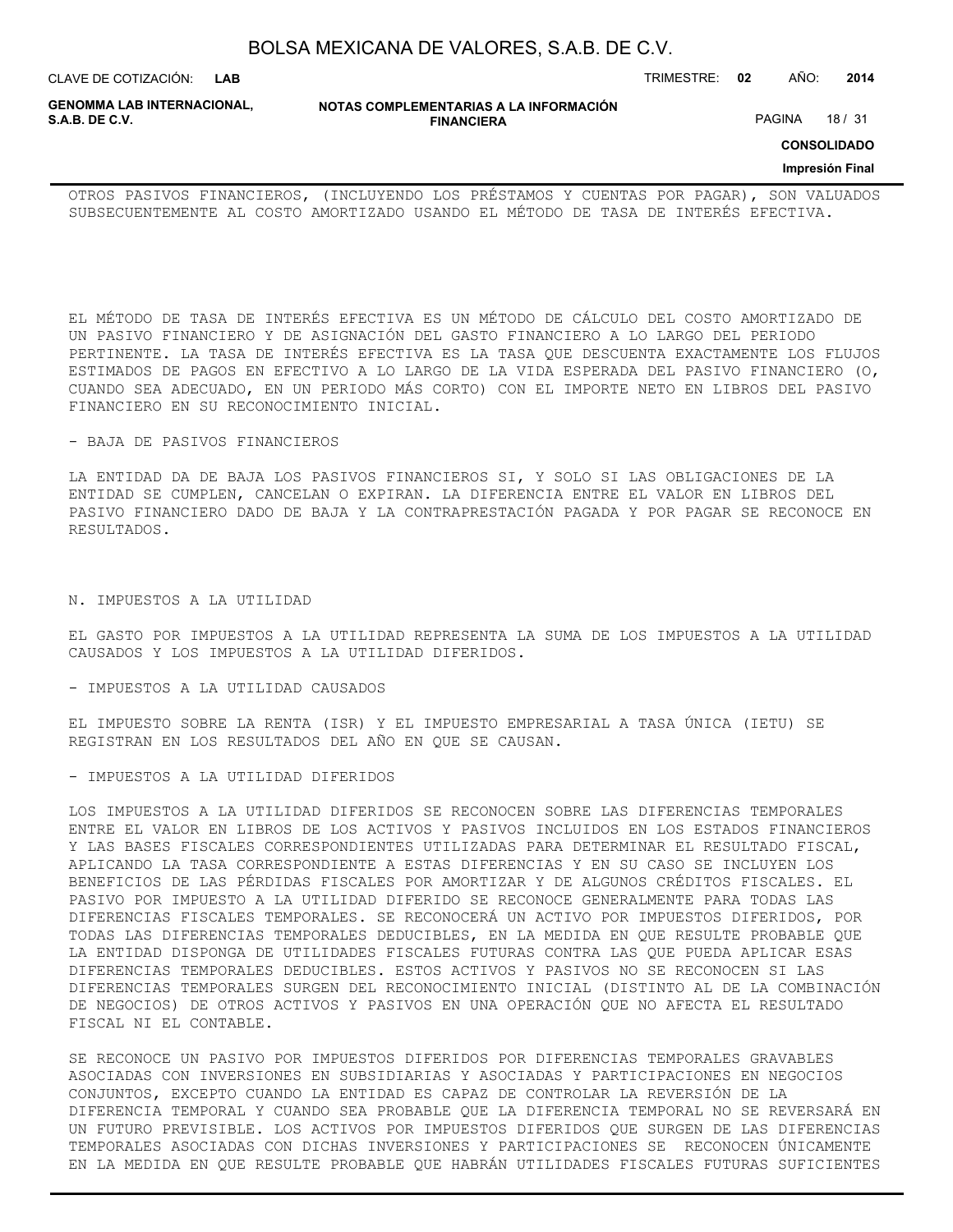| BOLSA MEXICANA DE VALORES, S.A.B. DE C.V. |  |  |
|-------------------------------------------|--|--|
|-------------------------------------------|--|--|

CLAVE DE COTIZACIÓN: TRIMESTRE: **02** AÑO: **2014 LAB**

**GENOMMA LAB INTERNACIONAL,**

**NOTAS COMPLEMENTARIAS A LA INFORMACIÓN FINANCIERA**

PAGINA 18 / 31

## **CONSOLIDADO**

## **Impresión Final**

OTROS PASIVOS FINANCIEROS, (INCLUYENDO LOS PRÉSTAMOS Y CUENTAS POR PAGAR), SON VALUADOS SUBSECUENTEMENTE AL COSTO AMORTIZADO USANDO EL MÉTODO DE TASA DE INTERÉS EFECTIVA.

EL MÉTODO DE TASA DE INTERÉS EFECTIVA ES UN MÉTODO DE CÁLCULO DEL COSTO AMORTIZADO DE UN PASIVO FINANCIERO Y DE ASIGNACIÓN DEL GASTO FINANCIERO A LO LARGO DEL PERIODO PERTINENTE. LA TASA DE INTERÉS EFECTIVA ES LA TASA QUE DESCUENTA EXACTAMENTE LOS FLUJOS ESTIMADOS DE PAGOS EN EFECTIVO A LO LARGO DE LA VIDA ESPERADA DEL PASIVO FINANCIERO (O, CUANDO SEA ADECUADO, EN UN PERIODO MÁS CORTO) CON EL IMPORTE NETO EN LIBROS DEL PASIVO FINANCIERO EN SU RECONOCIMIENTO INICIAL.

#### - BAJA DE PASIVOS FINANCIEROS

LA ENTIDAD DA DE BAJA LOS PASIVOS FINANCIEROS SI, Y SOLO SI LAS OBLIGACIONES DE LA ENTIDAD SE CUMPLEN, CANCELAN O EXPIRAN. LA DIFERENCIA ENTRE EL VALOR EN LIBROS DEL PASIVO FINANCIERO DADO DE BAJA Y LA CONTRAPRESTACIÓN PAGADA Y POR PAGAR SE RECONOCE EN RESULTADOS.

## N. IMPUESTOS A LA UTILIDAD

EL GASTO POR IMPUESTOS A LA UTILIDAD REPRESENTA LA SUMA DE LOS IMPUESTOS A LA UTILIDAD CAUSADOS Y LOS IMPUESTOS A LA UTILIDAD DIFERIDOS.

#### - IMPUESTOS A LA UTILIDAD CAUSADOS

EL IMPUESTO SOBRE LA RENTA (ISR) Y EL IMPUESTO EMPRESARIAL A TASA ÚNICA (IETU) SE REGISTRAN EN LOS RESULTADOS DEL AÑO EN QUE SE CAUSAN.

## - IMPUESTOS A LA UTILIDAD DIFERIDOS

LOS IMPUESTOS A LA UTILIDAD DIFERIDOS SE RECONOCEN SOBRE LAS DIFERENCIAS TEMPORALES ENTRE EL VALOR EN LIBROS DE LOS ACTIVOS Y PASIVOS INCLUIDOS EN LOS ESTADOS FINANCIEROS Y LAS BASES FISCALES CORRESPONDIENTES UTILIZADAS PARA DETERMINAR EL RESULTADO FISCAL, APLICANDO LA TASA CORRESPONDIENTE A ESTAS DIFERENCIAS Y EN SU CASO SE INCLUYEN LOS BENEFICIOS DE LAS PÉRDIDAS FISCALES POR AMORTIZAR Y DE ALGUNOS CRÉDITOS FISCALES. EL PASIVO POR IMPUESTO A LA UTILIDAD DIFERIDO SE RECONOCE GENERALMENTE PARA TODAS LAS DIFERENCIAS FISCALES TEMPORALES. SE RECONOCERÁ UN ACTIVO POR IMPUESTOS DIFERIDOS, POR TODAS LAS DIFERENCIAS TEMPORALES DEDUCIBLES, EN LA MEDIDA EN QUE RESULTE PROBABLE QUE LA ENTIDAD DISPONGA DE UTILIDADES FISCALES FUTURAS CONTRA LAS QUE PUEDA APLICAR ESAS DIFERENCIAS TEMPORALES DEDUCIBLES. ESTOS ACTIVOS Y PASIVOS NO SE RECONOCEN SI LAS DIFERENCIAS TEMPORALES SURGEN DEL RECONOCIMIENTO INICIAL (DISTINTO AL DE LA COMBINACIÓN DE NEGOCIOS) DE OTROS ACTIVOS Y PASIVOS EN UNA OPERACIÓN QUE NO AFECTA EL RESULTADO FISCAL NI EL CONTABLE.

SE RECONOCE UN PASIVO POR IMPUESTOS DIFERIDOS POR DIFERENCIAS TEMPORALES GRAVABLES ASOCIADAS CON INVERSIONES EN SUBSIDIARIAS Y ASOCIADAS Y PARTICIPACIONES EN NEGOCIOS CONJUNTOS, EXCEPTO CUANDO LA ENTIDAD ES CAPAZ DE CONTROLAR LA REVERSIÓN DE LA DIFERENCIA TEMPORAL Y CUANDO SEA PROBABLE QUE LA DIFERENCIA TEMPORAL NO SE REVERSARÁ EN UN FUTURO PREVISIBLE. LOS ACTIVOS POR IMPUESTOS DIFERIDOS QUE SURGEN DE LAS DIFERENCIAS TEMPORALES ASOCIADAS CON DICHAS INVERSIONES Y PARTICIPACIONES SE RECONOCEN ÚNICAMENTE EN LA MEDIDA EN QUE RESULTE PROBABLE QUE HABRÁN UTILIDADES FISCALES FUTURAS SUFICIENTES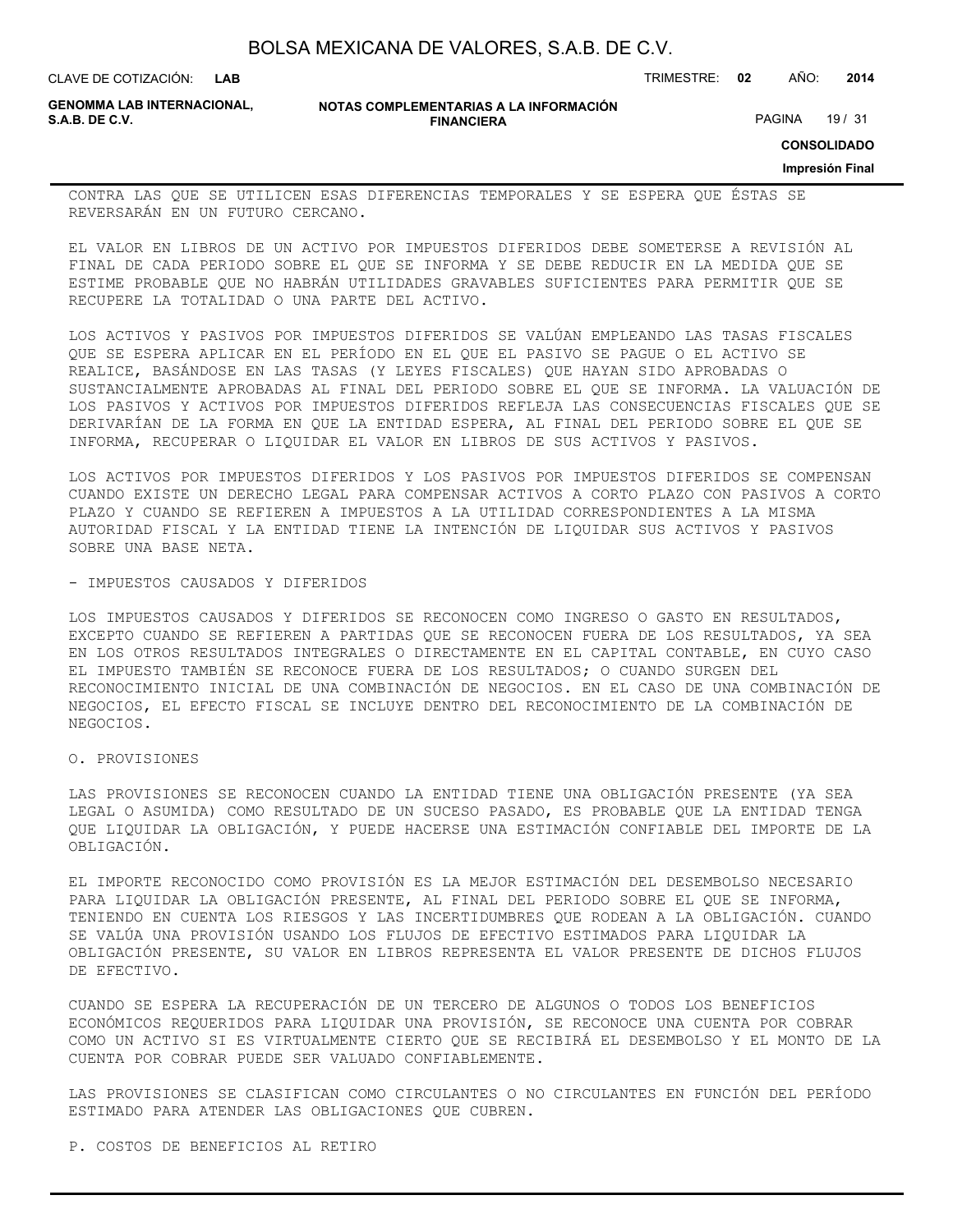| BOLSA MEXICANA DE VALORES, S.A.B. DE C.V. |  |  |  |
|-------------------------------------------|--|--|--|
|-------------------------------------------|--|--|--|

CLAVE DE COTIZACIÓN: TRIMESTRE: **02** AÑO: **2014**

**GENOMMA LAB INTERNACIONAL,**

**NOTAS COMPLEMENTARIAS A LA INFORMACIÓN FINANCIERA**

PAGINA 19 / 31

**CONSOLIDADO**

#### **Impresión Final**

CONTRA LAS QUE SE UTILICEN ESAS DIFERENCIAS TEMPORALES Y SE ESPERA QUE ÉSTAS SE REVERSARÁN EN UN FUTURO CERCANO.

EL VALOR EN LIBROS DE UN ACTIVO POR IMPUESTOS DIFERIDOS DEBE SOMETERSE A REVISIÓN AL FINAL DE CADA PERIODO SOBRE EL QUE SE INFORMA Y SE DEBE REDUCIR EN LA MEDIDA QUE SE ESTIME PROBABLE QUE NO HABRÁN UTILIDADES GRAVABLES SUFICIENTES PARA PERMITIR QUE SE RECUPERE LA TOTALIDAD O UNA PARTE DEL ACTIVO.

LOS ACTIVOS Y PASIVOS POR IMPUESTOS DIFERIDOS SE VALÚAN EMPLEANDO LAS TASAS FISCALES QUE SE ESPERA APLICAR EN EL PERÍODO EN EL QUE EL PASIVO SE PAGUE O EL ACTIVO SE REALICE, BASÁNDOSE EN LAS TASAS (Y LEYES FISCALES) QUE HAYAN SIDO APROBADAS O SUSTANCIALMENTE APROBADAS AL FINAL DEL PERIODO SOBRE EL QUE SE INFORMA. LA VALUACIÓN DE LOS PASIVOS Y ACTIVOS POR IMPUESTOS DIFERIDOS REFLEJA LAS CONSECUENCIAS FISCALES QUE SE DERIVARÍAN DE LA FORMA EN QUE LA ENTIDAD ESPERA, AL FINAL DEL PERIODO SOBRE EL QUE SE INFORMA, RECUPERAR O LIQUIDAR EL VALOR EN LIBROS DE SUS ACTIVOS Y PASIVOS.

LOS ACTIVOS POR IMPUESTOS DIFERIDOS Y LOS PASIVOS POR IMPUESTOS DIFERIDOS SE COMPENSAN CUANDO EXISTE UN DERECHO LEGAL PARA COMPENSAR ACTIVOS A CORTO PLAZO CON PASIVOS A CORTO PLAZO Y CUANDO SE REFIEREN A IMPUESTOS A LA UTILIDAD CORRESPONDIENTES A LA MISMA AUTORIDAD FISCAL Y LA ENTIDAD TIENE LA INTENCIÓN DE LIQUIDAR SUS ACTIVOS Y PASIVOS SOBRE UNA BASE NETA.

## - IMPUESTOS CAUSADOS Y DIFERIDOS

LOS IMPUESTOS CAUSADOS Y DIFERIDOS SE RECONOCEN COMO INGRESO O GASTO EN RESULTADOS, EXCEPTO CUANDO SE REFIEREN A PARTIDAS QUE SE RECONOCEN FUERA DE LOS RESULTADOS, YA SEA EN LOS OTROS RESULTADOS INTEGRALES O DIRECTAMENTE EN EL CAPITAL CONTABLE, EN CUYO CASO EL IMPUESTO TAMBIÉN SE RECONOCE FUERA DE LOS RESULTADOS; O CUANDO SURGEN DEL RECONOCIMIENTO INICIAL DE UNA COMBINACIÓN DE NEGOCIOS. EN EL CASO DE UNA COMBINACIÓN DE NEGOCIOS, EL EFECTO FISCAL SE INCLUYE DENTRO DEL RECONOCIMIENTO DE LA COMBINACIÓN DE NEGOCIOS.

O. PROVISIONES

LAS PROVISIONES SE RECONOCEN CUANDO LA ENTIDAD TIENE UNA OBLIGACIÓN PRESENTE (YA SEA LEGAL O ASUMIDA) COMO RESULTADO DE UN SUCESO PASADO, ES PROBABLE QUE LA ENTIDAD TENGA QUE LIQUIDAR LA OBLIGACIÓN, Y PUEDE HACERSE UNA ESTIMACIÓN CONFIABLE DEL IMPORTE DE LA OBLIGACIÓN.

EL IMPORTE RECONOCIDO COMO PROVISIÓN ES LA MEJOR ESTIMACIÓN DEL DESEMBOLSO NECESARIO PARA LIQUIDAR LA OBLIGACIÓN PRESENTE, AL FINAL DEL PERIODO SOBRE EL QUE SE INFORMA, TENIENDO EN CUENTA LOS RIESGOS Y LAS INCERTIDUMBRES QUE RODEAN A LA OBLIGACIÓN. CUANDO SE VALÚA UNA PROVISIÓN USANDO LOS FLUJOS DE EFECTIVO ESTIMADOS PARA LIQUIDAR LA OBLIGACIÓN PRESENTE, SU VALOR EN LIBROS REPRESENTA EL VALOR PRESENTE DE DICHOS FLUJOS DE EFECTIVO.

CUANDO SE ESPERA LA RECUPERACIÓN DE UN TERCERO DE ALGUNOS O TODOS LOS BENEFICIOS ECONÓMICOS REQUERIDOS PARA LIQUIDAR UNA PROVISIÓN, SE RECONOCE UNA CUENTA POR COBRAR COMO UN ACTIVO SI ES VIRTUALMENTE CIERTO QUE SE RECIBIRÁ EL DESEMBOLSO Y EL MONTO DE LA CUENTA POR COBRAR PUEDE SER VALUADO CONFIABLEMENTE.

LAS PROVISIONES SE CLASIFICAN COMO CIRCULANTES O NO CIRCULANTES EN FUNCIÓN DEL PERÍODO ESTIMADO PARA ATENDER LAS OBLIGACIONES QUE CUBREN.

P. COSTOS DE BENEFICIOS AL RETIRO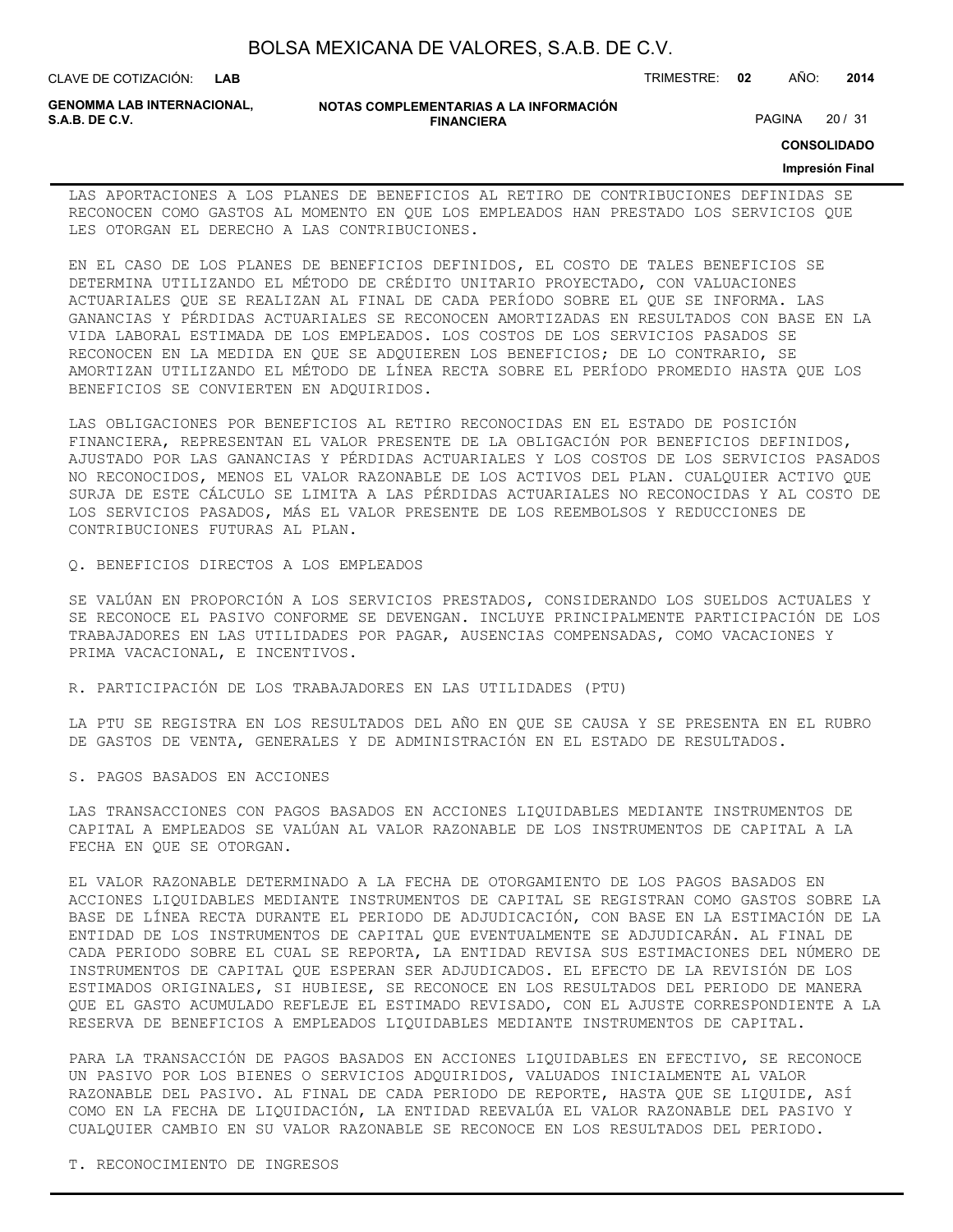| BOLSA MEXICANA DE VALORES, S.A.B. DE C.V. |
|-------------------------------------------|
|-------------------------------------------|

CLAVE DE COTIZACIÓN: TRIMESTRE: **02** AÑO: **2014**

**GENOMMA LAB INTERNACIONAL,**

#### **NOTAS COMPLEMENTARIAS A LA INFORMACIÓN FINANCIERA**

PAGINA 20 / 31

**CONSOLIDADO**

#### **Impresión Final**

LAS APORTACIONES A LOS PLANES DE BENEFICIOS AL RETIRO DE CONTRIBUCIONES DEFINIDAS SE RECONOCEN COMO GASTOS AL MOMENTO EN QUE LOS EMPLEADOS HAN PRESTADO LOS SERVICIOS QUE LES OTORGAN EL DERECHO A LAS CONTRIBUCIONES.

EN EL CASO DE LOS PLANES DE BENEFICIOS DEFINIDOS, EL COSTO DE TALES BENEFICIOS SE DETERMINA UTILIZANDO EL MÉTODO DE CRÉDITO UNITARIO PROYECTADO, CON VALUACIONES ACTUARIALES QUE SE REALIZAN AL FINAL DE CADA PERÍODO SOBRE EL QUE SE INFORMA. LAS GANANCIAS Y PÉRDIDAS ACTUARIALES SE RECONOCEN AMORTIZADAS EN RESULTADOS CON BASE EN LA VIDA LABORAL ESTIMADA DE LOS EMPLEADOS. LOS COSTOS DE LOS SERVICIOS PASADOS SE RECONOCEN EN LA MEDIDA EN QUE SE ADQUIEREN LOS BENEFICIOS; DE LO CONTRARIO, SE AMORTIZAN UTILIZANDO EL MÉTODO DE LÍNEA RECTA SOBRE EL PERÍODO PROMEDIO HASTA QUE LOS BENEFICIOS SE CONVIERTEN EN ADQUIRIDOS.

LAS OBLIGACIONES POR BENEFICIOS AL RETIRO RECONOCIDAS EN EL ESTADO DE POSICIÓN FINANCIERA, REPRESENTAN EL VALOR PRESENTE DE LA OBLIGACIÓN POR BENEFICIOS DEFINIDOS, AJUSTADO POR LAS GANANCIAS Y PÉRDIDAS ACTUARIALES Y LOS COSTOS DE LOS SERVICIOS PASADOS NO RECONOCIDOS, MENOS EL VALOR RAZONABLE DE LOS ACTIVOS DEL PLAN. CUALQUIER ACTIVO QUE SURJA DE ESTE CÁLCULO SE LIMITA A LAS PÉRDIDAS ACTUARIALES NO RECONOCIDAS Y AL COSTO DE LOS SERVICIOS PASADOS, MÁS EL VALOR PRESENTE DE LOS REEMBOLSOS Y REDUCCIONES DE CONTRIBUCIONES FUTURAS AL PLAN.

## Q. BENEFICIOS DIRECTOS A LOS EMPLEADOS

SE VALÚAN EN PROPORCIÓN A LOS SERVICIOS PRESTADOS, CONSIDERANDO LOS SUELDOS ACTUALES Y SE RECONOCE EL PASIVO CONFORME SE DEVENGAN. INCLUYE PRINCIPALMENTE PARTICIPACIÓN DE LOS TRABAJADORES EN LAS UTILIDADES POR PAGAR, AUSENCIAS COMPENSADAS, COMO VACACIONES Y PRIMA VACACIONAL, E INCENTIVOS.

R. PARTICIPACIÓN DE LOS TRABAJADORES EN LAS UTILIDADES (PTU)

LA PTU SE REGISTRA EN LOS RESULTADOS DEL AÑO EN QUE SE CAUSA Y SE PRESENTA EN EL RUBRO DE GASTOS DE VENTA, GENERALES Y DE ADMINISTRACIÓN EN EL ESTADO DE RESULTADOS.

S. PAGOS BASADOS EN ACCIONES

LAS TRANSACCIONES CON PAGOS BASADOS EN ACCIONES LIQUIDABLES MEDIANTE INSTRUMENTOS DE CAPITAL A EMPLEADOS SE VALÚAN AL VALOR RAZONABLE DE LOS INSTRUMENTOS DE CAPITAL A LA FECHA EN QUE SE OTORGAN.

EL VALOR RAZONABLE DETERMINADO A LA FECHA DE OTORGAMIENTO DE LOS PAGOS BASADOS EN ACCIONES LIQUIDABLES MEDIANTE INSTRUMENTOS DE CAPITAL SE REGISTRAN COMO GASTOS SOBRE LA BASE DE LÍNEA RECTA DURANTE EL PERIODO DE ADJUDICACIÓN, CON BASE EN LA ESTIMACIÓN DE LA ENTIDAD DE LOS INSTRUMENTOS DE CAPITAL QUE EVENTUALMENTE SE ADJUDICARÁN. AL FINAL DE CADA PERIODO SOBRE EL CUAL SE REPORTA, LA ENTIDAD REVISA SUS ESTIMACIONES DEL NÚMERO DE INSTRUMENTOS DE CAPITAL QUE ESPERAN SER ADJUDICADOS. EL EFECTO DE LA REVISIÓN DE LOS ESTIMADOS ORIGINALES, SI HUBIESE, SE RECONOCE EN LOS RESULTADOS DEL PERIODO DE MANERA QUE EL GASTO ACUMULADO REFLEJE EL ESTIMADO REVISADO, CON EL AJUSTE CORRESPONDIENTE A LA RESERVA DE BENEFICIOS A EMPLEADOS LIQUIDABLES MEDIANTE INSTRUMENTOS DE CAPITAL.

PARA LA TRANSACCIÓN DE PAGOS BASADOS EN ACCIONES LIQUIDABLES EN EFECTIVO, SE RECONOCE UN PASIVO POR LOS BIENES O SERVICIOS ADQUIRIDOS, VALUADOS INICIALMENTE AL VALOR RAZONABLE DEL PASIVO. AL FINAL DE CADA PERIODO DE REPORTE, HASTA QUE SE LIQUIDE, ASÍ COMO EN LA FECHA DE LIQUIDACIÓN, LA ENTIDAD REEVALÚA EL VALOR RAZONABLE DEL PASIVO Y CUALQUIER CAMBIO EN SU VALOR RAZONABLE SE RECONOCE EN LOS RESULTADOS DEL PERIODO.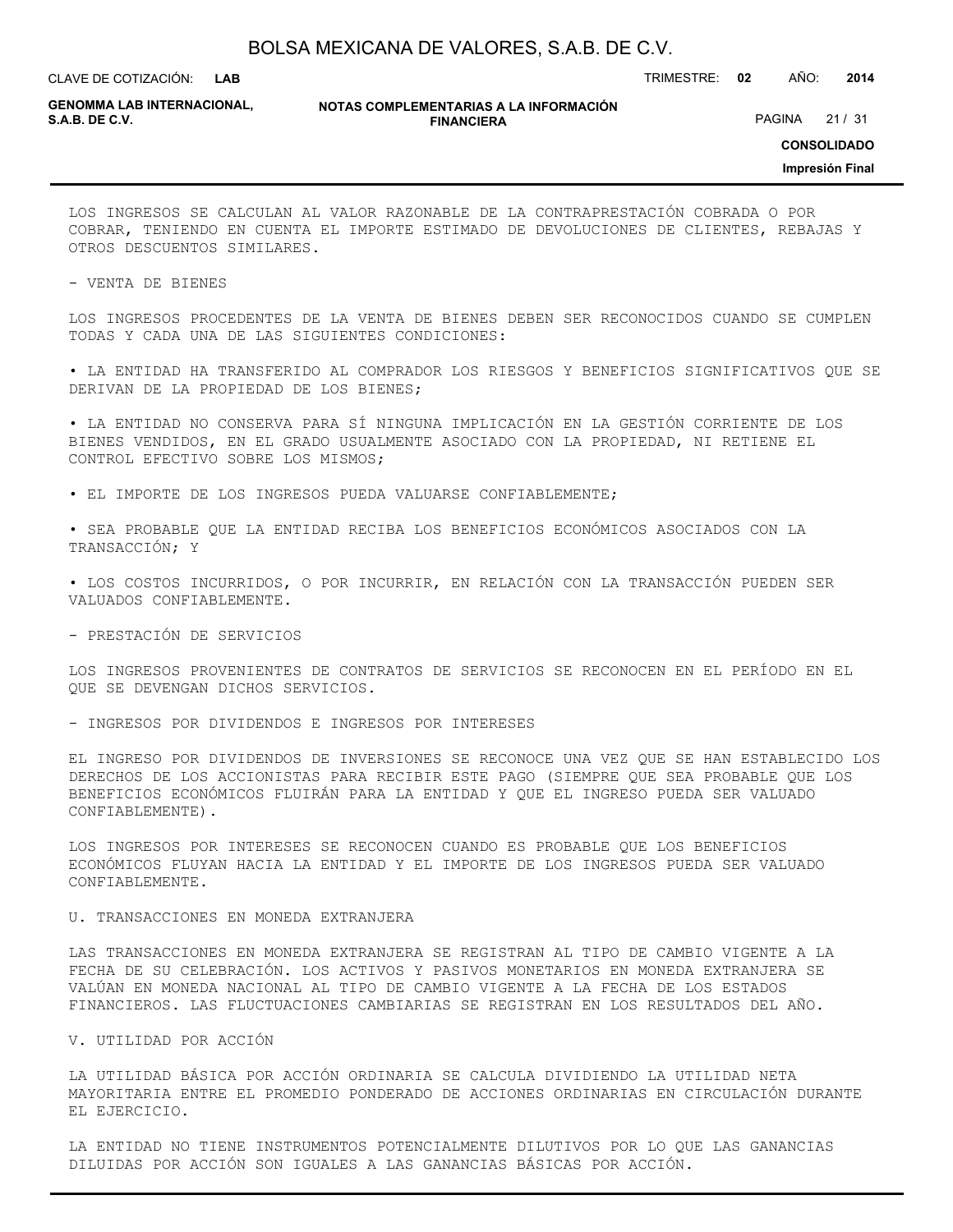**LAB**

CLAVE DE COTIZACIÓN: TRIMESTRE: **02** AÑO: **2014**

**GENOMMA LAB INTERNACIONAL,**

**NOTAS COMPLEMENTARIAS A LA INFORMACIÓN FINANCIERA**

PAGINA 21 / 31

**CONSOLIDADO**

**Impresión Final**

LOS INGRESOS SE CALCULAN AL VALOR RAZONABLE DE LA CONTRAPRESTACIÓN COBRADA O POR COBRAR, TENIENDO EN CUENTA EL IMPORTE ESTIMADO DE DEVOLUCIONES DE CLIENTES, REBAJAS Y OTROS DESCUENTOS SIMILARES.

- VENTA DE BIENES

LOS INGRESOS PROCEDENTES DE LA VENTA DE BIENES DEBEN SER RECONOCIDOS CUANDO SE CUMPLEN TODAS Y CADA UNA DE LAS SIGUIENTES CONDICIONES:

• LA ENTIDAD HA TRANSFERIDO AL COMPRADOR LOS RIESGOS Y BENEFICIOS SIGNIFICATIVOS QUE SE DERIVAN DE LA PROPIEDAD DE LOS BIENES;

• LA ENTIDAD NO CONSERVA PARA SÍ NINGUNA IMPLICACIÓN EN LA GESTIÓN CORRIENTE DE LOS BIENES VENDIDOS, EN EL GRADO USUALMENTE ASOCIADO CON LA PROPIEDAD, NI RETIENE EL CONTROL EFECTIVO SOBRE LOS MISMOS;

• EL IMPORTE DE LOS INGRESOS PUEDA VALUARSE CONFIABLEMENTE;

• SEA PROBABLE QUE LA ENTIDAD RECIBA LOS BENEFICIOS ECONÓMICOS ASOCIADOS CON LA TRANSACCIÓN; Y

• LOS COSTOS INCURRIDOS, O POR INCURRIR, EN RELACIÓN CON LA TRANSACCIÓN PUEDEN SER VALUADOS CONFIABLEMENTE.

- PRESTACIÓN DE SERVICIOS

LOS INGRESOS PROVENIENTES DE CONTRATOS DE SERVICIOS SE RECONOCEN EN EL PERÍODO EN EL QUE SE DEVENGAN DICHOS SERVICIOS.

- INGRESOS POR DIVIDENDOS E INGRESOS POR INTERESES

EL INGRESO POR DIVIDENDOS DE INVERSIONES SE RECONOCE UNA VEZ QUE SE HAN ESTABLECIDO LOS DERECHOS DE LOS ACCIONISTAS PARA RECIBIR ESTE PAGO (SIEMPRE QUE SEA PROBABLE QUE LOS BENEFICIOS ECONÓMICOS FLUIRÁN PARA LA ENTIDAD Y QUE EL INGRESO PUEDA SER VALUADO CONFIABLEMENTE).

LOS INGRESOS POR INTERESES SE RECONOCEN CUANDO ES PROBABLE QUE LOS BENEFICIOS ECONÓMICOS FLUYAN HACIA LA ENTIDAD Y EL IMPORTE DE LOS INGRESOS PUEDA SER VALUADO CONFIABLEMENTE.

U. TRANSACCIONES EN MONEDA EXTRANJERA

LAS TRANSACCIONES EN MONEDA EXTRANJERA SE REGISTRAN AL TIPO DE CAMBIO VIGENTE A LA FECHA DE SU CELEBRACIÓN. LOS ACTIVOS Y PASIVOS MONETARIOS EN MONEDA EXTRANJERA SE VALÚAN EN MONEDA NACIONAL AL TIPO DE CAMBIO VIGENTE A LA FECHA DE LOS ESTADOS FINANCIEROS. LAS FLUCTUACIONES CAMBIARIAS SE REGISTRAN EN LOS RESULTADOS DEL AÑO.

V. UTILIDAD POR ACCIÓN

LA UTILIDAD BÁSICA POR ACCIÓN ORDINARIA SE CALCULA DIVIDIENDO LA UTILIDAD NETA MAYORITARIA ENTRE EL PROMEDIO PONDERADO DE ACCIONES ORDINARIAS EN CIRCULACIÓN DURANTE EL EJERCICIO.

LA ENTIDAD NO TIENE INSTRUMENTOS POTENCIALMENTE DILUTIVOS POR LO QUE LAS GANANCIAS DILUIDAS POR ACCIÓN SON IGUALES A LAS GANANCIAS BÁSICAS POR ACCIÓN.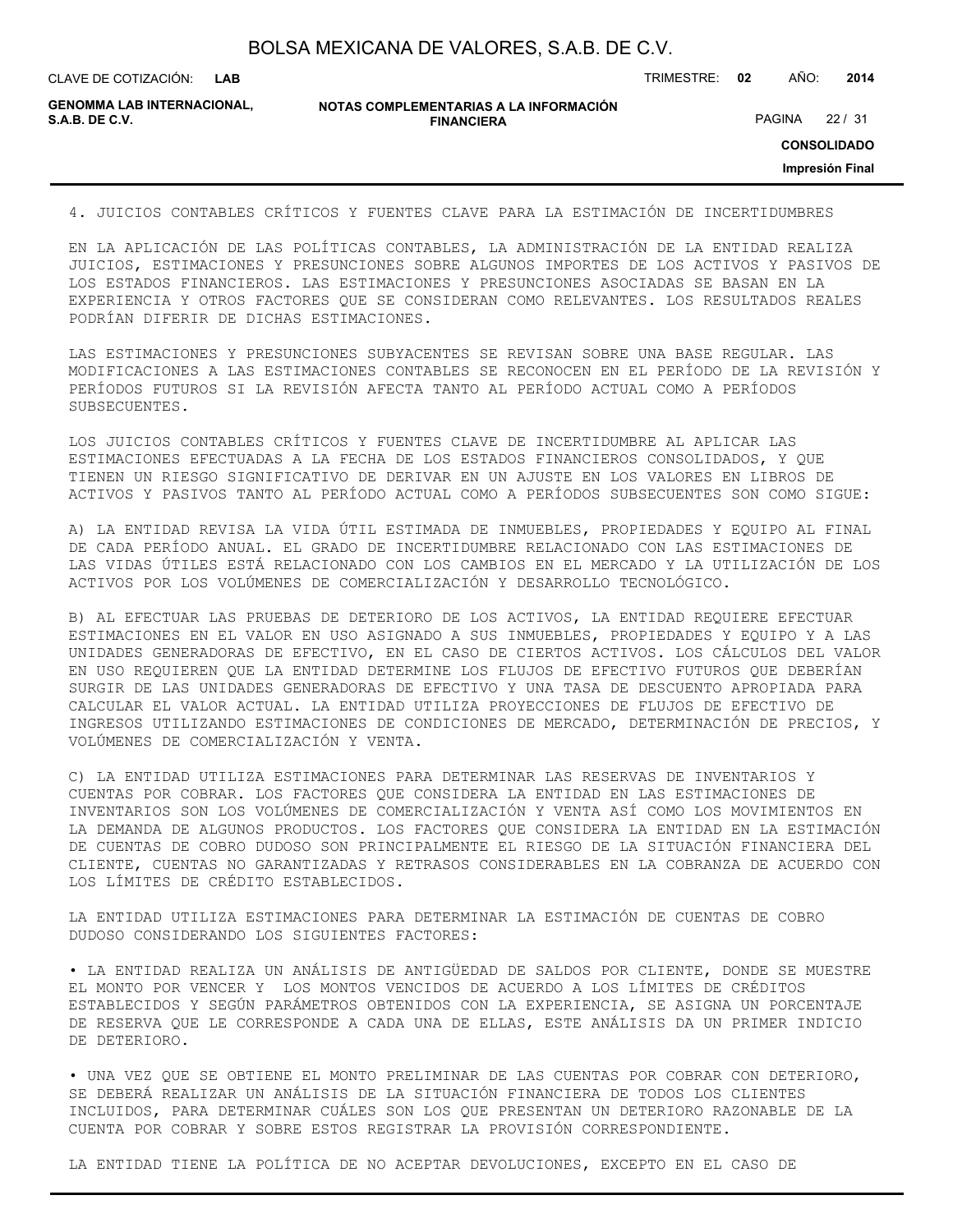| BOLSA MEXICANA DE VALORES, S.A.B. DE C.V. |  |  |
|-------------------------------------------|--|--|
|-------------------------------------------|--|--|

CLAVE DE COTIZACIÓN: TRIMESTRE: **02** AÑO: **2014**

**GENOMMA LAB INTERNACIONAL,**

**NOTAS COMPLEMENTARIAS A LA INFORMACIÓN FINANCIERA**

PAGINA 22 / 31

**CONSOLIDADO**

**Impresión Final**

4. JUICIOS CONTABLES CRÍTICOS Y FUENTES CLAVE PARA LA ESTIMACIÓN DE INCERTIDUMBRES

EN LA APLICACIÓN DE LAS POLÍTICAS CONTABLES, LA ADMINISTRACIÓN DE LA ENTIDAD REALIZA JUICIOS, ESTIMACIONES Y PRESUNCIONES SOBRE ALGUNOS IMPORTES DE LOS ACTIVOS Y PASIVOS DE LOS ESTADOS FINANCIEROS. LAS ESTIMACIONES Y PRESUNCIONES ASOCIADAS SE BASAN EN LA EXPERIENCIA Y OTROS FACTORES QUE SE CONSIDERAN COMO RELEVANTES. LOS RESULTADOS REALES PODRÍAN DIFERIR DE DICHAS ESTIMACIONES.

LAS ESTIMACIONES Y PRESUNCIONES SUBYACENTES SE REVISAN SOBRE UNA BASE REGULAR. LAS MODIFICACIONES A LAS ESTIMACIONES CONTABLES SE RECONOCEN EN EL PERÍODO DE LA REVISIÓN Y PERÍODOS FUTUROS SI LA REVISIÓN AFECTA TANTO AL PERÍODO ACTUAL COMO A PERÍODOS SUBSECUENTES.

LOS JUICIOS CONTABLES CRÍTICOS Y FUENTES CLAVE DE INCERTIDUMBRE AL APLICAR LAS ESTIMACIONES EFECTUADAS A LA FECHA DE LOS ESTADOS FINANCIEROS CONSOLIDADOS, Y QUE TIENEN UN RIESGO SIGNIFICATIVO DE DERIVAR EN UN AJUSTE EN LOS VALORES EN LIBROS DE ACTIVOS Y PASIVOS TANTO AL PERÍODO ACTUAL COMO A PERÍODOS SUBSECUENTES SON COMO SIGUE:

A) LA ENTIDAD REVISA LA VIDA ÚTIL ESTIMADA DE INMUEBLES, PROPIEDADES Y EQUIPO AL FINAL DE CADA PERÍODO ANUAL. EL GRADO DE INCERTIDUMBRE RELACIONADO CON LAS ESTIMACIONES DE LAS VIDAS ÚTILES ESTÁ RELACIONADO CON LOS CAMBIOS EN EL MERCADO Y LA UTILIZACIÓN DE LOS ACTIVOS POR LOS VOLÚMENES DE COMERCIALIZACIÓN Y DESARROLLO TECNOLÓGICO.

B) AL EFECTUAR LAS PRUEBAS DE DETERIORO DE LOS ACTIVOS, LA ENTIDAD REQUIERE EFECTUAR ESTIMACIONES EN EL VALOR EN USO ASIGNADO A SUS INMUEBLES, PROPIEDADES Y EQUIPO Y A LAS UNIDADES GENERADORAS DE EFECTIVO, EN EL CASO DE CIERTOS ACTIVOS. LOS CÁLCULOS DEL VALOR EN USO REQUIEREN QUE LA ENTIDAD DETERMINE LOS FLUJOS DE EFECTIVO FUTUROS QUE DEBERÍAN SURGIR DE LAS UNIDADES GENERADORAS DE EFECTIVO Y UNA TASA DE DESCUENTO APROPIADA PARA CALCULAR EL VALOR ACTUAL. LA ENTIDAD UTILIZA PROYECCIONES DE FLUJOS DE EFECTIVO DE INGRESOS UTILIZANDO ESTIMACIONES DE CONDICIONES DE MERCADO, DETERMINACIÓN DE PRECIOS, Y VOLÚMENES DE COMERCIALIZACIÓN Y VENTA.

C) LA ENTIDAD UTILIZA ESTIMACIONES PARA DETERMINAR LAS RESERVAS DE INVENTARIOS Y CUENTAS POR COBRAR. LOS FACTORES QUE CONSIDERA LA ENTIDAD EN LAS ESTIMACIONES DE INVENTARIOS SON LOS VOLÚMENES DE COMERCIALIZACIÓN Y VENTA ASÍ COMO LOS MOVIMIENTOS EN LA DEMANDA DE ALGUNOS PRODUCTOS. LOS FACTORES QUE CONSIDERA LA ENTIDAD EN LA ESTIMACIÓN DE CUENTAS DE COBRO DUDOSO SON PRINCIPALMENTE EL RIESGO DE LA SITUACIÓN FINANCIERA DEL CLIENTE, CUENTAS NO GARANTIZADAS Y RETRASOS CONSIDERABLES EN LA COBRANZA DE ACUERDO CON LOS LÍMITES DE CRÉDITO ESTABLECIDOS.

LA ENTIDAD UTILIZA ESTIMACIONES PARA DETERMINAR LA ESTIMACIÓN DE CUENTAS DE COBRO DUDOSO CONSIDERANDO LOS SIGUIENTES FACTORES:

• LA ENTIDAD REALIZA UN ANÁLISIS DE ANTIGÜEDAD DE SALDOS POR CLIENTE, DONDE SE MUESTRE EL MONTO POR VENCER Y LOS MONTOS VENCIDOS DE ACUERDO A LOS LÍMITES DE CRÉDITOS ESTABLECIDOS Y SEGÚN PARÁMETROS OBTENIDOS CON LA EXPERIENCIA, SE ASIGNA UN PORCENTAJE DE RESERVA QUE LE CORRESPONDE A CADA UNA DE ELLAS, ESTE ANÁLISIS DA UN PRIMER INDICIO DE DETERIORO.

• UNA VEZ QUE SE OBTIENE EL MONTO PRELIMINAR DE LAS CUENTAS POR COBRAR CON DETERIORO, SE DEBERÁ REALIZAR UN ANÁLISIS DE LA SITUACIÓN FINANCIERA DE TODOS LOS CLIENTES INCLUIDOS, PARA DETERMINAR CUÁLES SON LOS QUE PRESENTAN UN DETERIORO RAZONABLE DE LA CUENTA POR COBRAR Y SOBRE ESTOS REGISTRAR LA PROVISIÓN CORRESPONDIENTE.

LA ENTIDAD TIENE LA POLÍTICA DE NO ACEPTAR DEVOLUCIONES, EXCEPTO EN EL CASO DE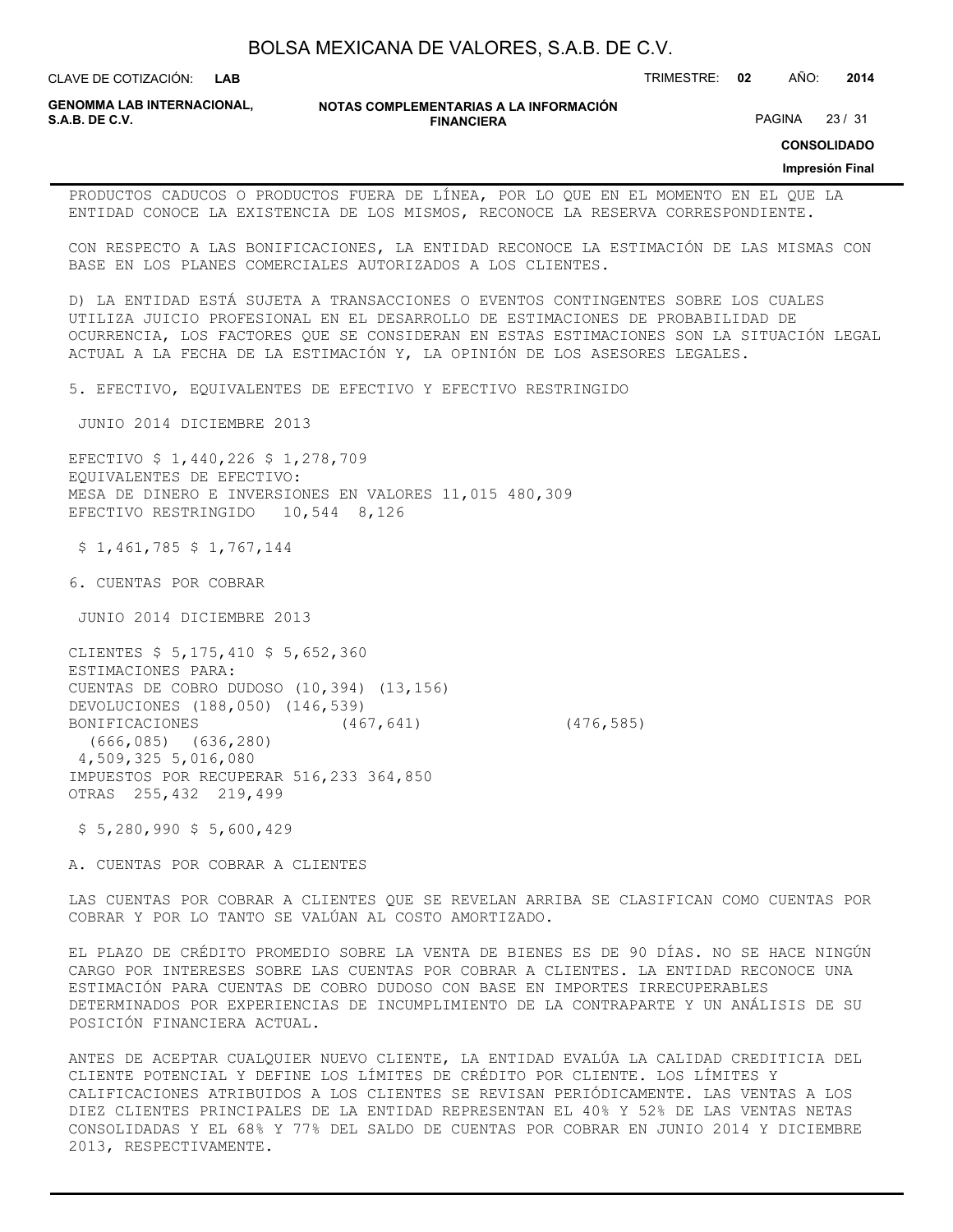**LAB**

CLAVE DE COTIZACIÓN: TRIMESTRE: **02** AÑO: **2014**

**GENOMMA LAB INTERNACIONAL,**

**NOTAS COMPLEMENTARIAS A LA INFORMACIÓN FINANCIERA**

PAGINA 23 / 31

**CONSOLIDADO**

## **Impresión Final**

PRODUCTOS CADUCOS O PRODUCTOS FUERA DE LÍNEA, POR LO QUE EN EL MOMENTO EN EL QUE LA ENTIDAD CONOCE LA EXISTENCIA DE LOS MISMOS, RECONOCE LA RESERVA CORRESPONDIENTE.

CON RESPECTO A LAS BONIFICACIONES, LA ENTIDAD RECONOCE LA ESTIMACIÓN DE LAS MISMAS CON BASE EN LOS PLANES COMERCIALES AUTORIZADOS A LOS CLIENTES.

D) LA ENTIDAD ESTÁ SUJETA A TRANSACCIONES O EVENTOS CONTINGENTES SOBRE LOS CUALES UTILIZA JUICIO PROFESIONAL EN EL DESARROLLO DE ESTIMACIONES DE PROBABILIDAD DE OCURRENCIA, LOS FACTORES QUE SE CONSIDERAN EN ESTAS ESTIMACIONES SON LA SITUACIÓN LEGAL ACTUAL A LA FECHA DE LA ESTIMACIÓN Y, LA OPINIÓN DE LOS ASESORES LEGALES.

5. EFECTIVO, EQUIVALENTES DE EFECTIVO Y EFECTIVO RESTRINGIDO

JUNIO 2014 DICIEMBRE 2013

EFECTIVO \$ 1,440,226 \$ 1,278,709 EQUIVALENTES DE EFECTIVO: MESA DE DINERO E INVERSIONES EN VALORES 11,015 480,309 EFECTIVO RESTRINGIDO 10,544 8,126

\$ 1,461,785 \$ 1,767,144

6. CUENTAS POR COBRAR

JUNIO 2014 DICIEMBRE 2013

CLIENTES \$ 5,175,410 \$ 5,652,360 ESTIMACIONES PARA: CUENTAS DE COBRO DUDOSO (10,394) (13,156) DEVOLUCIONES (188,050) (146,539) BONIFICACIONES (467,641) (476,585) (666,085) (636,280) 4,509,325 5,016,080 IMPUESTOS POR RECUPERAR 516,233 364,850 OTRAS 255,432 219,499

\$ 5,280,990 \$ 5,600,429

A. CUENTAS POR COBRAR A CLIENTES

LAS CUENTAS POR COBRAR A CLIENTES QUE SE REVELAN ARRIBA SE CLASIFICAN COMO CUENTAS POR COBRAR Y POR LO TANTO SE VALÚAN AL COSTO AMORTIZADO.

EL PLAZO DE CRÉDITO PROMEDIO SOBRE LA VENTA DE BIENES ES DE 90 DÍAS. NO SE HACE NINGÚN CARGO POR INTERESES SOBRE LAS CUENTAS POR COBRAR A CLIENTES. LA ENTIDAD RECONOCE UNA ESTIMACIÓN PARA CUENTAS DE COBRO DUDOSO CON BASE EN IMPORTES IRRECUPERABLES DETERMINADOS POR EXPERIENCIAS DE INCUMPLIMIENTO DE LA CONTRAPARTE Y UN ANÁLISIS DE SU POSICIÓN FINANCIERA ACTUAL.

ANTES DE ACEPTAR CUALQUIER NUEVO CLIENTE, LA ENTIDAD EVALÚA LA CALIDAD CREDITICIA DEL CLIENTE POTENCIAL Y DEFINE LOS LÍMITES DE CRÉDITO POR CLIENTE. LOS LÍMITES Y CALIFICACIONES ATRIBUIDOS A LOS CLIENTES SE REVISAN PERIÓDICAMENTE. LAS VENTAS A LOS DIEZ CLIENTES PRINCIPALES DE LA ENTIDAD REPRESENTAN EL 40% Y 52% DE LAS VENTAS NETAS CONSOLIDADAS Y EL 68% Y 77% DEL SALDO DE CUENTAS POR COBRAR EN JUNIO 2014 Y DICIEMBRE 2013, RESPECTIVAMENTE.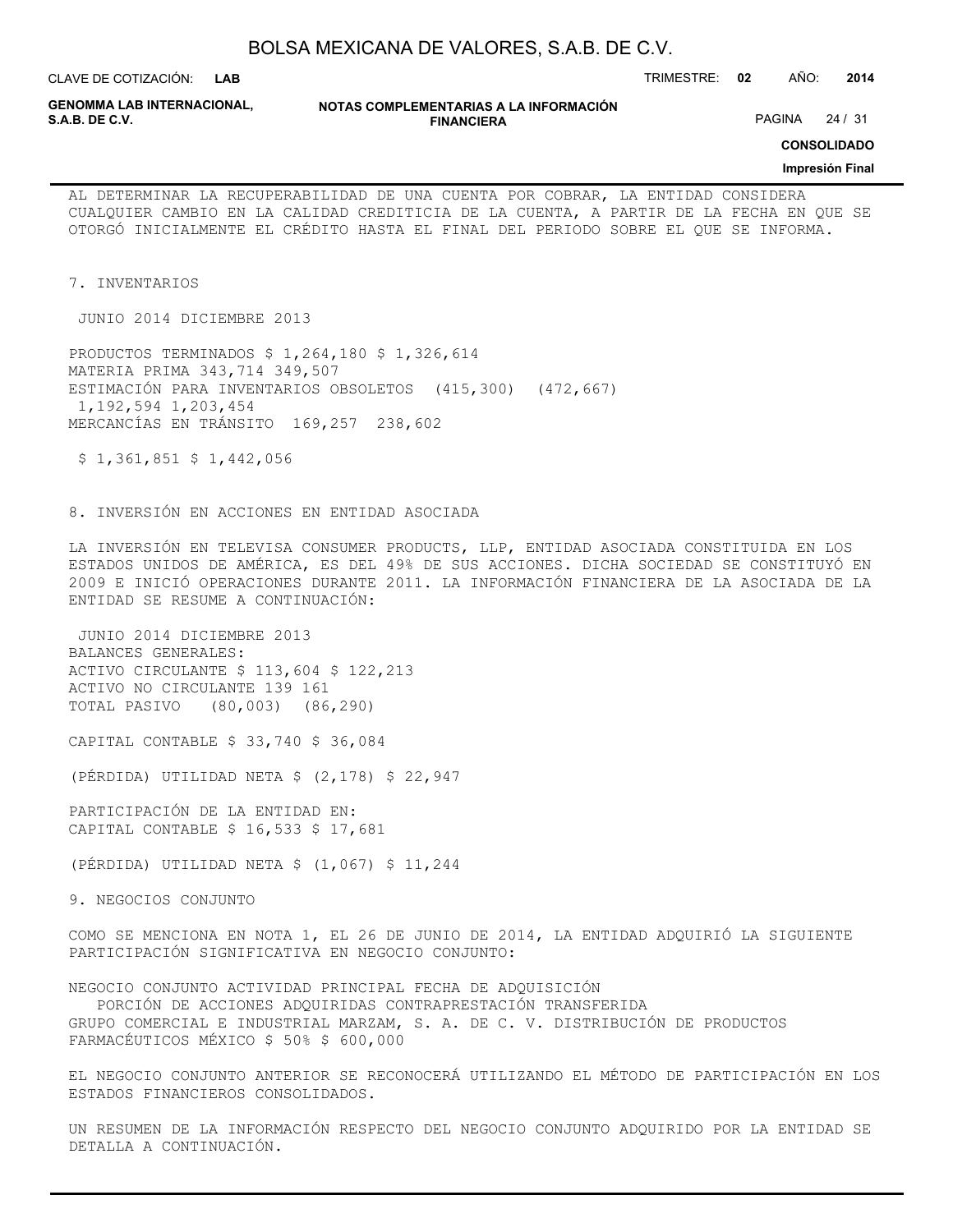| BOLSA MEXICANA DE VALORES, S.A.B. DE C.V. |  |  |
|-------------------------------------------|--|--|
|-------------------------------------------|--|--|

CLAVE DE COTIZACIÓN: TRIMESTRE: **02** AÑO: **2014 LAB**

**GENOMMA LAB INTERNACIONAL,**

**NOTAS COMPLEMENTARIAS A LA INFORMACIÓN FINANCIERA**

PAGINA 24 / 31

**CONSOLIDADO**

#### **Impresión Final**

AL DETERMINAR LA RECUPERABILIDAD DE UNA CUENTA POR COBRAR, LA ENTIDAD CONSIDERA CUALQUIER CAMBIO EN LA CALIDAD CREDITICIA DE LA CUENTA, A PARTIR DE LA FECHA EN QUE SE OTORGÓ INICIALMENTE EL CRÉDITO HASTA EL FINAL DEL PERIODO SOBRE EL QUE SE INFORMA.

7. INVENTARIOS

JUNIO 2014 DICIEMBRE 2013

PRODUCTOS TERMINADOS \$ 1,264,180 \$ 1,326,614 MATERIA PRIMA 343,714 349,507 ESTIMACIÓN PARA INVENTARIOS OBSOLETOS (415,300) (472,667) 1,192,594 1,203,454 MERCANCÍAS EN TRÁNSITO 169,257 238,602

 $$ 1,361,851 $ 1,442,056$ 

8. INVERSIÓN EN ACCIONES EN ENTIDAD ASOCIADA

LA INVERSIÓN EN TELEVISA CONSUMER PRODUCTS, LLP, ENTIDAD ASOCIADA CONSTITUIDA EN LOS ESTADOS UNIDOS DE AMÉRICA, ES DEL 49% DE SUS ACCIONES. DICHA SOCIEDAD SE CONSTITUYÓ EN 2009 E INICIÓ OPERACIONES DURANTE 2011. LA INFORMACIÓN FINANCIERA DE LA ASOCIADA DE LA ENTIDAD SE RESUME A CONTINUACIÓN:

 JUNIO 2014 DICIEMBRE 2013 BALANCES GENERALES: ACTIVO CIRCULANTE \$ 113,604 \$ 122,213 ACTIVO NO CIRCULANTE 139 161 TOTAL PASIVO (80,003) (86,290)

CAPITAL CONTABLE \$ 33,740 \$ 36,084

(PÉRDIDA) UTILIDAD NETA \$ (2,178) \$ 22,947

PARTICIPACIÓN DE LA ENTIDAD EN: CAPITAL CONTABLE \$ 16,533 \$ 17,681

(PÉRDIDA) UTILIDAD NETA \$ (1,067) \$ 11,244

9. NEGOCIOS CONJUNTO

COMO SE MENCIONA EN NOTA 1, EL 26 DE JUNIO DE 2014, LA ENTIDAD ADQUIRIÓ LA SIGUIENTE PARTICIPACIÓN SIGNIFICATIVA EN NEGOCIO CONJUNTO:

NEGOCIO CONJUNTO ACTIVIDAD PRINCIPAL FECHA DE ADQUISICIÓN PORCIÓN DE ACCIONES ADQUIRIDAS CONTRAPRESTACIÓN TRANSFERIDA GRUPO COMERCIAL E INDUSTRIAL MARZAM, S. A. DE C. V. DISTRIBUCIÓN DE PRODUCTOS

FARMACÉUTICOS MÉXICO \$ 50% \$ 600,000

EL NEGOCIO CONJUNTO ANTERIOR SE RECONOCERÁ UTILIZANDO EL MÉTODO DE PARTICIPACIÓN EN LOS ESTADOS FINANCIEROS CONSOLIDADOS.

UN RESUMEN DE LA INFORMACIÓN RESPECTO DEL NEGOCIO CONJUNTO ADQUIRIDO POR LA ENTIDAD SE DETALLA A CONTINUACIÓN.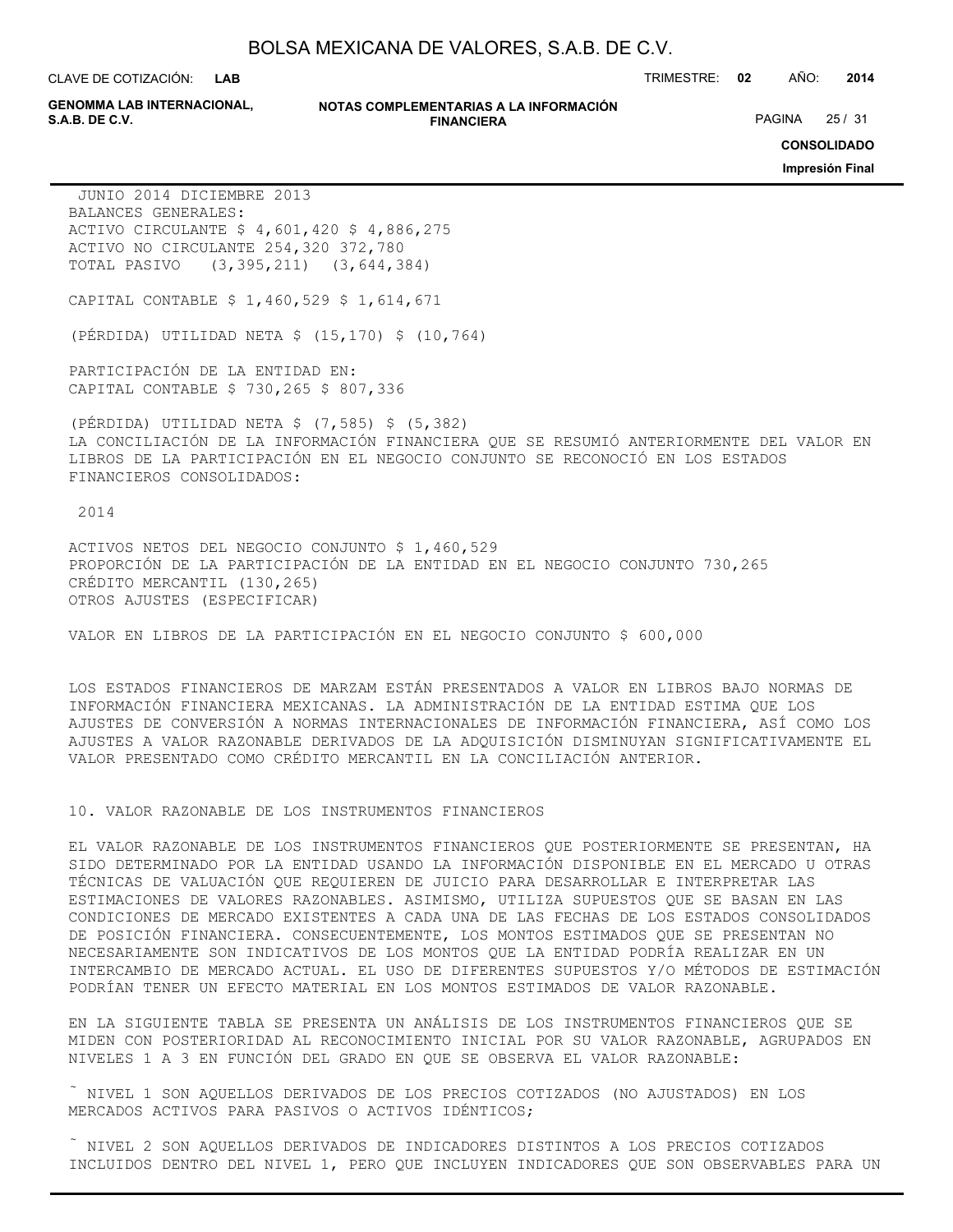**LAB**

**GENOMMA LAB INTERNACIONAL,**

#### **NOTAS COMPLEMENTARIAS A LA INFORMACIÓN FINANCIERA**

CLAVE DE COTIZACIÓN: TRIMESTRE: **02** AÑO: **2014**

PAGINA 25 / 31

**CONSOLIDADO**

**Impresión Final**

 JUNIO 2014 DICIEMBRE 2013 BALANCES GENERALES: ACTIVO CIRCULANTE \$ 4,601,420 \$ 4,886,275 ACTIVO NO CIRCULANTE 254,320 372,780 TOTAL PASIVO (3,395,211) (3,644,384)

CAPITAL CONTABLE \$ 1,460,529 \$ 1,614,671

(PÉRDIDA) UTILIDAD NETA \$ (15,170) \$ (10,764)

PARTICIPACIÓN DE LA ENTIDAD EN: CAPITAL CONTABLE \$ 730,265 \$ 807,336

(PÉRDIDA) UTILIDAD NETA \$ (7,585) \$ (5,382) LA CONCILIACIÓN DE LA INFORMACIÓN FINANCIERA QUE SE RESUMIÓ ANTERIORMENTE DEL VALOR EN LIBROS DE LA PARTICIPACIÓN EN EL NEGOCIO CONJUNTO SE RECONOCIÓ EN LOS ESTADOS FINANCIEROS CONSOLIDADOS:

2014

ACTIVOS NETOS DEL NEGOCIO CONJUNTO \$ 1,460,529 PROPORCIÓN DE LA PARTICIPACIÓN DE LA ENTIDAD EN EL NEGOCIO CONJUNTO 730,265 CRÉDITO MERCANTIL (130,265) OTROS AJUSTES (ESPECIFICAR)

VALOR EN LIBROS DE LA PARTICIPACIÓN EN EL NEGOCIO CONJUNTO \$ 600,000

LOS ESTADOS FINANCIEROS DE MARZAM ESTÁN PRESENTADOS A VALOR EN LIBROS BAJO NORMAS DE INFORMACIÓN FINANCIERA MEXICANAS. LA ADMINISTRACIÓN DE LA ENTIDAD ESTIMA QUE LOS AJUSTES DE CONVERSIÓN A NORMAS INTERNACIONALES DE INFORMACIÓN FINANCIERA, ASÍ COMO LOS AJUSTES A VALOR RAZONABLE DERIVADOS DE LA ADQUISICIÓN DISMINUYAN SIGNIFICATIVAMENTE EL VALOR PRESENTADO COMO CRÉDITO MERCANTIL EN LA CONCILIACIÓN ANTERIOR.

10. VALOR RAZONABLE DE LOS INSTRUMENTOS FINANCIEROS

EL VALOR RAZONABLE DE LOS INSTRUMENTOS FINANCIEROS QUE POSTERIORMENTE SE PRESENTAN, HA SIDO DETERMINADO POR LA ENTIDAD USANDO LA INFORMACIÓN DISPONIBLE EN EL MERCADO U OTRAS TÉCNICAS DE VALUACIÓN QUE REQUIEREN DE JUICIO PARA DESARROLLAR E INTERPRETAR LAS ESTIMACIONES DE VALORES RAZONABLES. ASIMISMO, UTILIZA SUPUESTOS QUE SE BASAN EN LAS CONDICIONES DE MERCADO EXISTENTES A CADA UNA DE LAS FECHAS DE LOS ESTADOS CONSOLIDADOS DE POSICIÓN FINANCIERA. CONSECUENTEMENTE, LOS MONTOS ESTIMADOS QUE SE PRESENTAN NO NECESARIAMENTE SON INDICATIVOS DE LOS MONTOS QUE LA ENTIDAD PODRÍA REALIZAR EN UN INTERCAMBIO DE MERCADO ACTUAL. EL USO DE DIFERENTES SUPUESTOS Y/O MÉTODOS DE ESTIMACIÓN PODRÍAN TENER UN EFECTO MATERIAL EN LOS MONTOS ESTIMADOS DE VALOR RAZONABLE.

EN LA SIGUIENTE TABLA SE PRESENTA UN ANÁLISIS DE LOS INSTRUMENTOS FINANCIEROS QUE SE MIDEN CON POSTERIORIDAD AL RECONOCIMIENTO INICIAL POR SU VALOR RAZONABLE, AGRUPADOS EN NIVELES 1 A 3 EN FUNCIÓN DEL GRADO EN QUE SE OBSERVA EL VALOR RAZONABLE:

 $\tilde{a}$  NIVEL 1 SON AQUELLOS DERIVADOS DE LOS PRECIOS COTIZADOS (NO AJUSTADOS) EN LOS MERCADOS ACTIVOS PARA PASIVOS O ACTIVOS IDÉNTICOS;

 NIVEL 2 SON AQUELLOS DERIVADOS DE INDICADORES DISTINTOS A LOS PRECIOS COTIZADOS INCLUIDOS DENTRO DEL NIVEL 1, PERO QUE INCLUYEN INDICADORES QUE SON OBSERVABLES PARA UN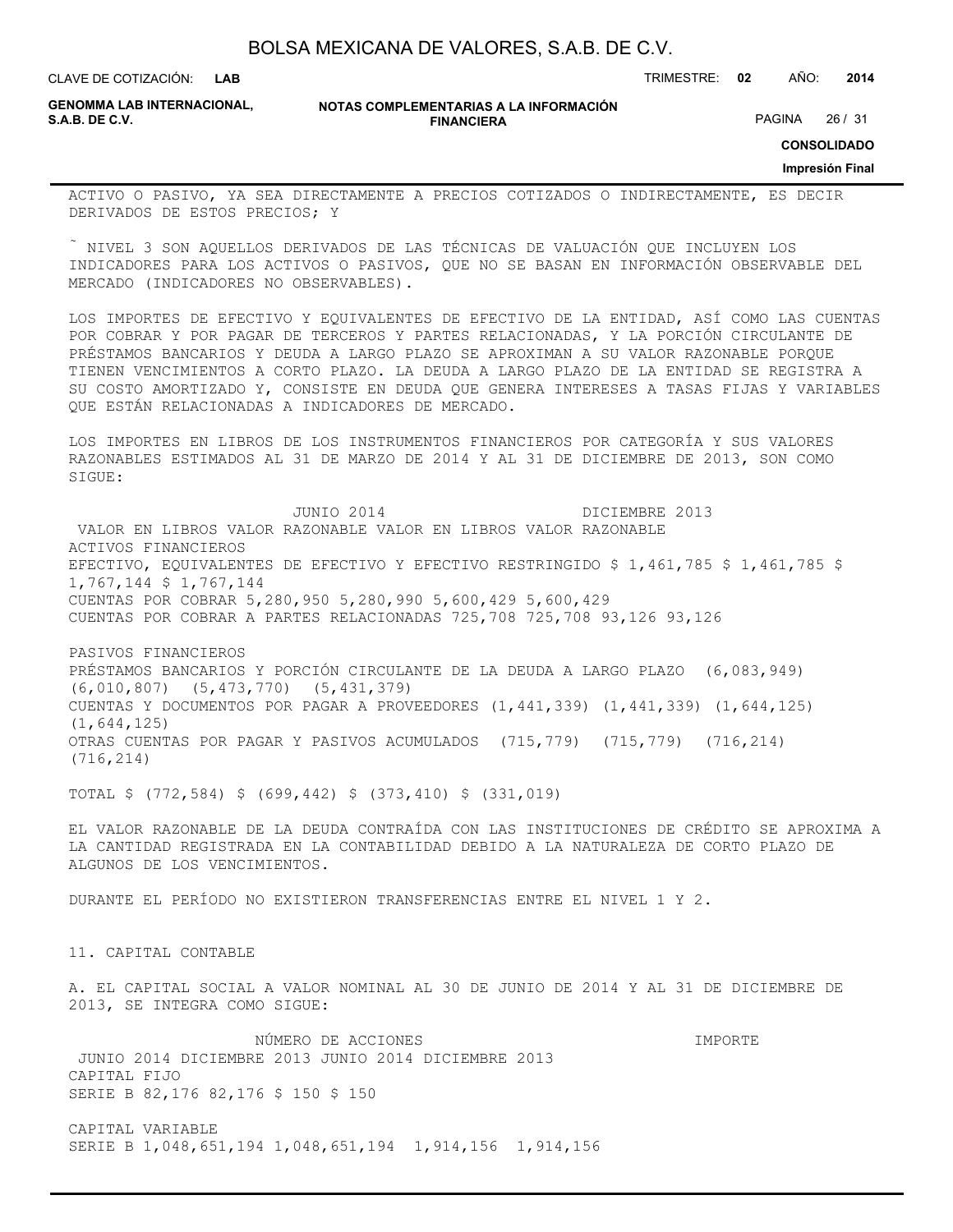**LAB**

CLAVE DE COTIZACIÓN: TRIMESTRE: **02** AÑO: **2014**

**GENOMMA LAB INTERNACIONAL,**

**NOTAS COMPLEMENTARIAS A LA INFORMACIÓN FINANCIERA S.A.B. DE C.V.** PAGINA 26 / 31

**CONSOLIDADO**

**Impresión Final**

ACTIVO O PASIVO, YA SEA DIRECTAMENTE A PRECIOS COTIZADOS O INDIRECTAMENTE, ES DECIR DERIVADOS DE ESTOS PRECIOS; Y

 NIVEL 3 SON AQUELLOS DERIVADOS DE LAS TÉCNICAS DE VALUACIÓN QUE INCLUYEN LOS INDICADORES PARA LOS ACTIVOS O PASIVOS, QUE NO SE BASAN EN INFORMACIÓN OBSERVABLE DEL MERCADO (INDICADORES NO OBSERVABLES).

LOS IMPORTES DE EFECTIVO Y EQUIVALENTES DE EFECTIVO DE LA ENTIDAD, ASÍ COMO LAS CUENTAS POR COBRAR Y POR PAGAR DE TERCEROS Y PARTES RELACIONADAS, Y LA PORCIÓN CIRCULANTE DE PRÉSTAMOS BANCARIOS Y DEUDA A LARGO PLAZO SE APROXIMAN A SU VALOR RAZONABLE PORQUE TIENEN VENCIMIENTOS A CORTO PLAZO. LA DEUDA A LARGO PLAZO DE LA ENTIDAD SE REGISTRA A SU COSTO AMORTIZADO Y, CONSISTE EN DEUDA QUE GENERA INTERESES A TASAS FIJAS Y VARIABLES QUE ESTÁN RELACIONADAS A INDICADORES DE MERCADO.

LOS IMPORTES EN LIBROS DE LOS INSTRUMENTOS FINANCIEROS POR CATEGORÍA Y SUS VALORES RAZONABLES ESTIMADOS AL 31 DE MARZO DE 2014 Y AL 31 DE DICIEMBRE DE 2013, SON COMO SIGUE:

 JUNIO 2014 DICIEMBRE 2013 VALOR EN LIBROS VALOR RAZONABLE VALOR EN LIBROS VALOR RAZONABLE ACTIVOS FINANCIEROS EFECTIVO, EQUIVALENTES DE EFECTIVO Y EFECTIVO RESTRINGIDO \$ 1,461,785 \$ 1,461,785 \$ 1,767,144 \$ 1,767,144 CUENTAS POR COBRAR 5,280,950 5,280,990 5,600,429 5,600,429 CUENTAS POR COBRAR A PARTES RELACIONADAS 725,708 725,708 93,126 93,126

PASIVOS FINANCIEROS PRÉSTAMOS BANCARIOS Y PORCIÓN CIRCULANTE DE LA DEUDA A LARGO PLAZO (6,083,949) (6,010,807) (5,473,770) (5,431,379) CUENTAS Y DOCUMENTOS POR PAGAR A PROVEEDORES (1,441,339) (1,441,339) (1,644,125) (1,644,125) OTRAS CUENTAS POR PAGAR Y PASIVOS ACUMULADOS (715,779) (715,779) (716,214) (716,214)

TOTAL \$ (772,584) \$ (699,442) \$ (373,410) \$ (331,019)

EL VALOR RAZONABLE DE LA DEUDA CONTRAÍDA CON LAS INSTITUCIONES DE CRÉDITO SE APROXIMA A LA CANTIDAD REGISTRADA EN LA CONTABILIDAD DEBIDO A LA NATURALEZA DE CORTO PLAZO DE ALGUNOS DE LOS VENCIMIENTOS.

DURANTE EL PERÍODO NO EXISTIERON TRANSFERENCIAS ENTRE EL NIVEL 1 Y 2.

11. CAPITAL CONTABLE

A. EL CAPITAL SOCIAL A VALOR NOMINAL AL 30 DE JUNIO DE 2014 Y AL 31 DE DICIEMBRE DE 2013, SE INTEGRA COMO SIGUE:

 NÚMERO DE ACCIONES IMPORTE JUNIO 2014 DICIEMBRE 2013 JUNIO 2014 DICIEMBRE 2013 CAPITAL FIJO SERIE B 82,176 82,176 \$ 150 \$ 150

CAPITAL VARIABLE SERIE B 1,048,651,194 1,048,651,194 1,914,156 1,914,156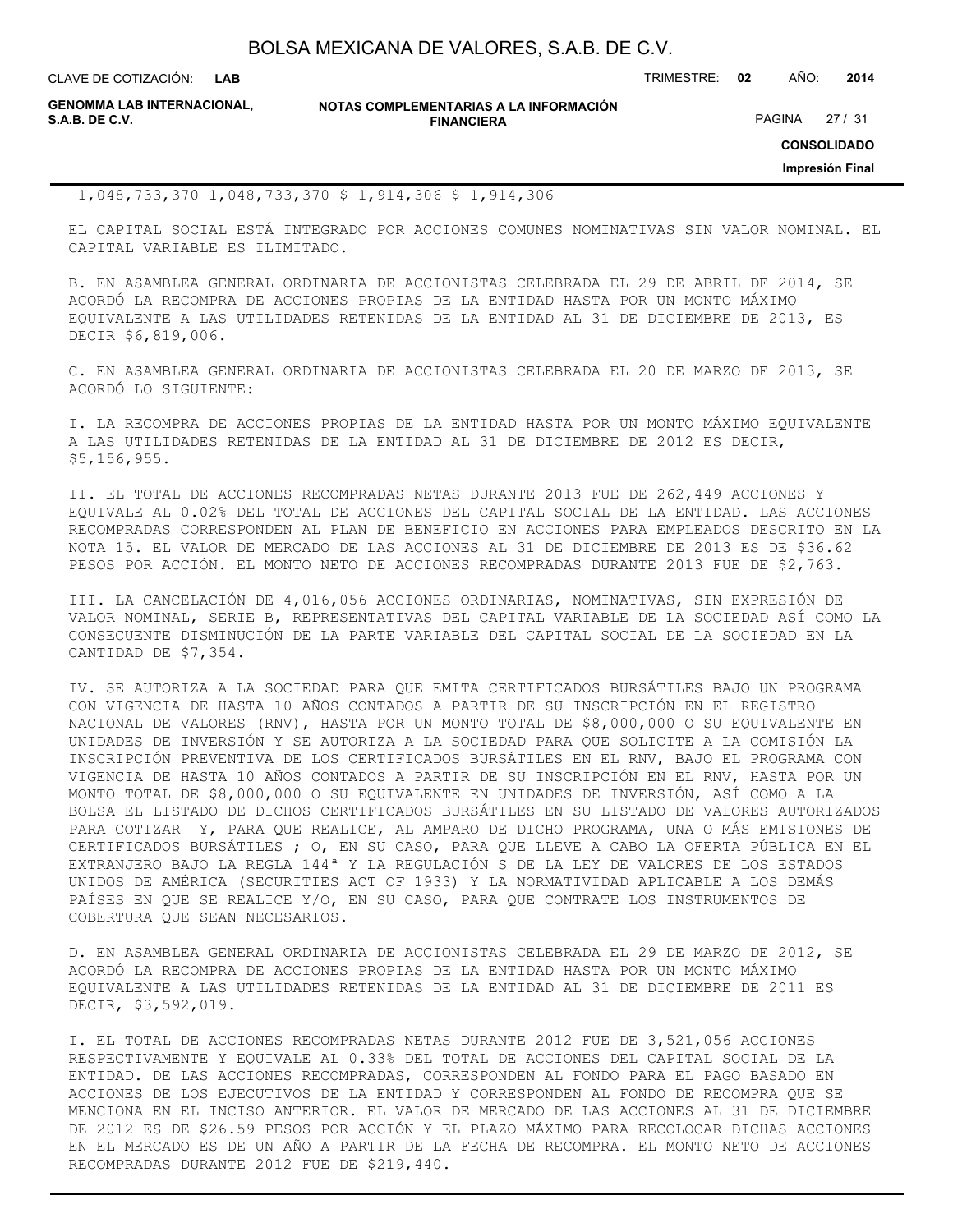CLAVE DE COTIZACIÓN: TRIMESTRE: **02** AÑO: **2014**

|                | <b>GENOMMA LAB INTERNACIONAL,</b> |
|----------------|-----------------------------------|
| S.A.B. DE C.V. |                                   |

**NOTAS COMPLEMENTARIAS A LA INFORMACIÓN FINANCIERA**

PAGINA 27 / 31

**CONSOLIDADO**

**Impresión Final**

### 1,048,733,370 1,048,733,370 \$ 1,914,306 \$ 1,914,306

EL CAPITAL SOCIAL ESTÁ INTEGRADO POR ACCIONES COMUNES NOMINATIVAS SIN VALOR NOMINAL. EL CAPITAL VARIABLE ES ILIMITADO.

B. EN ASAMBLEA GENERAL ORDINARIA DE ACCIONISTAS CELEBRADA EL 29 DE ABRIL DE 2014, SE ACORDÓ LA RECOMPRA DE ACCIONES PROPIAS DE LA ENTIDAD HASTA POR UN MONTO MÁXIMO EQUIVALENTE A LAS UTILIDADES RETENIDAS DE LA ENTIDAD AL 31 DE DICIEMBRE DE 2013, ES DECIR \$6,819,006.

C. EN ASAMBLEA GENERAL ORDINARIA DE ACCIONISTAS CELEBRADA EL 20 DE MARZO DE 2013, SE ACORDÓ LO SIGUIENTE:

I. LA RECOMPRA DE ACCIONES PROPIAS DE LA ENTIDAD HASTA POR UN MONTO MÁXIMO EQUIVALENTE A LAS UTILIDADES RETENIDAS DE LA ENTIDAD AL 31 DE DICIEMBRE DE 2012 ES DECIR, \$5,156,955.

II. EL TOTAL DE ACCIONES RECOMPRADAS NETAS DURANTE 2013 FUE DE 262,449 ACCIONES Y EQUIVALE AL 0.02% DEL TOTAL DE ACCIONES DEL CAPITAL SOCIAL DE LA ENTIDAD. LAS ACCIONES RECOMPRADAS CORRESPONDEN AL PLAN DE BENEFICIO EN ACCIONES PARA EMPLEADOS DESCRITO EN LA NOTA 15. EL VALOR DE MERCADO DE LAS ACCIONES AL 31 DE DICIEMBRE DE 2013 ES DE \$36.62 PESOS POR ACCIÓN. EL MONTO NETO DE ACCIONES RECOMPRADAS DURANTE 2013 FUE DE \$2,763.

III. LA CANCELACIÓN DE 4,016,056 ACCIONES ORDINARIAS, NOMINATIVAS, SIN EXPRESIÓN DE VALOR NOMINAL, SERIE B, REPRESENTATIVAS DEL CAPITAL VARIABLE DE LA SOCIEDAD ASÍ COMO LA CONSECUENTE DISMINUCIÓN DE LA PARTE VARIABLE DEL CAPITAL SOCIAL DE LA SOCIEDAD EN LA CANTIDAD DE \$7,354.

IV. SE AUTORIZA A LA SOCIEDAD PARA QUE EMITA CERTIFICADOS BURSÁTILES BAJO UN PROGRAMA CON VIGENCIA DE HASTA 10 AÑOS CONTADOS A PARTIR DE SU INSCRIPCIÓN EN EL REGISTRO NACIONAL DE VALORES (RNV), HASTA POR UN MONTO TOTAL DE \$8,000,000 O SU EQUIVALENTE EN UNIDADES DE INVERSIÓN Y SE AUTORIZA A LA SOCIEDAD PARA QUE SOLICITE A LA COMISIÓN LA INSCRIPCIÓN PREVENTIVA DE LOS CERTIFICADOS BURSÁTILES EN EL RNV, BAJO EL PROGRAMA CON VIGENCIA DE HASTA 10 AÑOS CONTADOS A PARTIR DE SU INSCRIPCIÓN EN EL RNV, HASTA POR UN MONTO TOTAL DE \$8,000,000 O SU EQUIVALENTE EN UNIDADES DE INVERSIÓN, ASÍ COMO A LA BOLSA EL LISTADO DE DICHOS CERTIFICADOS BURSÁTILES EN SU LISTADO DE VALORES AUTORIZADOS PARA COTIZAR Y, PARA QUE REALICE, AL AMPARO DE DICHO PROGRAMA, UNA O MÁS EMISIONES DE CERTIFICADOS BURSÁTILES ; O, EN SU CASO, PARA QUE LLEVE A CABO LA OFERTA PÚBLICA EN EL EXTRANJERO BAJO LA REGLA 144ª Y LA REGULACIÓN S DE LA LEY DE VALORES DE LOS ESTADOS UNIDOS DE AMÉRICA (SECURITIES ACT OF 1933) Y LA NORMATIVIDAD APLICABLE A LOS DEMÁS PAÍSES EN QUE SE REALICE Y/O, EN SU CASO, PARA QUE CONTRATE LOS INSTRUMENTOS DE COBERTURA QUE SEAN NECESARIOS.

D. EN ASAMBLEA GENERAL ORDINARIA DE ACCIONISTAS CELEBRADA EL 29 DE MARZO DE 2012, SE ACORDÓ LA RECOMPRA DE ACCIONES PROPIAS DE LA ENTIDAD HASTA POR UN MONTO MÁXIMO EQUIVALENTE A LAS UTILIDADES RETENIDAS DE LA ENTIDAD AL 31 DE DICIEMBRE DE 2011 ES DECIR, \$3,592,019.

I. EL TOTAL DE ACCIONES RECOMPRADAS NETAS DURANTE 2012 FUE DE 3,521,056 ACCIONES RESPECTIVAMENTE Y EQUIVALE AL 0.33% DEL TOTAL DE ACCIONES DEL CAPITAL SOCIAL DE LA ENTIDAD. DE LAS ACCIONES RECOMPRADAS, CORRESPONDEN AL FONDO PARA EL PAGO BASADO EN ACCIONES DE LOS EJECUTIVOS DE LA ENTIDAD Y CORRESPONDEN AL FONDO DE RECOMPRA QUE SE MENCIONA EN EL INCISO ANTERIOR. EL VALOR DE MERCADO DE LAS ACCIONES AL 31 DE DICIEMBRE DE 2012 ES DE \$26.59 PESOS POR ACCIÓN Y EL PLAZO MÁXIMO PARA RECOLOCAR DICHAS ACCIONES EN EL MERCADO ES DE UN AÑO A PARTIR DE LA FECHA DE RECOMPRA. EL MONTO NETO DE ACCIONES RECOMPRADAS DURANTE 2012 FUE DE \$219,440.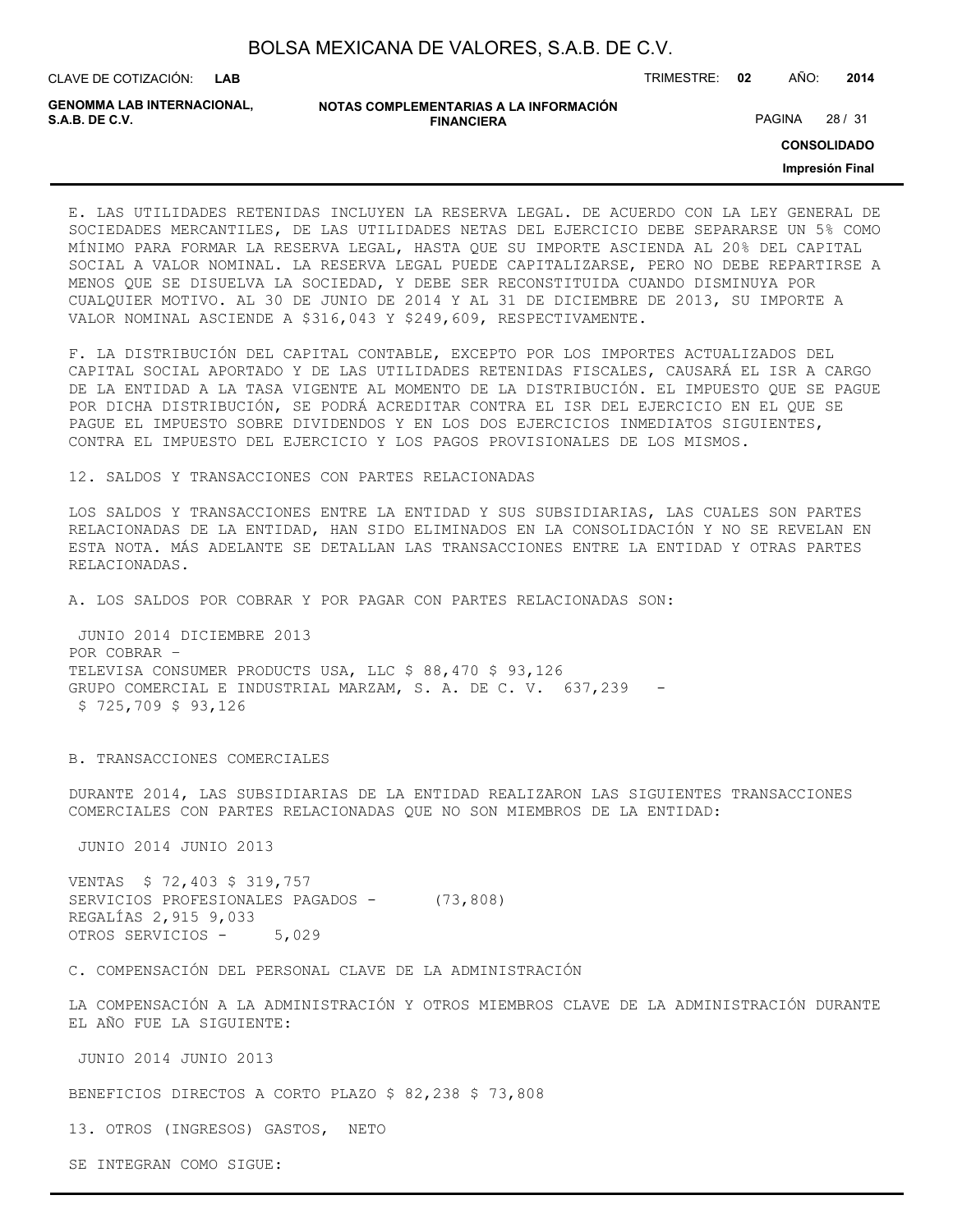CLAVE DE COTIZACIÓN: TRIMESTRE: **02** AÑO: **2014**

**GENOMMA LAB INTERNACIONAL,**

```
NOTAS COMPLEMENTARIAS A LA INFORMACIÓN
               FINANCIERA
```
PAGINA 28 / 31

**CONSOLIDADO**

**Impresión Final**

E. LAS UTILIDADES RETENIDAS INCLUYEN LA RESERVA LEGAL. DE ACUERDO CON LA LEY GENERAL DE SOCIEDADES MERCANTILES, DE LAS UTILIDADES NETAS DEL EJERCICIO DEBE SEPARARSE UN 5% COMO MÍNIMO PARA FORMAR LA RESERVA LEGAL, HASTA QUE SU IMPORTE ASCIENDA AL 20% DEL CAPITAL SOCIAL A VALOR NOMINAL. LA RESERVA LEGAL PUEDE CAPITALIZARSE, PERO NO DEBE REPARTIRSE A MENOS QUE SE DISUELVA LA SOCIEDAD, Y DEBE SER RECONSTITUIDA CUANDO DISMINUYA POR CUALQUIER MOTIVO. AL 30 DE JUNIO DE 2014 Y AL 31 DE DICIEMBRE DE 2013, SU IMPORTE A VALOR NOMINAL ASCIENDE A \$316,043 Y \$249,609, RESPECTIVAMENTE.

F. LA DISTRIBUCIÓN DEL CAPITAL CONTABLE, EXCEPTO POR LOS IMPORTES ACTUALIZADOS DEL CAPITAL SOCIAL APORTADO Y DE LAS UTILIDADES RETENIDAS FISCALES, CAUSARÁ EL ISR A CARGO DE LA ENTIDAD A LA TASA VIGENTE AL MOMENTO DE LA DISTRIBUCIÓN. EL IMPUESTO QUE SE PAGUE POR DICHA DISTRIBUCIÓN, SE PODRÁ ACREDITAR CONTRA EL ISR DEL EJERCICIO EN EL QUE SE PAGUE EL IMPUESTO SOBRE DIVIDENDOS Y EN LOS DOS EJERCICIOS INMEDIATOS SIGUIENTES, CONTRA EL IMPUESTO DEL EJERCICIO Y LOS PAGOS PROVISIONALES DE LOS MISMOS.

12. SALDOS Y TRANSACCIONES CON PARTES RELACIONADAS

LOS SALDOS Y TRANSACCIONES ENTRE LA ENTIDAD Y SUS SUBSIDIARIAS, LAS CUALES SON PARTES RELACIONADAS DE LA ENTIDAD, HAN SIDO ELIMINADOS EN LA CONSOLIDACIÓN Y NO SE REVELAN EN ESTA NOTA. MÁS ADELANTE SE DETALLAN LAS TRANSACCIONES ENTRE LA ENTIDAD Y OTRAS PARTES RELACIONADAS.

A. LOS SALDOS POR COBRAR Y POR PAGAR CON PARTES RELACIONADAS SON:

 JUNIO 2014 DICIEMBRE 2013 POR COBRAR – TELEVISA CONSUMER PRODUCTS USA, LLC \$ 88,470 \$ 93,126 GRUPO COMERCIAL E INDUSTRIAL MARZAM, S. A. DE C. V. 637,239 - \$ 725,709 \$ 93,126

B. TRANSACCIONES COMERCIALES

DURANTE 2014, LAS SUBSIDIARIAS DE LA ENTIDAD REALIZARON LAS SIGUIENTES TRANSACCIONES COMERCIALES CON PARTES RELACIONADAS QUE NO SON MIEMBROS DE LA ENTIDAD:

JUNIO 2014 JUNIO 2013

VENTAS \$ 72,403 \$ 319,757 SERVICIOS PROFESIONALES PAGADOS - (73,808) REGALÍAS 2,915 9,033 OTROS SERVICIOS - 5,029

C. COMPENSACIÓN DEL PERSONAL CLAVE DE LA ADMINISTRACIÓN

LA COMPENSACIÓN A LA ADMINISTRACIÓN Y OTROS MIEMBROS CLAVE DE LA ADMINISTRACIÓN DURANTE EL AÑO FUE LA SIGUIENTE:

JUNIO 2014 JUNIO 2013

BENEFICIOS DIRECTOS A CORTO PLAZO \$ 82,238 \$ 73,808

13. OTROS (INGRESOS) GASTOS, NETO

SE INTEGRAN COMO SIGUE: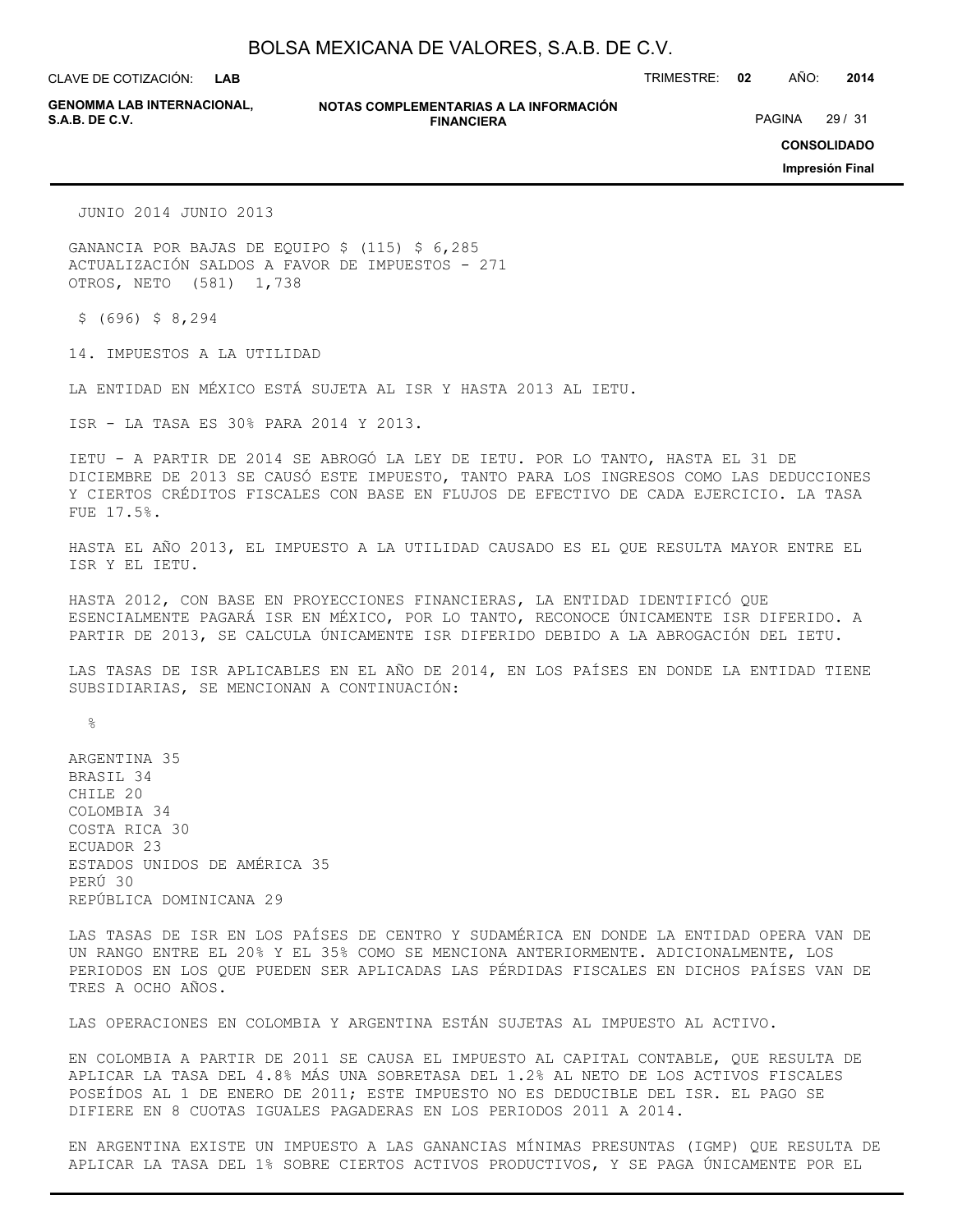**LAB**

CLAVE DE COTIZACIÓN: TRIMESTRE: **02** AÑO: **2014**

**GENOMMA LAB INTERNACIONAL,**

#### **NOTAS COMPLEMENTARIAS A LA INFORMACIÓN FINANCIERA**

PAGINA 29 / 31

**CONSOLIDADO**

**Impresión Final**

JUNIO 2014 JUNIO 2013

GANANCIA POR BAJAS DE EQUIPO \$ (115) \$ 6,285 ACTUALIZACIÓN SALDOS A FAVOR DE IMPUESTOS - 271 OTROS, NETO (581) 1,738

 $$ (696) $ 8,294$ 

14. IMPUESTOS A LA UTILIDAD

LA ENTIDAD EN MÉXICO ESTÁ SUJETA AL ISR Y HASTA 2013 AL IETU.

ISR - LA TASA ES 30% PARA 2014 Y 2013.

IETU - A PARTIR DE 2014 SE ABROGÓ LA LEY DE IETU. POR LO TANTO, HASTA EL 31 DE DICIEMBRE DE 2013 SE CAUSÓ ESTE IMPUESTO, TANTO PARA LOS INGRESOS COMO LAS DEDUCCIONES Y CIERTOS CRÉDITOS FISCALES CON BASE EN FLUJOS DE EFECTIVO DE CADA EJERCICIO. LA TASA FUE 17.5%.

HASTA EL AÑO 2013, EL IMPUESTO A LA UTILIDAD CAUSADO ES EL QUE RESULTA MAYOR ENTRE EL ISR Y EL IETU.

HASTA 2012, CON BASE EN PROYECCIONES FINANCIERAS, LA ENTIDAD IDENTIFICÓ QUE ESENCIALMENTE PAGARÁ ISR EN MÉXICO, POR LO TANTO, RECONOCE ÚNICAMENTE ISR DIFERIDO. A PARTIR DE 2013, SE CALCULA ÚNICAMENTE ISR DIFERIDO DEBIDO A LA ABROGACIÓN DEL IETU.

LAS TASAS DE ISR APLICABLES EN EL AÑO DE 2014, EN LOS PAÍSES EN DONDE LA ENTIDAD TIENE SUBSIDIARIAS, SE MENCIONAN A CONTINUACIÓN:

%

ARGENTINA 35 BRASIL 34 CHILE 20 COLOMBIA 34 COSTA RICA 30 ECUADOR 23 ESTADOS UNIDOS DE AMÉRICA 35 PERÚ 30 REPÚBLICA DOMINICANA 29

LAS TASAS DE ISR EN LOS PAÍSES DE CENTRO Y SUDAMÉRICA EN DONDE LA ENTIDAD OPERA VAN DE UN RANGO ENTRE EL 20% Y EL 35% COMO SE MENCIONA ANTERIORMENTE. ADICIONALMENTE, LOS PERIODOS EN LOS QUE PUEDEN SER APLICADAS LAS PÉRDIDAS FISCALES EN DICHOS PAÍSES VAN DE TRES A OCHO AÑOS.

LAS OPERACIONES EN COLOMBIA Y ARGENTINA ESTÁN SUJETAS AL IMPUESTO AL ACTIVO.

EN COLOMBIA A PARTIR DE 2011 SE CAUSA EL IMPUESTO AL CAPITAL CONTABLE, QUE RESULTA DE APLICAR LA TASA DEL 4.8% MÁS UNA SOBRETASA DEL 1.2% AL NETO DE LOS ACTIVOS FISCALES POSEÍDOS AL 1 DE ENERO DE 2011; ESTE IMPUESTO NO ES DEDUCIBLE DEL ISR. EL PAGO SE DIFIERE EN 8 CUOTAS IGUALES PAGADERAS EN LOS PERIODOS 2011 A 2014.

EN ARGENTINA EXISTE UN IMPUESTO A LAS GANANCIAS MÍNIMAS PRESUNTAS (IGMP) QUE RESULTA DE APLICAR LA TASA DEL 1% SOBRE CIERTOS ACTIVOS PRODUCTIVOS, Y SE PAGA ÚNICAMENTE POR EL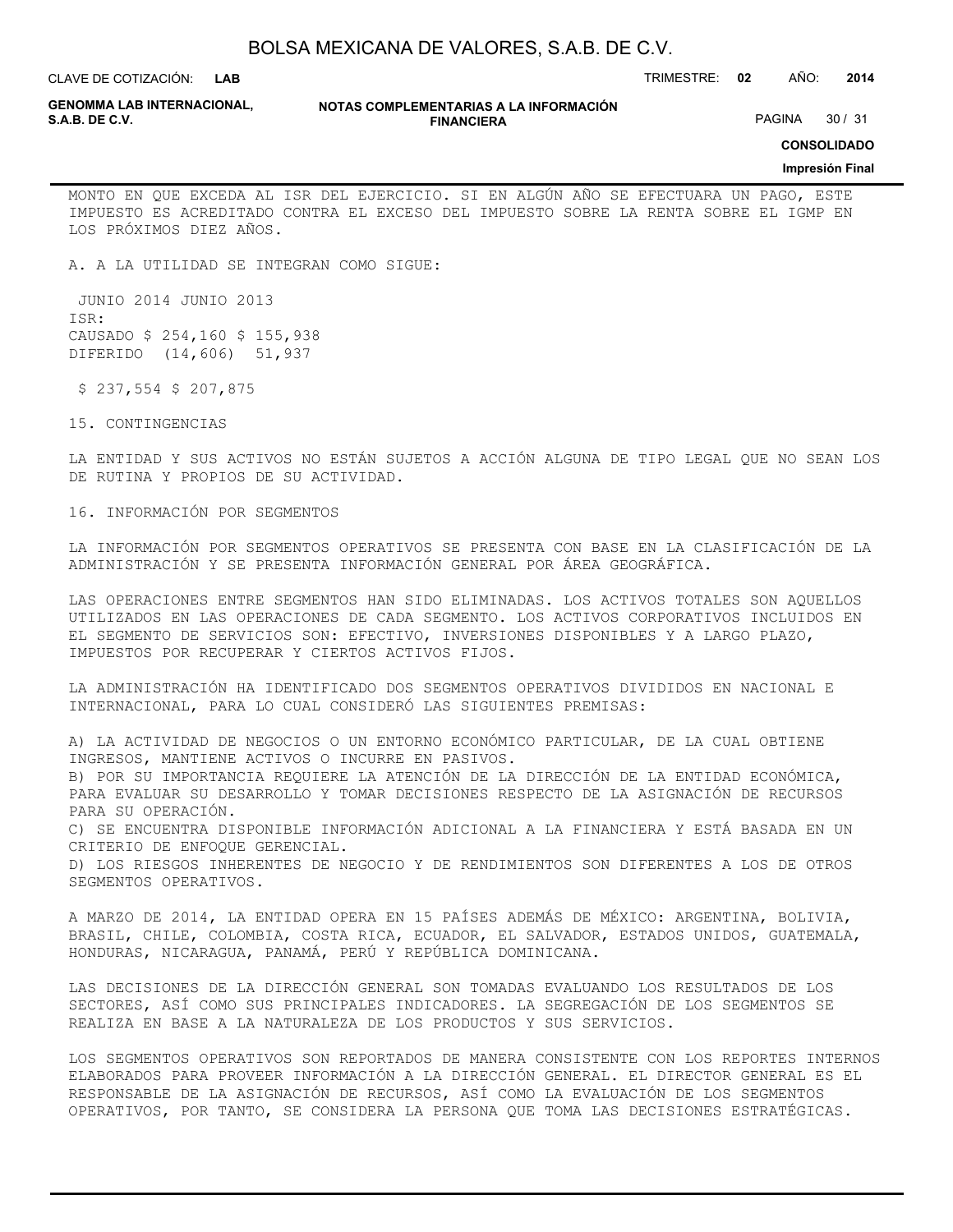**LAB**

CLAVE DE COTIZACIÓN: TRIMESTRE: **02** AÑO: **2014**

**GENOMMA LAB INTERNACIONAL,**

#### **NOTAS COMPLEMENTARIAS A LA INFORMACIÓN FINANCIERA S.A.B. DE C.V.** PAGINA 30 / 31

**CONSOLIDADO**

## **Impresión Final**

MONTO EN QUE EXCEDA AL ISR DEL EJERCICIO. SI EN ALGÚN AÑO SE EFECTUARA UN PAGO, ESTE IMPUESTO ES ACREDITADO CONTRA EL EXCESO DEL IMPUESTO SOBRE LA RENTA SOBRE EL IGMP EN LOS PRÓXIMOS DIEZ AÑOS.

A. A LA UTILIDAD SE INTEGRAN COMO SIGUE:

 JUNIO 2014 JUNIO 2013 ISR: CAUSADO \$ 254,160 \$ 155,938 DIFERIDO (14,606) 51,937

\$ 237,554 \$ 207,875

15. CONTINGENCIAS

LA ENTIDAD Y SUS ACTIVOS NO ESTÁN SUJETOS A ACCIÓN ALGUNA DE TIPO LEGAL QUE NO SEAN LOS DE RUTINA Y PROPIOS DE SU ACTIVIDAD.

16. INFORMACIÓN POR SEGMENTOS

LA INFORMACIÓN POR SEGMENTOS OPERATIVOS SE PRESENTA CON BASE EN LA CLASIFICACIÓN DE LA ADMINISTRACIÓN Y SE PRESENTA INFORMACIÓN GENERAL POR ÁREA GEOGRÁFICA.

LAS OPERACIONES ENTRE SEGMENTOS HAN SIDO ELIMINADAS. LOS ACTIVOS TOTALES SON AQUELLOS UTILIZADOS EN LAS OPERACIONES DE CADA SEGMENTO. LOS ACTIVOS CORPORATIVOS INCLUIDOS EN EL SEGMENTO DE SERVICIOS SON: EFECTIVO, INVERSIONES DISPONIBLES Y A LARGO PLAZO, IMPUESTOS POR RECUPERAR Y CIERTOS ACTIVOS FIJOS.

LA ADMINISTRACIÓN HA IDENTIFICADO DOS SEGMENTOS OPERATIVOS DIVIDIDOS EN NACIONAL E INTERNACIONAL, PARA LO CUAL CONSIDERÓ LAS SIGUIENTES PREMISAS:

A) LA ACTIVIDAD DE NEGOCIOS O UN ENTORNO ECONÓMICO PARTICULAR, DE LA CUAL OBTIENE INGRESOS, MANTIENE ACTIVOS O INCURRE EN PASIVOS.

B) POR SU IMPORTANCIA REQUIERE LA ATENCIÓN DE LA DIRECCIÓN DE LA ENTIDAD ECONÓMICA, PARA EVALUAR SU DESARROLLO Y TOMAR DECISIONES RESPECTO DE LA ASIGNACIÓN DE RECURSOS PARA SU OPERACIÓN.

C) SE ENCUENTRA DISPONIBLE INFORMACIÓN ADICIONAL A LA FINANCIERA Y ESTÁ BASADA EN UN CRITERIO DE ENFOQUE GERENCIAL.

D) LOS RIESGOS INHERENTES DE NEGOCIO Y DE RENDIMIENTOS SON DIFERENTES A LOS DE OTROS SEGMENTOS OPERATIVOS.

A MARZO DE 2014, LA ENTIDAD OPERA EN 15 PAÍSES ADEMÁS DE MÉXICO: ARGENTINA, BOLIVIA, BRASIL, CHILE, COLOMBIA, COSTA RICA, ECUADOR, EL SALVADOR, ESTADOS UNIDOS, GUATEMALA, HONDURAS, NICARAGUA, PANAMÁ, PERÚ Y REPÚBLICA DOMINICANA.

LAS DECISIONES DE LA DIRECCIÓN GENERAL SON TOMADAS EVALUANDO LOS RESULTADOS DE LOS SECTORES, ASÍ COMO SUS PRINCIPALES INDICADORES. LA SEGREGACIÓN DE LOS SEGMENTOS SE REALIZA EN BASE A LA NATURALEZA DE LOS PRODUCTOS Y SUS SERVICIOS.

LOS SEGMENTOS OPERATIVOS SON REPORTADOS DE MANERA CONSISTENTE CON LOS REPORTES INTERNOS ELABORADOS PARA PROVEER INFORMACIÓN A LA DIRECCIÓN GENERAL. EL DIRECTOR GENERAL ES EL RESPONSABLE DE LA ASIGNACIÓN DE RECURSOS, ASÍ COMO LA EVALUACIÓN DE LOS SEGMENTOS OPERATIVOS, POR TANTO, SE CONSIDERA LA PERSONA QUE TOMA LAS DECISIONES ESTRATÉGICAS.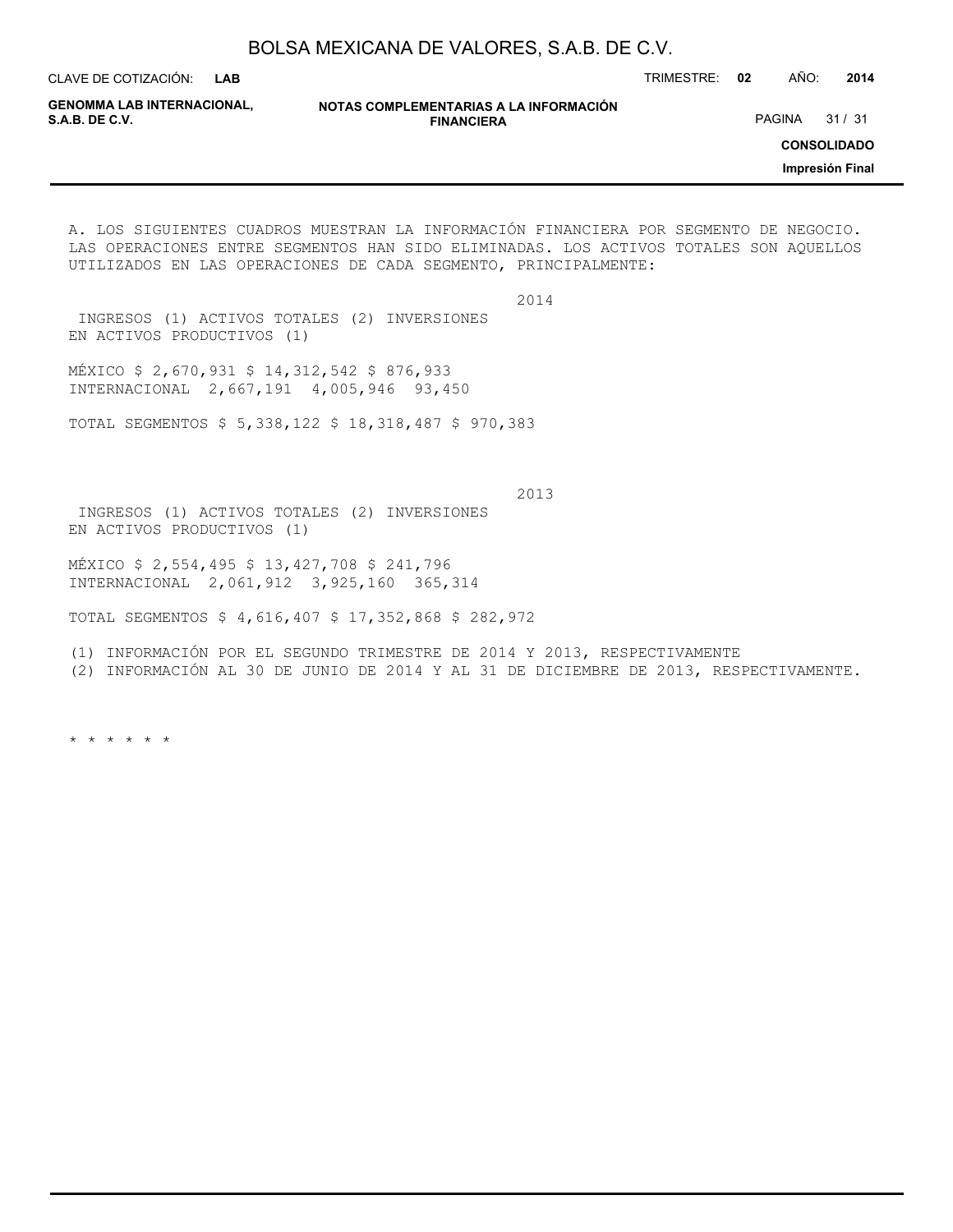**LAB**

CLAVE DE COTIZACIÓN: TRIMESTRE: **02** AÑO: **2014**

**GENOMMA LAB INTERNACIONAL,**

**NOTAS COMPLEMENTARIAS A LA INFORMACIÓN FINANCIERA**

PAGINA 31 / 31

**CONSOLIDADO**

**Impresión Final**

A. LOS SIGUIENTES CUADROS MUESTRAN LA INFORMACIÓN FINANCIERA POR SEGMENTO DE NEGOCIO. LAS OPERACIONES ENTRE SEGMENTOS HAN SIDO ELIMINADAS. LOS ACTIVOS TOTALES SON AQUELLOS UTILIZADOS EN LAS OPERACIONES DE CADA SEGMENTO, PRINCIPALMENTE:

2014

 INGRESOS (1) ACTIVOS TOTALES (2) INVERSIONES EN ACTIVOS PRODUCTIVOS (1)

MÉXICO \$ 2,670,931 \$ 14,312,542 \$ 876,933 INTERNACIONAL 2,667,191 4,005,946 93,450

TOTAL SEGMENTOS \$ 5,338,122 \$ 18,318,487 \$ 970,383

 2013 INGRESOS (1) ACTIVOS TOTALES (2) INVERSIONES EN ACTIVOS PRODUCTIVOS (1)

MÉXICO \$ 2,554,495 \$ 13,427,708 \$ 241,796 INTERNACIONAL 2,061,912 3,925,160 365,314

TOTAL SEGMENTOS \$ 4,616,407 \$ 17,352,868 \$ 282,972

(1) INFORMACIÓN POR EL SEGUNDO TRIMESTRE DE 2014 Y 2013, RESPECTIVAMENTE

(2) INFORMACIÓN AL 30 DE JUNIO DE 2014 Y AL 31 DE DICIEMBRE DE 2013, RESPECTIVAMENTE.

\* \* \* \* \* \*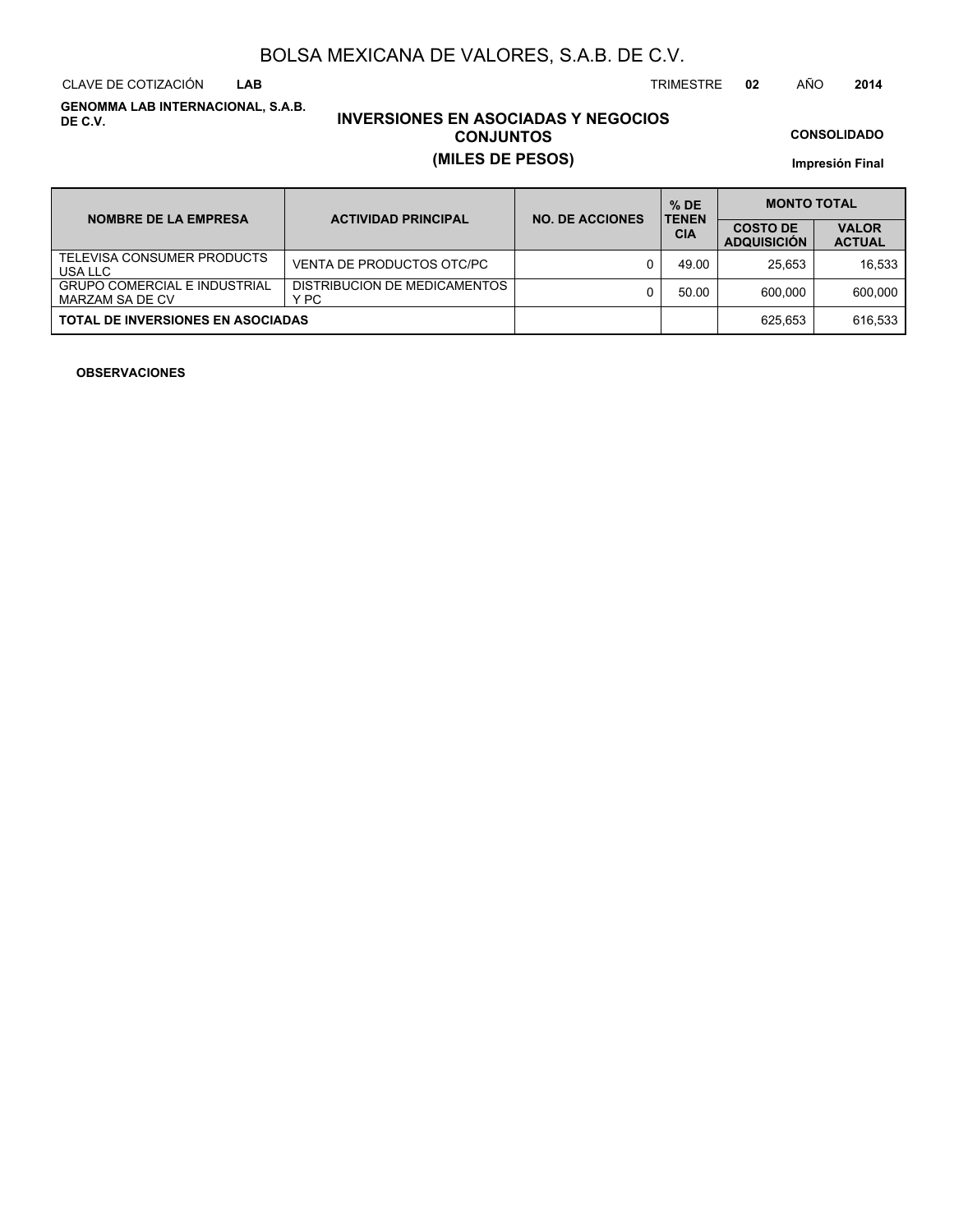CLAVE DE COTIZACIÓN TRIMESTRE **02** AÑO **2014 LAB**

**GENOMMA LAB INTERNACIONAL, S.A.B. DE C.V.**

# **INVERSIONES EN ASOCIADAS Y NEGOCIOS CONJUNTOS (MILES DE PESOS)**

**CONSOLIDADO**

**Impresión Final**

| <b>NOMBRE DE LA EMPRESA</b>                            | <b>ACTIVIDAD PRINCIPAL</b>           | <b>NO. DE ACCIONES</b> | $%$ DE<br><b>TENEN</b> | <b>MONTO TOTAL</b>                    |                               |  |
|--------------------------------------------------------|--------------------------------------|------------------------|------------------------|---------------------------------------|-------------------------------|--|
|                                                        |                                      |                        | <b>CIA</b>             | <b>COSTO DE</b><br><b>ADQUISICION</b> | <b>VALOR</b><br><b>ACTUAL</b> |  |
| TELEVISA CONSUMER PRODUCTS<br>USA LLC                  | VENTA DE PRODUCTOS OTC/PC            |                        | 49.00                  | 25.653                                | 16.533                        |  |
| <b>GRUPO COMERCIAL E INDUSTRIAL</b><br>MARZAM SA DE CV | DISTRIBUCION DE MEDICAMENTOS<br>Y PC |                        | 50.00                  | 600.000                               | 600.000                       |  |
| <b>TOTAL DE INVERSIONES EN ASOCIADAS</b>               |                                      |                        |                        | 625.653                               | 616.533                       |  |

## **OBSERVACIONES**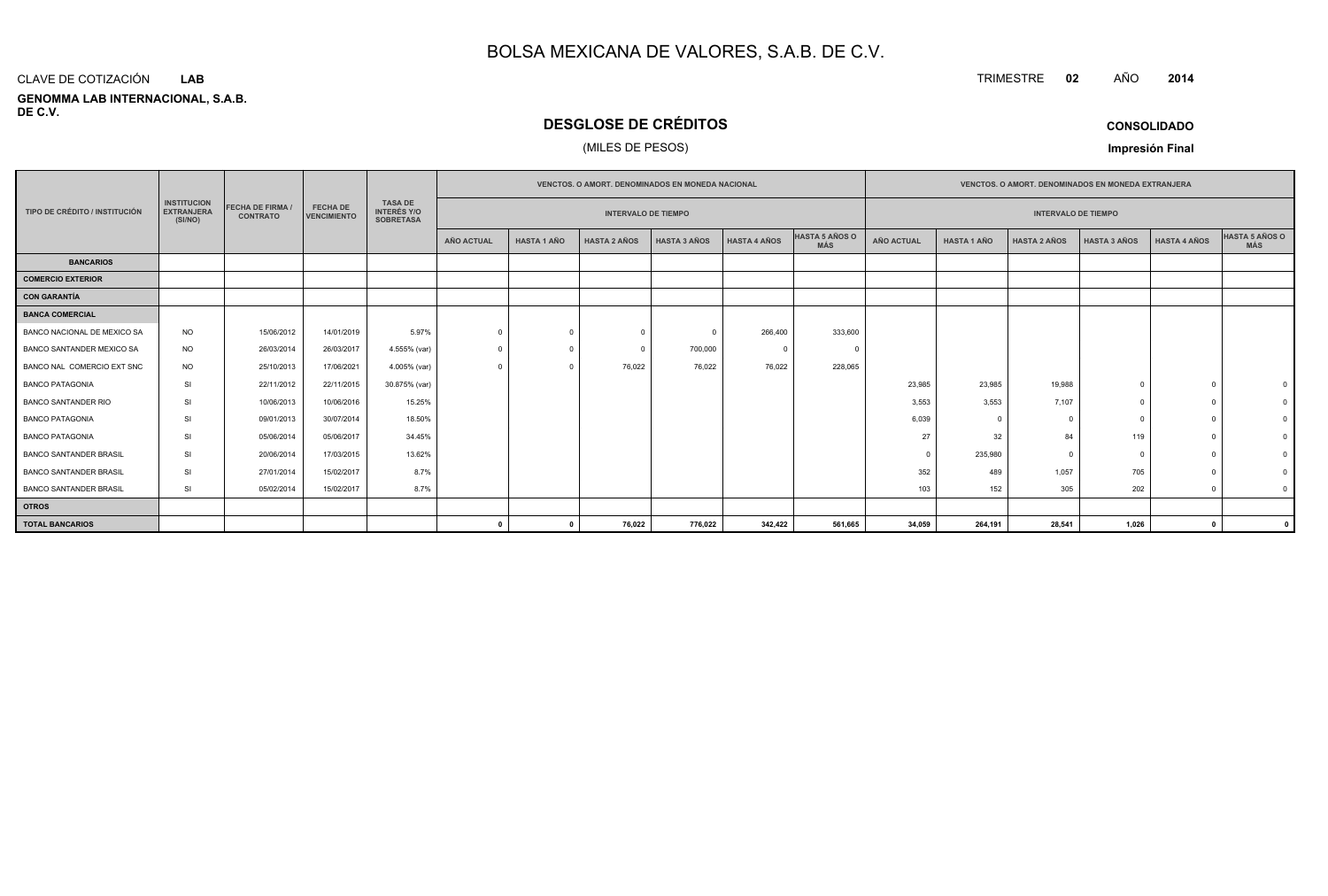#### **GENOMMA LAB INTERNACIONAL, S.A.B. DE C.V.**CLAVE DE COTIZACIÓN**LAB**

# **DESGLOSE DE CRÉDITOS**

## (MILES DE PESOS)

| <b>CONSOLIDADO</b> |  |
|--------------------|--|
|--------------------|--|

**Impresión Final**

|                               |                                                    |                                          |                                       | <b>VENCTOS, O AMORT, DENOMINADOS EN MONEDA NACIONAL</b>  |                            |                    |                     |                     |                     | <b>VENCTOS, O AMORT, DENOMINADOS EN MONEDA EXTRANJERA</b> |                            |                    |                     |                     |                     |                |
|-------------------------------|----------------------------------------------------|------------------------------------------|---------------------------------------|----------------------------------------------------------|----------------------------|--------------------|---------------------|---------------------|---------------------|-----------------------------------------------------------|----------------------------|--------------------|---------------------|---------------------|---------------------|----------------|
| TIPO DE CRÉDITO / INSTITUCIÓN | <b>INSTITUCION</b><br><b>EXTRANJERA</b><br>(SI/NO) | <b>FECHA DE FIRMA</b><br><b>CONTRATO</b> | <b>FECHA DE</b><br><b>VENCIMIENTO</b> | <b>TASA DE</b><br><b>INTERÉS Y/O</b><br><b>SOBRETASA</b> | <b>INTERVALO DE TIEMPO</b> |                    |                     |                     |                     |                                                           | <b>INTERVALO DE TIEMPO</b> |                    |                     |                     |                     |                |
|                               |                                                    |                                          |                                       |                                                          | <b>AÑO ACTUAL</b>          | <b>HASTA 1 AÑO</b> | <b>HASTA 2 AÑOS</b> | <b>HASTA 3 AÑOS</b> | <b>HASTA 4 AÑOS</b> | HASTA 5 AÑOS O<br><b>MÁS</b>                              | <b>AÑO ACTUAL</b>          | <b>HASTA 1 AÑO</b> | <b>HASTA 2 AÑOS</b> | <b>HASTA 3 AÑOS</b> | <b>HASTA 4 AÑOS</b> | HASTA 5 AÑOS O |
| <b>BANCARIOS</b>              |                                                    |                                          |                                       |                                                          |                            |                    |                     |                     |                     |                                                           |                            |                    |                     |                     |                     |                |
| <b>COMERCIO EXTERIOR</b>      |                                                    |                                          |                                       |                                                          |                            |                    |                     |                     |                     |                                                           |                            |                    |                     |                     |                     |                |
| <b>CON GARANTÍA</b>           |                                                    |                                          |                                       |                                                          |                            |                    |                     |                     |                     |                                                           |                            |                    |                     |                     |                     |                |
| <b>BANCA COMERCIAL</b>        |                                                    |                                          |                                       |                                                          |                            |                    |                     |                     |                     |                                                           |                            |                    |                     |                     |                     |                |
| BANCO NACIONAL DE MEXICO SA   | <b>NO</b>                                          | 15/06/2012                               | 14/01/2019                            | 5.97%                                                    | $\Omega$                   | $\Omega$           | $\Omega$            | $\Omega$            | 266,400             | 333,600                                                   |                            |                    |                     |                     |                     |                |
| BANCO SANTANDER MEXICO SA     | <b>NO</b>                                          | 26/03/2014                               | 26/03/2017                            | 4.555% (var)                                             |                            | $\Omega$           | $\Omega$            | 700,000             | $\Omega$            |                                                           |                            |                    |                     |                     |                     |                |
| BANCO NAL COMERCIO EXT SNC    | <b>NO</b>                                          | 25/10/2013                               | 17/06/2021                            | 4.005% (var)                                             | $\Omega$                   | $\Omega$           | 76,022              | 76,022              | 76,022              | 228,065                                                   |                            |                    |                     |                     |                     |                |
| <b>BANCO PATAGONIA</b>        | SI                                                 | 22/11/2012                               | 22/11/2015                            | 30.875% (var)                                            |                            |                    |                     |                     |                     |                                                           | 23,985                     | 23,985             | 19,988              | $\Omega$            |                     |                |
| <b>BANCO SANTANDER RIO</b>    | SI                                                 | 10/06/2013                               | 10/06/2016                            | 15.25%                                                   |                            |                    |                     |                     |                     |                                                           | 3,553                      | 3,553              | 7,107               | $\Omega$            |                     |                |
| <b>BANCO PATAGONIA</b>        | <b>SI</b>                                          | 09/01/2013                               | 30/07/2014                            | 18.50%                                                   |                            |                    |                     |                     |                     |                                                           | 6,039                      | $\Omega$           |                     | $\Omega$            |                     |                |
| <b>BANCO PATAGONIA</b>        | <b>SI</b>                                          | 05/06/2014                               | 05/06/2017                            | 34.45%                                                   |                            |                    |                     |                     |                     |                                                           | 27                         | 32                 | 84                  | 119                 |                     |                |
| <b>BANCO SANTANDER BRASIL</b> | <b>SI</b>                                          | 20/06/2014                               | 17/03/2015                            | 13.62%                                                   |                            |                    |                     |                     |                     |                                                           | $\Omega$                   | 235,980            |                     | $\Omega$            |                     |                |
| <b>BANCO SANTANDER BRASIL</b> | <b>SI</b>                                          | 27/01/2014                               | 15/02/2017                            | 8.7%                                                     |                            |                    |                     |                     |                     |                                                           | 352                        | 489                | 1,057               | 705                 |                     |                |
| <b>BANCO SANTANDER BRASIL</b> | SI                                                 | 05/02/2014                               | 15/02/2017                            | 8.7%                                                     |                            |                    |                     |                     |                     |                                                           | 103                        | 152                | 305                 | 202                 |                     | $\Omega$       |
| <b>OTROS</b>                  |                                                    |                                          |                                       |                                                          |                            |                    |                     |                     |                     |                                                           |                            |                    |                     |                     |                     |                |
| <b>TOTAL BANCARIOS</b>        |                                                    |                                          |                                       |                                                          | $\mathbf{0}$               | $\mathbf{0}$       | 76,022              | 776,022             | 342,422             | 561,665                                                   | 34,059                     | 264,191            | 28,541              | 1,026               | $\mathbf{r}$        |                |

**<sup>2014</sup>**

TRIMESTRE **<sup>02</sup>** AÑO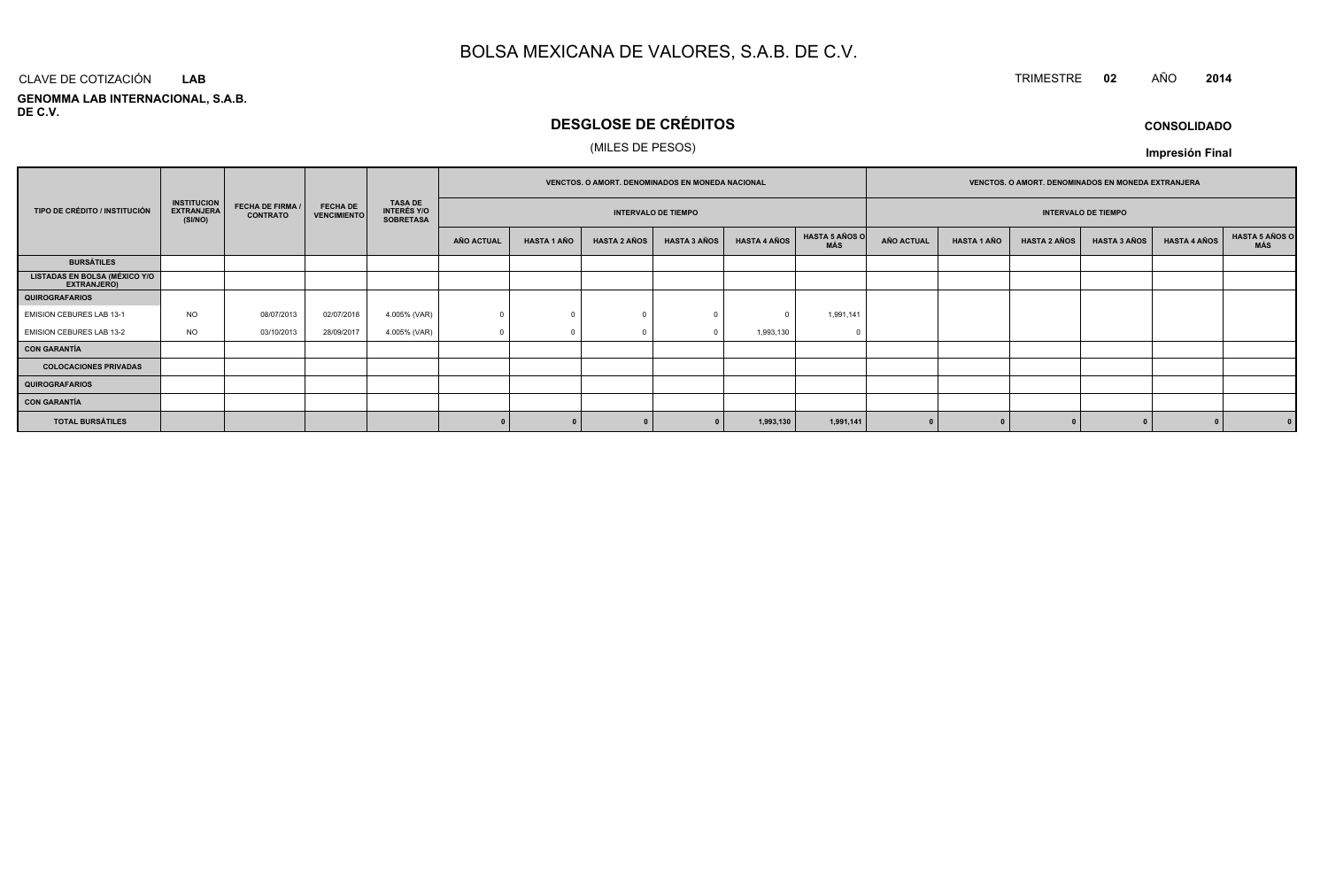# TRIMESTRE **<sup>02</sup>** AÑO **<sup>2014</sup>**

**GENOMMA LAB INTERNACIONAL, S.A.B. DE C.V.**CLAVE DE COTIZACIÓN**LAB**

# **DESGLOSE DE CRÉDITOS**

## (MILES DE PESOS)

**CONSOLIDADOImpresión Final**

|                                                     |                                                    |                 |            |              |            |                         |                     | VENCTOS. O AMORT. DENOMINADOS EN MONEDA NACIONAL |                     |                                       |                                                          |                            | VENCTOS. O AMORT. DENOMINADOS EN MONEDA EXTRANJERA |                     |                     |                       |  |                            |  |  |  |
|-----------------------------------------------------|----------------------------------------------------|-----------------|------------|--------------|------------|-------------------------|---------------------|--------------------------------------------------|---------------------|---------------------------------------|----------------------------------------------------------|----------------------------|----------------------------------------------------|---------------------|---------------------|-----------------------|--|----------------------------|--|--|--|
| TIPO DE CRÉDITO / INSTITUCIÓN                       | <b>INSTITUCION</b><br><b>EXTRANJERA</b><br>(SI/NO) | <b>CONTRATO</b> |            |              |            | <b>FECHA DE FIRMA /</b> |                     |                                                  |                     | <b>FECHA DE</b><br><b>VENCIMIENTO</b> | <b>TASA DE</b><br><b>INTERÉS Y/O</b><br><b>SOBRETASA</b> | <b>INTERVALO DE TIEMPO</b> |                                                    |                     |                     |                       |  | <b>INTERVALO DE TIEMPO</b> |  |  |  |
|                                                     |                                                    |                 |            |              | AÑO ACTUAL | <b>HASTA 1 AÑO</b>      | <b>HASTA 2 AÑOS</b> | <b>HASTA 3 AÑOS</b>                              | <b>HASTA 4 AÑOS</b> | <b>HASTA 5 AÑOS O</b><br>MÁS          | <b>AÑO ACTUAL</b>                                        | <b>HASTA 1 AÑO</b>         | <b>HASTA 2 AÑOS</b>                                | <b>HASTA 3 AÑOS</b> | <b>HASTA 4 AÑOS</b> | HASTA 5 AÑOS C<br>MÁS |  |                            |  |  |  |
| <b>BURSÁTILES</b>                                   |                                                    |                 |            |              |            |                         |                     |                                                  |                     |                                       |                                                          |                            |                                                    |                     |                     |                       |  |                            |  |  |  |
| <b>LISTADAS EN BOLSA (MÉXICO Y/O</b><br>EXTRANJERO) |                                                    |                 |            |              |            |                         |                     |                                                  |                     |                                       |                                                          |                            |                                                    |                     |                     |                       |  |                            |  |  |  |
| <b>QUIROGRAFARIOS</b>                               |                                                    |                 |            |              |            |                         |                     |                                                  |                     |                                       |                                                          |                            |                                                    |                     |                     |                       |  |                            |  |  |  |
| EMISION CEBURES LAB 13-1                            | <b>NO</b>                                          | 08/07/2013      | 02/07/2018 | 4.005% (VAR) |            |                         |                     |                                                  |                     | 1,991,141                             |                                                          |                            |                                                    |                     |                     |                       |  |                            |  |  |  |
| EMISION CEBURES LAB 13-2                            | <b>NO</b>                                          | 03/10/2013      | 28/09/2017 | 4.005% (VAR) |            |                         |                     |                                                  | 1,993,130           |                                       |                                                          |                            |                                                    |                     |                     |                       |  |                            |  |  |  |
| <b>CON GARANTÍA</b>                                 |                                                    |                 |            |              |            |                         |                     |                                                  |                     |                                       |                                                          |                            |                                                    |                     |                     |                       |  |                            |  |  |  |
| <b>COLOCACIONES PRIVADAS</b>                        |                                                    |                 |            |              |            |                         |                     |                                                  |                     |                                       |                                                          |                            |                                                    |                     |                     |                       |  |                            |  |  |  |
| <b>QUIROGRAFARIOS</b>                               |                                                    |                 |            |              |            |                         |                     |                                                  |                     |                                       |                                                          |                            |                                                    |                     |                     |                       |  |                            |  |  |  |
| <b>CON GARANTÍA</b>                                 |                                                    |                 |            |              |            |                         |                     |                                                  |                     |                                       |                                                          |                            |                                                    |                     |                     |                       |  |                            |  |  |  |
| <b>TOTAL BURSÁTILES</b>                             |                                                    |                 |            |              |            |                         |                     |                                                  | 1,993,130           | 1,991,141                             |                                                          |                            |                                                    |                     |                     |                       |  |                            |  |  |  |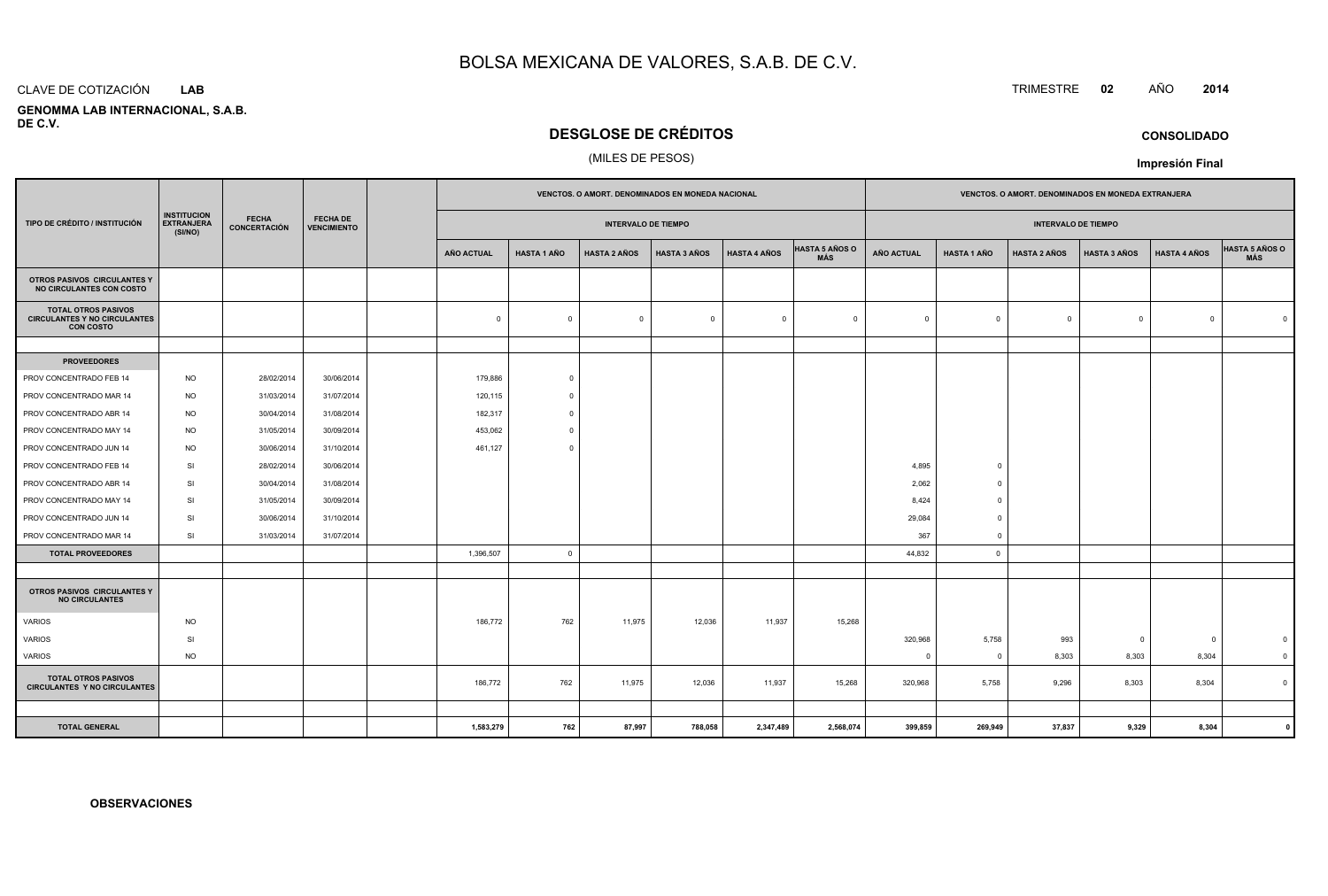#### CLAVE DE COTIZACIÓN**LAB**

 **GENOMMA LAB INTERNACIONAL, S.A.B.DE C.V.**

## **DESGLOSE DE CRÉDITOS**

## (MILES DE PESOS)

|                                                                                                                                                                     |           |                            |                    | VENCTOS. O AMORT. DENOMINADOS EN MONEDA NACIONAL |                         |                     |                              |                            | VENCTOS. O AMORT. DENOMINADOS EN MONEDA EXTRANJERA |                     |                     |                     |                |          |                         |
|---------------------------------------------------------------------------------------------------------------------------------------------------------------------|-----------|----------------------------|--------------------|--------------------------------------------------|-------------------------|---------------------|------------------------------|----------------------------|----------------------------------------------------|---------------------|---------------------|---------------------|----------------|----------|-------------------------|
| <b>INSTITUCION</b><br><b>FECHA</b><br><b>FECHA DE</b><br><b>EXTRANJERA</b><br>TIPO DE CRÉDITO / INSTITUCIÓN<br><b>CONCERTACIÓN</b><br><b>VENCIMIENTO</b><br>(SI/NO) |           | <b>INTERVALO DE TIEMPO</b> |                    |                                                  |                         |                     |                              | <b>INTERVALO DE TIEMPO</b> |                                                    |                     |                     |                     |                |          |                         |
|                                                                                                                                                                     |           | <b>AÑO ACTUAL</b>          | <b>HASTA 1 AÑO</b> | <b>HASTA 2 AÑOS</b>                              | <b>HASTA 3 AÑOS</b>     | <b>HASTA 4 AÑOS</b> | <b>HASTA 5 AÑOS O</b><br>MÁS | AÑO ACTUAL                 | <b>HASTA 1 AÑO</b>                                 | <b>HASTA 2 AÑOS</b> | <b>HASTA 3 AÑOS</b> | <b>HASTA 4 AÑOS</b> | HASTA 5 AÑOS O |          |                         |
| OTROS PASIVOS CIRCULANTES Y<br>NO CIRCULANTES CON COSTO                                                                                                             |           |                            |                    |                                                  |                         |                     |                              |                            |                                                    |                     |                     |                     |                |          |                         |
| <b>TOTAL OTROS PASIVOS</b><br><b>CIRCULANTES Y NO CIRCULANTES</b><br><b>CON COSTO</b>                                                                               |           |                            |                    | $\mathbf 0$                                      | $\Omega$                | $\mathbf 0$         | $\overline{\mathbf{0}}$      | $\mathbf{0}$               | $\overline{0}$                                     | $\mathbf{0}$        | $\mathbf 0$         | $\Omega$            | $\mathbf{0}$   | $\Omega$ | $\Omega$                |
|                                                                                                                                                                     |           |                            |                    |                                                  |                         |                     |                              |                            |                                                    |                     |                     |                     |                |          |                         |
| <b>PROVEEDORES</b>                                                                                                                                                  |           |                            |                    |                                                  |                         |                     |                              |                            |                                                    |                     |                     |                     |                |          |                         |
| PROV CONCENTRADO FEB 14                                                                                                                                             | <b>NO</b> | 28/02/2014                 | 30/06/2014         | 179,886                                          | $\circ$                 |                     |                              |                            |                                                    |                     |                     |                     |                |          |                         |
| PROV CONCENTRADO MAR 14                                                                                                                                             | <b>NO</b> | 31/03/2014                 | 31/07/2014         | 120,115                                          | $\Omega$                |                     |                              |                            |                                                    |                     |                     |                     |                |          |                         |
| PROV CONCENTRADO ABR 14                                                                                                                                             | <b>NO</b> | 30/04/2014                 | 31/08/2014         | 182,317                                          | $\Omega$                |                     |                              |                            |                                                    |                     |                     |                     |                |          |                         |
| PROV CONCENTRADO MAY 14                                                                                                                                             | <b>NO</b> | 31/05/2014                 | 30/09/2014         | 453,062                                          | $\overline{0}$          |                     |                              |                            |                                                    |                     |                     |                     |                |          |                         |
| PROV CONCENTRADO JUN 14                                                                                                                                             | <b>NO</b> | 30/06/2014                 | 31/10/2014         | 461,127                                          | $\Omega$                |                     |                              |                            |                                                    |                     |                     |                     |                |          |                         |
| PROV CONCENTRADO FEB 14                                                                                                                                             | SI        | 28/02/2014                 | 30/06/2014         |                                                  |                         |                     |                              |                            |                                                    | 4,895               | $\overline{0}$      |                     |                |          |                         |
| PROV CONCENTRADO ABR 14                                                                                                                                             | SI        | 30/04/2014                 | 31/08/2014         |                                                  |                         |                     |                              |                            |                                                    | 2,062               | $^{\circ}$          |                     |                |          |                         |
| PROV CONCENTRADO MAY 14                                                                                                                                             | SI        | 31/05/2014                 | 30/09/2014         |                                                  |                         |                     |                              |                            |                                                    | 8,424               | $\overline{0}$      |                     |                |          |                         |
| PROV CONCENTRADO JUN 14                                                                                                                                             | <b>SI</b> | 30/06/2014                 | 31/10/2014         |                                                  |                         |                     |                              |                            |                                                    | 29,084              | $\overline{0}$      |                     |                |          |                         |
| PROV CONCENTRADO MAR 14                                                                                                                                             | SI        | 31/03/2014                 | 31/07/2014         |                                                  |                         |                     |                              |                            |                                                    | 367                 | $^{\circ}$          |                     |                |          |                         |
| <b>TOTAL PROVEEDORES</b>                                                                                                                                            |           |                            |                    | 1,396,507                                        | $\overline{\mathbf{0}}$ |                     |                              |                            |                                                    | 44,832              | $\circ$             |                     |                |          |                         |
|                                                                                                                                                                     |           |                            |                    |                                                  |                         |                     |                              |                            |                                                    |                     |                     |                     |                |          |                         |
| OTROS PASIVOS CIRCULANTES Y<br><b>NO CIRCULANTES</b>                                                                                                                |           |                            |                    |                                                  |                         |                     |                              |                            |                                                    |                     |                     |                     |                |          |                         |
| VARIOS                                                                                                                                                              | <b>NO</b> |                            |                    | 186,772                                          | 762                     | 11,975              | 12,036                       | 11,937                     | 15,268                                             |                     |                     |                     |                |          |                         |
| <b>VARIOS</b>                                                                                                                                                       | SI        |                            |                    |                                                  |                         |                     |                              |                            |                                                    | 320,968             | 5,758               | 993                 | $\overline{0}$ | $\Omega$ | $\mathbf 0$             |
| VARIOS                                                                                                                                                              | <b>NO</b> |                            |                    |                                                  |                         |                     |                              |                            |                                                    | $\Omega$            | $\overline{0}$      | 8,303               | 8,303          | 8,304    | $\overline{\mathbf{0}}$ |
| <b>TOTAL OTROS PASIVOS</b><br><b>CIRCULANTES Y NO CIRCULANTES</b>                                                                                                   |           |                            |                    | 186,772                                          | 762                     | 11,975              | 12,036                       | 11,937                     | 15,268                                             | 320,968             | 5,758               | 9,296               | 8,303          | 8,304    | $\overline{0}$          |
|                                                                                                                                                                     |           |                            |                    |                                                  |                         |                     |                              |                            |                                                    |                     |                     |                     |                |          |                         |
| <b>TOTAL GENERAL</b>                                                                                                                                                |           |                            |                    | 1,583,279                                        | 762                     | 87,997              | 788,058                      | 2,347,489                  | 2,568,074                                          | 399,859             | 269,949             | 37,837              | 9,329          | 8,304    |                         |

**CONSOLIDADO**

**Impresión Final**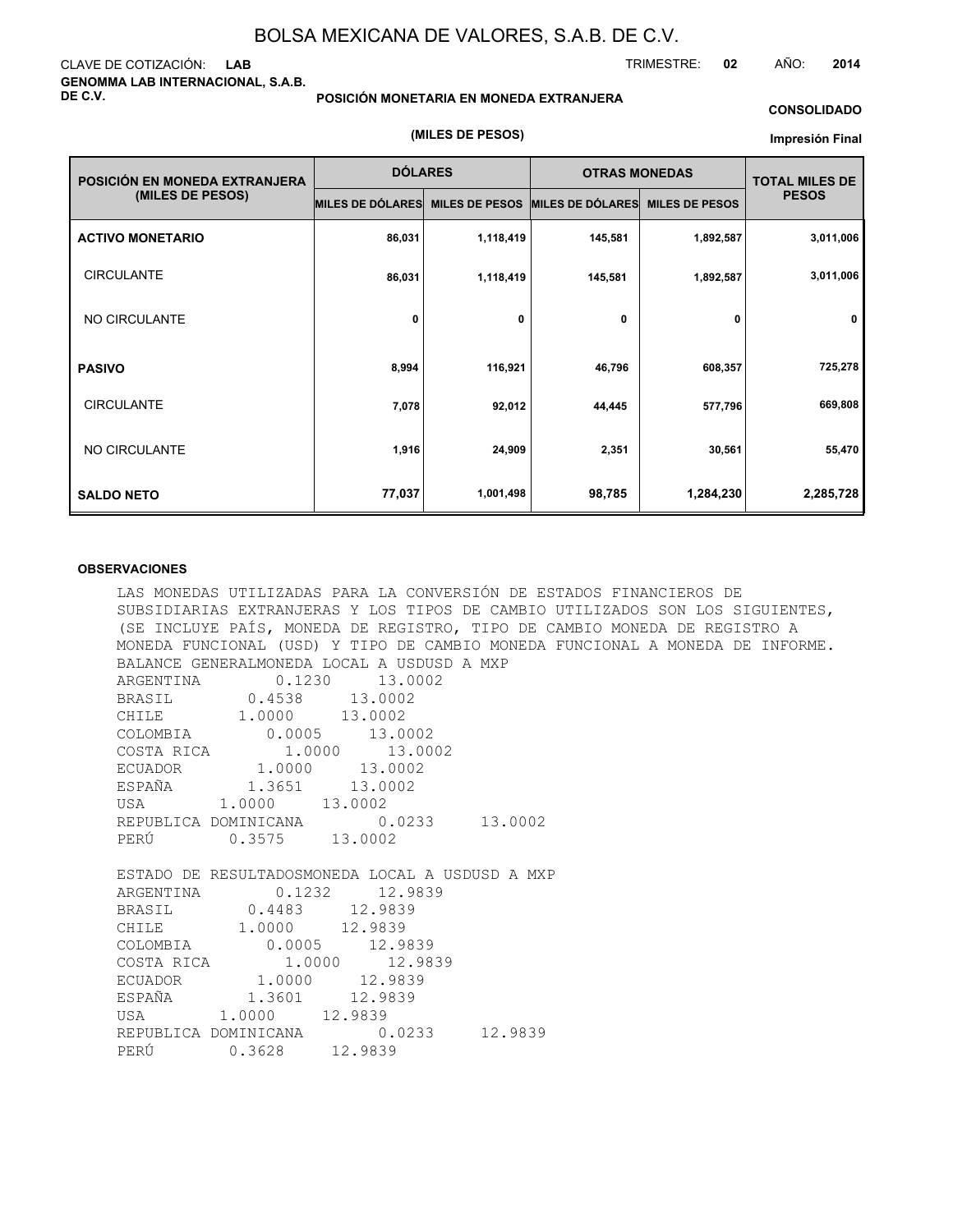## CLAVE DE COTIZACIÓN: **LAB GENOMMA LAB INTERNACIONAL, S.A.B. DE C.V.**

## **POSICIÓN MONETARIA EN MONEDA EXTRANJERA**

**(MILES DE PESOS)**

## **CONSOLIDADO**

#### **Impresión Final**

| POSICIÓN EN MONEDA EXTRANJERA | <b>DÓLARES</b>   |                       | <b>OTRAS MONEDAS</b> | <b>TOTAL MILES DE</b> |              |
|-------------------------------|------------------|-----------------------|----------------------|-----------------------|--------------|
| (MILES DE PESOS)              | MILES DE DÓLARES | <b>MILES DE PESOS</b> | MILES DE DÓLARES     | <b>MILES DE PESOS</b> | <b>PESOS</b> |
| <b>ACTIVO MONETARIO</b>       | 86,031           | 1,118,419             | 145,581              | 1,892,587             | 3,011,006    |
| <b>CIRCULANTE</b>             | 86,031           | 1,118,419             | 145,581              | 1,892,587             | 3,011,006    |
| NO CIRCULANTE                 | 0                | 0                     | 0                    | 0                     | 0            |
| <b>PASIVO</b>                 | 8,994            | 116,921               | 46,796               | 608,357               | 725,278      |
| <b>CIRCULANTE</b>             | 7,078            | 92,012                | 44,445               | 577,796               | 669,808      |
| NO CIRCULANTE                 | 1,916            | 24,909                | 2,351                | 30,561                | 55,470       |
| <b>SALDO NETO</b>             | 77,037           | 1,001,498             | 98,785               | 1,284,230             | 2,285,728    |

## **OBSERVACIONES**

LAS MONEDAS UTILIZADAS PARA LA CONVERSIÓN DE ESTADOS FINANCIEROS DE SUBSIDIARIAS EXTRANJERAS Y LOS TIPOS DE CAMBIO UTILIZADOS SON LOS SIGUIENTES, (SE INCLUYE PAÍS, MONEDA DE REGISTRO, TIPO DE CAMBIO MONEDA DE REGISTRO A MONEDA FUNCIONAL (USD) Y TIPO DE CAMBIO MONEDA FUNCIONAL A MONEDA DE INFORME. BALANCE GENERALMONEDA LOCAL A USDUSD A MXP ARGENTINA  $0.1230$  13.0002 BRASIL 0.4538 13.0002 CHILE 1.0000 13.0002 COLOMBIA 0.0005 13.0002 COSTA RICA  $1.0000$  13.0002<br>ECUADOR 1.0000 13.0002 ECUADOR 1.0000 13.0002<br>ESPAÑA 1.3651 13.0002  $\begin{array}{cccc} 1.3651 & 13.001 & 13.0002 \end{array}$ USA 1.0000 REPUBLICA DOMINICANA 0.0233 13.0002 PERÚ 0.3575 13.0002 ESTADO DE RESULTADOSMONEDA LOCAL A USDUSD A MXP ARGENTINA 0.1232 12.9839 BRASIL 0.4483 12.9839<br>CHILE 1.0000 12.9839 CHILE 1.0000<br>COLOMBIA 0.0005  $0.0005$  12.9839<br>1.0000 12.9839 COSTA RICA 1.0000 ECUADOR 1.0000 12.9839 ESPAÑA 1.3601 12.9839 USA 1.0000 12.9839 REPUBLICA DOMINICANA 0.0233 12.9839 PERÚ 0.3628 12.9839

TRIMESTRE: **02** AÑO: **2014**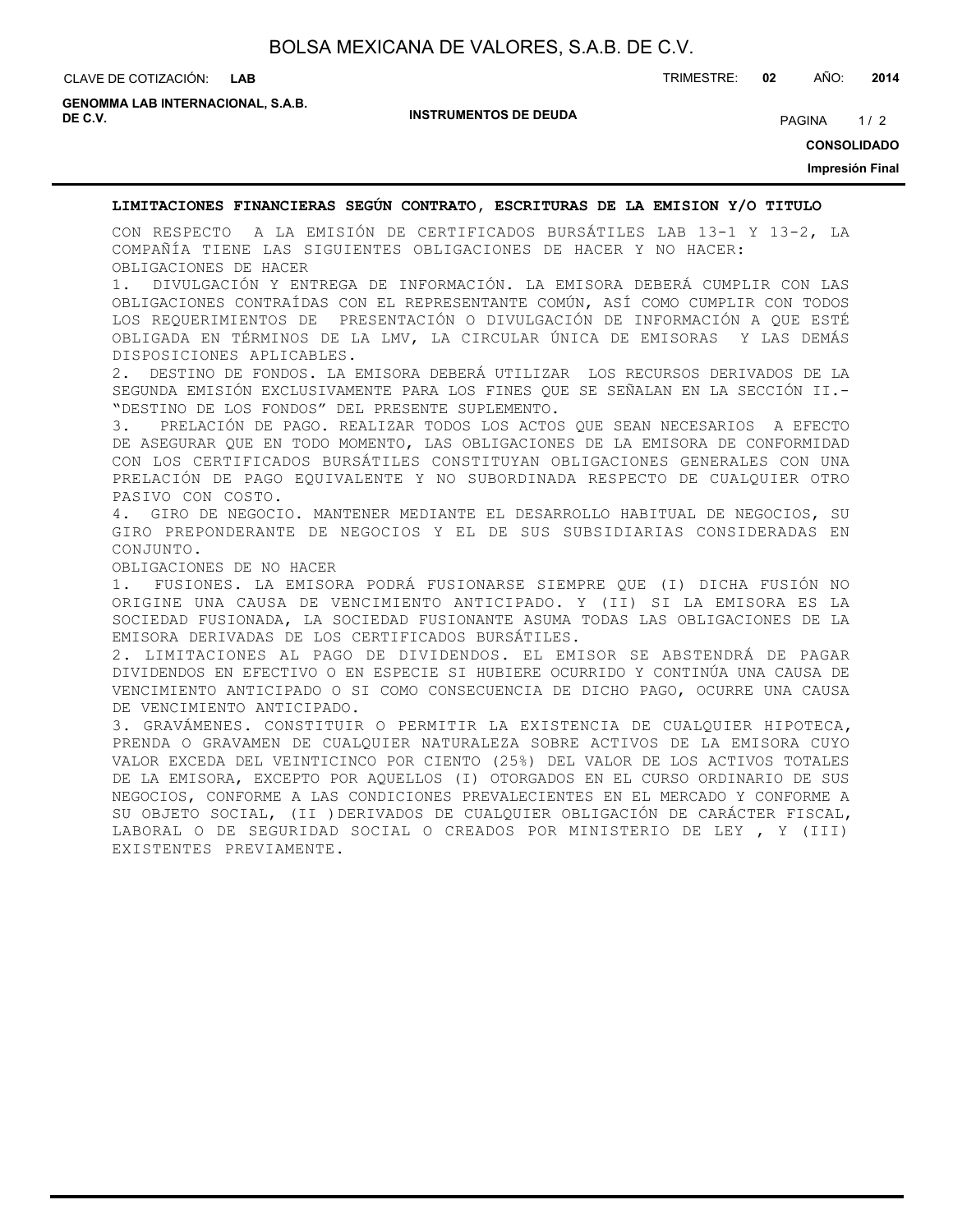CLAVE DE COTIZACIÓN: TRIMESTRE: **02** AÑO: **2014**

**GENOMMA LAB INTERNACIONAL, S.A.B. DE C.V.** PAGINA 1/2

**INSTRUMENTOS DE DEUDA**

**CONSOLIDADO**

**Impresión Final**

## **LIMITACIONES FINANCIERAS SEGÚN CONTRATO, ESCRITURAS DE LA EMISION Y/O TITULO**

CON RESPECTO A LA EMISIÓN DE CERTIFICADOS BURSÁTILES LAB 13-1 Y 13-2, LA COMPAÑÍA TIENE LAS SIGUIENTES OBLIGACIONES DE HACER Y NO HACER: OBLIGACIONES DE HACER

1. DIVULGACIÓN Y ENTREGA DE INFORMACIÓN. LA EMISORA DEBERÁ CUMPLIR CON LAS OBLIGACIONES CONTRAÍDAS CON EL REPRESENTANTE COMÚN, ASÍ COMO CUMPLIR CON TODOS LOS REQUERIMIENTOS DE PRESENTACIÓN O DIVULGACIÓN DE INFORMACIÓN A QUE ESTÉ OBLIGADA EN TÉRMINOS DE LA LMV, LA CIRCULAR ÚNICA DE EMISORAS Y LAS DEMÁS DISPOSICIONES APLICABLES.

2. DESTINO DE FONDOS. LA EMISORA DEBERÁ UTILIZAR LOS RECURSOS DERIVADOS DE LA SEGUNDA EMISIÓN EXCLUSIVAMENTE PARA LOS FINES QUE SE SEÑALAN EN LA SECCIÓN II.- "DESTINO DE LOS FONDOS" DEL PRESENTE SUPLEMENTO.

3. PRELACIÓN DE PAGO. REALIZAR TODOS LOS ACTOS QUE SEAN NECESARIOS A EFECTO DE ASEGURAR QUE EN TODO MOMENTO, LAS OBLIGACIONES DE LA EMISORA DE CONFORMIDAD CON LOS CERTIFICADOS BURSÁTILES CONSTITUYAN OBLIGACIONES GENERALES CON UNA PRELACIÓN DE PAGO EQUIVALENTE Y NO SUBORDINADA RESPECTO DE CUALQUIER OTRO PASIVO CON COSTO.

4. GIRO DE NEGOCIO. MANTENER MEDIANTE EL DESARROLLO HABITUAL DE NEGOCIOS, SU GIRO PREPONDERANTE DE NEGOCIOS Y EL DE SUS SUBSIDIARIAS CONSIDERADAS EN CONJUNTO.

OBLIGACIONES DE NO HACER

1. FUSIONES. LA EMISORA PODRÁ FUSIONARSE SIEMPRE QUE (I) DICHA FUSIÓN NO ORIGINE UNA CAUSA DE VENCIMIENTO ANTICIPADO. Y (II) SI LA EMISORA ES LA SOCIEDAD FUSIONADA, LA SOCIEDAD FUSIONANTE ASUMA TODAS LAS OBLIGACIONES DE LA EMISORA DERIVADAS DE LOS CERTIFICADOS BURSÁTILES.

2. LIMITACIONES AL PAGO DE DIVIDENDOS. EL EMISOR SE ABSTENDRÁ DE PAGAR DIVIDENDOS EN EFECTIVO O EN ESPECIE SI HUBIERE OCURRIDO Y CONTINÚA UNA CAUSA DE VENCIMIENTO ANTICIPADO O SI COMO CONSECUENCIA DE DICHO PAGO, OCURRE UNA CAUSA DE VENCIMIENTO ANTICIPADO.

3. GRAVÁMENES. CONSTITUIR O PERMITIR LA EXISTENCIA DE CUALQUIER HIPOTECA, PRENDA O GRAVAMEN DE CUALQUIER NATURALEZA SOBRE ACTIVOS DE LA EMISORA CUYO VALOR EXCEDA DEL VEINTICINCO POR CIENTO (25%) DEL VALOR DE LOS ACTIVOS TOTALES DE LA EMISORA, EXCEPTO POR AQUELLOS (I) OTORGADOS EN EL CURSO ORDINARIO DE SUS NEGOCIOS, CONFORME A LAS CONDICIONES PREVALECIENTES EN EL MERCADO Y CONFORME A SU OBJETO SOCIAL, (II )DERIVADOS DE CUALQUIER OBLIGACIÓN DE CARÁCTER FISCAL, LABORAL O DE SEGURIDAD SOCIAL O CREADOS POR MINISTERIO DE LEY , Y (III) EXISTENTES PREVIAMENTE.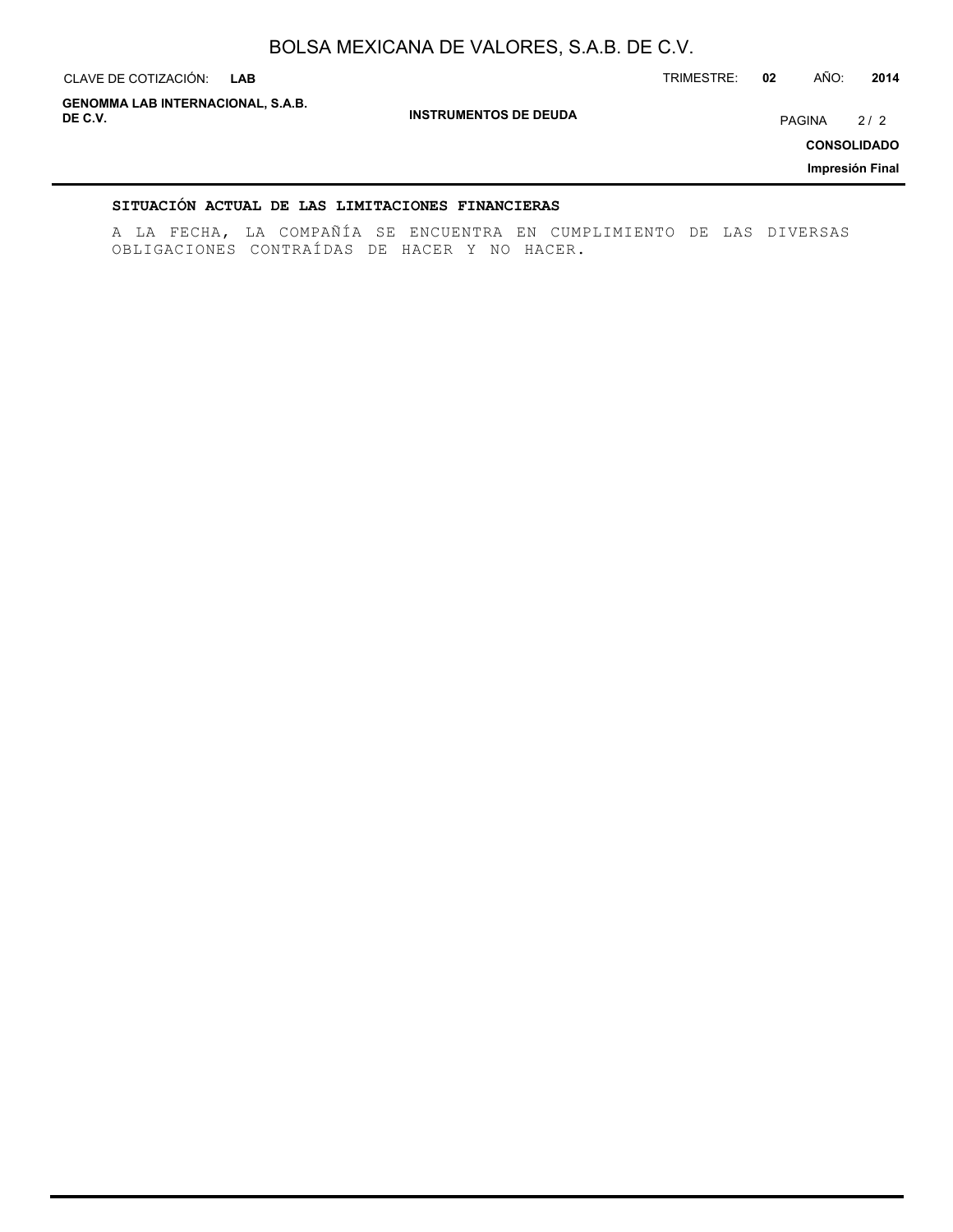**INSTRUMENTOS DE DEUDA** CLAVE DE COTIZACIÓN: TRIMESTRE: **02** AÑO: **2014 LAB CONSOLIDADO Impresión Final GENOMMA LAB INTERNACIONAL, S.A.B. DE C.V.** PAGINA 2 / 2

## **SITUACIÓN ACTUAL DE LAS LIMITACIONES FINANCIERAS**

A LA FECHA, LA COMPAÑÍA SE ENCUENTRA EN CUMPLIMIENTO DE LAS DIVERSAS OBLIGACIONES CONTRAÍDAS DE HACER Y NO HACER.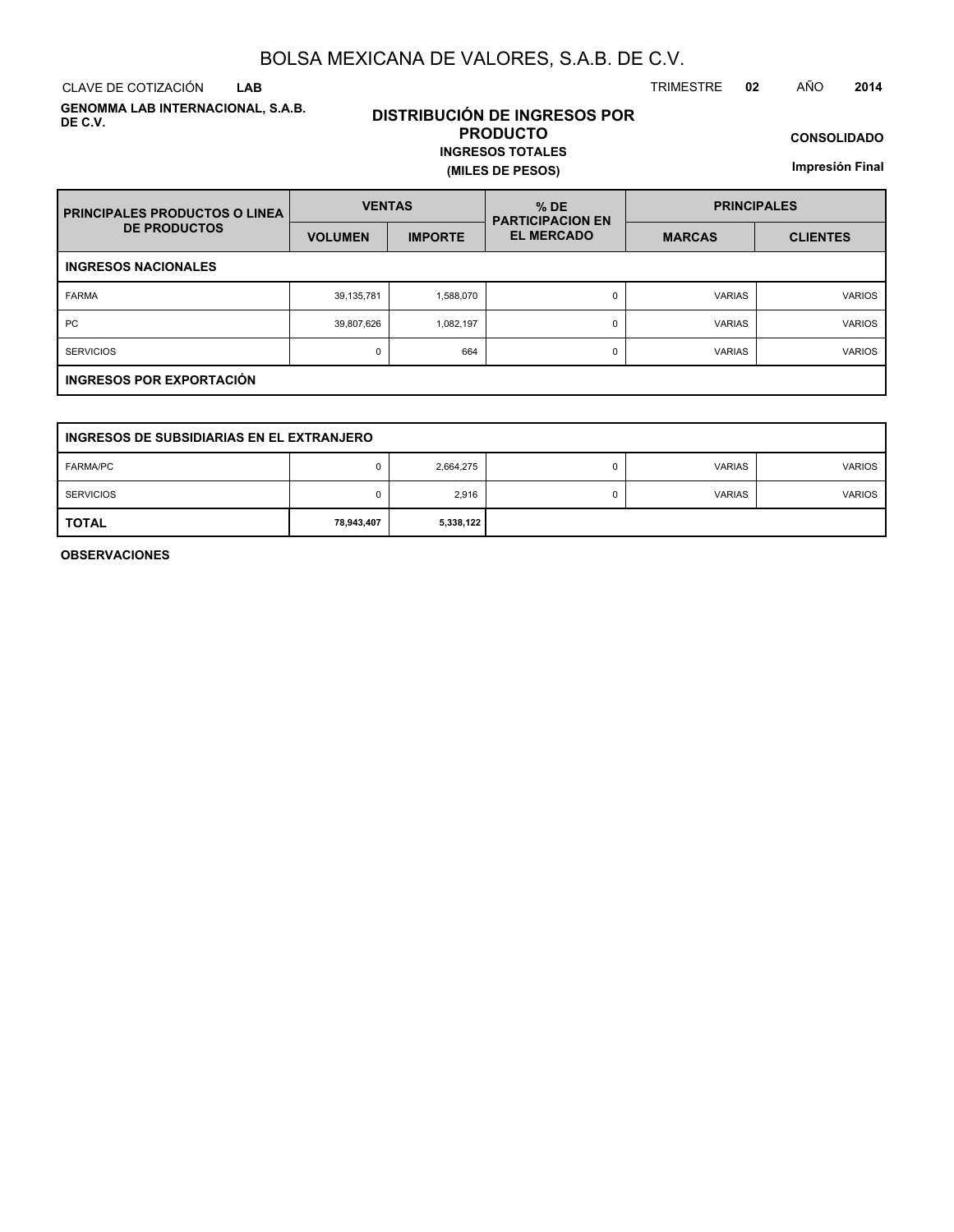CLAVE DE COTIZACIÓN TRIMESTRE **02** AÑO **2014 LAB**

**GENOMMA LAB INTERNACIONAL, S.A.B. DE C.V.**

## **DISTRIBUCIÓN DE INGRESOS POR PRODUCTO INGRESOS TOTALES**

**(MILES DE PESOS)**

**CONSOLIDADO**

**Impresión Final**

| <b>PRINCIPALES PRODUCTOS O LINEA</b> | <b>VENTAS</b>  |                | $%$ DE<br><b>PARTICIPACION EN</b> | <b>PRINCIPALES</b> |                 |  |  |  |  |  |
|--------------------------------------|----------------|----------------|-----------------------------------|--------------------|-----------------|--|--|--|--|--|
| <b>DE PRODUCTOS</b>                  | <b>VOLUMEN</b> | <b>IMPORTE</b> | <b>EL MERCADO</b>                 | <b>MARCAS</b>      | <b>CLIENTES</b> |  |  |  |  |  |
| <b>INGRESOS NACIONALES</b>           |                |                |                                   |                    |                 |  |  |  |  |  |
| <b>FARMA</b>                         | 39,135,781     | 1,588,070      | 0                                 | <b>VARIAS</b>      | <b>VARIOS</b>   |  |  |  |  |  |
| <b>PC</b>                            | 39,807,626     | 1,082,197      | 0                                 | <b>VARIAS</b>      | <b>VARIOS</b>   |  |  |  |  |  |
| <b>SERVICIOS</b>                     | 0              | 664            | 0                                 | <b>VARIAS</b>      | <b>VARIOS</b>   |  |  |  |  |  |
| INGRESOS POR EXPORTACIÓN             |                |                |                                   |                    |                 |  |  |  |  |  |

| INGRESOS DE SUBSIDIARIAS EN EL EXTRANJERO |            |           |   |               |               |  |  |  |  |
|-------------------------------------------|------------|-----------|---|---------------|---------------|--|--|--|--|
| <b>FARMA/PC</b>                           |            | 2,664,275 | 0 | <b>VARIAS</b> | <b>VARIOS</b> |  |  |  |  |
| <b>SERVICIOS</b>                          |            | 2,916     | 0 | <b>VARIAS</b> | <b>VARIOS</b> |  |  |  |  |
| <b>TOTAL</b>                              | 78,943,407 | 5,338,122 |   |               |               |  |  |  |  |

**OBSERVACIONES**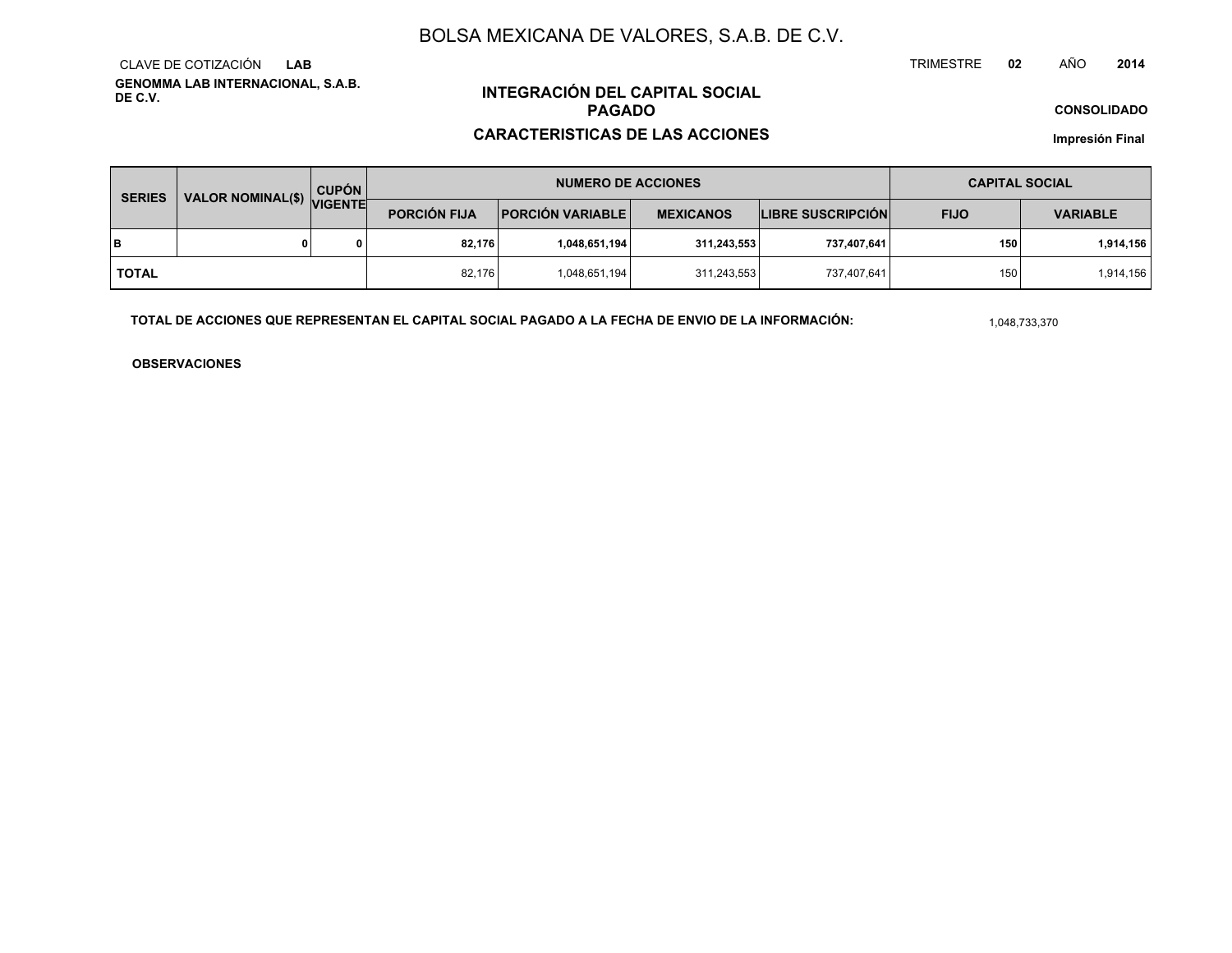**GENOMMA LAB INTERNACIONAL, S.A.B. DE C.V.**CLAVE DE COTIZACIÓN**LAB**

# **INTEGRACIÓN DEL CAPITAL SOCIALPAGADO**

## **CARACTERISTICAS DE LAS ACCIONES**

**CONSOLIDADO**

**Impresión Final**

| <b>SERIES</b> | VALOR NOMINAL(\$) VIGENTE | <b>CUPÓN</b> | <b>NUMERO DE ACCIONES</b> |                           |                  |                          | <b>CAPITAL SOCIAL</b> |                 |
|---------------|---------------------------|--------------|---------------------------|---------------------------|------------------|--------------------------|-----------------------|-----------------|
|               |                           |              | <b>PORCIÓN FIJA</b>       | <b>PORCIÓN VARIABLE  </b> | <b>MEXICANOS</b> | <b>LIBRE SUSCRIPCIÓN</b> | <b>FIJO</b>           | <b>VARIABLE</b> |
| lв            |                           | 0            | 82.176                    | 1,048,651,194             | 311,243,553      | 737,407,641              | 150                   | 1,914,156       |
| <b>TOTAL</b>  |                           |              | 82,176                    | 1,048,651,194             | 311,243,553      | 737,407,641              | 150                   | 1,914,156       |

**TOTAL DE ACCIONES QUE REPRESENTAN EL CAPITAL SOCIAL PAGADO A LA FECHA DE ENVIO DE LA INFORMACIÓN:**

1,048,733,370

TRIMESTRE

**OBSERVACIONES**

 **<sup>02</sup>** AÑO**<sup>2014</sup>**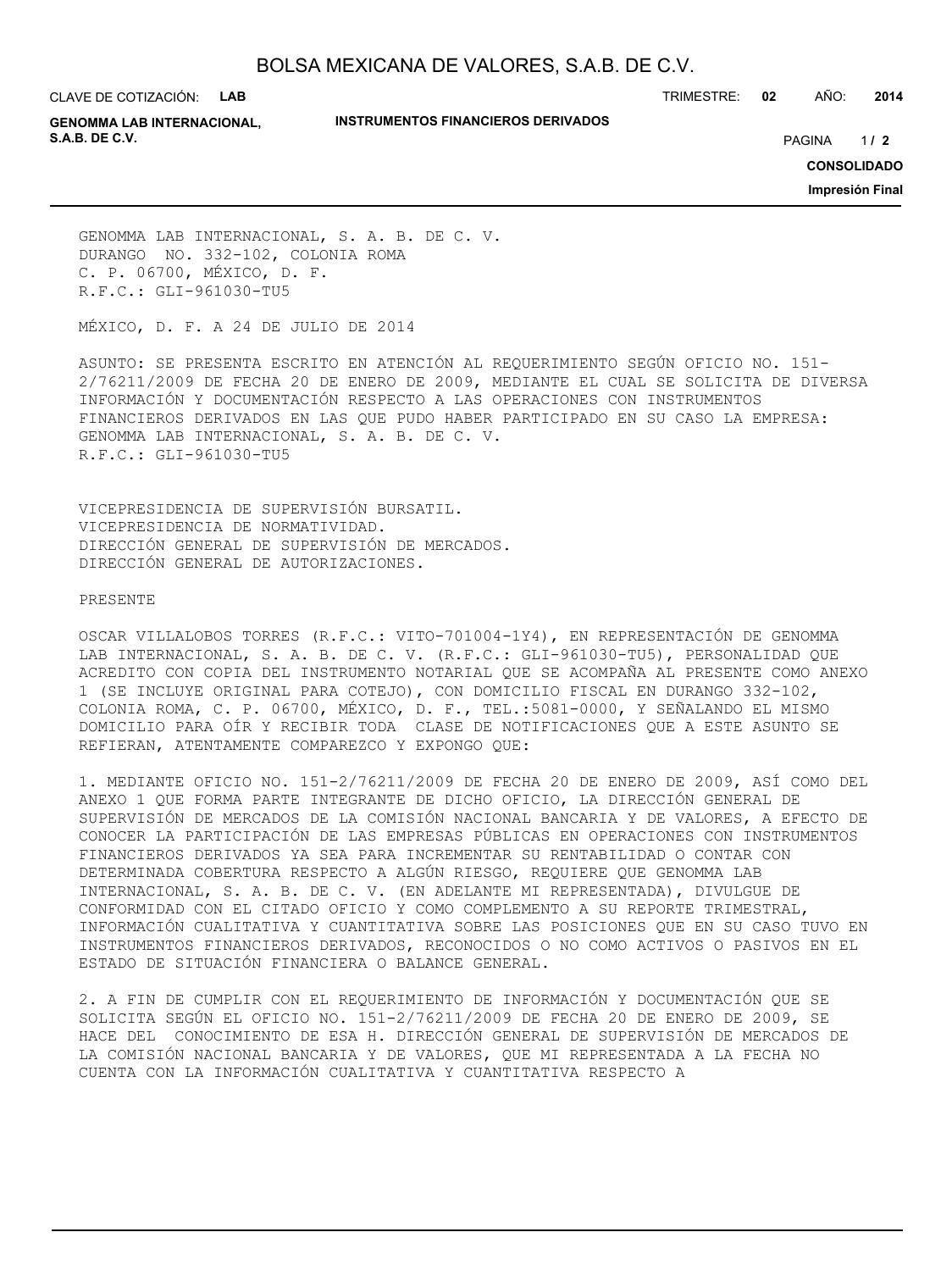CLAVE DE COTIZACIÓN: **LAB**

## **INSTRUMENTOS FINANCIEROS DERIVADOS**

TRIMESTRE: **02** AÑO: **2014**

**GENOMMA LAB INTERNACIONAL, S.A.B. DE C.V.** PAGINA **/ 2**

 $1/2$ 

**CONSOLIDADO**

**Impresión Final**

GENOMMA LAB INTERNACIONAL, S. A. B. DE C. V. DURANGO NO. 332-102, COLONIA ROMA C. P. 06700, MÉXICO, D. F. R.F.C.: GLI-961030-TU5

MÉXICO, D. F. A 24 DE JULIO DE 2014

ASUNTO: SE PRESENTA ESCRITO EN ATENCIÓN AL REQUERIMIENTO SEGÚN OFICIO NO. 151- 2/76211/2009 DE FECHA 20 DE ENERO DE 2009, MEDIANTE EL CUAL SE SOLICITA DE DIVERSA INFORMACIÓN Y DOCUMENTACIÓN RESPECTO A LAS OPERACIONES CON INSTRUMENTOS FINANCIEROS DERIVADOS EN LAS QUE PUDO HABER PARTICIPADO EN SU CASO LA EMPRESA: GENOMMA LAB INTERNACIONAL, S. A. B. DE C. V. R.F.C.: GLI-961030-TU5

VICEPRESIDENCIA DE SUPERVISIÓN BURSATIL. VICEPRESIDENCIA DE NORMATIVIDAD. DIRECCIÓN GENERAL DE SUPERVISIÓN DE MERCADOS. DIRECCIÓN GENERAL DE AUTORIZACIONES.

## PRESENTE

OSCAR VILLALOBOS TORRES (R.F.C.: VITO-701004-1Y4), EN REPRESENTACIÓN DE GENOMMA LAB INTERNACIONAL, S. A. B. DE C. V. (R.F.C.: GLI-961030-TU5), PERSONALIDAD QUE ACREDITO CON COPIA DEL INSTRUMENTO NOTARIAL QUE SE ACOMPAÑA AL PRESENTE COMO ANEXO 1 (SE INCLUYE ORIGINAL PARA COTEJO), CON DOMICILIO FISCAL EN DURANGO 332-102, COLONIA ROMA, C. P. 06700, MÉXICO, D. F., TEL.:5081-0000, Y SEÑALANDO EL MISMO DOMICILIO PARA OÍR Y RECIBIR TODA CLASE DE NOTIFICACIONES QUE A ESTE ASUNTO SE REFIERAN, ATENTAMENTE COMPAREZCO Y EXPONGO QUE:

1. MEDIANTE OFICIO NO. 151-2/76211/2009 DE FECHA 20 DE ENERO DE 2009, ASÍ COMO DEL ANEXO 1 QUE FORMA PARTE INTEGRANTE DE DICHO OFICIO, LA DIRECCIÓN GENERAL DE SUPERVISIÓN DE MERCADOS DE LA COMISIÓN NACIONAL BANCARIA Y DE VALORES, A EFECTO DE CONOCER LA PARTICIPACIÓN DE LAS EMPRESAS PÚBLICAS EN OPERACIONES CON INSTRUMENTOS FINANCIEROS DERIVADOS YA SEA PARA INCREMENTAR SU RENTABILIDAD O CONTAR CON DETERMINADA COBERTURA RESPECTO A ALGÚN RIESGO, REQUIERE QUE GENOMMA LAB INTERNACIONAL, S. A. B. DE C. V. (EN ADELANTE MI REPRESENTADA), DIVULGUE DE CONFORMIDAD CON EL CITADO OFICIO Y COMO COMPLEMENTO A SU REPORTE TRIMESTRAL, INFORMACIÓN CUALITATIVA Y CUANTITATIVA SOBRE LAS POSICIONES QUE EN SU CASO TUVO EN INSTRUMENTOS FINANCIEROS DERIVADOS, RECONOCIDOS O NO COMO ACTIVOS O PASIVOS EN EL ESTADO DE SITUACIÓN FINANCIERA O BALANCE GENERAL.

2. A FIN DE CUMPLIR CON EL REQUERIMIENTO DE INFORMACIÓN Y DOCUMENTACIÓN QUE SE SOLICITA SEGÚN EL OFICIO NO. 151-2/76211/2009 DE FECHA 20 DE ENERO DE 2009, SE HACE DEL CONOCIMIENTO DE ESA H. DIRECCIÓN GENERAL DE SUPERVISIÓN DE MERCADOS DE LA COMISIÓN NACIONAL BANCARIA Y DE VALORES, QUE MI REPRESENTADA A LA FECHA NO CUENTA CON LA INFORMACIÓN CUALITATIVA Y CUANTITATIVA RESPECTO A